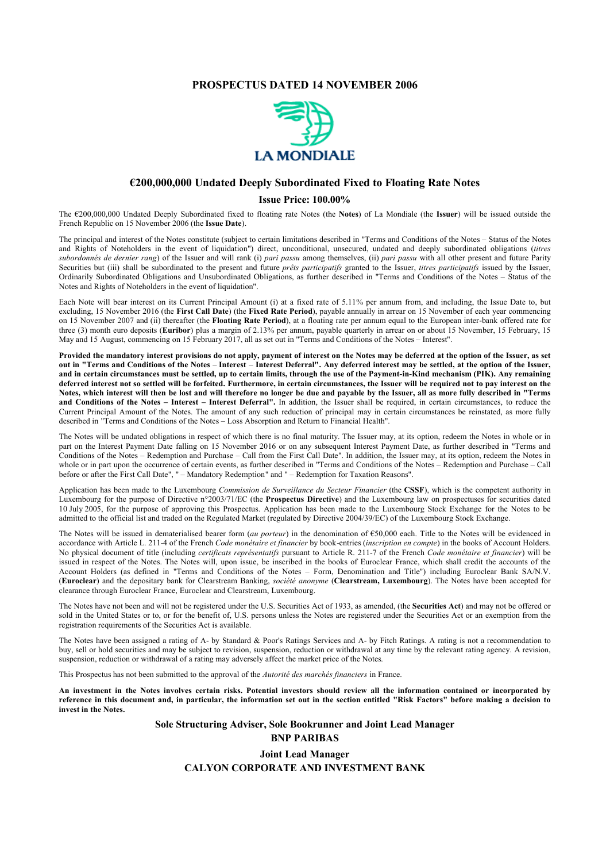#### **PROSPECTUS DATED 14 NOVEMBER 2006**



#### **€200,000,000 Undated Deeply Subordinated Fixed to Floating Rate Notes**

#### **Issue Price: 100.00%**

The €200,000,000 Undated Deeply Subordinated fixed to floating rate Notes (the **Notes**) of La Mondiale (the **Issuer**) will be issued outside the French Republic on 15 November 2006 (the **Issue Date**).

The principal and interest of the Notes constitute (subject to certain limitations described in "Terms and Conditions of the Notes – Status of the Notes and Rights of Noteholders in the event of liquidation") direct, unconditional, unsecured, undated and deeply subordinated obligations (*titres subordonnés de dernier rang*) of the Issuer and will rank (i) *pari passu* among themselves, (ii) *pari passu* with all other present and future Parity Securities but (iii) shall be subordinated to the present and future *prêts participatifs* granted to the Issuer, *titres participatifs* issued by the Issuer, Ordinarily Subordinated Obligations and Unsubordinated Obligations, as further described in "Terms and Conditions of the Notes – Status of the Notes and Rights of Noteholders in the event of liquidation".

Each Note will bear interest on its Current Principal Amount (i) at a fixed rate of 5.11% per annum from, and including, the Issue Date to, but excluding, 15 November 2016 (the **First Call Date**) (the **Fixed Rate Period**), payable annually in arrear on 15 November of each year commencing on 15 November 2007 and (ii) thereafter (the **Floating Rate Period**), at a floating rate per annum equal to the European inter-bank offered rate for three (3) month euro deposits (**Euribor**) plus a margin of 2.13% per annum, payable quarterly in arrear on or about 15 November, 15 February, 15 May and 15 August, commencing on 15 February 2017, all as set out in "Terms and Conditions of the Notes – Interest".

**Provided the mandatory interest provisions do not apply, payment of interest on the Notes may be deferred at the option of the Issuer, as set out in "Terms and Conditions of the Notes** – **Interest** – **Interest Deferral". Any deferred interest may be settled, at the option of the Issuer, and in certain circumstances must be settled, up to certain limits, through the use of the Payment-in-Kind mechanism (PIK). Any remaining deferred interest not so settled will be forfeited. Furthermore, in certain circumstances, the Issuer will be required not to pay interest on the Notes, which interest will then be lost and will therefore no longer be due and payable by the Issuer, all as more fully described in "Terms and Conditions of the Notes – Interest – Interest Deferral".** In addition, the Issuer shall be required, in certain circumstances, to reduce the Current Principal Amount of the Notes. The amount of any such reduction of principal may in certain circumstances be reinstated, as more fully described in "Terms and Conditions of the Notes – Loss Absorption and Return to Financial Health".

The Notes will be undated obligations in respect of which there is no final maturity. The Issuer may, at its option, redeem the Notes in whole or in part on the Interest Payment Date falling on 15 November 2016 or on any subsequent Interest Payment Date, as further described in "Terms and Conditions of the Notes – Redemption and Purchase – Call from the First Call Date". In addition, the Issuer may, at its option, redeem the Notes in whole or in part upon the occurrence of certain events, as further described in "Terms and Conditions of the Notes – Redemption and Purchase – Call before or after the First Call Date", " – Mandatory Redemption" and " – Redemption for Taxation Reasons".

Application has been made to the Luxembourg *Commission de Surveillance du Secteur Financier* (the CSSF), which is the competent authority in Luxembourg for the purpose of Directive n°2003/71/EC (the **Prospectus Directive**) and the Luxembourg law on prospectuses for securities dated 10 July 2005, for the purpose of approving this Prospectus. Application has been made to the Luxembourg Stock Exchange for the Notes to be admitted to the official list and traded on the Regulated Market (regulated by Directive 2004/39/EC) of the Luxembourg Stock Exchange.

The Notes will be issued in dematerialised bearer form (*au porteur*) in the denomination of €50,000 each. Title to the Notes will be evidenced in accordance with Article L. 211-4 of the French *Code monétaire et financier* by book-entries (*inscription en compte*) in the books of Account Holders. No physical document of title (including *certificats représentatifs* pursuant to Article R. 211-7 of the French *Code monétaire et financier*) will be issued in respect of the Notes. The Notes will, upon issue, be inscribed in the books of Euroclear France, which shall credit the accounts of the Account Holders (as defined in "Terms and Conditions of the Notes – Form, Denomination and Title") including Euroclear Bank SA/N.V. (**Euroclear**) and the depositary bank for Clearstream Banking, *société anonyme* (**Clearstream, Luxembourg**). The Notes have been accepted for clearance through Euroclear France, Euroclear and Clearstream, Luxembourg.

The Notes have not been and will not be registered under the U.S. Securities Act of 1933, as amended, (the **Securities Act**) and may not be offered or sold in the United States or to, or for the benefit of, U.S. persons unless the Notes are registered under the Securities Act or an exemption from the registration requirements of the Securities Act is available.

The Notes have been assigned a rating of A- by Standard & Poor's Ratings Services and A- by Fitch Ratings. A rating is not a recommendation to buy, sell or hold securities and may be subject to revision, suspension, reduction or withdrawal at any time by the relevant rating agency. A revision, suspension, reduction or withdrawal of a rating may adversely affect the market price of the Notes.

This Prospectus has not been submitted to the approval of the *Autorité des marchés financiers* in France.

**An investment in the Notes involves certain risks. Potential investors should review all the information contained or incorporated by reference in this document and, in particular, the information set out in the section entitled "Risk Factors" before making a decision to invest in the Notes.**

> **Sole Structuring Adviser, Sole Bookrunner and Joint Lead Manager BNP PARIBAS**

## **Joint Lead Manager CALYON CORPORATE AND INVESTMENT BANK**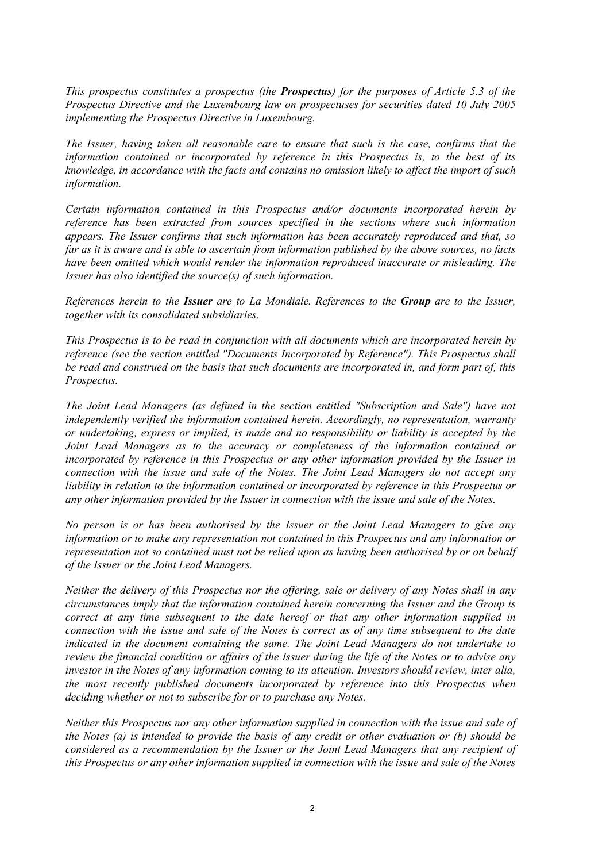*This prospectus constitutes a prospectus (the Prospectus) for the purposes of Article 5.3 of the Prospectus Directive and the Luxembourg law on prospectuses for securities dated 10 July 2005 implementing the Prospectus Directive in Luxembourg.*

*The Issuer, having taken all reasonable care to ensure that such is the case, confirms that the information contained or incorporated by reference in this Prospectus is, to the best of its knowledge, in accordance with the facts and contains no omission likely to affect the import of such information.*

*Certain information contained in this Prospectus and/or documents incorporated herein by reference has been extracted from sources specified in the sections where such information appears. The Issuer confirms that such information has been accurately reproduced and that, so far as it is aware and is able to ascertain from information published by the above sources, no facts have been omitted which would render the information reproduced inaccurate or misleading. The Issuer has also identified the source(s) of such information.*

*References herein to the Issuer are to La Mondiale. References to the Group are to the Issuer, together with its consolidated subsidiaries.*

*This Prospectus is to be read in conjunction with all documents which are incorporated herein by reference (see the section entitled "Documents Incorporated by Reference"). This Prospectus shall be read and construed on the basis that such documents are incorporated in, and form part of, this Prospectus.*

*The Joint Lead Managers (as defined in the section entitled "Subscription and Sale") have not independently verified the information contained herein. Accordingly, no representation, warranty or undertaking, express or implied, is made and no responsibility or liability is accepted by the Joint Lead Managers as to the accuracy or completeness of the information contained or incorporated by reference in this Prospectus or any other information provided by the Issuer in connection with the issue and sale of the Notes. The Joint Lead Managers do not accept any liability in relation to the information contained or incorporated by reference in this Prospectus or any other information provided by the Issuer in connection with the issue and sale of the Notes.*

*No person is or has been authorised by the Issuer or the Joint Lead Managers to give any information or to make any representation not contained in this Prospectus and any information or representation not so contained must not be relied upon as having been authorised by or on behalf of the Issuer or the Joint Lead Managers.*

*Neither the delivery of this Prospectus nor the offering, sale or delivery of any Notes shall in any circumstances imply that the information contained herein concerning the Issuer and the Group is correct at any time subsequent to the date hereof or that any other information supplied in connection with the issue and sale of the Notes is correct as of any time subsequent to the date indicated in the document containing the same. The Joint Lead Managers do not undertake to review the financial condition or affairs of the Issuer during the life of the Notes or to advise any investor in the Notes of any information coming to its attention. Investors should review, inter alia, the most recently published documents incorporated by reference into this Prospectus when deciding whether or not to subscribe for or to purchase any Notes.*

*Neither this Prospectus nor any other information supplied in connection with the issue and sale of the Notes (a) is intended to provide the basis of any credit or other evaluation or (b) should be considered as a recommendation by the Issuer or the Joint Lead Managers that any recipient of this Prospectus or any other information supplied in connection with the issue and sale of the Notes*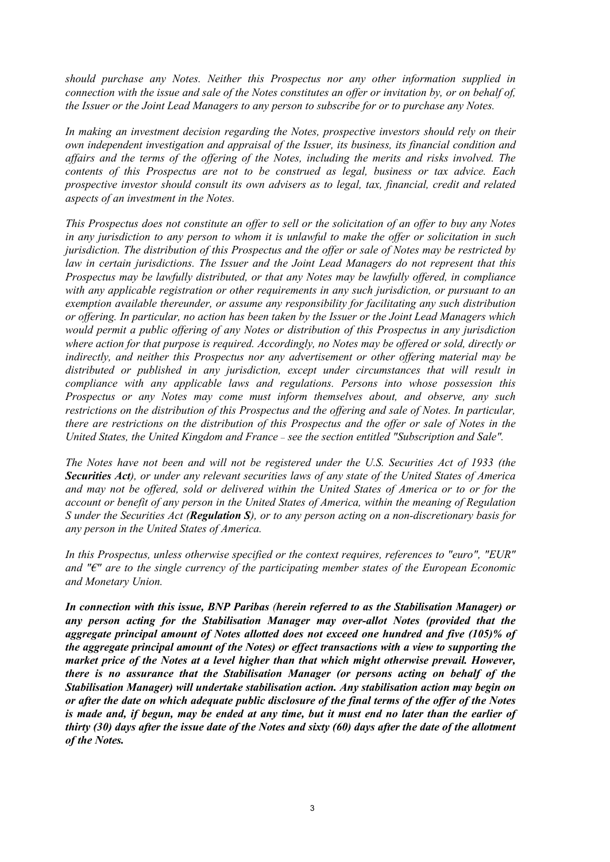*should purchase any Notes. Neither this Prospectus nor any other information supplied in connection with the issue and sale of the Notes constitutes an offer or invitation by, or on behalf of, the Issuer or the Joint Lead Managers to any person to subscribe for or to purchase any Notes.*

*In making an investment decision regarding the Notes, prospective investors should rely on their own independent investigation and appraisal of the Issuer, its business, its financial condition and affairs and the terms of the offering of the Notes, including the merits and risks involved. The contents of this Prospectus are not to be construed as legal, business or tax advice. Each prospective investor should consult its own advisers as to legal, tax, financial, credit and related aspects of an investment in the Notes.*

*This Prospectus does not constitute an offer to sell or the solicitation of an offer to buy any Notes in any jurisdiction to any person to whom it is unlawful to make the offer or solicitation in such jurisdiction. The distribution of this Prospectus and the offer or sale of Notes may be restricted by law in certain jurisdictions. The Issuer and the Joint Lead Managers do not represent that this Prospectus may be lawfully distributed, or that any Notes may be lawfully offered, in compliance with any applicable registration or other requirements in any such jurisdiction, or pursuant to an exemption available thereunder, or assume any responsibility for facilitating any such distribution or offering. In particular, no action has been taken by the Issuer or the Joint Lead Managers which would permit a public offering of any Notes or distribution of this Prospectus in any jurisdiction where action for that purpose is required. Accordingly, no Notes may be offered or sold, directly or indirectly, and neither this Prospectus nor any advertisement or other offering material may be distributed or published in any jurisdiction, except under circumstances that will result in compliance with any applicable laws and regulations. Persons into whose possession this Prospectus or any Notes may come must inform themselves about, and observe, any such restrictions on the distribution of this Prospectus and the offering and sale of Notes. In particular, there are restrictions on the distribution of this Prospectus and the offer or sale of Notes in the United States, the United Kingdom and France* – *see the section entitled "Subscription and Sale".*

*The Notes have not been and will not be registered under the U.S. Securities Act of 1933 (the Securities Act), or under any relevant securities laws of any state of the United States of America and may not be offered, sold or delivered within the United States of America or to or for the account or benefit of any person in the United States of America, within the meaning of Regulation S under the Securities Act (Regulation S), or to any person acting on a non-discretionary basis for any person in the United States of America.*

*In this Prospectus, unless otherwise specified or the context requires, references to "euro", "EUR" and "€" are to the single currency of the participating member states of the European Economic and Monetary Union.* 

*In connection with this issue, BNP Paribas (herein referred to as the Stabilisation Manager) or any person acting for the Stabilisation Manager may over-allot Notes (provided that the aggregate principal amount of Notes allotted does not exceed one hundred and five (105)% of the aggregate principal amount of the Notes) or effect transactions with a view to supporting the market price of the Notes at a level higher than that which might otherwise prevail. However, there is no assurance that the Stabilisation Manager (or persons acting on behalf of the Stabilisation Manager) will undertake stabilisation action. Any stabilisation action may begin on or after the date on which adequate public disclosure of the final terms of the offer of the Notes is made and, if begun, may be ended at any time, but it must end no later than the earlier of thirty (30) days after the issue date of the Notes and sixty (60) days after the date of the allotment of the Notes.*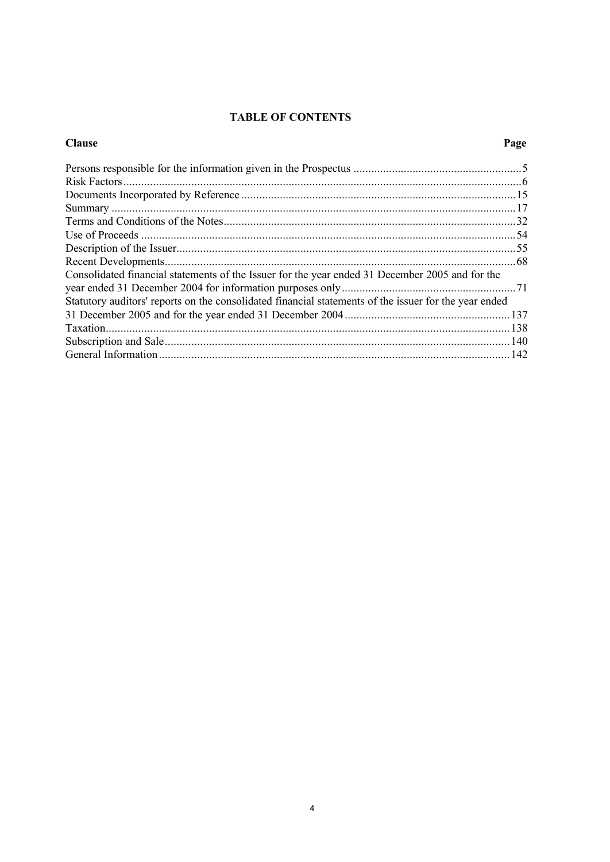# **TABLE OF CONTENTS**

| <b>Clause</b>                                                                                         | Page |
|-------------------------------------------------------------------------------------------------------|------|
|                                                                                                       |      |
|                                                                                                       |      |
|                                                                                                       |      |
|                                                                                                       |      |
|                                                                                                       |      |
|                                                                                                       |      |
|                                                                                                       |      |
|                                                                                                       |      |
| Consolidated financial statements of the Issuer for the year ended 31 December 2005 and for the       |      |
|                                                                                                       |      |
| Statutory auditors' reports on the consolidated financial statements of the issuer for the year ended |      |
|                                                                                                       |      |
|                                                                                                       |      |
|                                                                                                       |      |
|                                                                                                       |      |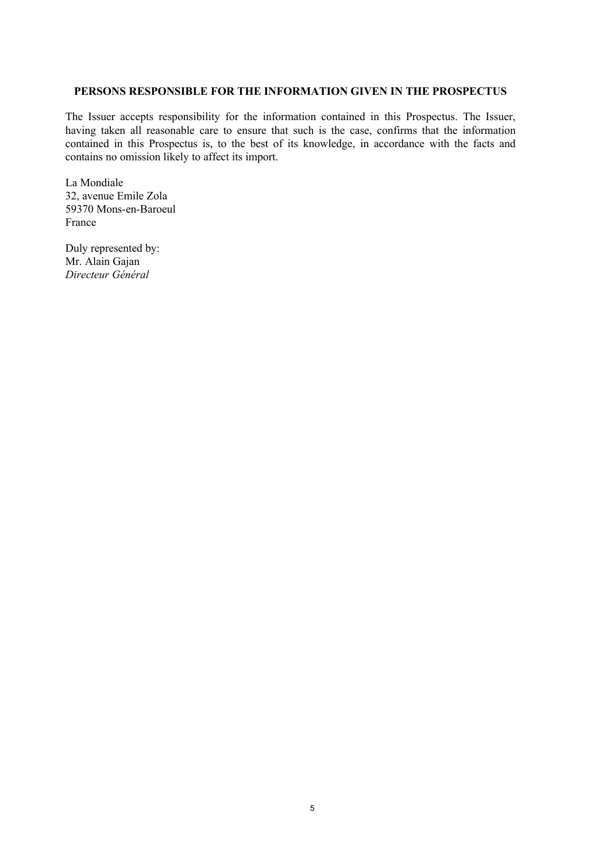## **PERSONS RESPONSIBLE FOR THE INFORMATION GIVEN IN THE PROSPECTUS**

The Issuer accepts responsibility for the information contained in this Prospectus. The Issuer, having taken all reasonable care to ensure that such is the case, confirms that the information contained in this Prospectus is, to the best of its knowledge, in accordance with the facts and contains no omission likely to affect its import.

La Mondiale 32, avenue Emile Zola 59370 Mons-en-Baroeul France

Duly represented by: Mr. Alain Gajan *Directeur Général*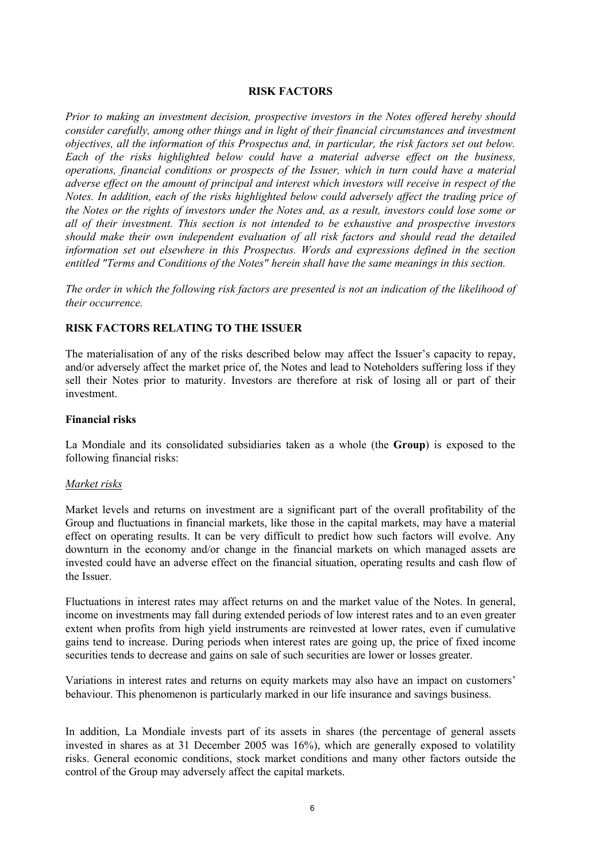## **RISK FACTORS**

*Prior to making an investment decision, prospective investors in the Notes offered hereby should consider carefully, among other things and in light of their financial circumstances and investment objectives, all the information of this Prospectus and, in particular, the risk factors set out below. Each of the risks highlighted below could have a material adverse effect on the business, operations, financial conditions or prospects of the Issuer, which in turn could have a material adverse effect on the amount of principal and interest which investors will receive in respect of the Notes. In addition, each of the risks highlighted below could adversely affect the trading price of the Notes or the rights of investors under the Notes and, as a result, investors could lose some or all of their investment. This section is not intended to be exhaustive and prospective investors should make their own independent evaluation of all risk factors and should read the detailed information set out elsewhere in this Prospectus. Words and expressions defined in the section entitled "Terms and Conditions of the Notes" herein shall have the same meanings in this section.* 

*The order in which the following risk factors are presented is not an indication of the likelihood of their occurrence.*

### **RISK FACTORS RELATING TO THE ISSUER**

The materialisation of any of the risks described below may affect the Issuer's capacity to repay, and/or adversely affect the market price of, the Notes and lead to Noteholders suffering loss if they sell their Notes prior to maturity. Investors are therefore at risk of losing all or part of their investment.

### **Financial risks**

La Mondiale and its consolidated subsidiaries taken as a whole (the **Group**) is exposed to the following financial risks:

#### *Market risks*

Market levels and returns on investment are a significant part of the overall profitability of the Group and fluctuations in financial markets, like those in the capital markets, may have a material effect on operating results. It can be very difficult to predict how such factors will evolve. Any downturn in the economy and/or change in the financial markets on which managed assets are invested could have an adverse effect on the financial situation, operating results and cash flow of the Issuer.

Fluctuations in interest rates may affect returns on and the market value of the Notes. In general, income on investments may fall during extended periods of low interest rates and to an even greater extent when profits from high yield instruments are reinvested at lower rates, even if cumulative gains tend to increase. During periods when interest rates are going up, the price of fixed income securities tends to decrease and gains on sale of such securities are lower or losses greater.

Variations in interest rates and returns on equity markets may also have an impact on customers' behaviour. This phenomenon is particularly marked in our life insurance and savings business.

In addition, La Mondiale invests part of its assets in shares (the percentage of general assets invested in shares as at 31 December 2005 was 16%), which are generally exposed to volatility risks. General economic conditions, stock market conditions and many other factors outside the control of the Group may adversely affect the capital markets.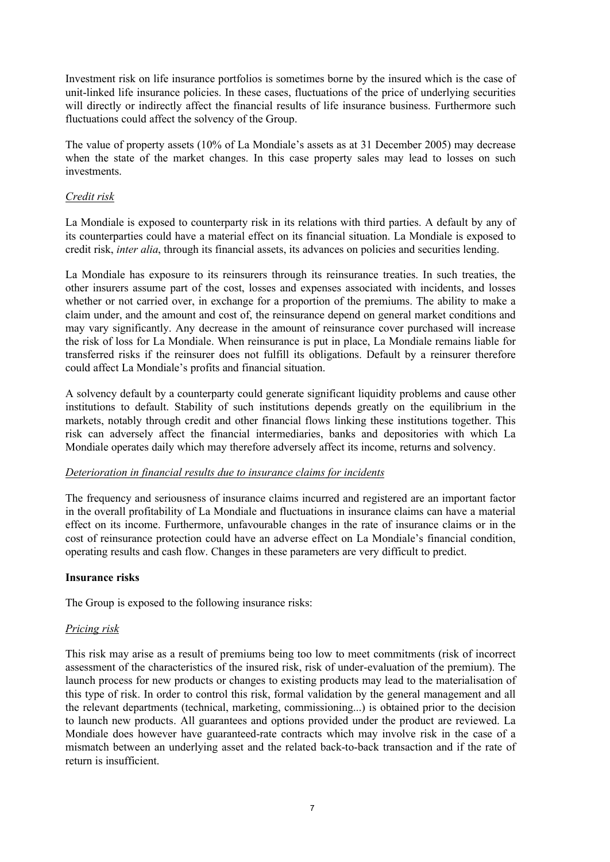Investment risk on life insurance portfolios is sometimes borne by the insured which is the case of unit-linked life insurance policies. In these cases, fluctuations of the price of underlying securities will directly or indirectly affect the financial results of life insurance business. Furthermore such fluctuations could affect the solvency of the Group.

The value of property assets (10% of La Mondiale's assets as at 31 December 2005) may decrease when the state of the market changes. In this case property sales may lead to losses on such investments.

## *Credit risk*

La Mondiale is exposed to counterparty risk in its relations with third parties. A default by any of its counterparties could have a material effect on its financial situation. La Mondiale is exposed to credit risk, *inter alia*, through its financial assets, its advances on policies and securities lending.

La Mondiale has exposure to its reinsurers through its reinsurance treaties. In such treaties, the other insurers assume part of the cost, losses and expenses associated with incidents, and losses whether or not carried over, in exchange for a proportion of the premiums. The ability to make a claim under, and the amount and cost of, the reinsurance depend on general market conditions and may vary significantly. Any decrease in the amount of reinsurance cover purchased will increase the risk of loss for La Mondiale. When reinsurance is put in place, La Mondiale remains liable for transferred risks if the reinsurer does not fulfill its obligations. Default by a reinsurer therefore could affect La Mondiale's profits and financial situation.

A solvency default by a counterparty could generate significant liquidity problems and cause other institutions to default. Stability of such institutions depends greatly on the equilibrium in the markets, notably through credit and other financial flows linking these institutions together. This risk can adversely affect the financial intermediaries, banks and depositories with which La Mondiale operates daily which may therefore adversely affect its income, returns and solvency.

## *Deterioration in financial results due to insurance claims for incidents*

The frequency and seriousness of insurance claims incurred and registered are an important factor in the overall profitability of La Mondiale and fluctuations in insurance claims can have a material effect on its income. Furthermore, unfavourable changes in the rate of insurance claims or in the cost of reinsurance protection could have an adverse effect on La Mondiale's financial condition, operating results and cash flow. Changes in these parameters are very difficult to predict.

## **Insurance risks**

The Group is exposed to the following insurance risks:

## *Pricing risk*

This risk may arise as a result of premiums being too low to meet commitments (risk of incorrect assessment of the characteristics of the insured risk, risk of under-evaluation of the premium). The launch process for new products or changes to existing products may lead to the materialisation of this type of risk. In order to control this risk, formal validation by the general management and all the relevant departments (technical, marketing, commissioning...) is obtained prior to the decision to launch new products. All guarantees and options provided under the product are reviewed. La Mondiale does however have guaranteed-rate contracts which may involve risk in the case of a mismatch between an underlying asset and the related back-to-back transaction and if the rate of return is insufficient.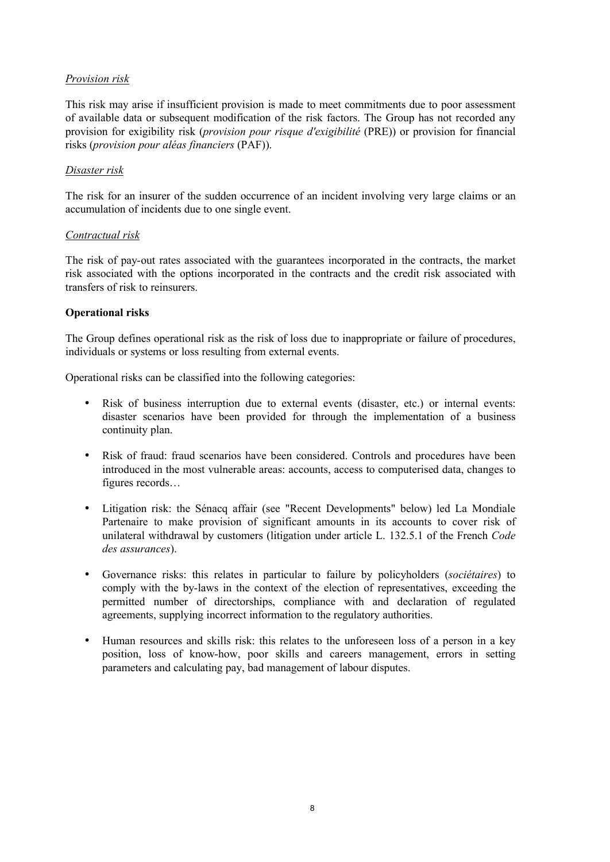## *Provision risk*

This risk may arise if insufficient provision is made to meet commitments due to poor assessment of available data or subsequent modification of the risk factors. The Group has not recorded any provision for exigibility risk (*provision pour risque d'exigibilité* (PRE)) or provision for financial risks (*provision pour aléas financiers* (PAF)).

## *Disaster risk*

The risk for an insurer of the sudden occurrence of an incident involving very large claims or an accumulation of incidents due to one single event.

## *Contractual risk*

The risk of pay-out rates associated with the guarantees incorporated in the contracts, the market risk associated with the options incorporated in the contracts and the credit risk associated with transfers of risk to reinsurers.

## **Operational risks**

The Group defines operational risk as the risk of loss due to inappropriate or failure of procedures, individuals or systems or loss resulting from external events.

Operational risks can be classified into the following categories:

- Risk of business interruption due to external events (disaster, etc.) or internal events: disaster scenarios have been provided for through the implementation of a business continuity plan.
- Risk of fraud: fraud scenarios have been considered. Controls and procedures have been introduced in the most vulnerable areas: accounts, access to computerised data, changes to figures records…
- Litigation risk: the Sénacq affair (see "Recent Developments" below) led La Mondiale Partenaire to make provision of significant amounts in its accounts to cover risk of unilateral withdrawal by customers (litigation under article L. 132.5.1 of the French *Code des assurances*).
- Governance risks: this relates in particular to failure by policyholders (*sociétaires*) to comply with the by-laws in the context of the election of representatives, exceeding the permitted number of directorships, compliance with and declaration of regulated agreements, supplying incorrect information to the regulatory authorities.
- Human resources and skills risk: this relates to the unforeseen loss of a person in a key position, loss of know-how, poor skills and careers management, errors in setting parameters and calculating pay, bad management of labour disputes.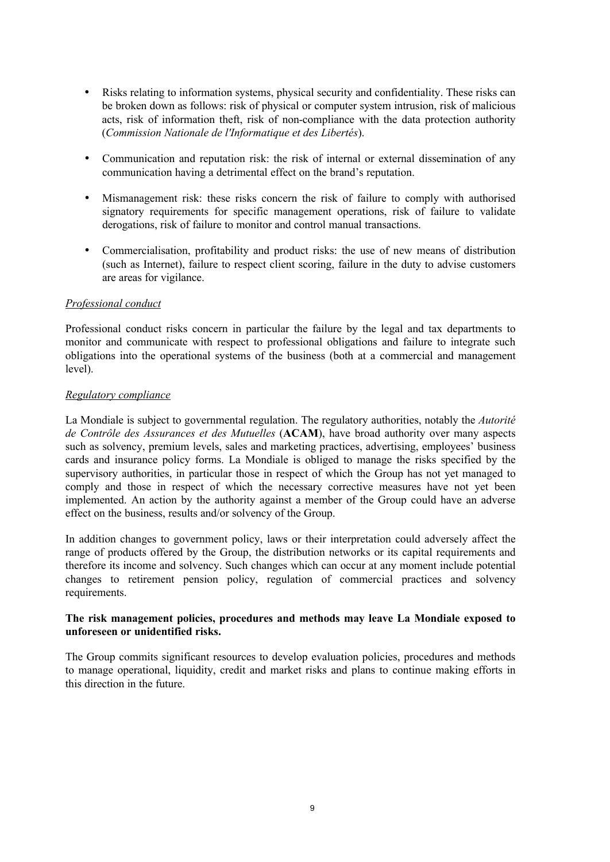- Risks relating to information systems, physical security and confidentiality. These risks can be broken down as follows: risk of physical or computer system intrusion, risk of malicious acts, risk of information theft, risk of non-compliance with the data protection authority (*Commission Nationale de l'Informatique et des Libertés*).
- Communication and reputation risk: the risk of internal or external dissemination of any communication having a detrimental effect on the brand's reputation.
- Mismanagement risk: these risks concern the risk of failure to comply with authorised signatory requirements for specific management operations, risk of failure to validate derogations, risk of failure to monitor and control manual transactions.
- Commercialisation, profitability and product risks: the use of new means of distribution (such as Internet), failure to respect client scoring, failure in the duty to advise customers are areas for vigilance.

## *Professional conduct*

Professional conduct risks concern in particular the failure by the legal and tax departments to monitor and communicate with respect to professional obligations and failure to integrate such obligations into the operational systems of the business (both at a commercial and management level).

## *Regulatory compliance*

La Mondiale is subject to governmental regulation. The regulatory authorities, notably the *Autorité de Contrôle des Assurances et des Mutuelles* (**ACAM**), have broad authority over many aspects such as solvency, premium levels, sales and marketing practices, advertising, employees' business cards and insurance policy forms. La Mondiale is obliged to manage the risks specified by the supervisory authorities, in particular those in respect of which the Group has not yet managed to comply and those in respect of which the necessary corrective measures have not yet been implemented. An action by the authority against a member of the Group could have an adverse effect on the business, results and/or solvency of the Group.

In addition changes to government policy, laws or their interpretation could adversely affect the range of products offered by the Group, the distribution networks or its capital requirements and therefore its income and solvency. Such changes which can occur at any moment include potential changes to retirement pension policy, regulation of commercial practices and solvency requirements.

## **The risk management policies, procedures and methods may leave La Mondiale exposed to unforeseen or unidentified risks.**

The Group commits significant resources to develop evaluation policies, procedures and methods to manage operational, liquidity, credit and market risks and plans to continue making efforts in this direction in the future.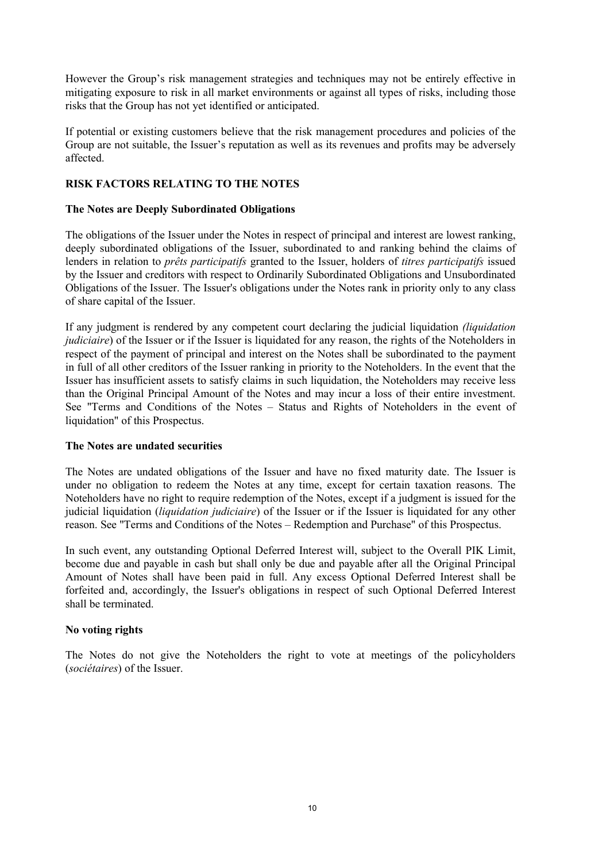However the Group's risk management strategies and techniques may not be entirely effective in mitigating exposure to risk in all market environments or against all types of risks, including those risks that the Group has not yet identified or anticipated.

If potential or existing customers believe that the risk management procedures and policies of the Group are not suitable, the Issuer's reputation as well as its revenues and profits may be adversely affected.

## **RISK FACTORS RELATING TO THE NOTES**

## **The Notes are Deeply Subordinated Obligations**

The obligations of the Issuer under the Notes in respect of principal and interest are lowest ranking, deeply subordinated obligations of the Issuer, subordinated to and ranking behind the claims of lenders in relation to *prêts participatifs* granted to the Issuer, holders of *titres participatifs* issued by the Issuer and creditors with respect to Ordinarily Subordinated Obligations and Unsubordinated Obligations of the Issuer. The Issuer's obligations under the Notes rank in priority only to any class of share capital of the Issuer.

If any judgment is rendered by any competent court declaring the judicial liquidation *(liquidation judiciaire*) of the Issuer or if the Issuer is liquidated for any reason, the rights of the Noteholders in respect of the payment of principal and interest on the Notes shall be subordinated to the payment in full of all other creditors of the Issuer ranking in priority to the Noteholders. In the event that the Issuer has insufficient assets to satisfy claims in such liquidation, the Noteholders may receive less than the Original Principal Amount of the Notes and may incur a loss of their entire investment. See "Terms and Conditions of the Notes – Status and Rights of Noteholders in the event of liquidation" of this Prospectus.

## **The Notes are undated securities**

The Notes are undated obligations of the Issuer and have no fixed maturity date. The Issuer is under no obligation to redeem the Notes at any time, except for certain taxation reasons. The Noteholders have no right to require redemption of the Notes, except if a judgment is issued for the judicial liquidation (*liquidation judiciaire*) of the Issuer or if the Issuer is liquidated for any other reason. See "Terms and Conditions of the Notes – Redemption and Purchase" of this Prospectus.

In such event, any outstanding Optional Deferred Interest will, subject to the Overall PIK Limit, become due and payable in cash but shall only be due and payable after all the Original Principal Amount of Notes shall have been paid in full. Any excess Optional Deferred Interest shall be forfeited and, accordingly, the Issuer's obligations in respect of such Optional Deferred Interest shall be terminated.

## **No voting rights**

The Notes do not give the Noteholders the right to vote at meetings of the policyholders (*sociétaires*) of the Issuer.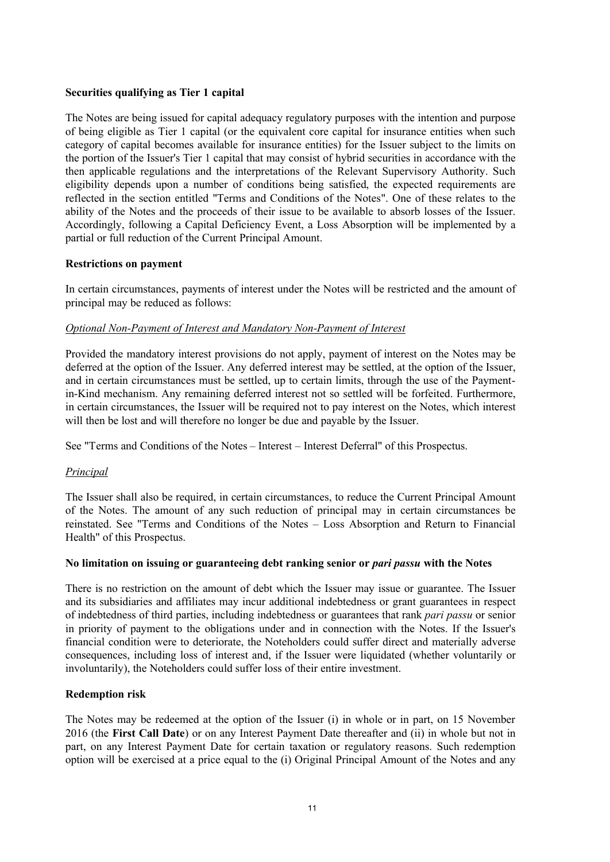## **Securities qualifying as Tier 1 capital**

The Notes are being issued for capital adequacy regulatory purposes with the intention and purpose of being eligible as Tier 1 capital (or the equivalent core capital for insurance entities when such category of capital becomes available for insurance entities) for the Issuer subject to the limits on the portion of the Issuer's Tier 1 capital that may consist of hybrid securities in accordance with the then applicable regulations and the interpretations of the Relevant Supervisory Authority. Such eligibility depends upon a number of conditions being satisfied, the expected requirements are reflected in the section entitled "Terms and Conditions of the Notes". One of these relates to the ability of the Notes and the proceeds of their issue to be available to absorb losses of the Issuer. Accordingly, following a Capital Deficiency Event, a Loss Absorption will be implemented by a partial or full reduction of the Current Principal Amount.

## **Restrictions on payment**

In certain circumstances, payments of interest under the Notes will be restricted and the amount of principal may be reduced as follows:

## *Optional Non-Payment of Interest and Mandatory Non-Payment of Interest*

Provided the mandatory interest provisions do not apply, payment of interest on the Notes may be deferred at the option of the Issuer. Any deferred interest may be settled, at the option of the Issuer, and in certain circumstances must be settled, up to certain limits, through the use of the Paymentin-Kind mechanism. Any remaining deferred interest not so settled will be forfeited. Furthermore, in certain circumstances, the Issuer will be required not to pay interest on the Notes, which interest will then be lost and will therefore no longer be due and payable by the Issuer.

See "Terms and Conditions of the Notes – Interest – Interest Deferral" of this Prospectus.

## *Principal*

The Issuer shall also be required, in certain circumstances, to reduce the Current Principal Amount of the Notes. The amount of any such reduction of principal may in certain circumstances be reinstated. See "Terms and Conditions of the Notes – Loss Absorption and Return to Financial Health" of this Prospectus.

## **No limitation on issuing or guaranteeing debt ranking senior or** *pari passu* **with the Notes**

There is no restriction on the amount of debt which the Issuer may issue or guarantee. The Issuer and its subsidiaries and affiliates may incur additional indebtedness or grant guarantees in respect of indebtedness of third parties, including indebtedness or guarantees that rank *pari passu* or senior in priority of payment to the obligations under and in connection with the Notes. If the Issuer's financial condition were to deteriorate, the Noteholders could suffer direct and materially adverse consequences, including loss of interest and, if the Issuer were liquidated (whether voluntarily or involuntarily), the Noteholders could suffer loss of their entire investment.

## **Redemption risk**

The Notes may be redeemed at the option of the Issuer (i) in whole or in part, on 15 November 2016 (the **First Call Date**) or on any Interest Payment Date thereafter and (ii) in whole but not in part, on any Interest Payment Date for certain taxation or regulatory reasons. Such redemption option will be exercised at a price equal to the (i) Original Principal Amount of the Notes and any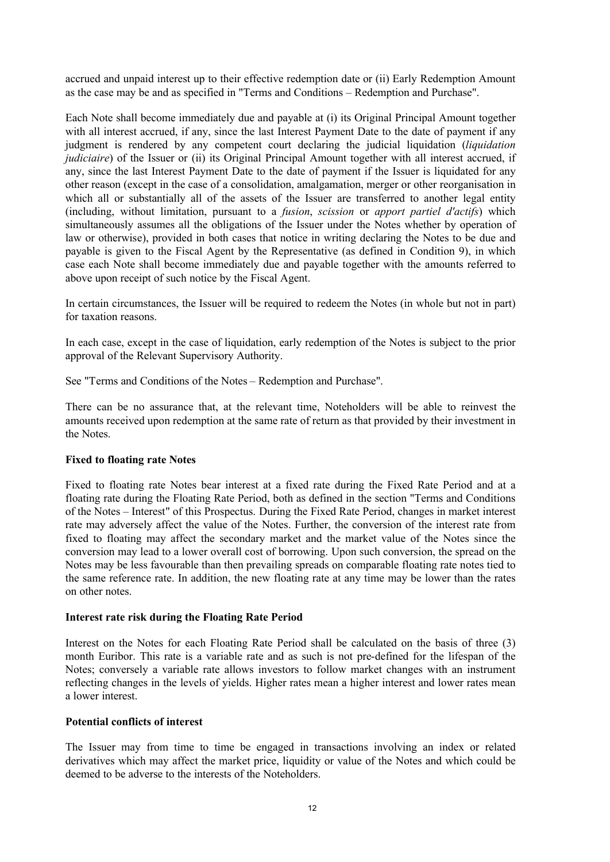accrued and unpaid interest up to their effective redemption date or (ii) Early Redemption Amount as the case may be and as specified in "Terms and Conditions – Redemption and Purchase".

Each Note shall become immediately due and payable at (i) its Original Principal Amount together with all interest accrued, if any, since the last Interest Payment Date to the date of payment if any judgment is rendered by any competent court declaring the judicial liquidation (*liquidation judiciaire*) of the Issuer or (ii) its Original Principal Amount together with all interest accrued, if any, since the last Interest Payment Date to the date of payment if the Issuer is liquidated for any other reason (except in the case of a consolidation, amalgamation, merger or other reorganisation in which all or substantially all of the assets of the Issuer are transferred to another legal entity (including, without limitation, pursuant to a *fusion*, *scission* or *apport partiel d'actifs*) which simultaneously assumes all the obligations of the Issuer under the Notes whether by operation of law or otherwise), provided in both cases that notice in writing declaring the Notes to be due and payable is given to the Fiscal Agent by the Representative (as defined in Condition 9), in which case each Note shall become immediately due and payable together with the amounts referred to above upon receipt of such notice by the Fiscal Agent.

In certain circumstances, the Issuer will be required to redeem the Notes (in whole but not in part) for taxation reasons.

In each case, except in the case of liquidation, early redemption of the Notes is subject to the prior approval of the Relevant Supervisory Authority.

See "Terms and Conditions of the Notes – Redemption and Purchase".

There can be no assurance that, at the relevant time, Noteholders will be able to reinvest the amounts received upon redemption at the same rate of return as that provided by their investment in the Notes.

## **Fixed to floating rate Notes**

Fixed to floating rate Notes bear interest at a fixed rate during the Fixed Rate Period and at a floating rate during the Floating Rate Period, both as defined in the section "Terms and Conditions of the Notes – Interest" of this Prospectus. During the Fixed Rate Period, changes in market interest rate may adversely affect the value of the Notes. Further, the conversion of the interest rate from fixed to floating may affect the secondary market and the market value of the Notes since the conversion may lead to a lower overall cost of borrowing. Upon such conversion, the spread on the Notes may be less favourable than then prevailing spreads on comparable floating rate notes tied to the same reference rate. In addition, the new floating rate at any time may be lower than the rates on other notes.

#### **Interest rate risk during the Floating Rate Period**

Interest on the Notes for each Floating Rate Period shall be calculated on the basis of three (3) month Euribor. This rate is a variable rate and as such is not pre-defined for the lifespan of the Notes; conversely a variable rate allows investors to follow market changes with an instrument reflecting changes in the levels of yields. Higher rates mean a higher interest and lower rates mean a lower interest.

#### **Potential conflicts of interest**

The Issuer may from time to time be engaged in transactions involving an index or related derivatives which may affect the market price, liquidity or value of the Notes and which could be deemed to be adverse to the interests of the Noteholders.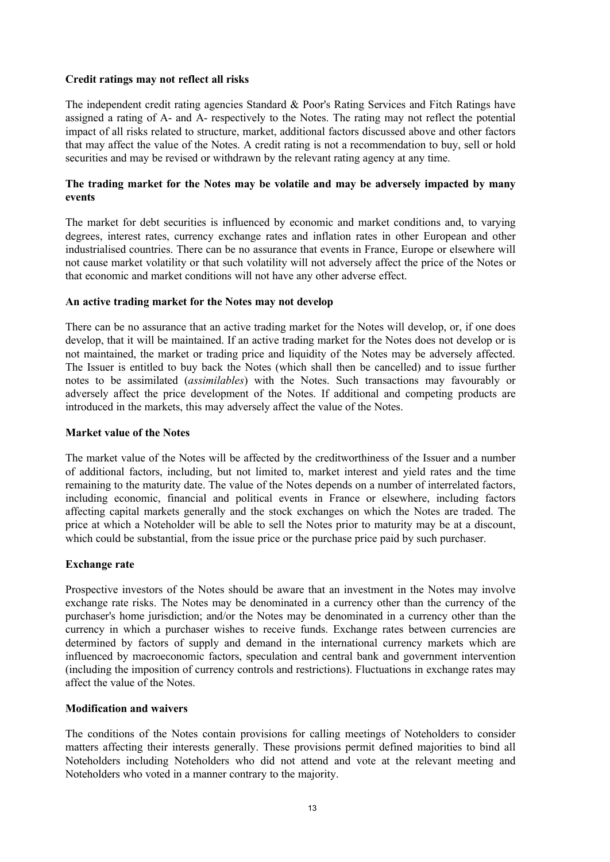## **Credit ratings may not reflect all risks**

The independent credit rating agencies Standard & Poor's Rating Services and Fitch Ratings have assigned a rating of A- and A- respectively to the Notes. The rating may not reflect the potential impact of all risks related to structure, market, additional factors discussed above and other factors that may affect the value of the Notes. A credit rating is not a recommendation to buy, sell or hold securities and may be revised or withdrawn by the relevant rating agency at any time.

## **The trading market for the Notes may be volatile and may be adversely impacted by many events**

The market for debt securities is influenced by economic and market conditions and, to varying degrees, interest rates, currency exchange rates and inflation rates in other European and other industrialised countries. There can be no assurance that events in France, Europe or elsewhere will not cause market volatility or that such volatility will not adversely affect the price of the Notes or that economic and market conditions will not have any other adverse effect.

## **An active trading market for the Notes may not develop**

There can be no assurance that an active trading market for the Notes will develop, or, if one does develop, that it will be maintained. If an active trading market for the Notes does not develop or is not maintained, the market or trading price and liquidity of the Notes may be adversely affected. The Issuer is entitled to buy back the Notes (which shall then be cancelled) and to issue further notes to be assimilated (*assimilables*) with the Notes. Such transactions may favourably or adversely affect the price development of the Notes. If additional and competing products are introduced in the markets, this may adversely affect the value of the Notes.

## **Market value of the Notes**

The market value of the Notes will be affected by the creditworthiness of the Issuer and a number of additional factors, including, but not limited to, market interest and yield rates and the time remaining to the maturity date. The value of the Notes depends on a number of interrelated factors, including economic, financial and political events in France or elsewhere, including factors affecting capital markets generally and the stock exchanges on which the Notes are traded. The price at which a Noteholder will be able to sell the Notes prior to maturity may be at a discount, which could be substantial, from the issue price or the purchase price paid by such purchaser.

## **Exchange rate**

Prospective investors of the Notes should be aware that an investment in the Notes may involve exchange rate risks. The Notes may be denominated in a currency other than the currency of the purchaser's home jurisdiction; and/or the Notes may be denominated in a currency other than the currency in which a purchaser wishes to receive funds. Exchange rates between currencies are determined by factors of supply and demand in the international currency markets which are influenced by macroeconomic factors, speculation and central bank and government intervention (including the imposition of currency controls and restrictions). Fluctuations in exchange rates may affect the value of the Notes.

## **Modification and waivers**

The conditions of the Notes contain provisions for calling meetings of Noteholders to consider matters affecting their interests generally. These provisions permit defined majorities to bind all Noteholders including Noteholders who did not attend and vote at the relevant meeting and Noteholders who voted in a manner contrary to the majority.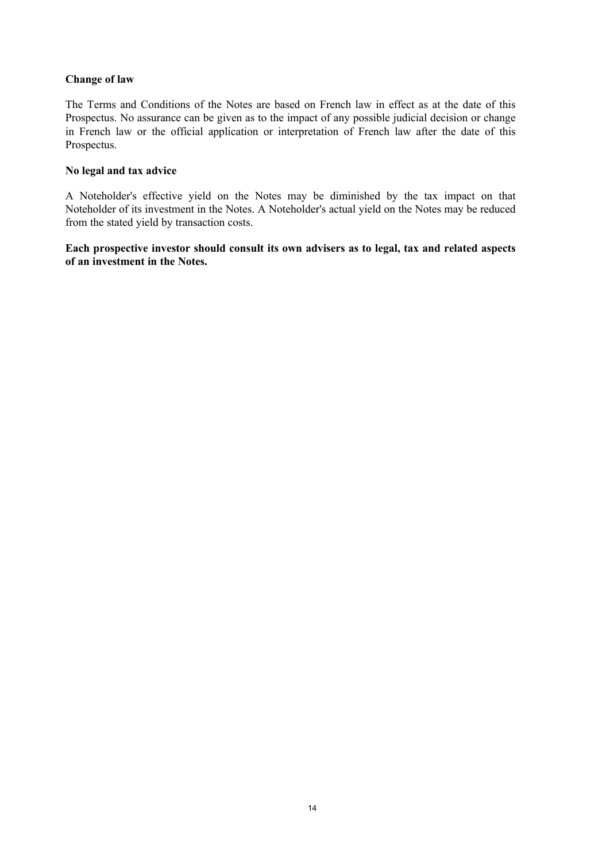## **Change of law**

The Terms and Conditions of the Notes are based on French law in effect as at the date of this Prospectus. No assurance can be given as to the impact of any possible judicial decision or change in French law or the official application or interpretation of French law after the date of this Prospectus.

## **No legal and tax advice**

A Noteholder's effective yield on the Notes may be diminished by the tax impact on that Noteholder of its investment in the Notes. A Noteholder's actual yield on the Notes may be reduced from the stated yield by transaction costs.

**Each prospective investor should consult its own advisers as to legal, tax and related aspects of an investment in the Notes.**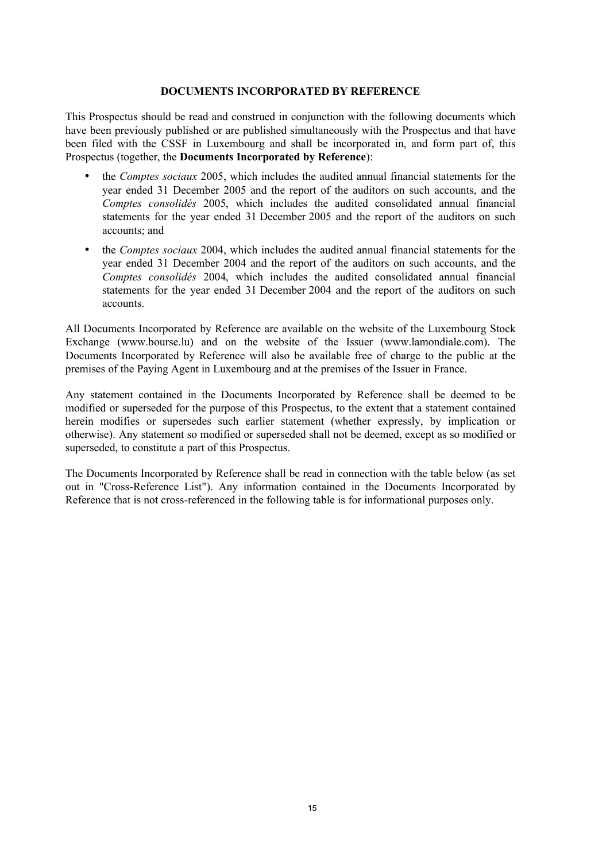## **DOCUMENTS INCORPORATED BY REFERENCE**

This Prospectus should be read and construed in conjunction with the following documents which have been previously published or are published simultaneously with the Prospectus and that have been filed with the CSSF in Luxembourg and shall be incorporated in, and form part of, this Prospectus (together, the **Documents Incorporated by Reference**):

- the *Comptes sociaux* 2005, which includes the audited annual financial statements for the year ended 31 December 2005 and the report of the auditors on such accounts, and the *Comptes consolidés* 2005, which includes the audited consolidated annual financial statements for the year ended 31 December 2005 and the report of the auditors on such accounts; and
- the *Comptes sociaux* 2004, which includes the audited annual financial statements for the year ended 31 December 2004 and the report of the auditors on such accounts, and the *Comptes consolidés* 2004, which includes the audited consolidated annual financial statements for the year ended 31 December 2004 and the report of the auditors on such accounts.

All Documents Incorporated by Reference are available on the website of the Luxembourg Stock Exchange (www.bourse.lu) and on the website of the Issuer (www.lamondiale.com). The Documents Incorporated by Reference will also be available free of charge to the public at the premises of the Paying Agent in Luxembourg and at the premises of the Issuer in France.

Any statement contained in the Documents Incorporated by Reference shall be deemed to be modified or superseded for the purpose of this Prospectus, to the extent that a statement contained herein modifies or supersedes such earlier statement (whether expressly, by implication or otherwise). Any statement so modified or superseded shall not be deemed, except as so modified or superseded, to constitute a part of this Prospectus.

The Documents Incorporated by Reference shall be read in connection with the table below (as set out in "Cross-Reference List"). Any information contained in the Documents Incorporated by Reference that is not cross-referenced in the following table is for informational purposes only.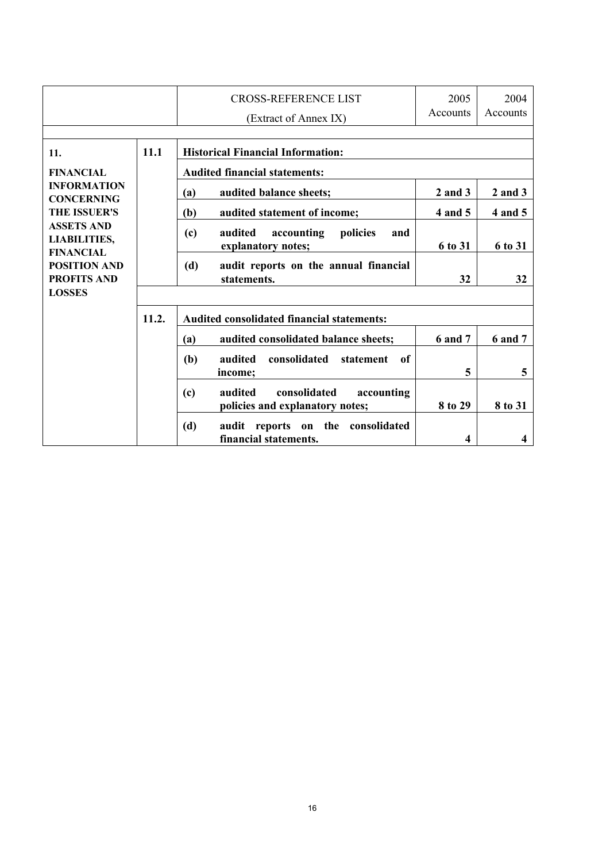|                                                                                                                                                                             |       | <b>CROSS-REFERENCE LIST</b>                                                     | 2005<br>Accounts | 2004<br>Accounts |
|-----------------------------------------------------------------------------------------------------------------------------------------------------------------------------|-------|---------------------------------------------------------------------------------|------------------|------------------|
|                                                                                                                                                                             |       | (Extract of Annex IX)                                                           |                  |                  |
|                                                                                                                                                                             |       |                                                                                 |                  |                  |
| 11.                                                                                                                                                                         | 11.1  | <b>Historical Financial Information:</b>                                        |                  |                  |
| <b>FINANCIAL</b>                                                                                                                                                            |       | <b>Audited financial statements:</b>                                            |                  |                  |
| <b>INFORMATION</b><br><b>CONCERNING</b><br><b>THE ISSUER'S</b><br><b>ASSETS AND</b><br><b>LIABILITIES,</b><br><b>FINANCIAL</b><br><b>POSITION AND</b><br><b>PROFITS AND</b> |       | audited balance sheets;<br>(a)                                                  | $2$ and $3$      | $2$ and $3$      |
|                                                                                                                                                                             |       | (b)<br>audited statement of income;                                             | 4 and 5          | 4 and 5          |
|                                                                                                                                                                             |       | audited<br>(c)<br>accounting<br>policies<br>and<br>explanatory notes;           | 6 to 31          | 6 to 31          |
|                                                                                                                                                                             |       | (d)<br>audit reports on the annual financial<br>statements.                     | 32               | 32               |
| <b>LOSSES</b>                                                                                                                                                               |       |                                                                                 |                  |                  |
|                                                                                                                                                                             | 11.2. | <b>Audited consolidated financial statements:</b>                               |                  |                  |
|                                                                                                                                                                             |       | audited consolidated balance sheets;<br>(a)                                     | <b>6 and 7</b>   | <b>6 and 7</b>   |
|                                                                                                                                                                             |       | consolidated<br>(b)<br>audited<br>of<br>statement<br>income;                    | 5                | 5                |
|                                                                                                                                                                             |       | consolidated<br>(c)<br>audited<br>accounting<br>policies and explanatory notes; | 8 to 29          | 8 to 31          |
|                                                                                                                                                                             |       | consolidated<br>(d)<br>on the<br>audit reports<br>financial statements.         | 4                | 4                |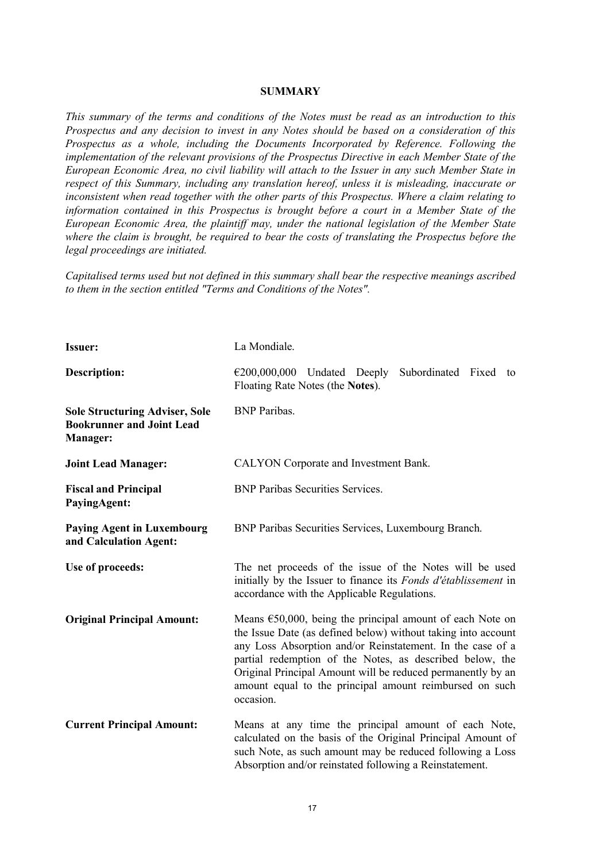#### **SUMMARY**

*This summary of the terms and conditions of the Notes must be read as an introduction to this Prospectus and any decision to invest in any Notes should be based on a consideration of this Prospectus as a whole, including the Documents Incorporated by Reference. Following the implementation of the relevant provisions of the Prospectus Directive in each Member State of the European Economic Area, no civil liability will attach to the Issuer in any such Member State in respect of this Summary, including any translation hereof, unless it is misleading, inaccurate or inconsistent when read together with the other parts of this Prospectus. Where a claim relating to information contained in this Prospectus is brought before a court in a Member State of the European Economic Area, the plaintiff may, under the national legislation of the Member State where the claim is brought, be required to bear the costs of translating the Prospectus before the legal proceedings are initiated.* 

*Capitalised terms used but not defined in this summary shall bear the respective meanings ascribed to them in the section entitled "Terms and Conditions of the Notes".*

| <b>Issuer:</b>                                                                               | La Mondiale.                                                                                                                                                                                                                                                                                                                                                                                          |  |  |
|----------------------------------------------------------------------------------------------|-------------------------------------------------------------------------------------------------------------------------------------------------------------------------------------------------------------------------------------------------------------------------------------------------------------------------------------------------------------------------------------------------------|--|--|
| <b>Description:</b>                                                                          | $\epsilon$ 200,000,000 Undated Deeply<br>Subordinated Fixed<br>to<br>Floating Rate Notes (the Notes).                                                                                                                                                                                                                                                                                                 |  |  |
| <b>Sole Structuring Adviser, Sole</b><br><b>Bookrunner and Joint Lead</b><br><b>Manager:</b> | <b>BNP</b> Paribas.                                                                                                                                                                                                                                                                                                                                                                                   |  |  |
| <b>Joint Lead Manager:</b>                                                                   | CALYON Corporate and Investment Bank.                                                                                                                                                                                                                                                                                                                                                                 |  |  |
| <b>Fiscal and Principal</b><br><b>PayingAgent:</b>                                           | <b>BNP Paribas Securities Services.</b>                                                                                                                                                                                                                                                                                                                                                               |  |  |
| <b>Paying Agent in Luxembourg</b><br>and Calculation Agent:                                  | BNP Paribas Securities Services, Luxembourg Branch.                                                                                                                                                                                                                                                                                                                                                   |  |  |
| Use of proceeds:                                                                             | The net proceeds of the issue of the Notes will be used<br>initially by the Issuer to finance its Fonds d'établissement in<br>accordance with the Applicable Regulations.                                                                                                                                                                                                                             |  |  |
| <b>Original Principal Amount:</b>                                                            | Means $\epsilon$ 50,000, being the principal amount of each Note on<br>the Issue Date (as defined below) without taking into account<br>any Loss Absorption and/or Reinstatement. In the case of a<br>partial redemption of the Notes, as described below, the<br>Original Principal Amount will be reduced permanently by an<br>amount equal to the principal amount reimbursed on such<br>occasion. |  |  |
| <b>Current Principal Amount:</b>                                                             | Means at any time the principal amount of each Note,<br>calculated on the basis of the Original Principal Amount of<br>such Note, as such amount may be reduced following a Loss<br>Absorption and/or reinstated following a Reinstatement.                                                                                                                                                           |  |  |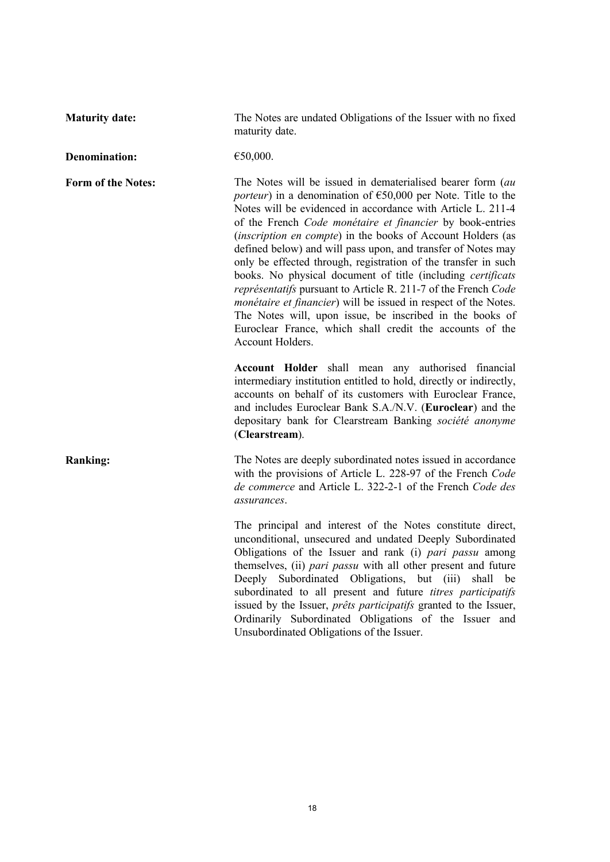**Maturity date:** The Notes are undated Obligations of the Issuer with no fixed maturity date.

**Denomination:** €50,000.

**Form of the Notes:** The Notes will be issued in dematerialised bearer form (*au porteur*) in a denomination of €50,000 per Note. Title to the Notes will be evidenced in accordance with Article L. 211-4 of the French *Code monétaire et financier* by book-entries (*inscription en compte*) in the books of Account Holders (as defined below) and will pass upon, and transfer of Notes may only be effected through, registration of the transfer in such books. No physical document of title (including *certificats représentatifs* pursuant to Article R. 211-7 of the French *Code monétaire et financier*) will be issued in respect of the Notes. The Notes will, upon issue, be inscribed in the books of Euroclear France, which shall credit the accounts of the Account Holders.

> **Account Holder** shall mean any authorised financial intermediary institution entitled to hold, directly or indirectly, accounts on behalf of its customers with Euroclear France, and includes Euroclear Bank S.A./N.V. (**Euroclear**) and the depositary bank for Clearstream Banking *société anonyme* (**Clearstream**).

**Ranking:** The Notes are deeply subordinated notes issued in accordance with the provisions of Article L. 228-97 of the French *Code de commerce* and Article L. 322-2-1 of the French *Code des assurances*.

> The principal and interest of the Notes constitute direct, unconditional, unsecured and undated Deeply Subordinated Obligations of the Issuer and rank (i) *pari passu* among themselves, (ii) *pari passu* with all other present and future Deeply Subordinated Obligations, but (iii) shall be subordinated to all present and future *titres participatifs*  issued by the Issuer, *prêts participatifs* granted to the Issuer, Ordinarily Subordinated Obligations of the Issuer and Unsubordinated Obligations of the Issuer.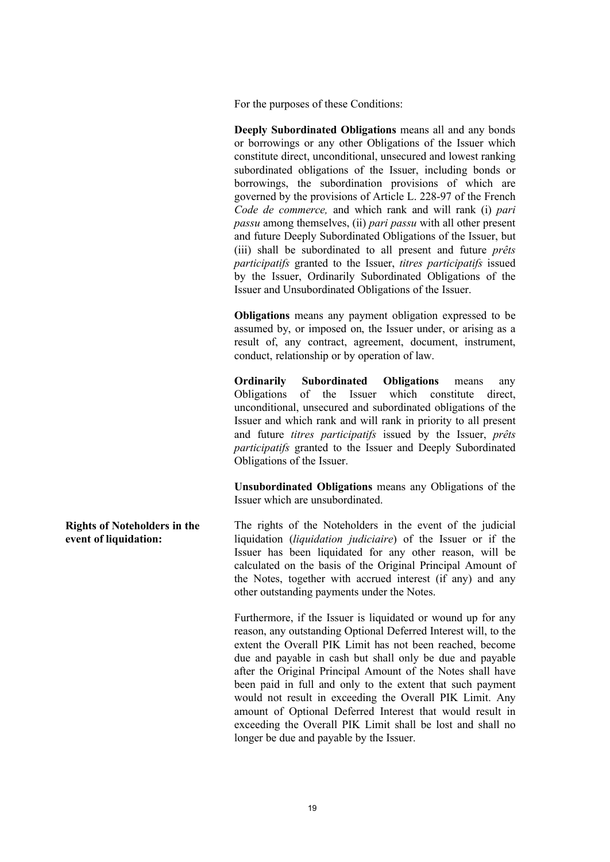For the purposes of these Conditions:

**Deeply Subordinated Obligations** means all and any bonds or borrowings or any other Obligations of the Issuer which constitute direct, unconditional, unsecured and lowest ranking subordinated obligations of the Issuer, including bonds or borrowings, the subordination provisions of which are governed by the provisions of Article L. 228-97 of the French *Code de commerce,* and which rank and will rank (i) *pari passu* among themselves, (ii) *pari passu* with all other present and future Deeply Subordinated Obligations of the Issuer, but (iii) shall be subordinated to all present and future *prêts participatifs* granted to the Issuer, *titres participatifs* issued by the Issuer, Ordinarily Subordinated Obligations of the Issuer and Unsubordinated Obligations of the Issuer.

**Obligations** means any payment obligation expressed to be assumed by, or imposed on, the Issuer under, or arising as a result of, any contract, agreement, document, instrument, conduct, relationship or by operation of law.

**Ordinarily Subordinated Obligations** means any Obligations of the Issuer which constitute direct, unconditional, unsecured and subordinated obligations of the Issuer and which rank and will rank in priority to all present and future *titres participatifs* issued by the Issuer, *prêts participatifs* granted to the Issuer and Deeply Subordinated Obligations of the Issuer.

**Unsubordinated Obligations** means any Obligations of the Issuer which are unsubordinated.

The rights of the Noteholders in the event of the judicial liquidation (*liquidation judiciaire*) of the Issuer or if the Issuer has been liquidated for any other reason, will be calculated on the basis of the Original Principal Amount of the Notes, together with accrued interest (if any) and any other outstanding payments under the Notes.

> Furthermore, if the Issuer is liquidated or wound up for any reason, any outstanding Optional Deferred Interest will, to the extent the Overall PIK Limit has not been reached, become due and payable in cash but shall only be due and payable after the Original Principal Amount of the Notes shall have been paid in full and only to the extent that such payment would not result in exceeding the Overall PIK Limit. Any amount of Optional Deferred Interest that would result in exceeding the Overall PIK Limit shall be lost and shall no longer be due and payable by the Issuer.

**Rights of Noteholders in the event of liquidation:**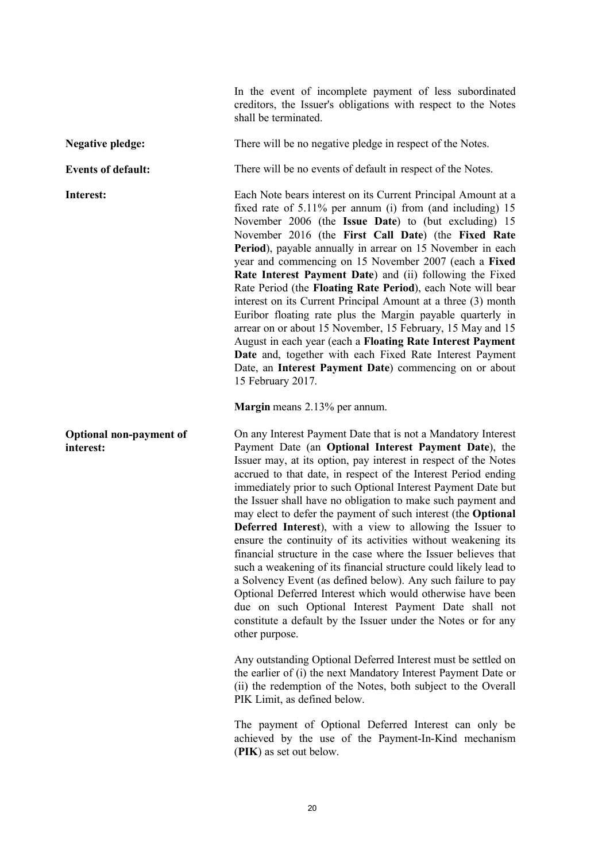In the event of incomplete payment of less subordinated creditors, the Issuer's obligations with respect to the Notes shall be terminated.

**Negative pledge:** There will be no negative pledge in respect of the Notes.

**Optional non-payment of interest:**

**Events of default:** There will be no events of default in respect of the Notes.

**Interest:** Each Note bears interest on its Current Principal Amount at a fixed rate of 5.11% per annum (i) from (and including) 15 November 2006 (the **Issue Date**) to (but excluding) 15 November 2016 (the **First Call Date**) (the **Fixed Rate Period**), payable annually in arrear on 15 November in each year and commencing on 15 November 2007 (each a **Fixed Rate Interest Payment Date**) and (ii) following the Fixed Rate Period (the **Floating Rate Period**), each Note will bear interest on its Current Principal Amount at a three (3) month Euribor floating rate plus the Margin payable quarterly in arrear on or about 15 November, 15 February, 15 May and 15 August in each year (each a **Floating Rate Interest Payment Date** and, together with each Fixed Rate Interest Payment Date, an **Interest Payment Date**) commencing on or about 15 February 2017.

**Margin** means 2.13% per annum.

On any Interest Payment Date that is not a Mandatory Interest Payment Date (an **Optional Interest Payment Date**), the Issuer may, at its option, pay interest in respect of the Notes accrued to that date, in respect of the Interest Period ending immediately prior to such Optional Interest Payment Date but the Issuer shall have no obligation to make such payment and may elect to defer the payment of such interest (the **Optional Deferred Interest**), with a view to allowing the Issuer to ensure the continuity of its activities without weakening its financial structure in the case where the Issuer believes that such a weakening of its financial structure could likely lead to a Solvency Event (as defined below). Any such failure to pay Optional Deferred Interest which would otherwise have been due on such Optional Interest Payment Date shall not constitute a default by the Issuer under the Notes or for any other purpose.

Any outstanding Optional Deferred Interest must be settled on the earlier of (i) the next Mandatory Interest Payment Date or (ii) the redemption of the Notes, both subject to the Overall PIK Limit, as defined below.

The payment of Optional Deferred Interest can only be achieved by the use of the Payment-In-Kind mechanism (**PIK**) as set out below.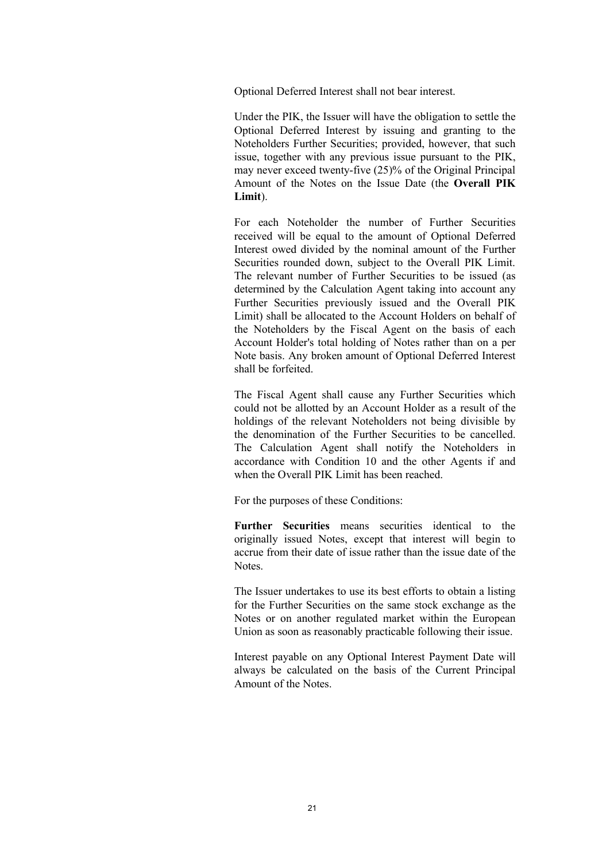Optional Deferred Interest shall not bear interest.

Under the PIK, the Issuer will have the obligation to settle the Optional Deferred Interest by issuing and granting to the Noteholders Further Securities; provided, however, that such issue, together with any previous issue pursuant to the PIK, may never exceed twenty-five (25)% of the Original Principal Amount of the Notes on the Issue Date (the **Overall PIK Limit**).

For each Noteholder the number of Further Securities received will be equal to the amount of Optional Deferred Interest owed divided by the nominal amount of the Further Securities rounded down, subject to the Overall PIK Limit. The relevant number of Further Securities to be issued (as determined by the Calculation Agent taking into account any Further Securities previously issued and the Overall PIK Limit) shall be allocated to the Account Holders on behalf of the Noteholders by the Fiscal Agent on the basis of each Account Holder's total holding of Notes rather than on a per Note basis. Any broken amount of Optional Deferred Interest shall be forfeited.

The Fiscal Agent shall cause any Further Securities which could not be allotted by an Account Holder as a result of the holdings of the relevant Noteholders not being divisible by the denomination of the Further Securities to be cancelled. The Calculation Agent shall notify the Noteholders in accordance with Condition 10 and the other Agents if and when the Overall PIK Limit has been reached.

For the purposes of these Conditions:

**Further Securities** means securities identical to the originally issued Notes, except that interest will begin to accrue from their date of issue rather than the issue date of the Notes.

The Issuer undertakes to use its best efforts to obtain a listing for the Further Securities on the same stock exchange as the Notes or on another regulated market within the European Union as soon as reasonably practicable following their issue.

Interest payable on any Optional Interest Payment Date will always be calculated on the basis of the Current Principal Amount of the Notes.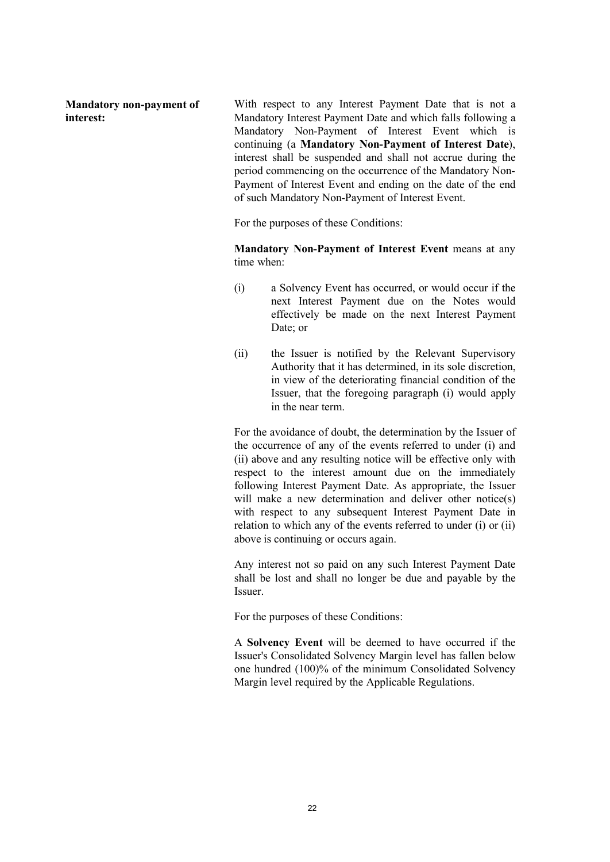**Mandatory non-payment of interest:**

With respect to any Interest Payment Date that is not a Mandatory Interest Payment Date and which falls following a Mandatory Non-Payment of Interest Event which is continuing (a **Mandatory Non-Payment of Interest Date**), interest shall be suspended and shall not accrue during the period commencing on the occurrence of the Mandatory Non-Payment of Interest Event and ending on the date of the end of such Mandatory Non-Payment of Interest Event.

For the purposes of these Conditions:

**Mandatory Non-Payment of Interest Event** means at any time when:

- (i) a Solvency Event has occurred, or would occur if the next Interest Payment due on the Notes would effectively be made on the next Interest Payment Date: or
- (ii) the Issuer is notified by the Relevant Supervisory Authority that it has determined, in its sole discretion, in view of the deteriorating financial condition of the Issuer, that the foregoing paragraph (i) would apply in the near term.

For the avoidance of doubt, the determination by the Issuer of the occurrence of any of the events referred to under (i) and (ii) above and any resulting notice will be effective only with respect to the interest amount due on the immediately following Interest Payment Date. As appropriate, the Issuer will make a new determination and deliver other notice(s) with respect to any subsequent Interest Payment Date in relation to which any of the events referred to under (i) or (ii) above is continuing or occurs again.

Any interest not so paid on any such Interest Payment Date shall be lost and shall no longer be due and payable by the Issuer.

For the purposes of these Conditions:

A **Solvency Event** will be deemed to have occurred if the Issuer's Consolidated Solvency Margin level has fallen below one hundred (100)% of the minimum Consolidated Solvency Margin level required by the Applicable Regulations.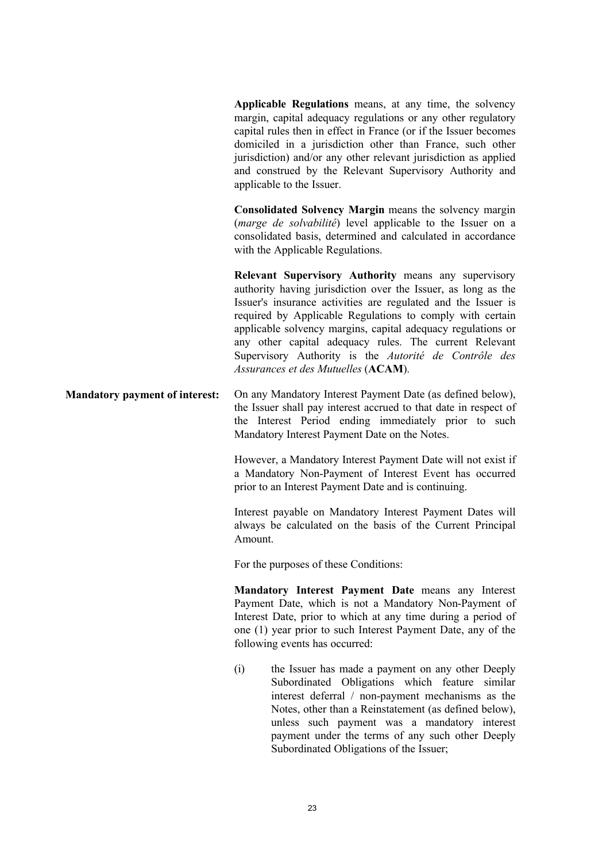**Applicable Regulations** means, at any time, the solvency margin, capital adequacy regulations or any other regulatory capital rules then in effect in France (or if the Issuer becomes domiciled in a jurisdiction other than France, such other jurisdiction) and/or any other relevant jurisdiction as applied and construed by the Relevant Supervisory Authority and applicable to the Issuer.

**Consolidated Solvency Margin** means the solvency margin (*marge de solvabilité*) level applicable to the Issuer on a consolidated basis, determined and calculated in accordance with the Applicable Regulations.

**Relevant Supervisory Authority** means any supervisory authority having jurisdiction over the Issuer, as long as the Issuer's insurance activities are regulated and the Issuer is required by Applicable Regulations to comply with certain applicable solvency margins, capital adequacy regulations or any other capital adequacy rules. The current Relevant Supervisory Authority is the *Autorité de Contrôle des Assurances et des Mutuelles* (**ACAM**).

## **Mandatory payment of interest:** On any Mandatory Interest Payment Date (as defined below), the Issuer shall pay interest accrued to that date in respect of the Interest Period ending immediately prior to such Mandatory Interest Payment Date on the Notes.

However, a Mandatory Interest Payment Date will not exist if a Mandatory Non-Payment of Interest Event has occurred prior to an Interest Payment Date and is continuing.

Interest payable on Mandatory Interest Payment Dates will always be calculated on the basis of the Current Principal Amount.

For the purposes of these Conditions:

**Mandatory Interest Payment Date** means any Interest Payment Date, which is not a Mandatory Non-Payment of Interest Date, prior to which at any time during a period of one (1) year prior to such Interest Payment Date, any of the following events has occurred:

(i) the Issuer has made a payment on any other Deeply Subordinated Obligations which feature similar interest deferral / non-payment mechanisms as the Notes, other than a Reinstatement (as defined below), unless such payment was a mandatory interest payment under the terms of any such other Deeply Subordinated Obligations of the Issuer;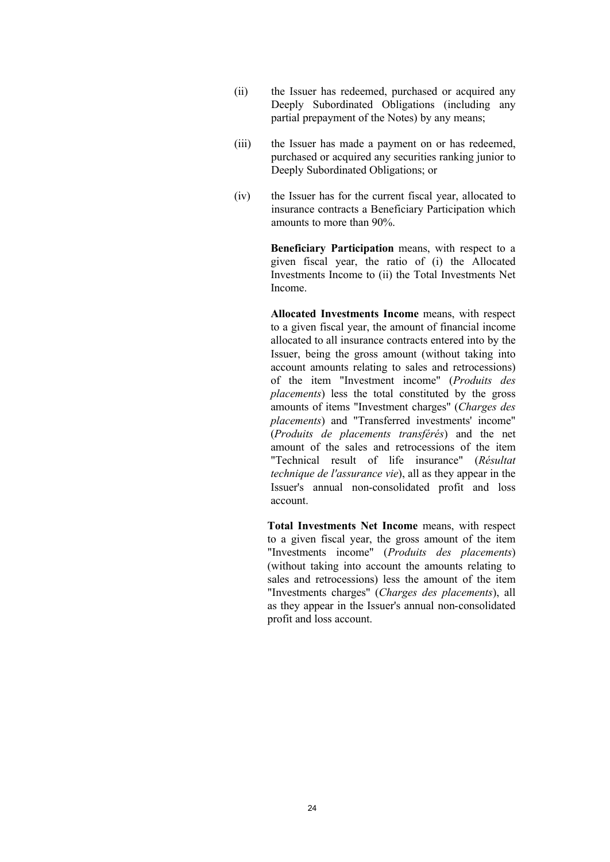- (ii) the Issuer has redeemed, purchased or acquired any Deeply Subordinated Obligations (including any partial prepayment of the Notes) by any means;
- (iii) the Issuer has made a payment on or has redeemed, purchased or acquired any securities ranking junior to Deeply Subordinated Obligations; or
- (iv) the Issuer has for the current fiscal year, allocated to insurance contracts a Beneficiary Participation which amounts to more than 90%.

**Beneficiary Participation** means, with respect to a given fiscal year, the ratio of (i) the Allocated Investments Income to (ii) the Total Investments Net Income.

**Allocated Investments Income** means, with respect to a given fiscal year, the amount of financial income allocated to all insurance contracts entered into by the Issuer, being the gross amount (without taking into account amounts relating to sales and retrocessions) of the item "Investment income" (*Produits des placements*) less the total constituted by the gross amounts of items "Investment charges" (*Charges des placements*) and "Transferred investments' income" (*Produits de placements transférés*) and the net amount of the sales and retrocessions of the item "Technical result of life insurance" (*Résultat technique de l'assurance vie*), all as they appear in the Issuer's annual non-consolidated profit and loss account.

**Total Investments Net Income** means, with respect to a given fiscal year, the gross amount of the item "Investments income" (*Produits des placements*) (without taking into account the amounts relating to sales and retrocessions) less the amount of the item "Investments charges" (*Charges des placements*), all as they appear in the Issuer's annual non-consolidated profit and loss account.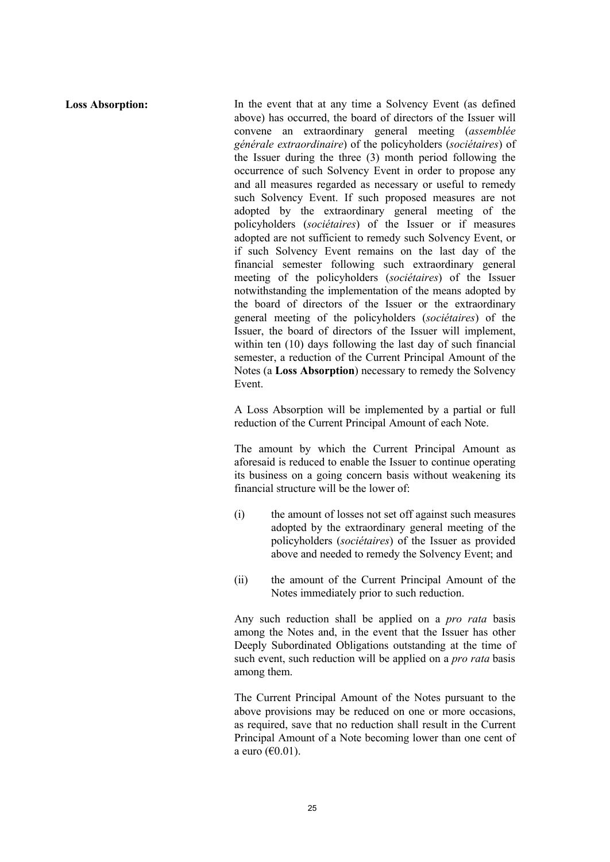**Loss Absorption:** In the event that at any time a Solvency Event (as defined above) has occurred, the board of directors of the Issuer will convene an extraordinary general meeting (*assemblée générale extraordinaire*) of the policyholders (*sociétaires*) of the Issuer during the three (3) month period following the occurrence of such Solvency Event in order to propose any and all measures regarded as necessary or useful to remedy such Solvency Event. If such proposed measures are not adopted by the extraordinary general meeting of the policyholders (*sociétaires*) of the Issuer or if measures adopted are not sufficient to remedy such Solvency Event, or if such Solvency Event remains on the last day of the financial semester following such extraordinary general meeting of the policyholders (*sociétaires*) of the Issuer notwithstanding the implementation of the means adopted by the board of directors of the Issuer or the extraordinary general meeting of the policyholders (*sociétaires*) of the Issuer, the board of directors of the Issuer will implement, within ten (10) days following the last day of such financial semester, a reduction of the Current Principal Amount of the Notes (a **Loss Absorption**) necessary to remedy the Solvency Event.

> A Loss Absorption will be implemented by a partial or full reduction of the Current Principal Amount of each Note.

> The amount by which the Current Principal Amount as aforesaid is reduced to enable the Issuer to continue operating its business on a going concern basis without weakening its financial structure will be the lower of:

- (i) the amount of losses not set off against such measures adopted by the extraordinary general meeting of the policyholders (*sociétaires*) of the Issuer as provided above and needed to remedy the Solvency Event; and
- (ii) the amount of the Current Principal Amount of the Notes immediately prior to such reduction.

Any such reduction shall be applied on a *pro rata* basis among the Notes and, in the event that the Issuer has other Deeply Subordinated Obligations outstanding at the time of such event, such reduction will be applied on a *pro rata* basis among them.

The Current Principal Amount of the Notes pursuant to the above provisions may be reduced on one or more occasions, as required, save that no reduction shall result in the Current Principal Amount of a Note becoming lower than one cent of a euro (€0.01).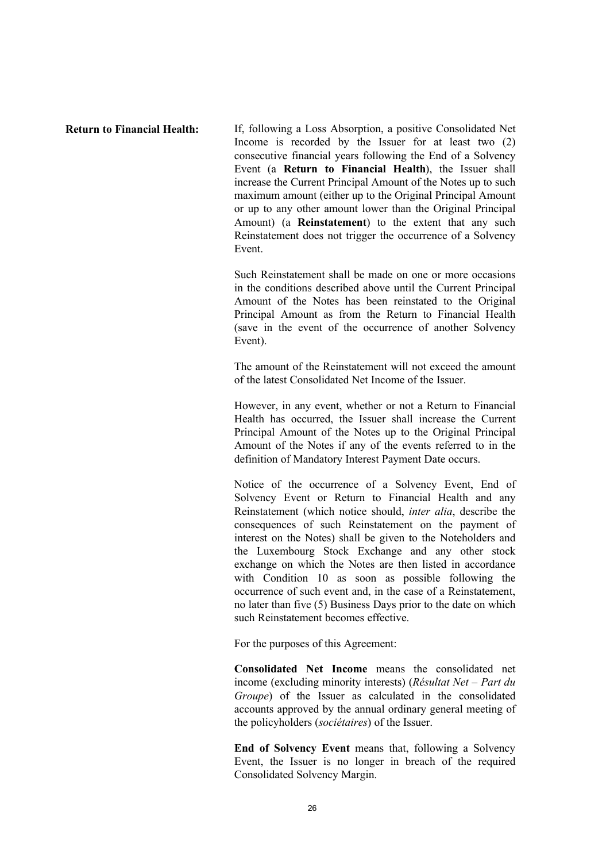**Return to Financial Health:** If, following a Loss Absorption, a positive Consolidated Net Income is recorded by the Issuer for at least two (2) consecutive financial years following the End of a Solvency Event (a **Return to Financial Health**), the Issuer shall increase the Current Principal Amount of the Notes up to such maximum amount (either up to the Original Principal Amount or up to any other amount lower than the Original Principal Amount) (a **Reinstatement**) to the extent that any such Reinstatement does not trigger the occurrence of a Solvency Event.

> Such Reinstatement shall be made on one or more occasions in the conditions described above until the Current Principal Amount of the Notes has been reinstated to the Original Principal Amount as from the Return to Financial Health (save in the event of the occurrence of another Solvency Event).

> The amount of the Reinstatement will not exceed the amount of the latest Consolidated Net Income of the Issuer.

> However, in any event, whether or not a Return to Financial Health has occurred, the Issuer shall increase the Current Principal Amount of the Notes up to the Original Principal Amount of the Notes if any of the events referred to in the definition of Mandatory Interest Payment Date occurs.

> Notice of the occurrence of a Solvency Event, End of Solvency Event or Return to Financial Health and any Reinstatement (which notice should, *inter alia*, describe the consequences of such Reinstatement on the payment of interest on the Notes) shall be given to the Noteholders and the Luxembourg Stock Exchange and any other stock exchange on which the Notes are then listed in accordance with Condition 10 as soon as possible following the occurrence of such event and, in the case of a Reinstatement, no later than five (5) Business Days prior to the date on which such Reinstatement becomes effective.

For the purposes of this Agreement:

**Consolidated Net Income** means the consolidated net income (excluding minority interests) (*Résultat Net* – *Part du Groupe*) of the Issuer as calculated in the consolidated accounts approved by the annual ordinary general meeting of the policyholders (*sociétaires*) of the Issuer.

**End of Solvency Event** means that, following a Solvency Event, the Issuer is no longer in breach of the required Consolidated Solvency Margin.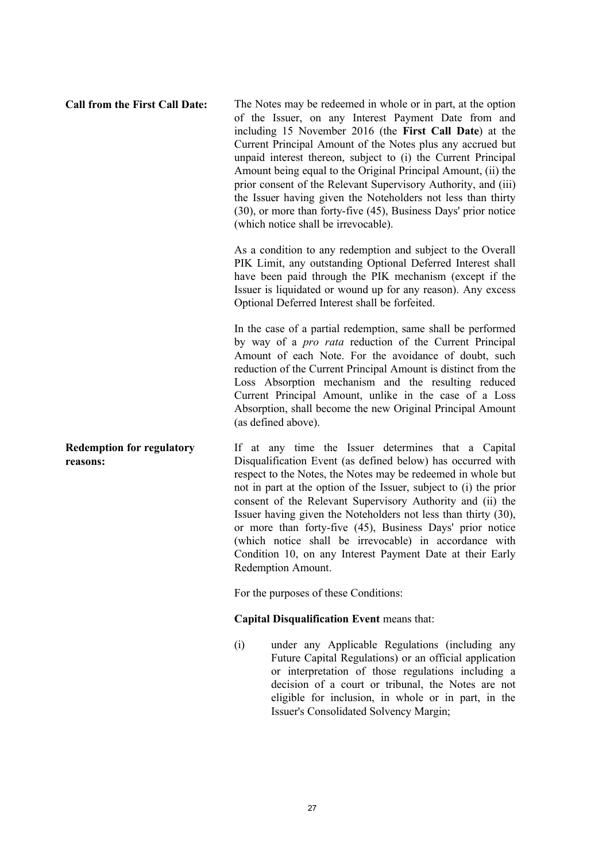**Call from the First Call Date:** The Notes may be redeemed in whole or in part, at the option of the Issuer, on any Interest Payment Date from and including 15 November 2016 (the **First Call Date**) at the Current Principal Amount of the Notes plus any accrued but unpaid interest thereon, subject to (i) the Current Principal Amount being equal to the Original Principal Amount, (ii) the prior consent of the Relevant Supervisory Authority, and (iii) the Issuer having given the Noteholders not less than thirty (30), or more than forty-five (45), Business Days' prior notice (which notice shall be irrevocable).

> As a condition to any redemption and subject to the Overall PIK Limit, any outstanding Optional Deferred Interest shall have been paid through the PIK mechanism (except if the Issuer is liquidated or wound up for any reason). Any excess Optional Deferred Interest shall be forfeited.

> In the case of a partial redemption, same shall be performed by way of a *pro rata* reduction of the Current Principal Amount of each Note. For the avoidance of doubt, such reduction of the Current Principal Amount is distinct from the Loss Absorption mechanism and the resulting reduced Current Principal Amount, unlike in the case of a Loss Absorption, shall become the new Original Principal Amount (as defined above).

If at any time the Issuer determines that a Capital Disqualification Event (as defined below) has occurred with respect to the Notes, the Notes may be redeemed in whole but not in part at the option of the Issuer, subject to (i) the prior consent of the Relevant Supervisory Authority and (ii) the Issuer having given the Noteholders not less than thirty (30), or more than forty-five (45), Business Days' prior notice (which notice shall be irrevocable) in accordance with Condition 10, on any Interest Payment Date at their Early Redemption Amount.

For the purposes of these Conditions:

## **Capital Disqualification Event** means that:

(i) under any Applicable Regulations (including any Future Capital Regulations) or an official application or interpretation of those regulations including a decision of a court or tribunal, the Notes are not eligible for inclusion, in whole or in part, in the Issuer's Consolidated Solvency Margin;

**Redemption for regulatory reasons:**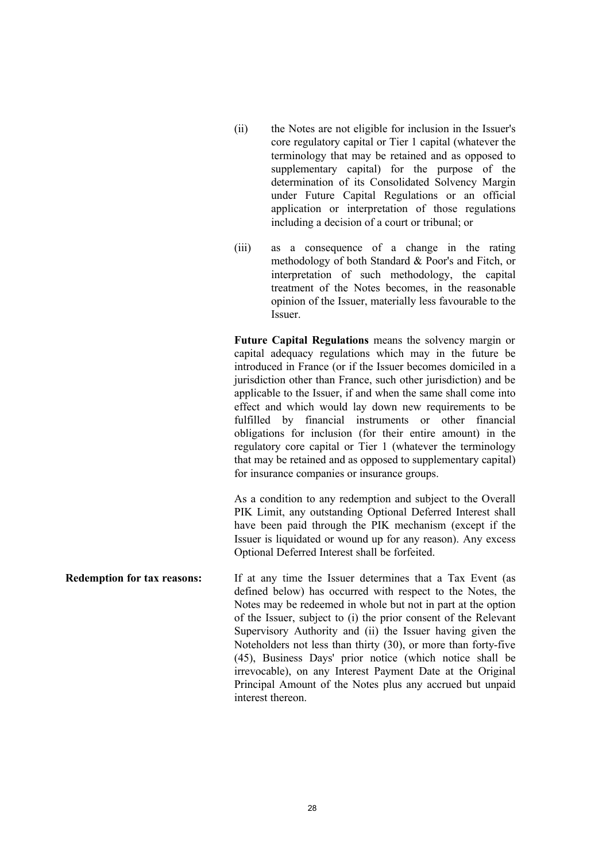- (ii) the Notes are not eligible for inclusion in the Issuer's core regulatory capital or Tier 1 capital (whatever the terminology that may be retained and as opposed to supplementary capital) for the purpose of the determination of its Consolidated Solvency Margin under Future Capital Regulations or an official application or interpretation of those regulations including a decision of a court or tribunal; or
- (iii) as a consequence of a change in the rating methodology of both Standard & Poor's and Fitch, or interpretation of such methodology, the capital treatment of the Notes becomes, in the reasonable opinion of the Issuer, materially less favourable to the Issuer.

**Future Capital Regulations** means the solvency margin or capital adequacy regulations which may in the future be introduced in France (or if the Issuer becomes domiciled in a jurisdiction other than France, such other jurisdiction) and be applicable to the Issuer, if and when the same shall come into effect and which would lay down new requirements to be fulfilled by financial instruments or other financial obligations for inclusion (for their entire amount) in the regulatory core capital or Tier 1 (whatever the terminology that may be retained and as opposed to supplementary capital) for insurance companies or insurance groups.

As a condition to any redemption and subject to the Overall PIK Limit, any outstanding Optional Deferred Interest shall have been paid through the PIK mechanism (except if the Issuer is liquidated or wound up for any reason). Any excess Optional Deferred Interest shall be forfeited.

**Redemption for tax reasons:** If at any time the Issuer determines that a Tax Event (as defined below) has occurred with respect to the Notes, the Notes may be redeemed in whole but not in part at the option of the Issuer, subject to (i) the prior consent of the Relevant Supervisory Authority and (ii) the Issuer having given the Noteholders not less than thirty (30), or more than forty-five (45), Business Days' prior notice (which notice shall be irrevocable), on any Interest Payment Date at the Original Principal Amount of the Notes plus any accrued but unpaid interest thereon.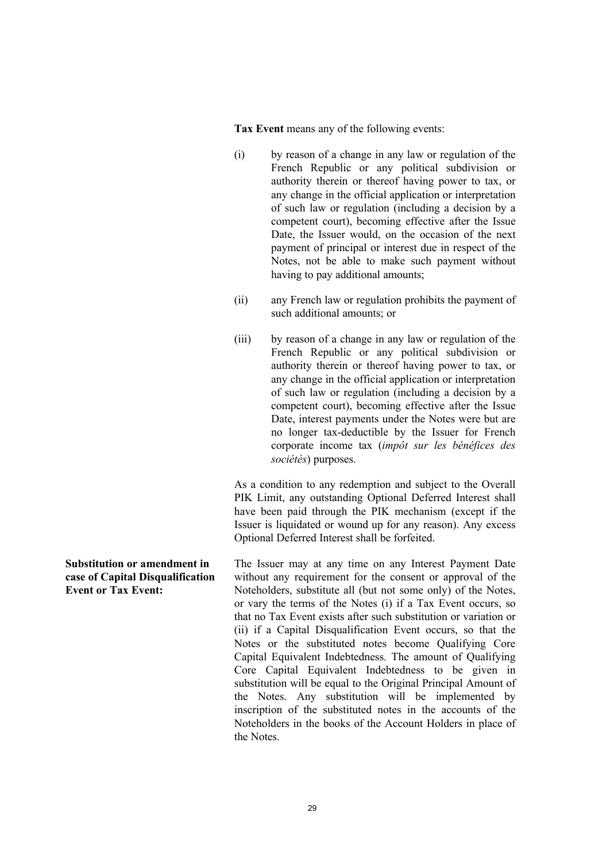**Tax Event** means any of the following events:

- (i) by reason of a change in any law or regulation of the French Republic or any political subdivision or authority therein or thereof having power to tax, or any change in the official application or interpretation of such law or regulation (including a decision by a competent court), becoming effective after the Issue Date, the Issuer would, on the occasion of the next payment of principal or interest due in respect of the Notes, not be able to make such payment without having to pay additional amounts;
- (ii) any French law or regulation prohibits the payment of such additional amounts; or
- (iii) by reason of a change in any law or regulation of the French Republic or any political subdivision or authority therein or thereof having power to tax, or any change in the official application or interpretation of such law or regulation (including a decision by a competent court), becoming effective after the Issue Date, interest payments under the Notes were but are no longer tax-deductible by the Issuer for French corporate income tax (*impôt sur les bénéfices des sociétés*) purposes.

As a condition to any redemption and subject to the Overall PIK Limit, any outstanding Optional Deferred Interest shall have been paid through the PIK mechanism (except if the Issuer is liquidated or wound up for any reason). Any excess Optional Deferred Interest shall be forfeited.

The Issuer may at any time on any Interest Payment Date without any requirement for the consent or approval of the Noteholders, substitute all (but not some only) of the Notes, or vary the terms of the Notes (i) if a Tax Event occurs, so that no Tax Event exists after such substitution or variation or (ii) if a Capital Disqualification Event occurs, so that the Notes or the substituted notes become Qualifying Core Capital Equivalent Indebtedness. The amount of Qualifying Core Capital Equivalent Indebtedness to be given in substitution will be equal to the Original Principal Amount of the Notes. Any substitution will be implemented by inscription of the substituted notes in the accounts of the Noteholders in the books of the Account Holders in place of the Notes.

**Substitution or amendment in case of Capital Disqualification Event or Tax Event:**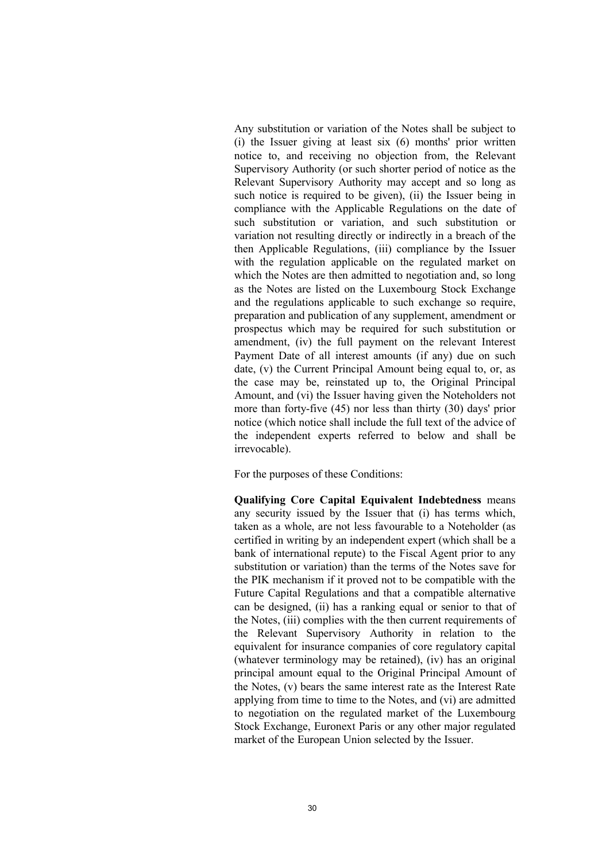Any substitution or variation of the Notes shall be subject to (i) the Issuer giving at least six (6) months' prior written notice to, and receiving no objection from, the Relevant Supervisory Authority (or such shorter period of notice as the Relevant Supervisory Authority may accept and so long as such notice is required to be given), (ii) the Issuer being in compliance with the Applicable Regulations on the date of such substitution or variation, and such substitution or variation not resulting directly or indirectly in a breach of the then Applicable Regulations, (iii) compliance by the Issuer with the regulation applicable on the regulated market on which the Notes are then admitted to negotiation and, so long as the Notes are listed on the Luxembourg Stock Exchange and the regulations applicable to such exchange so require, preparation and publication of any supplement, amendment or prospectus which may be required for such substitution or amendment, (iv) the full payment on the relevant Interest Payment Date of all interest amounts (if any) due on such date, (v) the Current Principal Amount being equal to, or, as the case may be, reinstated up to, the Original Principal Amount, and (vi) the Issuer having given the Noteholders not more than forty-five (45) nor less than thirty (30) days' prior notice (which notice shall include the full text of the advice of the independent experts referred to below and shall be irrevocable).

For the purposes of these Conditions:

**Qualifying Core Capital Equivalent Indebtedness** means any security issued by the Issuer that (i) has terms which, taken as a whole, are not less favourable to a Noteholder (as certified in writing by an independent expert (which shall be a bank of international repute) to the Fiscal Agent prior to any substitution or variation) than the terms of the Notes save for the PIK mechanism if it proved not to be compatible with the Future Capital Regulations and that a compatible alternative can be designed, (ii) has a ranking equal or senior to that of the Notes, (iii) complies with the then current requirements of the Relevant Supervisory Authority in relation to the equivalent for insurance companies of core regulatory capital (whatever terminology may be retained), (iv) has an original principal amount equal to the Original Principal Amount of the Notes, (v) bears the same interest rate as the Interest Rate applying from time to time to the Notes, and (vi) are admitted to negotiation on the regulated market of the Luxembourg Stock Exchange, Euronext Paris or any other major regulated market of the European Union selected by the Issuer.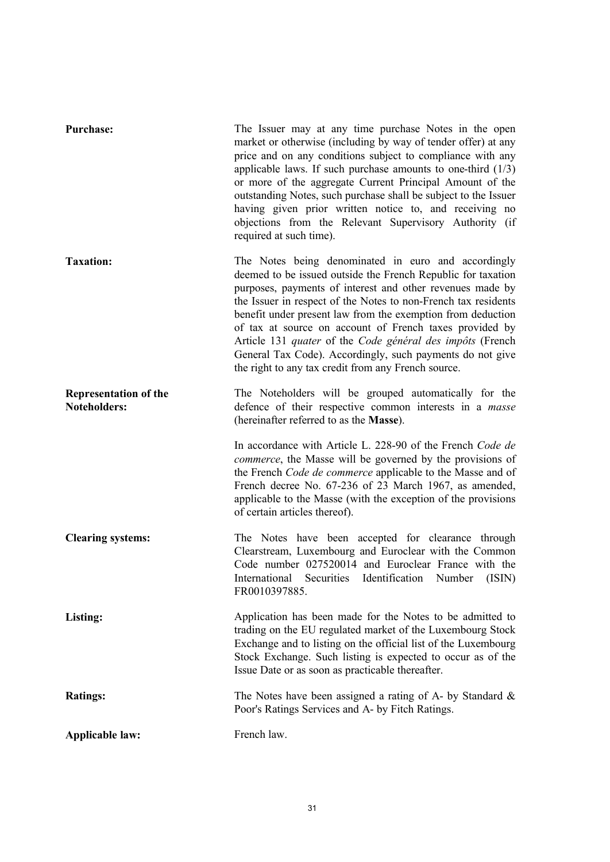| Purchase:                                           | The Issuer may at any time purchase Notes in the open<br>market or otherwise (including by way of tender offer) at any<br>price and on any conditions subject to compliance with any<br>applicable laws. If such purchase amounts to one-third $(1/3)$<br>or more of the aggregate Current Principal Amount of the<br>outstanding Notes, such purchase shall be subject to the Issuer<br>having given prior written notice to, and receiving no<br>objections from the Relevant Supervisory Authority (if<br>required at such time).                          |
|-----------------------------------------------------|---------------------------------------------------------------------------------------------------------------------------------------------------------------------------------------------------------------------------------------------------------------------------------------------------------------------------------------------------------------------------------------------------------------------------------------------------------------------------------------------------------------------------------------------------------------|
| <b>Taxation:</b>                                    | The Notes being denominated in euro and accordingly<br>deemed to be issued outside the French Republic for taxation<br>purposes, payments of interest and other revenues made by<br>the Issuer in respect of the Notes to non-French tax residents<br>benefit under present law from the exemption from deduction<br>of tax at source on account of French taxes provided by<br>Article 131 quater of the Code général des impôts (French<br>General Tax Code). Accordingly, such payments do not give<br>the right to any tax credit from any French source. |
| <b>Representation of the</b><br><b>Noteholders:</b> | The Noteholders will be grouped automatically for the<br>defence of their respective common interests in a masse<br>(hereinafter referred to as the Masse).                                                                                                                                                                                                                                                                                                                                                                                                   |
|                                                     | In accordance with Article L. 228-90 of the French Code de<br><i>commerce</i> , the Masse will be governed by the provisions of<br>the French Code de commerce applicable to the Masse and of<br>French decree No. 67-236 of 23 March 1967, as amended,<br>applicable to the Masse (with the exception of the provisions<br>of certain articles thereof).                                                                                                                                                                                                     |
| <b>Clearing systems:</b>                            | The Notes have been accepted for clearance through<br>Clearstream, Luxembourg and Euroclear with the Common<br>Code number 027520014 and Euroclear France with the<br>Securities Identification Number<br>International<br>(ISIN)<br>FR0010397885.                                                                                                                                                                                                                                                                                                            |
| Listing:                                            | Application has been made for the Notes to be admitted to<br>trading on the EU regulated market of the Luxembourg Stock<br>Exchange and to listing on the official list of the Luxembourg<br>Stock Exchange. Such listing is expected to occur as of the<br>Issue Date or as soon as practicable thereafter.                                                                                                                                                                                                                                                  |
| <b>Ratings:</b>                                     | The Notes have been assigned a rating of A- by Standard $\&$<br>Poor's Ratings Services and A- by Fitch Ratings.                                                                                                                                                                                                                                                                                                                                                                                                                                              |
| <b>Applicable law:</b>                              | French law.                                                                                                                                                                                                                                                                                                                                                                                                                                                                                                                                                   |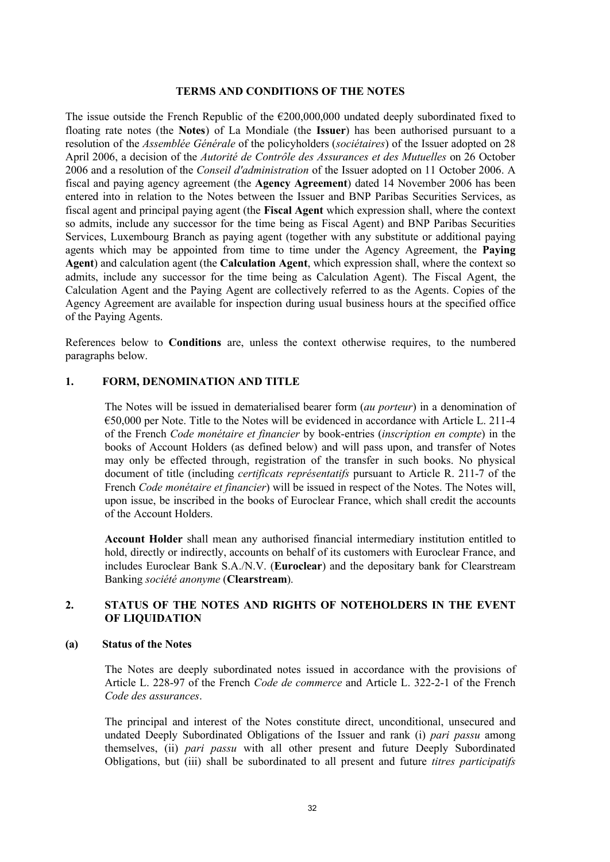#### **TERMS AND CONDITIONS OF THE NOTES**

The issue outside the French Republic of the  $\epsilon$ 200,000,000 undated deeply subordinated fixed to floating rate notes (the **Notes**) of La Mondiale (the **Issuer**) has been authorised pursuant to a resolution of the *Assemblée Générale* of the policyholders (*sociétaires*) of the Issuer adopted on 28 April 2006, a decision of the *Autorité de Contrôle des Assurances et des Mutuelles* on 26 October 2006 and a resolution of the *Conseil d'administration* of the Issuer adopted on 11 October 2006. A fiscal and paying agency agreement (the **Agency Agreement**) dated 14 November 2006 has been entered into in relation to the Notes between the Issuer and BNP Paribas Securities Services, as fiscal agent and principal paying agent (the **Fiscal Agent** which expression shall, where the context so admits, include any successor for the time being as Fiscal Agent) and BNP Paribas Securities Services, Luxembourg Branch as paying agent (together with any substitute or additional paying agents which may be appointed from time to time under the Agency Agreement, the **Paying Agent**) and calculation agent (the **Calculation Agent**, which expression shall, where the context so admits, include any successor for the time being as Calculation Agent). The Fiscal Agent, the Calculation Agent and the Paying Agent are collectively referred to as the Agents. Copies of the Agency Agreement are available for inspection during usual business hours at the specified office of the Paying Agents.

References below to **Conditions** are, unless the context otherwise requires, to the numbered paragraphs below.

## **1. FORM, DENOMINATION AND TITLE**

The Notes will be issued in dematerialised bearer form (*au porteur*) in a denomination of €50,000 per Note. Title to the Notes will be evidenced in accordance with Article L. 211-4 of the French *Code monétaire et financier* by book-entries (*inscription en compte*) in the books of Account Holders (as defined below) and will pass upon, and transfer of Notes may only be effected through, registration of the transfer in such books. No physical document of title (including *certificats représentatifs* pursuant to Article R. 211-7 of the French *Code monétaire et financier*) will be issued in respect of the Notes. The Notes will, upon issue, be inscribed in the books of Euroclear France, which shall credit the accounts of the Account Holders.

**Account Holder** shall mean any authorised financial intermediary institution entitled to hold, directly or indirectly, accounts on behalf of its customers with Euroclear France, and includes Euroclear Bank S.A./N.V. (**Euroclear**) and the depositary bank for Clearstream Banking *société anonyme* (**Clearstream**).

## **2. STATUS OF THE NOTES AND RIGHTS OF NOTEHOLDERS IN THE EVENT OF LIQUIDATION**

#### **(a) Status of the Notes**

The Notes are deeply subordinated notes issued in accordance with the provisions of Article L. 228-97 of the French *Code de commerce* and Article L. 322-2-1 of the French *Code des assurances*.

The principal and interest of the Notes constitute direct, unconditional, unsecured and undated Deeply Subordinated Obligations of the Issuer and rank (i) *pari passu* among themselves, (ii) *pari passu* with all other present and future Deeply Subordinated Obligations, but (iii) shall be subordinated to all present and future *titres participatifs*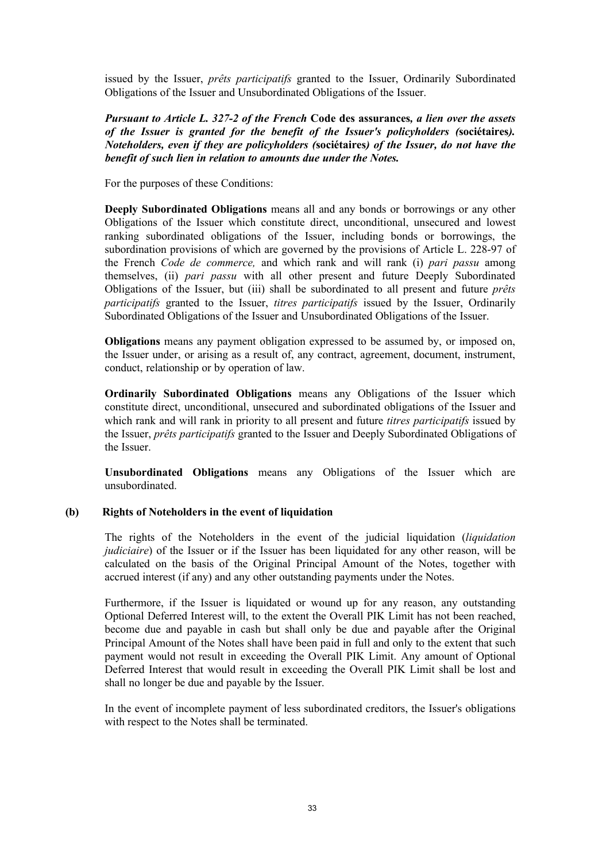issued by the Issuer, *prêts participatifs* granted to the Issuer, Ordinarily Subordinated Obligations of the Issuer and Unsubordinated Obligations of the Issuer.

*Pursuant to Article L. 327-2 of the French* **Code des assurances***, a lien over the assets of the Issuer is granted for the benefit of the Issuer's policyholders (***sociétaires***). Noteholders, even if they are policyholders (***sociétaires***) of the Issuer, do not have the benefit of such lien in relation to amounts due under the Notes.*

For the purposes of these Conditions:

**Deeply Subordinated Obligations** means all and any bonds or borrowings or any other Obligations of the Issuer which constitute direct, unconditional, unsecured and lowest ranking subordinated obligations of the Issuer, including bonds or borrowings, the subordination provisions of which are governed by the provisions of Article L. 228-97 of the French *Code de commerce,* and which rank and will rank (i) *pari passu* among themselves, (ii) *pari passu* with all other present and future Deeply Subordinated Obligations of the Issuer, but (iii) shall be subordinated to all present and future *prêts participatifs* granted to the Issuer, *titres participatifs* issued by the Issuer, Ordinarily Subordinated Obligations of the Issuer and Unsubordinated Obligations of the Issuer.

**Obligations** means any payment obligation expressed to be assumed by, or imposed on, the Issuer under, or arising as a result of, any contract, agreement, document, instrument, conduct, relationship or by operation of law.

**Ordinarily Subordinated Obligations** means any Obligations of the Issuer which constitute direct, unconditional, unsecured and subordinated obligations of the Issuer and which rank and will rank in priority to all present and future *titres participatifs* issued by the Issuer, *prêts participatifs* granted to the Issuer and Deeply Subordinated Obligations of the Issuer.

**Unsubordinated Obligations** means any Obligations of the Issuer which are unsubordinated.

## **(b) Rights of Noteholders in the event of liquidation**

The rights of the Noteholders in the event of the judicial liquidation (*liquidation judiciaire*) of the Issuer or if the Issuer has been liquidated for any other reason, will be calculated on the basis of the Original Principal Amount of the Notes, together with accrued interest (if any) and any other outstanding payments under the Notes.

Furthermore, if the Issuer is liquidated or wound up for any reason, any outstanding Optional Deferred Interest will, to the extent the Overall PIK Limit has not been reached, become due and payable in cash but shall only be due and payable after the Original Principal Amount of the Notes shall have been paid in full and only to the extent that such payment would not result in exceeding the Overall PIK Limit. Any amount of Optional Deferred Interest that would result in exceeding the Overall PIK Limit shall be lost and shall no longer be due and payable by the Issuer.

In the event of incomplete payment of less subordinated creditors, the Issuer's obligations with respect to the Notes shall be terminated.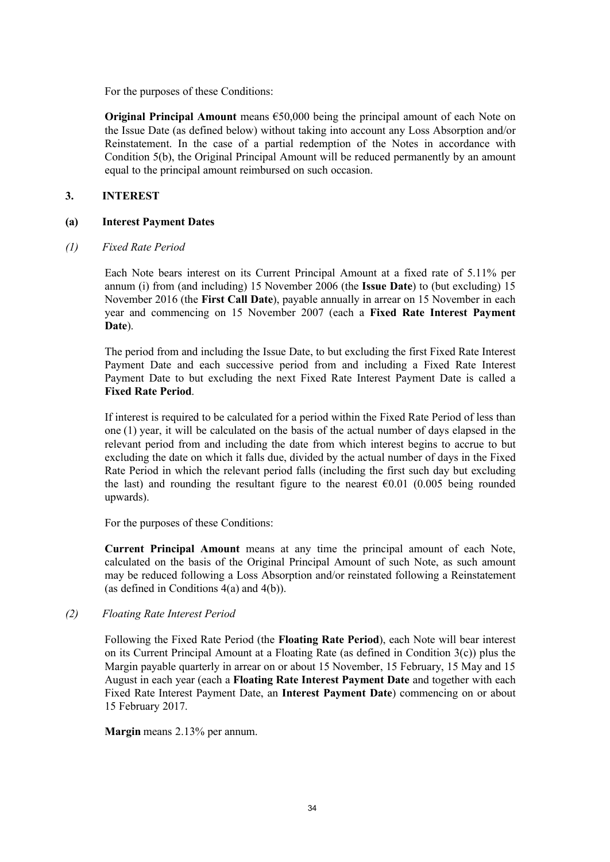For the purposes of these Conditions:

**Original Principal Amount** means €50,000 being the principal amount of each Note on the Issue Date (as defined below) without taking into account any Loss Absorption and/or Reinstatement. In the case of a partial redemption of the Notes in accordance with Condition 5(b), the Original Principal Amount will be reduced permanently by an amount equal to the principal amount reimbursed on such occasion.

## **3. INTEREST**

## **(a) Interest Payment Dates**

## *(1) Fixed Rate Period*

Each Note bears interest on its Current Principal Amount at a fixed rate of 5.11% per annum (i) from (and including) 15 November 2006 (the **Issue Date**) to (but excluding) 15 November 2016 (the **First Call Date**), payable annually in arrear on 15 November in each year and commencing on 15 November 2007 (each a **Fixed Rate Interest Payment Date**).

The period from and including the Issue Date, to but excluding the first Fixed Rate Interest Payment Date and each successive period from and including a Fixed Rate Interest Payment Date to but excluding the next Fixed Rate Interest Payment Date is called a **Fixed Rate Period**.

If interest is required to be calculated for a period within the Fixed Rate Period of less than one (1) year, it will be calculated on the basis of the actual number of days elapsed in the relevant period from and including the date from which interest begins to accrue to but excluding the date on which it falls due, divided by the actual number of days in the Fixed Rate Period in which the relevant period falls (including the first such day but excluding the last) and rounding the resultant figure to the nearest  $\epsilon$ 0.01 (0.005 being rounded upwards).

For the purposes of these Conditions:

**Current Principal Amount** means at any time the principal amount of each Note, calculated on the basis of the Original Principal Amount of such Note, as such amount may be reduced following a Loss Absorption and/or reinstated following a Reinstatement (as defined in Conditions 4(a) and 4(b)).

## *(2) Floating Rate Interest Period*

Following the Fixed Rate Period (the **Floating Rate Period**), each Note will bear interest on its Current Principal Amount at a Floating Rate (as defined in Condition 3(c)) plus the Margin payable quarterly in arrear on or about 15 November, 15 February, 15 May and 15 August in each year (each a **Floating Rate Interest Payment Date** and together with each Fixed Rate Interest Payment Date, an **Interest Payment Date**) commencing on or about 15 February 2017.

**Margin** means 2.13% per annum.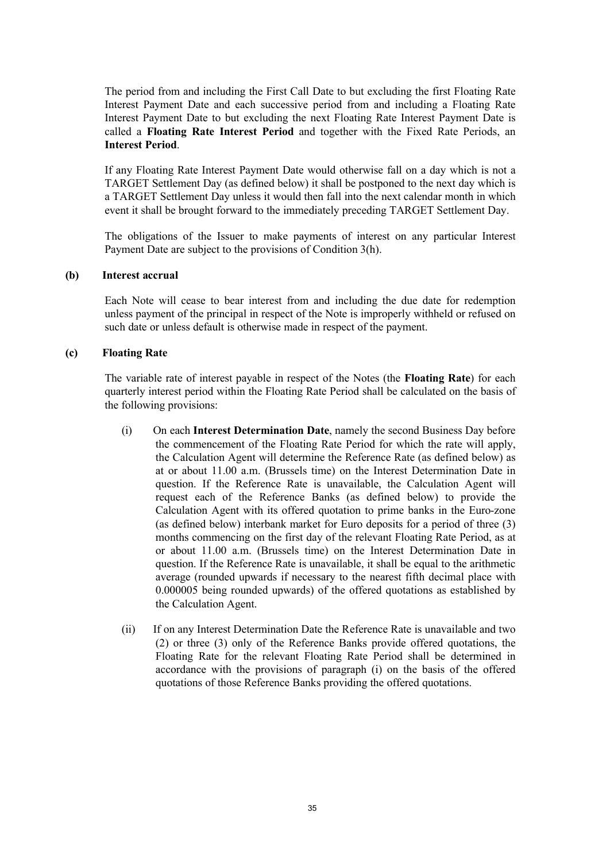The period from and including the First Call Date to but excluding the first Floating Rate Interest Payment Date and each successive period from and including a Floating Rate Interest Payment Date to but excluding the next Floating Rate Interest Payment Date is called a **Floating Rate Interest Period** and together with the Fixed Rate Periods, an **Interest Period**.

If any Floating Rate Interest Payment Date would otherwise fall on a day which is not a TARGET Settlement Day (as defined below) it shall be postponed to the next day which is a TARGET Settlement Day unless it would then fall into the next calendar month in which event it shall be brought forward to the immediately preceding TARGET Settlement Day.

The obligations of the Issuer to make payments of interest on any particular Interest Payment Date are subject to the provisions of Condition 3(h).

#### **(b) Interest accrual**

Each Note will cease to bear interest from and including the due date for redemption unless payment of the principal in respect of the Note is improperly withheld or refused on such date or unless default is otherwise made in respect of the payment.

### **(c) Floating Rate**

The variable rate of interest payable in respect of the Notes (the **Floating Rate**) for each quarterly interest period within the Floating Rate Period shall be calculated on the basis of the following provisions:

- (i) On each **Interest Determination Date**, namely the second Business Day before the commencement of the Floating Rate Period for which the rate will apply, the Calculation Agent will determine the Reference Rate (as defined below) as at or about 11.00 a.m. (Brussels time) on the Interest Determination Date in question. If the Reference Rate is unavailable, the Calculation Agent will request each of the Reference Banks (as defined below) to provide the Calculation Agent with its offered quotation to prime banks in the Euro-zone (as defined below) interbank market for Euro deposits for a period of three (3) months commencing on the first day of the relevant Floating Rate Period, as at or about 11.00 a.m. (Brussels time) on the Interest Determination Date in question. If the Reference Rate is unavailable, it shall be equal to the arithmetic average (rounded upwards if necessary to the nearest fifth decimal place with 0.000005 being rounded upwards) of the offered quotations as established by the Calculation Agent.
- (ii) If on any Interest Determination Date the Reference Rate is unavailable and two (2) or three (3) only of the Reference Banks provide offered quotations, the Floating Rate for the relevant Floating Rate Period shall be determined in accordance with the provisions of paragraph (i) on the basis of the offered quotations of those Reference Banks providing the offered quotations.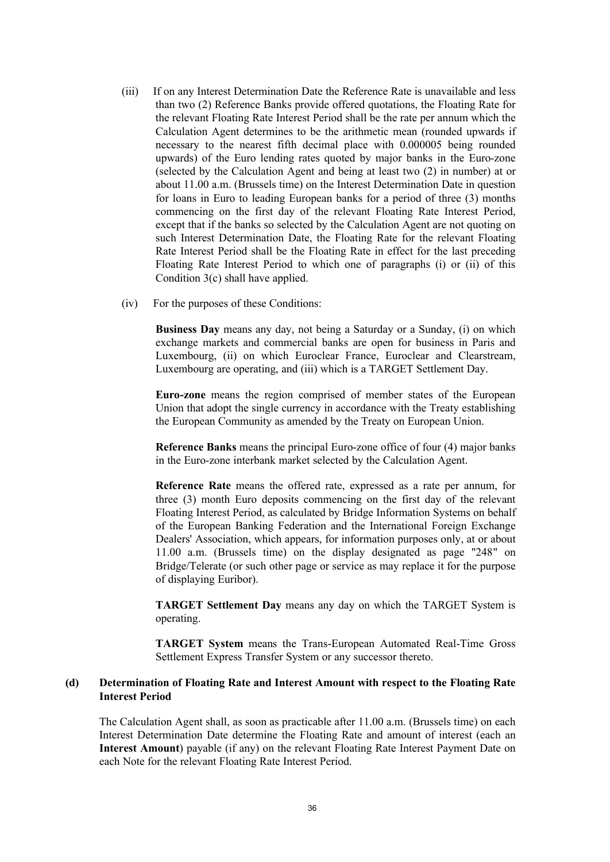- (iii) If on any Interest Determination Date the Reference Rate is unavailable and less than two (2) Reference Banks provide offered quotations, the Floating Rate for the relevant Floating Rate Interest Period shall be the rate per annum which the Calculation Agent determines to be the arithmetic mean (rounded upwards if necessary to the nearest fifth decimal place with 0.000005 being rounded upwards) of the Euro lending rates quoted by major banks in the Euro-zone (selected by the Calculation Agent and being at least two (2) in number) at or about 11.00 a.m. (Brussels time) on the Interest Determination Date in question for loans in Euro to leading European banks for a period of three (3) months commencing on the first day of the relevant Floating Rate Interest Period, except that if the banks so selected by the Calculation Agent are not quoting on such Interest Determination Date, the Floating Rate for the relevant Floating Rate Interest Period shall be the Floating Rate in effect for the last preceding Floating Rate Interest Period to which one of paragraphs (i) or (ii) of this Condition 3(c) shall have applied.
- (iv) For the purposes of these Conditions:

**Business Day** means any day, not being a Saturday or a Sunday, (i) on which exchange markets and commercial banks are open for business in Paris and Luxembourg, (ii) on which Euroclear France, Euroclear and Clearstream, Luxembourg are operating, and (iii) which is a TARGET Settlement Day.

**Euro-zone** means the region comprised of member states of the European Union that adopt the single currency in accordance with the Treaty establishing the European Community as amended by the Treaty on European Union.

**Reference Banks** means the principal Euro-zone office of four (4) major banks in the Euro-zone interbank market selected by the Calculation Agent.

**Reference Rate** means the offered rate, expressed as a rate per annum, for three (3) month Euro deposits commencing on the first day of the relevant Floating Interest Period, as calculated by Bridge Information Systems on behalf of the European Banking Federation and the International Foreign Exchange Dealers' Association, which appears, for information purposes only, at or about 11.00 a.m. (Brussels time) on the display designated as page "248" on Bridge/Telerate (or such other page or service as may replace it for the purpose of displaying Euribor).

**TARGET Settlement Day** means any day on which the TARGET System is operating.

**TARGET System** means the Trans-European Automated Real-Time Gross Settlement Express Transfer System or any successor thereto.

## **(d) Determination of Floating Rate and Interest Amount with respect to the Floating Rate Interest Period**

The Calculation Agent shall, as soon as practicable after 11.00 a.m. (Brussels time) on each Interest Determination Date determine the Floating Rate and amount of interest (each an **Interest Amount**) payable (if any) on the relevant Floating Rate Interest Payment Date on each Note for the relevant Floating Rate Interest Period.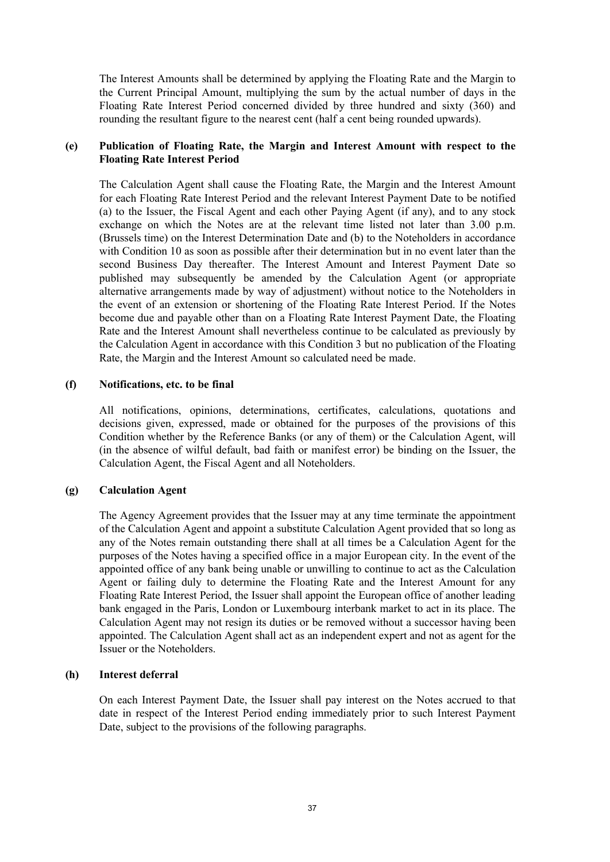The Interest Amounts shall be determined by applying the Floating Rate and the Margin to the Current Principal Amount, multiplying the sum by the actual number of days in the Floating Rate Interest Period concerned divided by three hundred and sixty (360) and rounding the resultant figure to the nearest cent (half a cent being rounded upwards).

## **(e) Publication of Floating Rate, the Margin and Interest Amount with respect to the Floating Rate Interest Period**

The Calculation Agent shall cause the Floating Rate, the Margin and the Interest Amount for each Floating Rate Interest Period and the relevant Interest Payment Date to be notified (a) to the Issuer, the Fiscal Agent and each other Paying Agent (if any), and to any stock exchange on which the Notes are at the relevant time listed not later than 3.00 p.m. (Brussels time) on the Interest Determination Date and (b) to the Noteholders in accordance with Condition 10 as soon as possible after their determination but in no event later than the second Business Day thereafter. The Interest Amount and Interest Payment Date so published may subsequently be amended by the Calculation Agent (or appropriate alternative arrangements made by way of adjustment) without notice to the Noteholders in the event of an extension or shortening of the Floating Rate Interest Period. If the Notes become due and payable other than on a Floating Rate Interest Payment Date, the Floating Rate and the Interest Amount shall nevertheless continue to be calculated as previously by the Calculation Agent in accordance with this Condition 3 but no publication of the Floating Rate, the Margin and the Interest Amount so calculated need be made.

### **(f) Notifications, etc. to be final**

All notifications, opinions, determinations, certificates, calculations, quotations and decisions given, expressed, made or obtained for the purposes of the provisions of this Condition whether by the Reference Banks (or any of them) or the Calculation Agent, will (in the absence of wilful default, bad faith or manifest error) be binding on the Issuer, the Calculation Agent, the Fiscal Agent and all Noteholders.

### **(g) Calculation Agent**

The Agency Agreement provides that the Issuer may at any time terminate the appointment of the Calculation Agent and appoint a substitute Calculation Agent provided that so long as any of the Notes remain outstanding there shall at all times be a Calculation Agent for the purposes of the Notes having a specified office in a major European city. In the event of the appointed office of any bank being unable or unwilling to continue to act as the Calculation Agent or failing duly to determine the Floating Rate and the Interest Amount for any Floating Rate Interest Period, the Issuer shall appoint the European office of another leading bank engaged in the Paris, London or Luxembourg interbank market to act in its place. The Calculation Agent may not resign its duties or be removed without a successor having been appointed. The Calculation Agent shall act as an independent expert and not as agent for the Issuer or the Noteholders.

### **(h) Interest deferral**

On each Interest Payment Date, the Issuer shall pay interest on the Notes accrued to that date in respect of the Interest Period ending immediately prior to such Interest Payment Date, subject to the provisions of the following paragraphs.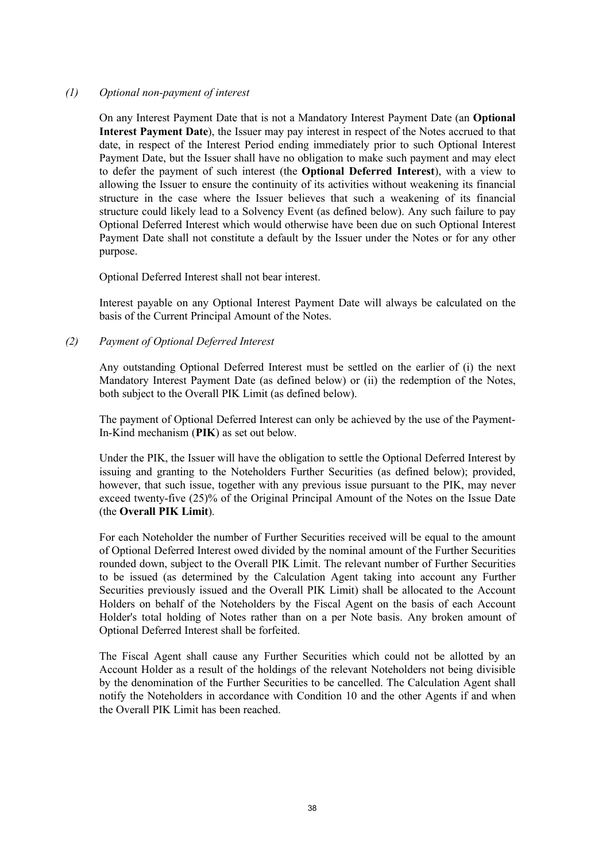### *(1) Optional non-payment of interest*

On any Interest Payment Date that is not a Mandatory Interest Payment Date (an **Optional Interest Payment Date**), the Issuer may pay interest in respect of the Notes accrued to that date, in respect of the Interest Period ending immediately prior to such Optional Interest Payment Date, but the Issuer shall have no obligation to make such payment and may elect to defer the payment of such interest (the **Optional Deferred Interest**), with a view to allowing the Issuer to ensure the continuity of its activities without weakening its financial structure in the case where the Issuer believes that such a weakening of its financial structure could likely lead to a Solvency Event (as defined below). Any such failure to pay Optional Deferred Interest which would otherwise have been due on such Optional Interest Payment Date shall not constitute a default by the Issuer under the Notes or for any other purpose.

Optional Deferred Interest shall not bear interest.

Interest payable on any Optional Interest Payment Date will always be calculated on the basis of the Current Principal Amount of the Notes.

*(2) Payment of Optional Deferred Interest*

Any outstanding Optional Deferred Interest must be settled on the earlier of (i) the next Mandatory Interest Payment Date (as defined below) or (ii) the redemption of the Notes, both subject to the Overall PIK Limit (as defined below).

The payment of Optional Deferred Interest can only be achieved by the use of the Payment-In-Kind mechanism (**PIK**) as set out below.

Under the PIK, the Issuer will have the obligation to settle the Optional Deferred Interest by issuing and granting to the Noteholders Further Securities (as defined below); provided, however, that such issue, together with any previous issue pursuant to the PIK, may never exceed twenty-five (25)% of the Original Principal Amount of the Notes on the Issue Date (the **Overall PIK Limit**).

For each Noteholder the number of Further Securities received will be equal to the amount of Optional Deferred Interest owed divided by the nominal amount of the Further Securities rounded down, subject to the Overall PIK Limit. The relevant number of Further Securities to be issued (as determined by the Calculation Agent taking into account any Further Securities previously issued and the Overall PIK Limit) shall be allocated to the Account Holders on behalf of the Noteholders by the Fiscal Agent on the basis of each Account Holder's total holding of Notes rather than on a per Note basis. Any broken amount of Optional Deferred Interest shall be forfeited.

The Fiscal Agent shall cause any Further Securities which could not be allotted by an Account Holder as a result of the holdings of the relevant Noteholders not being divisible by the denomination of the Further Securities to be cancelled. The Calculation Agent shall notify the Noteholders in accordance with Condition 10 and the other Agents if and when the Overall PIK Limit has been reached.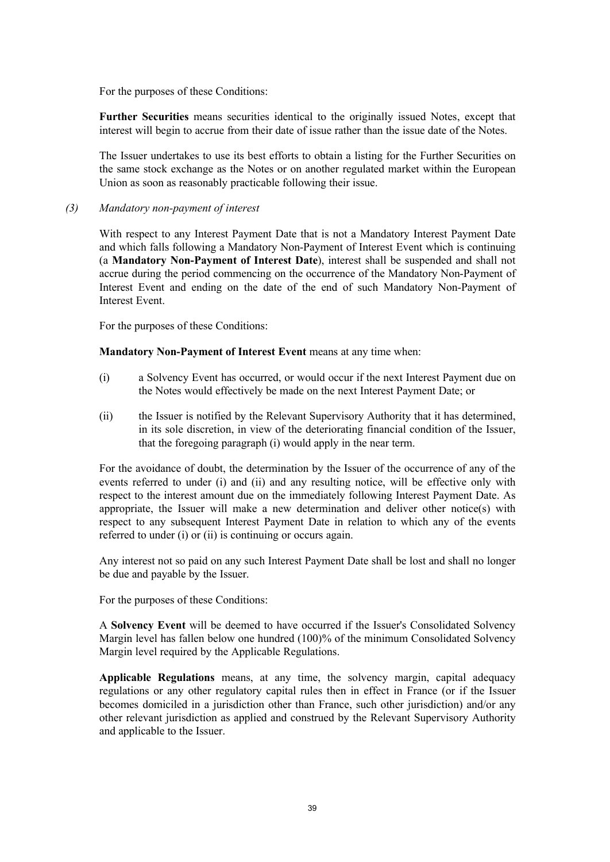For the purposes of these Conditions:

**Further Securities** means securities identical to the originally issued Notes, except that interest will begin to accrue from their date of issue rather than the issue date of the Notes.

The Issuer undertakes to use its best efforts to obtain a listing for the Further Securities on the same stock exchange as the Notes or on another regulated market within the European Union as soon as reasonably practicable following their issue.

### *(3) Mandatory non-payment of interest*

With respect to any Interest Payment Date that is not a Mandatory Interest Payment Date and which falls following a Mandatory Non-Payment of Interest Event which is continuing (a **Mandatory Non-Payment of Interest Date**), interest shall be suspended and shall not accrue during the period commencing on the occurrence of the Mandatory Non-Payment of Interest Event and ending on the date of the end of such Mandatory Non-Payment of Interest Event.

For the purposes of these Conditions:

### **Mandatory Non-Payment of Interest Event** means at any time when:

- (i) a Solvency Event has occurred, or would occur if the next Interest Payment due on the Notes would effectively be made on the next Interest Payment Date; or
- (ii) the Issuer is notified by the Relevant Supervisory Authority that it has determined, in its sole discretion, in view of the deteriorating financial condition of the Issuer, that the foregoing paragraph (i) would apply in the near term.

For the avoidance of doubt, the determination by the Issuer of the occurrence of any of the events referred to under (i) and (ii) and any resulting notice, will be effective only with respect to the interest amount due on the immediately following Interest Payment Date. As appropriate, the Issuer will make a new determination and deliver other notice(s) with respect to any subsequent Interest Payment Date in relation to which any of the events referred to under (i) or (ii) is continuing or occurs again.

Any interest not so paid on any such Interest Payment Date shall be lost and shall no longer be due and payable by the Issuer.

For the purposes of these Conditions:

A **Solvency Event** will be deemed to have occurred if the Issuer's Consolidated Solvency Margin level has fallen below one hundred (100)% of the minimum Consolidated Solvency Margin level required by the Applicable Regulations.

**Applicable Regulations** means, at any time, the solvency margin, capital adequacy regulations or any other regulatory capital rules then in effect in France (or if the Issuer becomes domiciled in a jurisdiction other than France, such other jurisdiction) and/or any other relevant jurisdiction as applied and construed by the Relevant Supervisory Authority and applicable to the Issuer.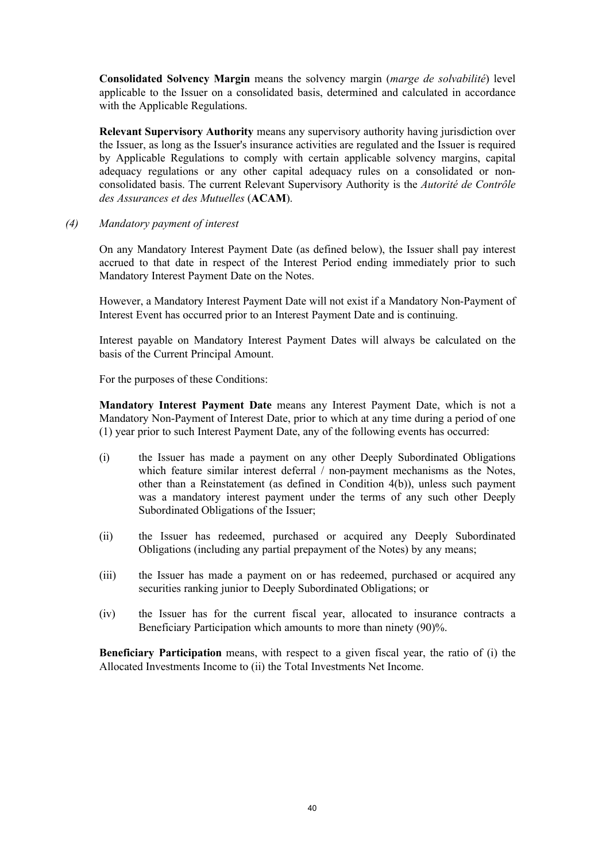**Consolidated Solvency Margin** means the solvency margin (*marge de solvabilité*) level applicable to the Issuer on a consolidated basis, determined and calculated in accordance with the Applicable Regulations.

**Relevant Supervisory Authority** means any supervisory authority having jurisdiction over the Issuer, as long as the Issuer's insurance activities are regulated and the Issuer is required by Applicable Regulations to comply with certain applicable solvency margins, capital adequacy regulations or any other capital adequacy rules on a consolidated or nonconsolidated basis. The current Relevant Supervisory Authority is the *Autorité de Contrôle des Assurances et des Mutuelles* (**ACAM**).

*(4) Mandatory payment of interest*

On any Mandatory Interest Payment Date (as defined below), the Issuer shall pay interest accrued to that date in respect of the Interest Period ending immediately prior to such Mandatory Interest Payment Date on the Notes.

However, a Mandatory Interest Payment Date will not exist if a Mandatory Non-Payment of Interest Event has occurred prior to an Interest Payment Date and is continuing.

Interest payable on Mandatory Interest Payment Dates will always be calculated on the basis of the Current Principal Amount.

For the purposes of these Conditions:

**Mandatory Interest Payment Date** means any Interest Payment Date, which is not a Mandatory Non-Payment of Interest Date, prior to which at any time during a period of one (1) year prior to such Interest Payment Date, any of the following events has occurred:

- (i) the Issuer has made a payment on any other Deeply Subordinated Obligations which feature similar interest deferral / non-payment mechanisms as the Notes, other than a Reinstatement (as defined in Condition 4(b)), unless such payment was a mandatory interest payment under the terms of any such other Deeply Subordinated Obligations of the Issuer;
- (ii) the Issuer has redeemed, purchased or acquired any Deeply Subordinated Obligations (including any partial prepayment of the Notes) by any means;
- (iii) the Issuer has made a payment on or has redeemed, purchased or acquired any securities ranking junior to Deeply Subordinated Obligations; or
- (iv) the Issuer has for the current fiscal year, allocated to insurance contracts a Beneficiary Participation which amounts to more than ninety (90)%.

**Beneficiary Participation** means, with respect to a given fiscal year, the ratio of (i) the Allocated Investments Income to (ii) the Total Investments Net Income.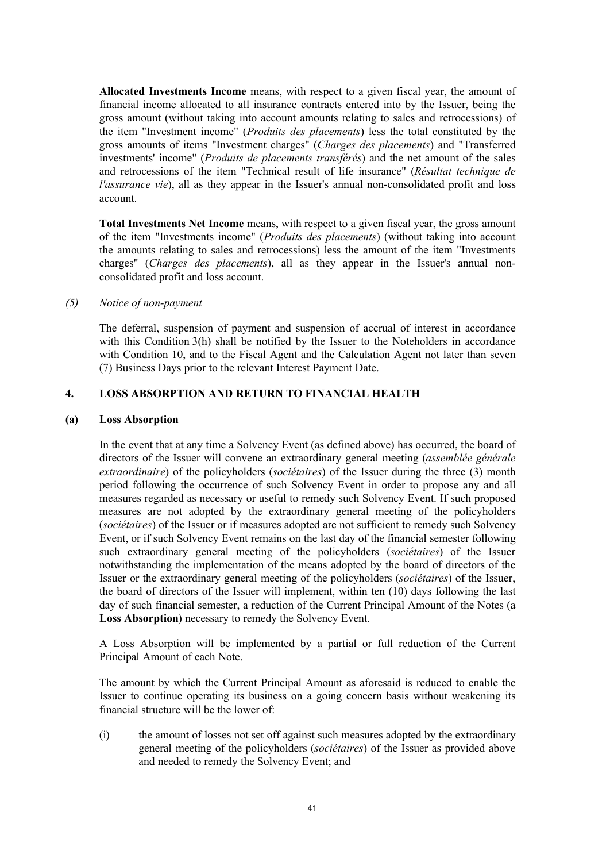**Allocated Investments Income** means, with respect to a given fiscal year, the amount of financial income allocated to all insurance contracts entered into by the Issuer, being the gross amount (without taking into account amounts relating to sales and retrocessions) of the item "Investment income" (*Produits des placements*) less the total constituted by the gross amounts of items "Investment charges" (*Charges des placements*) and "Transferred investments' income" (*Produits de placements transférés*) and the net amount of the sales and retrocessions of the item "Technical result of life insurance" (*Résultat technique de l'assurance vie*), all as they appear in the Issuer's annual non-consolidated profit and loss account.

**Total Investments Net Income** means, with respect to a given fiscal year, the gross amount of the item "Investments income" (*Produits des placements*) (without taking into account the amounts relating to sales and retrocessions) less the amount of the item "Investments charges" (*Charges des placements*), all as they appear in the Issuer's annual nonconsolidated profit and loss account.

### *(5) Notice of non-payment*

The deferral, suspension of payment and suspension of accrual of interest in accordance with this Condition 3(h) shall be notified by the Issuer to the Noteholders in accordance with Condition 10, and to the Fiscal Agent and the Calculation Agent not later than seven (7) Business Days prior to the relevant Interest Payment Date.

# **4. LOSS ABSORPTION AND RETURN TO FINANCIAL HEALTH**

### **(a) Loss Absorption**

In the event that at any time a Solvency Event (as defined above) has occurred, the board of directors of the Issuer will convene an extraordinary general meeting (*assemblée générale extraordinaire*) of the policyholders (*sociétaires*) of the Issuer during the three (3) month period following the occurrence of such Solvency Event in order to propose any and all measures regarded as necessary or useful to remedy such Solvency Event. If such proposed measures are not adopted by the extraordinary general meeting of the policyholders (*sociétaires*) of the Issuer or if measures adopted are not sufficient to remedy such Solvency Event, or if such Solvency Event remains on the last day of the financial semester following such extraordinary general meeting of the policyholders (*sociétaires*) of the Issuer notwithstanding the implementation of the means adopted by the board of directors of the Issuer or the extraordinary general meeting of the policyholders (*sociétaires*) of the Issuer, the board of directors of the Issuer will implement, within ten (10) days following the last day of such financial semester, a reduction of the Current Principal Amount of the Notes (a **Loss Absorption**) necessary to remedy the Solvency Event.

A Loss Absorption will be implemented by a partial or full reduction of the Current Principal Amount of each Note.

The amount by which the Current Principal Amount as aforesaid is reduced to enable the Issuer to continue operating its business on a going concern basis without weakening its financial structure will be the lower of:

(i) the amount of losses not set off against such measures adopted by the extraordinary general meeting of the policyholders (*sociétaires*) of the Issuer as provided above and needed to remedy the Solvency Event; and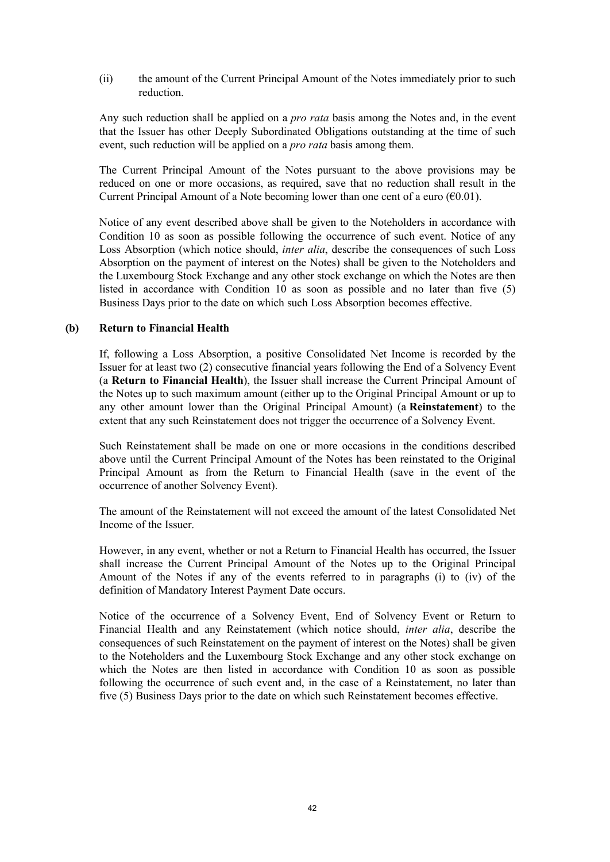(ii) the amount of the Current Principal Amount of the Notes immediately prior to such reduction.

Any such reduction shall be applied on a *pro rata* basis among the Notes and, in the event that the Issuer has other Deeply Subordinated Obligations outstanding at the time of such event, such reduction will be applied on a *pro rata* basis among them.

The Current Principal Amount of the Notes pursuant to the above provisions may be reduced on one or more occasions, as required, save that no reduction shall result in the Current Principal Amount of a Note becoming lower than one cent of a euro  $(60.01)$ .

Notice of any event described above shall be given to the Noteholders in accordance with Condition 10 as soon as possible following the occurrence of such event. Notice of any Loss Absorption (which notice should, *inter alia*, describe the consequences of such Loss Absorption on the payment of interest on the Notes) shall be given to the Noteholders and the Luxembourg Stock Exchange and any other stock exchange on which the Notes are then listed in accordance with Condition 10 as soon as possible and no later than five (5) Business Days prior to the date on which such Loss Absorption becomes effective.

#### **(b) Return to Financial Health**

If, following a Loss Absorption, a positive Consolidated Net Income is recorded by the Issuer for at least two (2) consecutive financial years following the End of a Solvency Event (a **Return to Financial Health**), the Issuer shall increase the Current Principal Amount of the Notes up to such maximum amount (either up to the Original Principal Amount or up to any other amount lower than the Original Principal Amount) (a **Reinstatement**) to the extent that any such Reinstatement does not trigger the occurrence of a Solvency Event.

Such Reinstatement shall be made on one or more occasions in the conditions described above until the Current Principal Amount of the Notes has been reinstated to the Original Principal Amount as from the Return to Financial Health (save in the event of the occurrence of another Solvency Event).

The amount of the Reinstatement will not exceed the amount of the latest Consolidated Net Income of the Issuer.

However, in any event, whether or not a Return to Financial Health has occurred, the Issuer shall increase the Current Principal Amount of the Notes up to the Original Principal Amount of the Notes if any of the events referred to in paragraphs (i) to (iv) of the definition of Mandatory Interest Payment Date occurs.

Notice of the occurrence of a Solvency Event, End of Solvency Event or Return to Financial Health and any Reinstatement (which notice should, *inter alia*, describe the consequences of such Reinstatement on the payment of interest on the Notes) shall be given to the Noteholders and the Luxembourg Stock Exchange and any other stock exchange on which the Notes are then listed in accordance with Condition 10 as soon as possible following the occurrence of such event and, in the case of a Reinstatement, no later than five (5) Business Days prior to the date on which such Reinstatement becomes effective.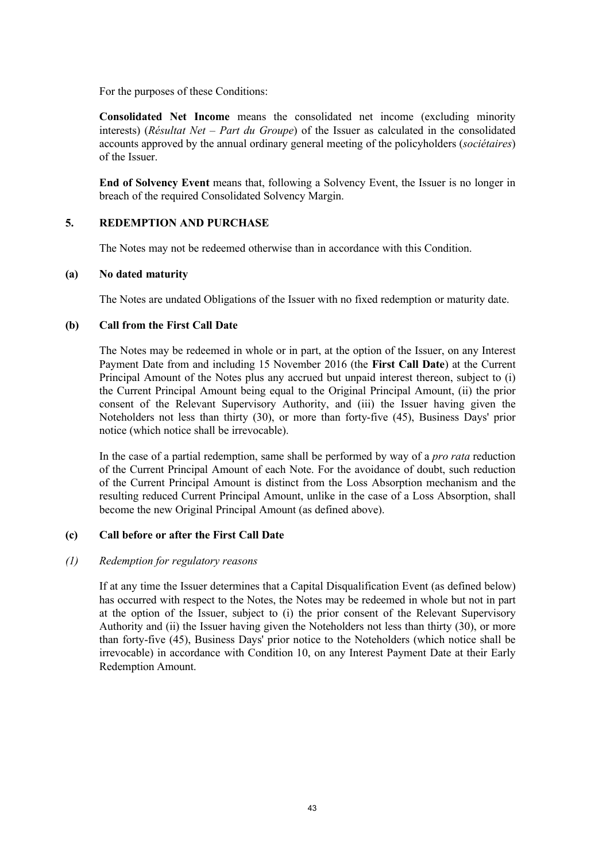For the purposes of these Conditions:

**Consolidated Net Income** means the consolidated net income (excluding minority interests) (*Résultat Net* – *Part du Groupe*) of the Issuer as calculated in the consolidated accounts approved by the annual ordinary general meeting of the policyholders (*sociétaires*) of the Issuer.

**End of Solvency Event** means that, following a Solvency Event, the Issuer is no longer in breach of the required Consolidated Solvency Margin.

## **5. REDEMPTION AND PURCHASE**

The Notes may not be redeemed otherwise than in accordance with this Condition.

### **(a) No dated maturity**

The Notes are undated Obligations of the Issuer with no fixed redemption or maturity date.

### **(b) Call from the First Call Date**

The Notes may be redeemed in whole or in part, at the option of the Issuer, on any Interest Payment Date from and including 15 November 2016 (the **First Call Date**) at the Current Principal Amount of the Notes plus any accrued but unpaid interest thereon, subject to (i) the Current Principal Amount being equal to the Original Principal Amount, (ii) the prior consent of the Relevant Supervisory Authority, and (iii) the Issuer having given the Noteholders not less than thirty (30), or more than forty-five (45), Business Days' prior notice (which notice shall be irrevocable).

In the case of a partial redemption, same shall be performed by way of a *pro rata* reduction of the Current Principal Amount of each Note. For the avoidance of doubt, such reduction of the Current Principal Amount is distinct from the Loss Absorption mechanism and the resulting reduced Current Principal Amount, unlike in the case of a Loss Absorption, shall become the new Original Principal Amount (as defined above).

### **(c) Call before or after the First Call Date**

### *(1) Redemption for regulatory reasons*

If at any time the Issuer determines that a Capital Disqualification Event (as defined below) has occurred with respect to the Notes, the Notes may be redeemed in whole but not in part at the option of the Issuer, subject to (i) the prior consent of the Relevant Supervisory Authority and (ii) the Issuer having given the Noteholders not less than thirty (30), or more than forty-five (45), Business Days' prior notice to the Noteholders (which notice shall be irrevocable) in accordance with Condition 10, on any Interest Payment Date at their Early Redemption Amount.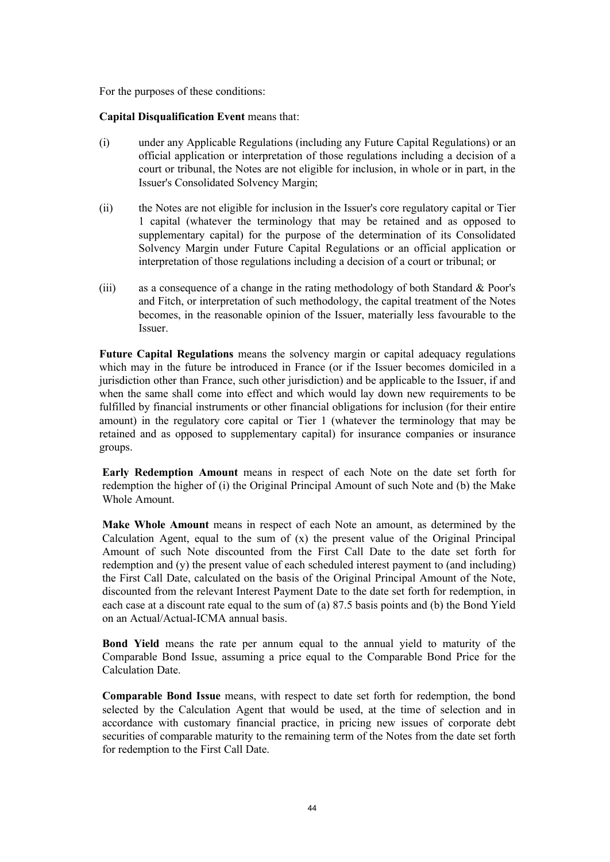For the purposes of these conditions:

### **Capital Disqualification Event** means that:

- (i) under any Applicable Regulations (including any Future Capital Regulations) or an official application or interpretation of those regulations including a decision of a court or tribunal, the Notes are not eligible for inclusion, in whole or in part, in the Issuer's Consolidated Solvency Margin;
- (ii) the Notes are not eligible for inclusion in the Issuer's core regulatory capital or Tier 1 capital (whatever the terminology that may be retained and as opposed to supplementary capital) for the purpose of the determination of its Consolidated Solvency Margin under Future Capital Regulations or an official application or interpretation of those regulations including a decision of a court or tribunal; or
- (iii) as a consequence of a change in the rating methodology of both Standard & Poor's and Fitch, or interpretation of such methodology, the capital treatment of the Notes becomes, in the reasonable opinion of the Issuer, materially less favourable to the Issuer.

**Future Capital Regulations** means the solvency margin or capital adequacy regulations which may in the future be introduced in France (or if the Issuer becomes domiciled in a jurisdiction other than France, such other jurisdiction) and be applicable to the Issuer, if and when the same shall come into effect and which would lay down new requirements to be fulfilled by financial instruments or other financial obligations for inclusion (for their entire amount) in the regulatory core capital or Tier 1 (whatever the terminology that may be retained and as opposed to supplementary capital) for insurance companies or insurance groups.

**Early Redemption Amount** means in respect of each Note on the date set forth for redemption the higher of (i) the Original Principal Amount of such Note and (b) the Make Whole Amount.

**Make Whole Amount** means in respect of each Note an amount, as determined by the Calculation Agent, equal to the sum of  $(x)$  the present value of the Original Principal Amount of such Note discounted from the First Call Date to the date set forth for redemption and (y) the present value of each scheduled interest payment to (and including) the First Call Date, calculated on the basis of the Original Principal Amount of the Note, discounted from the relevant Interest Payment Date to the date set forth for redemption, in each case at a discount rate equal to the sum of (a) 87.5 basis points and (b) the Bond Yield on an Actual/Actual-ICMA annual basis.

**Bond Yield** means the rate per annum equal to the annual yield to maturity of the Comparable Bond Issue, assuming a price equal to the Comparable Bond Price for the Calculation Date.

**Comparable Bond Issue** means, with respect to date set forth for redemption, the bond selected by the Calculation Agent that would be used, at the time of selection and in accordance with customary financial practice, in pricing new issues of corporate debt securities of comparable maturity to the remaining term of the Notes from the date set forth for redemption to the First Call Date.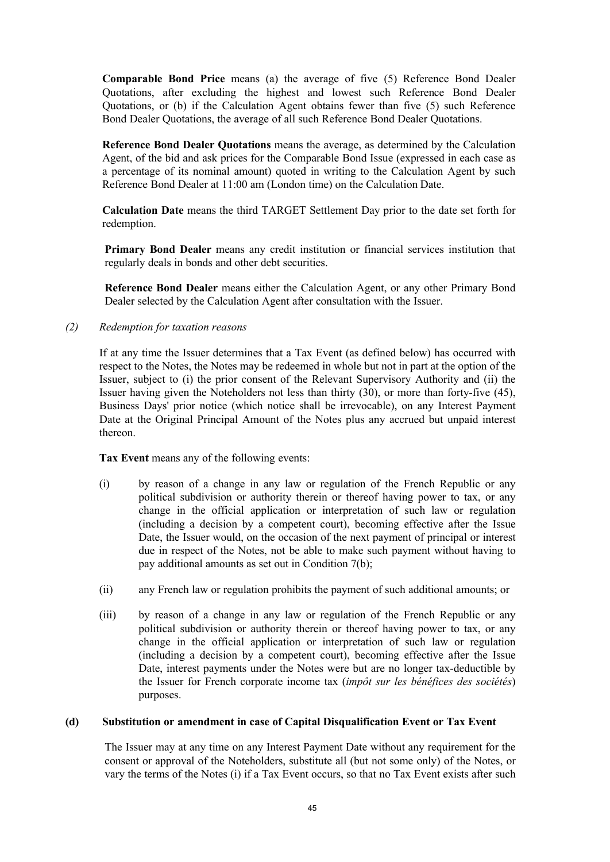**Comparable Bond Price** means (a) the average of five (5) Reference Bond Dealer Quotations, after excluding the highest and lowest such Reference Bond Dealer Quotations, or (b) if the Calculation Agent obtains fewer than five (5) such Reference Bond Dealer Quotations, the average of all such Reference Bond Dealer Quotations.

**Reference Bond Dealer Quotations** means the average, as determined by the Calculation Agent, of the bid and ask prices for the Comparable Bond Issue (expressed in each case as a percentage of its nominal amount) quoted in writing to the Calculation Agent by such Reference Bond Dealer at 11:00 am (London time) on the Calculation Date.

**Calculation Date** means the third TARGET Settlement Day prior to the date set forth for redemption.

**Primary Bond Dealer** means any credit institution or financial services institution that regularly deals in bonds and other debt securities.

**Reference Bond Dealer** means either the Calculation Agent, or any other Primary Bond Dealer selected by the Calculation Agent after consultation with the Issuer.

### *(2) Redemption for taxation reasons*

If at any time the Issuer determines that a Tax Event (as defined below) has occurred with respect to the Notes, the Notes may be redeemed in whole but not in part at the option of the Issuer, subject to (i) the prior consent of the Relevant Supervisory Authority and (ii) the Issuer having given the Noteholders not less than thirty (30), or more than forty-five (45), Business Days' prior notice (which notice shall be irrevocable), on any Interest Payment Date at the Original Principal Amount of the Notes plus any accrued but unpaid interest thereon.

**Tax Event** means any of the following events:

- (i) by reason of a change in any law or regulation of the French Republic or any political subdivision or authority therein or thereof having power to tax, or any change in the official application or interpretation of such law or regulation (including a decision by a competent court), becoming effective after the Issue Date, the Issuer would, on the occasion of the next payment of principal or interest due in respect of the Notes, not be able to make such payment without having to pay additional amounts as set out in Condition 7(b);
- (ii) any French law or regulation prohibits the payment of such additional amounts; or
- (iii) by reason of a change in any law or regulation of the French Republic or any political subdivision or authority therein or thereof having power to tax, or any change in the official application or interpretation of such law or regulation (including a decision by a competent court), becoming effective after the Issue Date, interest payments under the Notes were but are no longer tax-deductible by the Issuer for French corporate income tax (*impôt sur les bénéfices des sociétés*) purposes.

### **(d) Substitution or amendment in case of Capital Disqualification Event or Tax Event**

The Issuer may at any time on any Interest Payment Date without any requirement for the consent or approval of the Noteholders, substitute all (but not some only) of the Notes, or vary the terms of the Notes (i) if a Tax Event occurs, so that no Tax Event exists after such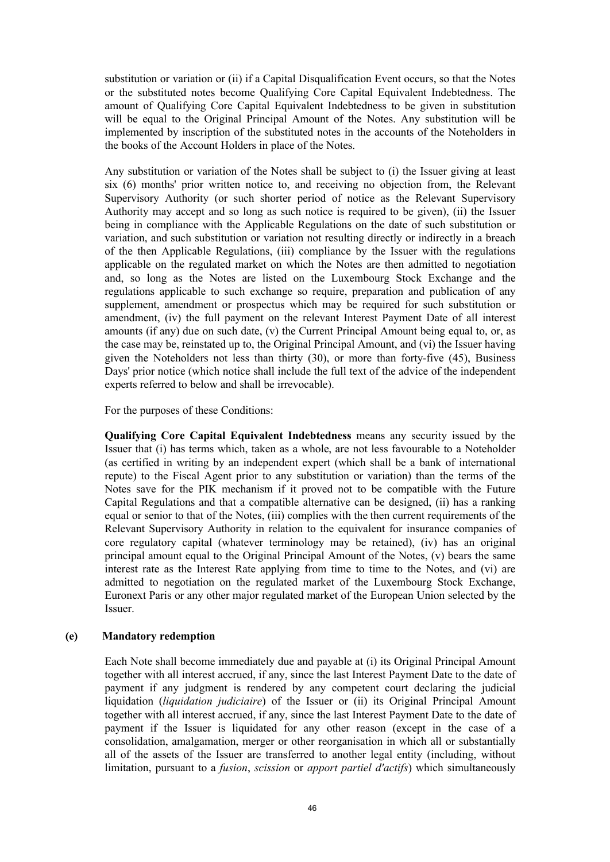substitution or variation or (ii) if a Capital Disqualification Event occurs, so that the Notes or the substituted notes become Qualifying Core Capital Equivalent Indebtedness. The amount of Qualifying Core Capital Equivalent Indebtedness to be given in substitution will be equal to the Original Principal Amount of the Notes. Any substitution will be implemented by inscription of the substituted notes in the accounts of the Noteholders in the books of the Account Holders in place of the Notes.

Any substitution or variation of the Notes shall be subject to (i) the Issuer giving at least six (6) months' prior written notice to, and receiving no objection from, the Relevant Supervisory Authority (or such shorter period of notice as the Relevant Supervisory Authority may accept and so long as such notice is required to be given), (ii) the Issuer being in compliance with the Applicable Regulations on the date of such substitution or variation, and such substitution or variation not resulting directly or indirectly in a breach of the then Applicable Regulations, (iii) compliance by the Issuer with the regulations applicable on the regulated market on which the Notes are then admitted to negotiation and, so long as the Notes are listed on the Luxembourg Stock Exchange and the regulations applicable to such exchange so require, preparation and publication of any supplement, amendment or prospectus which may be required for such substitution or amendment, (iv) the full payment on the relevant Interest Payment Date of all interest amounts (if any) due on such date, (v) the Current Principal Amount being equal to, or, as the case may be, reinstated up to, the Original Principal Amount, and (vi) the Issuer having given the Noteholders not less than thirty (30), or more than forty-five (45), Business Days' prior notice (which notice shall include the full text of the advice of the independent experts referred to below and shall be irrevocable).

For the purposes of these Conditions:

**Qualifying Core Capital Equivalent Indebtedness** means any security issued by the Issuer that (i) has terms which, taken as a whole, are not less favourable to a Noteholder (as certified in writing by an independent expert (which shall be a bank of international repute) to the Fiscal Agent prior to any substitution or variation) than the terms of the Notes save for the PIK mechanism if it proved not to be compatible with the Future Capital Regulations and that a compatible alternative can be designed, (ii) has a ranking equal or senior to that of the Notes, (iii) complies with the then current requirements of the Relevant Supervisory Authority in relation to the equivalent for insurance companies of core regulatory capital (whatever terminology may be retained), (iv) has an original principal amount equal to the Original Principal Amount of the Notes, (v) bears the same interest rate as the Interest Rate applying from time to time to the Notes, and (vi) are admitted to negotiation on the regulated market of the Luxembourg Stock Exchange, Euronext Paris or any other major regulated market of the European Union selected by the Issuer.

### **(e) Mandatory redemption**

Each Note shall become immediately due and payable at (i) its Original Principal Amount together with all interest accrued, if any, since the last Interest Payment Date to the date of payment if any judgment is rendered by any competent court declaring the judicial liquidation (*liquidation judiciaire*) of the Issuer or (ii) its Original Principal Amount together with all interest accrued, if any, since the last Interest Payment Date to the date of payment if the Issuer is liquidated for any other reason (except in the case of a consolidation, amalgamation, merger or other reorganisation in which all or substantially all of the assets of the Issuer are transferred to another legal entity (including, without limitation, pursuant to a *fusion*, *scission* or *apport partiel d'actifs*) which simultaneously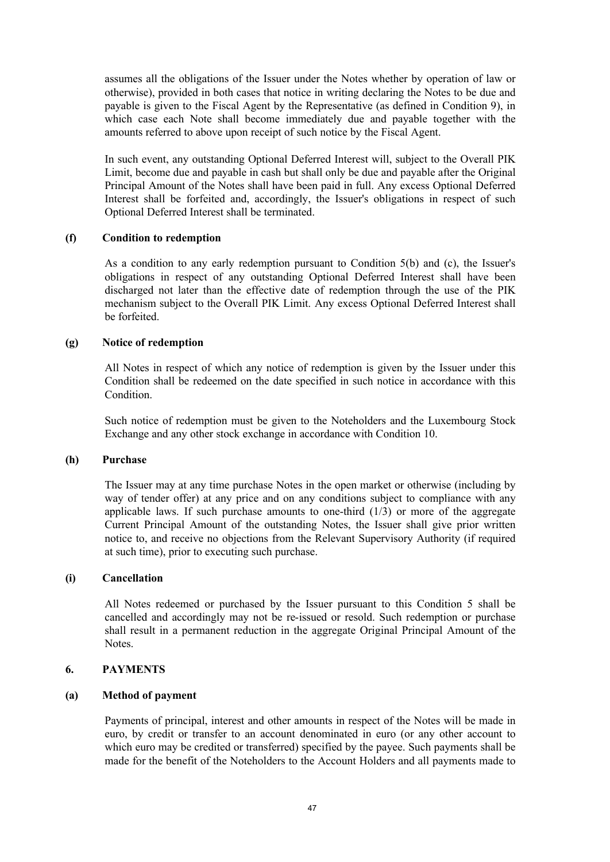assumes all the obligations of the Issuer under the Notes whether by operation of law or otherwise), provided in both cases that notice in writing declaring the Notes to be due and payable is given to the Fiscal Agent by the Representative (as defined in Condition 9), in which case each Note shall become immediately due and payable together with the amounts referred to above upon receipt of such notice by the Fiscal Agent.

In such event, any outstanding Optional Deferred Interest will, subject to the Overall PIK Limit, become due and payable in cash but shall only be due and payable after the Original Principal Amount of the Notes shall have been paid in full. Any excess Optional Deferred Interest shall be forfeited and, accordingly, the Issuer's obligations in respect of such Optional Deferred Interest shall be terminated.

### **(f) Condition to redemption**

As a condition to any early redemption pursuant to Condition 5(b) and (c), the Issuer's obligations in respect of any outstanding Optional Deferred Interest shall have been discharged not later than the effective date of redemption through the use of the PIK mechanism subject to the Overall PIK Limit. Any excess Optional Deferred Interest shall be forfeited.

# **(g) Notice of redemption**

All Notes in respect of which any notice of redemption is given by the Issuer under this Condition shall be redeemed on the date specified in such notice in accordance with this **Condition** 

Such notice of redemption must be given to the Noteholders and the Luxembourg Stock Exchange and any other stock exchange in accordance with Condition 10.

### **(h) Purchase**

The Issuer may at any time purchase Notes in the open market or otherwise (including by way of tender offer) at any price and on any conditions subject to compliance with any applicable laws. If such purchase amounts to one-third  $(1/3)$  or more of the aggregate Current Principal Amount of the outstanding Notes, the Issuer shall give prior written notice to, and receive no objections from the Relevant Supervisory Authority (if required at such time), prior to executing such purchase.

#### **(i) Cancellation**

All Notes redeemed or purchased by the Issuer pursuant to this Condition 5 shall be cancelled and accordingly may not be re-issued or resold. Such redemption or purchase shall result in a permanent reduction in the aggregate Original Principal Amount of the Notes.

#### **6. PAYMENTS**

### **(a) Method of payment**

Payments of principal, interest and other amounts in respect of the Notes will be made in euro, by credit or transfer to an account denominated in euro (or any other account to which euro may be credited or transferred) specified by the payee. Such payments shall be made for the benefit of the Noteholders to the Account Holders and all payments made to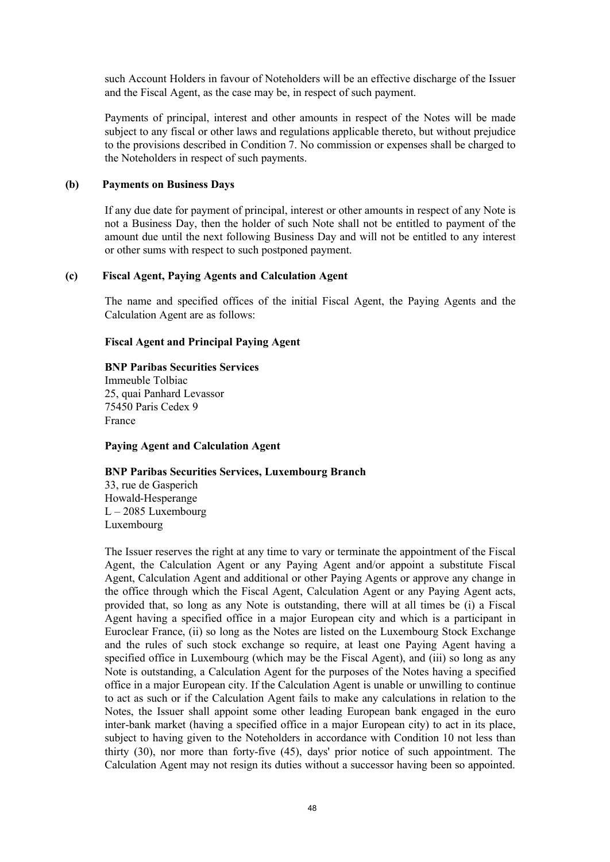such Account Holders in favour of Noteholders will be an effective discharge of the Issuer and the Fiscal Agent, as the case may be, in respect of such payment.

Payments of principal, interest and other amounts in respect of the Notes will be made subject to any fiscal or other laws and regulations applicable thereto, but without prejudice to the provisions described in Condition 7. No commission or expenses shall be charged to the Noteholders in respect of such payments.

#### **(b) Payments on Business Days**

If any due date for payment of principal, interest or other amounts in respect of any Note is not a Business Day, then the holder of such Note shall not be entitled to payment of the amount due until the next following Business Day and will not be entitled to any interest or other sums with respect to such postponed payment.

#### **(c) Fiscal Agent, Paying Agents and Calculation Agent**

The name and specified offices of the initial Fiscal Agent, the Paying Agents and the Calculation Agent are as follows:

#### **Fiscal Agent and Principal Paying Agent**

#### **BNP Paribas Securities Services** Immeuble Tolbiac 25, quai Panhard Levassor 75450 Paris Cedex 9 France

**Paying Agent and Calculation Agent**

#### **BNP Paribas Securities Services, Luxembourg Branch**

33, rue de Gasperich Howald-Hesperange  $L - 2085$  Luxembourg Luxembourg

The Issuer reserves the right at any time to vary or terminate the appointment of the Fiscal Agent, the Calculation Agent or any Paying Agent and/or appoint a substitute Fiscal Agent, Calculation Agent and additional or other Paying Agents or approve any change in the office through which the Fiscal Agent, Calculation Agent or any Paying Agent acts, provided that, so long as any Note is outstanding, there will at all times be (i) a Fiscal Agent having a specified office in a major European city and which is a participant in Euroclear France, (ii) so long as the Notes are listed on the Luxembourg Stock Exchange and the rules of such stock exchange so require, at least one Paying Agent having a specified office in Luxembourg (which may be the Fiscal Agent), and (iii) so long as any Note is outstanding, a Calculation Agent for the purposes of the Notes having a specified office in a major European city. If the Calculation Agent is unable or unwilling to continue to act as such or if the Calculation Agent fails to make any calculations in relation to the Notes, the Issuer shall appoint some other leading European bank engaged in the euro inter-bank market (having a specified office in a major European city) to act in its place, subject to having given to the Noteholders in accordance with Condition 10 not less than thirty (30), nor more than forty-five (45), days' prior notice of such appointment. The Calculation Agent may not resign its duties without a successor having been so appointed.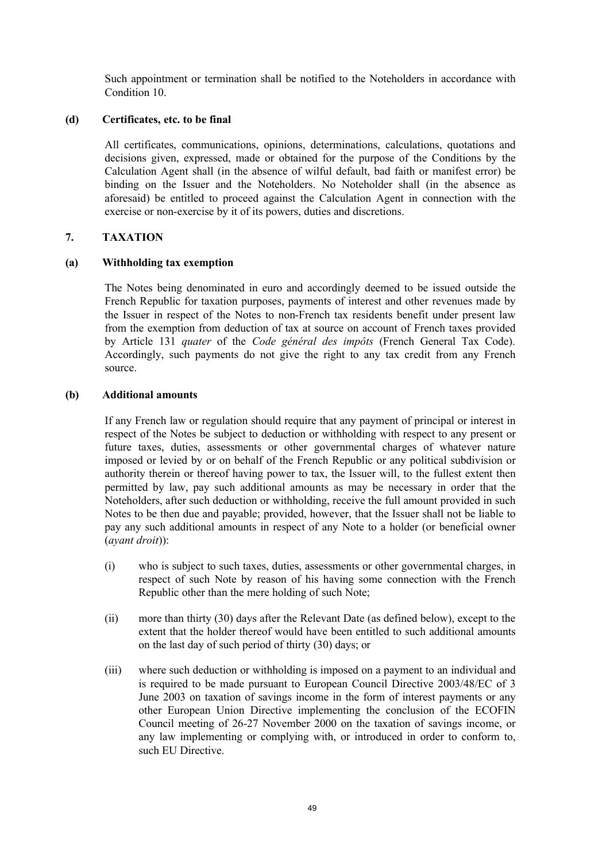Such appointment or termination shall be notified to the Noteholders in accordance with Condition 10.

### **(d) Certificates, etc. to be final**

All certificates, communications, opinions, determinations, calculations, quotations and decisions given, expressed, made or obtained for the purpose of the Conditions by the Calculation Agent shall (in the absence of wilful default, bad faith or manifest error) be binding on the Issuer and the Noteholders. No Noteholder shall (in the absence as aforesaid) be entitled to proceed against the Calculation Agent in connection with the exercise or non-exercise by it of its powers, duties and discretions.

### **7. TAXATION**

# **(a) Withholding tax exemption**

The Notes being denominated in euro and accordingly deemed to be issued outside the French Republic for taxation purposes, payments of interest and other revenues made by the Issuer in respect of the Notes to non-French tax residents benefit under present law from the exemption from deduction of tax at source on account of French taxes provided by Article 131 *quater* of the *Code général des impôts* (French General Tax Code). Accordingly, such payments do not give the right to any tax credit from any French source.

### **(b) Additional amounts**

If any French law or regulation should require that any payment of principal or interest in respect of the Notes be subject to deduction or withholding with respect to any present or future taxes, duties, assessments or other governmental charges of whatever nature imposed or levied by or on behalf of the French Republic or any political subdivision or authority therein or thereof having power to tax, the Issuer will, to the fullest extent then permitted by law, pay such additional amounts as may be necessary in order that the Noteholders, after such deduction or withholding, receive the full amount provided in such Notes to be then due and payable; provided, however, that the Issuer shall not be liable to pay any such additional amounts in respect of any Note to a holder (or beneficial owner (*ayant droit*)):

- (i) who is subject to such taxes, duties, assessments or other governmental charges, in respect of such Note by reason of his having some connection with the French Republic other than the mere holding of such Note;
- (ii) more than thirty (30) days after the Relevant Date (as defined below), except to the extent that the holder thereof would have been entitled to such additional amounts on the last day of such period of thirty (30) days; or
- (iii) where such deduction or withholding is imposed on a payment to an individual and is required to be made pursuant to European Council Directive 2003/48/EC of 3 June 2003 on taxation of savings income in the form of interest payments or any other European Union Directive implementing the conclusion of the ECOFIN Council meeting of 26-27 November 2000 on the taxation of savings income, or any law implementing or complying with, or introduced in order to conform to, such EU Directive.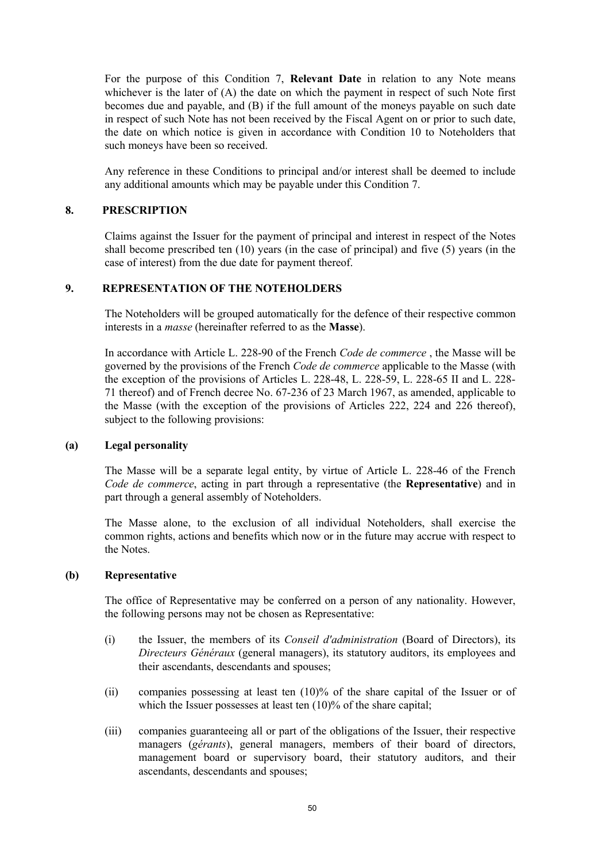For the purpose of this Condition 7, **Relevant Date** in relation to any Note means whichever is the later of (A) the date on which the payment in respect of such Note first becomes due and payable, and (B) if the full amount of the moneys payable on such date in respect of such Note has not been received by the Fiscal Agent on or prior to such date, the date on which notice is given in accordance with Condition 10 to Noteholders that such moneys have been so received.

Any reference in these Conditions to principal and/or interest shall be deemed to include any additional amounts which may be payable under this Condition 7.

#### **8. PRESCRIPTION**

Claims against the Issuer for the payment of principal and interest in respect of the Notes shall become prescribed ten  $(10)$  years (in the case of principal) and five  $(5)$  years (in the case of interest) from the due date for payment thereof.

### **9. REPRESENTATION OF THE NOTEHOLDERS**

The Noteholders will be grouped automatically for the defence of their respective common interests in a *masse* (hereinafter referred to as the **Masse**).

In accordance with Article L. 228-90 of the French *Code de commerce* , the Masse will be governed by the provisions of the French *Code de commerce* applicable to the Masse (with the exception of the provisions of Articles L. 228-48, L. 228-59, L. 228-65 II and L. 228- 71 thereof) and of French decree No. 67-236 of 23 March 1967, as amended, applicable to the Masse (with the exception of the provisions of Articles 222, 224 and 226 thereof), subject to the following provisions:

#### **(a) Legal personality**

The Masse will be a separate legal entity, by virtue of Article L. 228-46 of the French *Code de commerce*, acting in part through a representative (the **Representative**) and in part through a general assembly of Noteholders.

The Masse alone, to the exclusion of all individual Noteholders, shall exercise the common rights, actions and benefits which now or in the future may accrue with respect to the Notes.

#### **(b) Representative**

The office of Representative may be conferred on a person of any nationality. However, the following persons may not be chosen as Representative:

- (i) the Issuer, the members of its *Conseil d'administration* (Board of Directors), its *Directeurs Généraux* (general managers), its statutory auditors, its employees and their ascendants, descendants and spouses;
- (ii) companies possessing at least ten (10)% of the share capital of the Issuer or of which the Issuer possesses at least ten (10)% of the share capital;
- (iii) companies guaranteeing all or part of the obligations of the Issuer, their respective managers (*gérants*), general managers, members of their board of directors, management board or supervisory board, their statutory auditors, and their ascendants, descendants and spouses;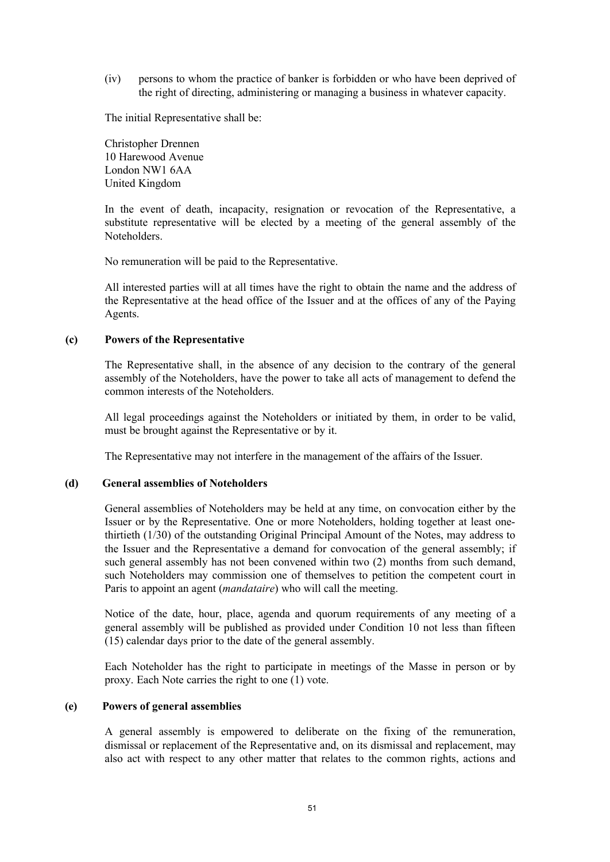(iv) persons to whom the practice of banker is forbidden or who have been deprived of the right of directing, administering or managing a business in whatever capacity.

The initial Representative shall be:

Christopher Drennen 10 Harewood Avenue London NW1 6AA United Kingdom

In the event of death, incapacity, resignation or revocation of the Representative, a substitute representative will be elected by a meeting of the general assembly of the Noteholders.

No remuneration will be paid to the Representative.

All interested parties will at all times have the right to obtain the name and the address of the Representative at the head office of the Issuer and at the offices of any of the Paying Agents.

#### **(c) Powers of the Representative**

The Representative shall, in the absence of any decision to the contrary of the general assembly of the Noteholders, have the power to take all acts of management to defend the common interests of the Noteholders.

All legal proceedings against the Noteholders or initiated by them, in order to be valid, must be brought against the Representative or by it.

The Representative may not interfere in the management of the affairs of the Issuer.

### **(d) General assemblies of Noteholders**

General assemblies of Noteholders may be held at any time, on convocation either by the Issuer or by the Representative. One or more Noteholders, holding together at least onethirtieth (1/30) of the outstanding Original Principal Amount of the Notes, may address to the Issuer and the Representative a demand for convocation of the general assembly; if such general assembly has not been convened within two (2) months from such demand, such Noteholders may commission one of themselves to petition the competent court in Paris to appoint an agent (*mandataire*) who will call the meeting.

Notice of the date, hour, place, agenda and quorum requirements of any meeting of a general assembly will be published as provided under Condition 10 not less than fifteen (15) calendar days prior to the date of the general assembly.

Each Noteholder has the right to participate in meetings of the Masse in person or by proxy. Each Note carries the right to one (1) vote.

#### **(e) Powers of general assemblies**

A general assembly is empowered to deliberate on the fixing of the remuneration, dismissal or replacement of the Representative and, on its dismissal and replacement, may also act with respect to any other matter that relates to the common rights, actions and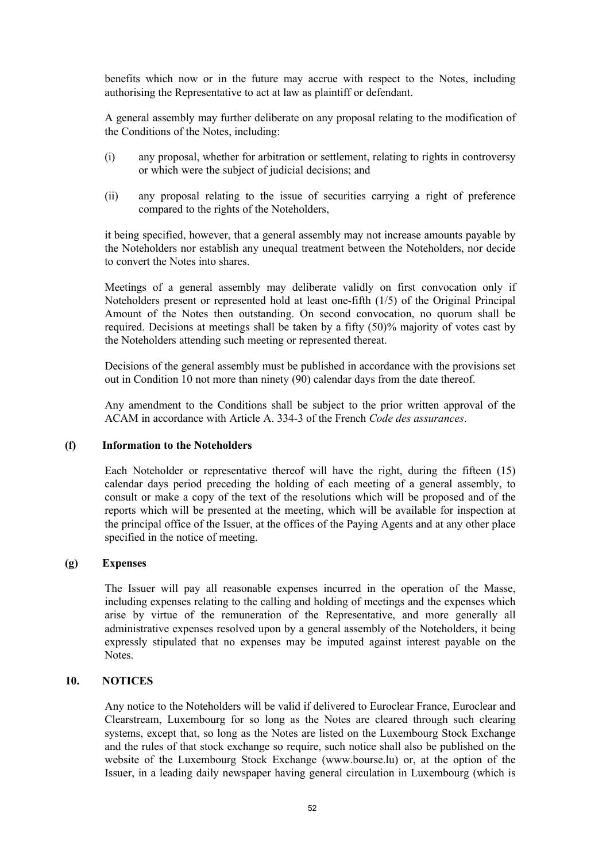benefits which now or in the future may accrue with respect to the Notes, including authorising the Representative to act at law as plaintiff or defendant.

A general assembly may further deliberate on any proposal relating to the modification of the Conditions of the Notes, including:

- (i) any proposal, whether for arbitration or settlement, relating to rights in controversy or which were the subject of judicial decisions; and
- (ii) any proposal relating to the issue of securities carrying a right of preference compared to the rights of the Noteholders,

it being specified, however, that a general assembly may not increase amounts payable by the Noteholders nor establish any unequal treatment between the Noteholders, nor decide to convert the Notes into shares.

Meetings of a general assembly may deliberate validly on first convocation only if Noteholders present or represented hold at least one-fifth (1/5) of the Original Principal Amount of the Notes then outstanding. On second convocation, no quorum shall be required. Decisions at meetings shall be taken by a fifty (50)% majority of votes cast by the Noteholders attending such meeting or represented thereat.

Decisions of the general assembly must be published in accordance with the provisions set out in Condition 10 not more than ninety (90) calendar days from the date thereof.

Any amendment to the Conditions shall be subject to the prior written approval of the ACAM in accordance with Article A. 334-3 of the French *Code des assurances*.

#### **(f) Information to the Noteholders**

Each Noteholder or representative thereof will have the right, during the fifteen (15) calendar days period preceding the holding of each meeting of a general assembly, to consult or make a copy of the text of the resolutions which will be proposed and of the reports which will be presented at the meeting, which will be available for inspection at the principal office of the Issuer, at the offices of the Paying Agents and at any other place specified in the notice of meeting.

### **(g) Expenses**

The Issuer will pay all reasonable expenses incurred in the operation of the Masse, including expenses relating to the calling and holding of meetings and the expenses which arise by virtue of the remuneration of the Representative, and more generally all administrative expenses resolved upon by a general assembly of the Noteholders, it being expressly stipulated that no expenses may be imputed against interest payable on the Notes.

### **10. NOTICES**

Any notice to the Noteholders will be valid if delivered to Euroclear France, Euroclear and Clearstream, Luxembourg for so long as the Notes are cleared through such clearing systems, except that, so long as the Notes are listed on the Luxembourg Stock Exchange and the rules of that stock exchange so require, such notice shall also be published on the website of the Luxembourg Stock Exchange (www.bourse.lu) or, at the option of the Issuer, in a leading daily newspaper having general circulation in Luxembourg (which is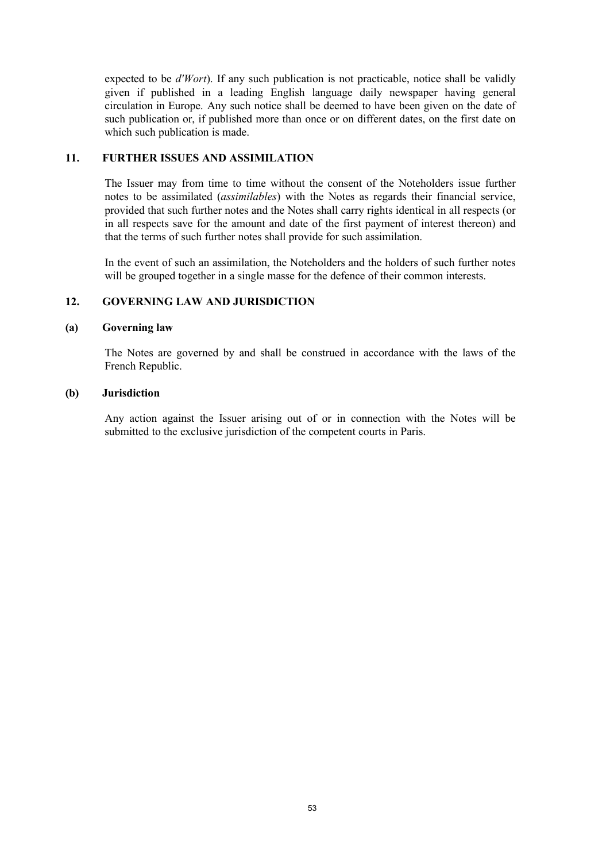expected to be *d'Wort*). If any such publication is not practicable, notice shall be validly given if published in a leading English language daily newspaper having general circulation in Europe. Any such notice shall be deemed to have been given on the date of such publication or, if published more than once or on different dates, on the first date on which such publication is made.

### **11. FURTHER ISSUES AND ASSIMILATION**

The Issuer may from time to time without the consent of the Noteholders issue further notes to be assimilated (*assimilables*) with the Notes as regards their financial service, provided that such further notes and the Notes shall carry rights identical in all respects (or in all respects save for the amount and date of the first payment of interest thereon) and that the terms of such further notes shall provide for such assimilation.

In the event of such an assimilation, the Noteholders and the holders of such further notes will be grouped together in a single masse for the defence of their common interests.

### **12. GOVERNING LAW AND JURISDICTION**

### **(a) Governing law**

The Notes are governed by and shall be construed in accordance with the laws of the French Republic.

#### **(b) Jurisdiction**

Any action against the Issuer arising out of or in connection with the Notes will be submitted to the exclusive jurisdiction of the competent courts in Paris.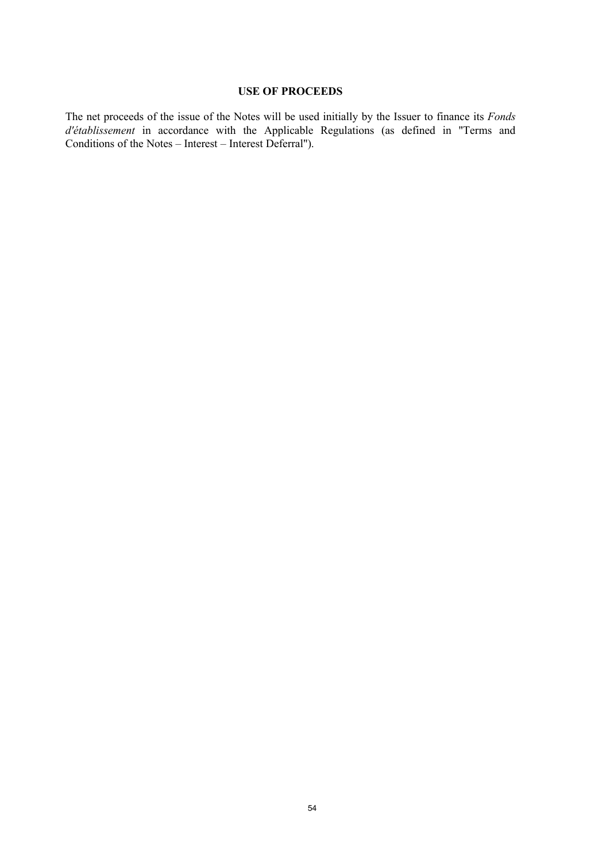### **USE OF PROCEEDS**

The net proceeds of the issue of the Notes will be used initially by the Issuer to finance its *Fonds d'établissement* in accordance with the Applicable Regulations (as defined in "Terms and Conditions of the Notes – Interest – Interest Deferral").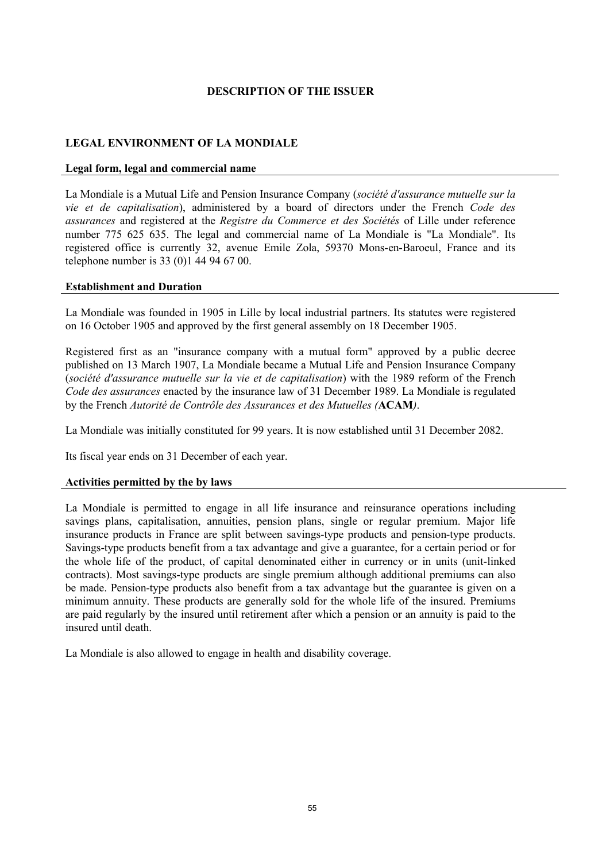### **DESCRIPTION OF THE ISSUER**

## **LEGAL ENVIRONMENT OF LA MONDIALE**

#### **Legal form, legal and commercial name**

La Mondiale is a Mutual Life and Pension Insurance Company (*société d'assurance mutuelle sur la vie et de capitalisation*), administered by a board of directors under the French *Code des assurances* and registered at the *Registre du Commerce et des Sociétés* of Lille under reference number 775 625 635. The legal and commercial name of La Mondiale is "La Mondiale". Its registered office is currently 32, avenue Emile Zola, 59370 Mons-en-Baroeul, France and its telephone number is 33 (0)1 44 94 67 00.

#### **Establishment and Duration**

La Mondiale was founded in 1905 in Lille by local industrial partners. Its statutes were registered on 16 October 1905 and approved by the first general assembly on 18 December 1905.

Registered first as an "insurance company with a mutual form" approved by a public decree published on 13 March 1907, La Mondiale became a Mutual Life and Pension Insurance Company (*société d'assurance mutuelle sur la vie et de capitalisation*) with the 1989 reform of the French *Code des assurances* enacted by the insurance law of 31 December 1989. La Mondiale is regulated by the French *Autorité de Contrôle des Assurances et des Mutuelles (***ACAM***)*.

La Mondiale was initially constituted for 99 years. It is now established until 31 December 2082.

Its fiscal year ends on 31 December of each year.

### **Activities permitted by the by laws**

La Mondiale is permitted to engage in all life insurance and reinsurance operations including savings plans, capitalisation, annuities, pension plans, single or regular premium. Major life insurance products in France are split between savings-type products and pension-type products. Savings-type products benefit from a tax advantage and give a guarantee, for a certain period or for the whole life of the product, of capital denominated either in currency or in units (unit-linked contracts). Most savings-type products are single premium although additional premiums can also be made. Pension-type products also benefit from a tax advantage but the guarantee is given on a minimum annuity. These products are generally sold for the whole life of the insured. Premiums are paid regularly by the insured until retirement after which a pension or an annuity is paid to the insured until death.

La Mondiale is also allowed to engage in health and disability coverage.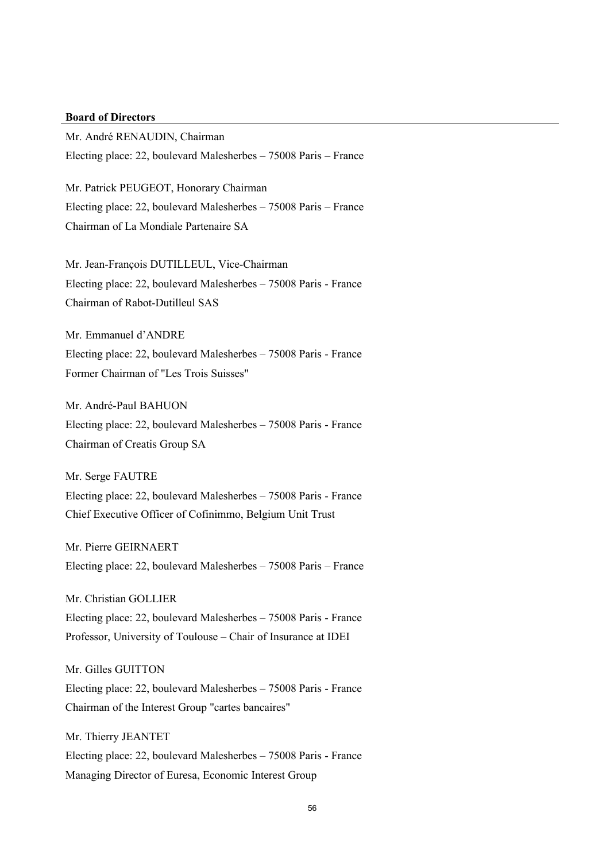# **Board of Directors**

Mr. André RENAUDIN, Chairman Electing place: 22, boulevard Malesherbes – 75008 Paris – France

Mr. Patrick PEUGEOT, Honorary Chairman Electing place: 22, boulevard Malesherbes – 75008 Paris – France Chairman of La Mondiale Partenaire SA

Mr. Jean-François DUTILLEUL, Vice-Chairman Electing place: 22, boulevard Malesherbes – 75008 Paris - France Chairman of Rabot-Dutilleul SAS

Mr. Emmanuel d'ANDRE Electing place: 22, boulevard Malesherbes – 75008 Paris - France Former Chairman of "Les Trois Suisses"

Mr. André-Paul BAHUON Electing place: 22, boulevard Malesherbes – 75008 Paris - France Chairman of Creatis Group SA

Mr. Serge FAUTRE Electing place: 22, boulevard Malesherbes – 75008 Paris - France Chief Executive Officer of Cofinimmo, Belgium Unit Trust

Mr. Pierre GEIRNAERT Electing place: 22, boulevard Malesherbes – 75008 Paris – France

Mr. Christian GOLLIER Electing place: 22, boulevard Malesherbes – 75008 Paris - France Professor, University of Toulouse – Chair of Insurance at IDEI

Mr. Gilles GUITTON Electing place: 22, boulevard Malesherbes – 75008 Paris - France Chairman of the Interest Group "cartes bancaires"

Mr. Thierry JEANTET Electing place: 22, boulevard Malesherbes – 75008 Paris - France Managing Director of Euresa, Economic Interest Group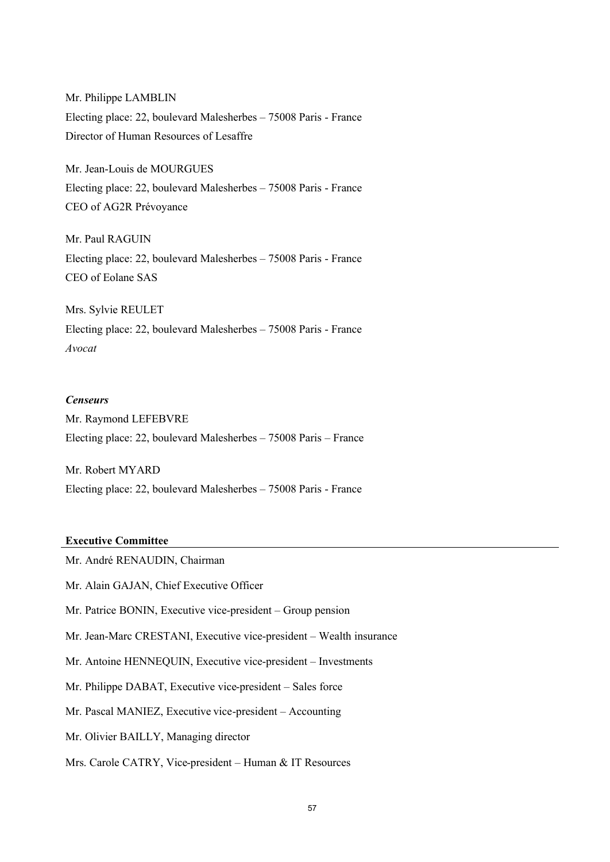Mr. Philippe LAMBLIN Electing place: 22, boulevard Malesherbes – 75008 Paris - France Director of Human Resources of Lesaffre

Mr. Jean-Louis de MOURGUES Electing place: 22, boulevard Malesherbes – 75008 Paris - France CEO of AG2R Prévoyance

Mr. Paul RAGUIN Electing place: 22, boulevard Malesherbes – 75008 Paris - France CEO of Eolane SAS

Mrs. Sylvie REULET Electing place: 22, boulevard Malesherbes – 75008 Paris - France *Avocat*

#### *Censeurs*

Mr. Raymond LEFEBVRE Electing place: 22, boulevard Malesherbes – 75008 Paris – France

Mr. Robert MYARD Electing place: 22, boulevard Malesherbes – 75008 Paris - France

#### **Executive Committee**

Mr. André RENAUDIN, Chairman

Mr. Alain GAJAN, Chief Executive Officer

Mr. Patrice BONIN, Executive vice-president – Group pension

Mr. Jean-Marc CRESTANI, Executive vice-president – Wealth insurance

Mr. Antoine HENNEQUIN, Executive vice-president – Investments

Mr. Philippe DABAT, Executive vice-president – Sales force

Mr. Pascal MANIEZ, Executive vice-president – Accounting

Mr. Olivier BAILLY, Managing director

Mrs. Carole CATRY, Vice-president – Human & IT Resources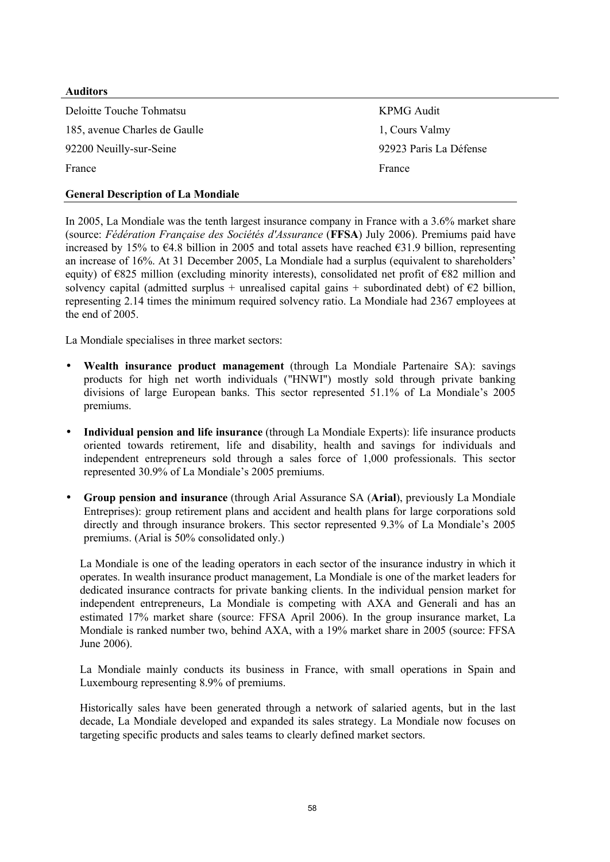### **Auditors**

Deloitte Touche Tohmatsu KPMG Audit 185, avenue Charles de Gaulle 1, Cours Valmy 92200 Neuilly-sur-Seine 92923 Paris La Défense France France **France** 

## **General Description of La Mondiale**

In 2005, La Mondiale was the tenth largest insurance company in France with a 3.6% market share (source: *Fédération Française des Sociétés d'Assurance* (**FFSA**) July 2006). Premiums paid have increased by 15% to €4.8 billion in 2005 and total assets have reached €31.9 billion, representing an increase of 16%. At 31 December 2005, La Mondiale had a surplus (equivalent to shareholders' equity) of  $\epsilon$ 825 million (excluding minority interests), consolidated net profit of  $\epsilon$ 82 million and solvency capital (admitted surplus + unrealised capital gains + subordinated debt) of  $\epsilon$ 2 billion, representing 2.14 times the minimum required solvency ratio. La Mondiale had 2367 employees at the end of 2005.

La Mondiale specialises in three market sectors:

- **Wealth insurance product management** (through La Mondiale Partenaire SA): savings products for high net worth individuals ("HNWI") mostly sold through private banking divisions of large European banks. This sector represented 51.1% of La Mondiale's 2005 premiums.
- **Individual pension and life insurance** (through La Mondiale Experts): life insurance products oriented towards retirement, life and disability, health and savings for individuals and independent entrepreneurs sold through a sales force of 1,000 professionals. This sector represented 30.9% of La Mondiale's 2005 premiums.
- **Group pension and insurance** (through Arial Assurance SA (**Arial**), previously La Mondiale Entreprises): group retirement plans and accident and health plans for large corporations sold directly and through insurance brokers. This sector represented 9.3% of La Mondiale's 2005 premiums. (Arial is 50% consolidated only.)

La Mondiale is one of the leading operators in each sector of the insurance industry in which it operates. In wealth insurance product management, La Mondiale is one of the market leaders for dedicated insurance contracts for private banking clients. In the individual pension market for independent entrepreneurs, La Mondiale is competing with AXA and Generali and has an estimated 17% market share (source: FFSA April 2006). In the group insurance market, La Mondiale is ranked number two, behind AXA, with a 19% market share in 2005 (source: FFSA June 2006).

La Mondiale mainly conducts its business in France, with small operations in Spain and Luxembourg representing 8.9% of premiums.

Historically sales have been generated through a network of salaried agents, but in the last decade, La Mondiale developed and expanded its sales strategy. La Mondiale now focuses on targeting specific products and sales teams to clearly defined market sectors.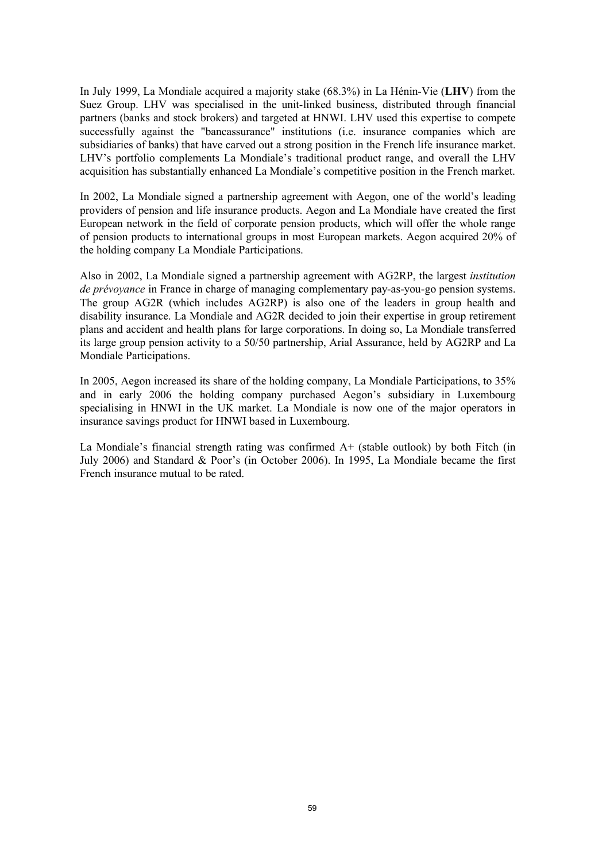In July 1999, La Mondiale acquired a majority stake (68.3%) in La Hénin-Vie (**LHV**) from the Suez Group. LHV was specialised in the unit-linked business, distributed through financial partners (banks and stock brokers) and targeted at HNWI. LHV used this expertise to compete successfully against the "bancassurance" institutions (i.e. insurance companies which are subsidiaries of banks) that have carved out a strong position in the French life insurance market. LHV's portfolio complements La Mondiale's traditional product range, and overall the LHV acquisition has substantially enhanced La Mondiale's competitive position in the French market.

In 2002, La Mondiale signed a partnership agreement with Aegon, one of the world's leading providers of pension and life insurance products. Aegon and La Mondiale have created the first European network in the field of corporate pension products, which will offer the whole range of pension products to international groups in most European markets. Aegon acquired 20% of the holding company La Mondiale Participations.

Also in 2002, La Mondiale signed a partnership agreement with AG2RP, the largest *institution de prévoyance* in France in charge of managing complementary pay-as-you-go pension systems. The group AG2R (which includes AG2RP) is also one of the leaders in group health and disability insurance. La Mondiale and AG2R decided to join their expertise in group retirement plans and accident and health plans for large corporations. In doing so, La Mondiale transferred its large group pension activity to a 50/50 partnership, Arial Assurance, held by AG2RP and La Mondiale Participations.

In 2005, Aegon increased its share of the holding company, La Mondiale Participations, to 35% and in early 2006 the holding company purchased Aegon's subsidiary in Luxembourg specialising in HNWI in the UK market. La Mondiale is now one of the major operators in insurance savings product for HNWI based in Luxembourg.

La Mondiale's financial strength rating was confirmed A+ (stable outlook) by both Fitch (in July 2006) and Standard & Poor's (in October 2006). In 1995, La Mondiale became the first French insurance mutual to be rated.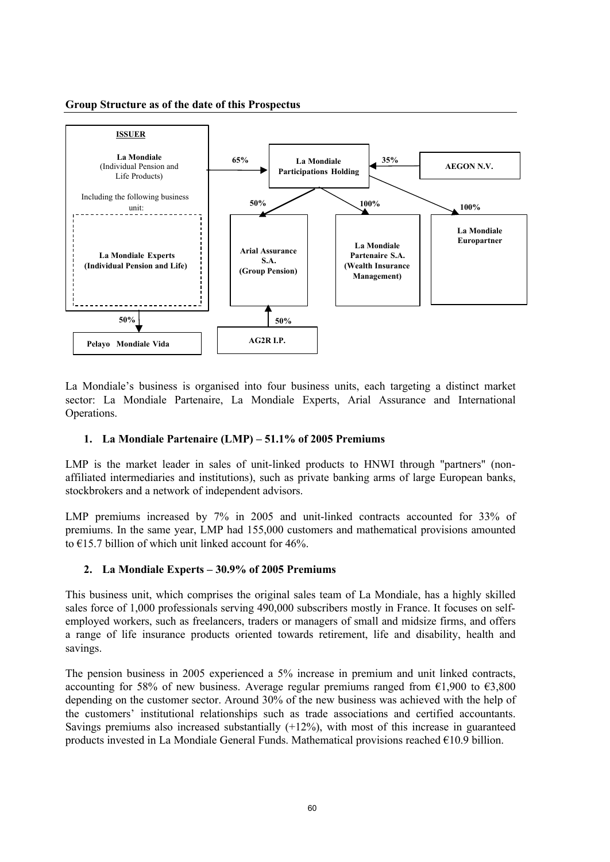#### **Group Structure as of the date of this Prospectus**



La Mondiale's business is organised into four business units, each targeting a distinct market sector: La Mondiale Partenaire, La Mondiale Experts, Arial Assurance and International Operations.

### **1. La Mondiale Partenaire (LMP) – 51.1% of 2005 Premiums**

LMP is the market leader in sales of unit-linked products to HNWI through "partners" (nonaffiliated intermediaries and institutions), such as private banking arms of large European banks, stockbrokers and a network of independent advisors.

LMP premiums increased by 7% in 2005 and unit-linked contracts accounted for 33% of premiums. In the same year, LMP had 155,000 customers and mathematical provisions amounted to  $\epsilon$ 15.7 billion of which unit linked account for 46%.

# **2. La Mondiale Experts – 30.9% of 2005 Premiums**

This business unit, which comprises the original sales team of La Mondiale, has a highly skilled sales force of 1,000 professionals serving 490,000 subscribers mostly in France. It focuses on selfemployed workers, such as freelancers, traders or managers of small and midsize firms, and offers a range of life insurance products oriented towards retirement, life and disability, health and savings.

The pension business in 2005 experienced a 5% increase in premium and unit linked contracts, accounting for 58% of new business. Average regular premiums ranged from  $\epsilon$ 1,900 to  $\epsilon$ 3,800 depending on the customer sector. Around 30% of the new business was achieved with the help of the customers' institutional relationships such as trade associations and certified accountants. Savings premiums also increased substantially  $(+12%)$ , with most of this increase in guaranteed products invested in La Mondiale General Funds. Mathematical provisions reached  $\epsilon$ 10.9 billion.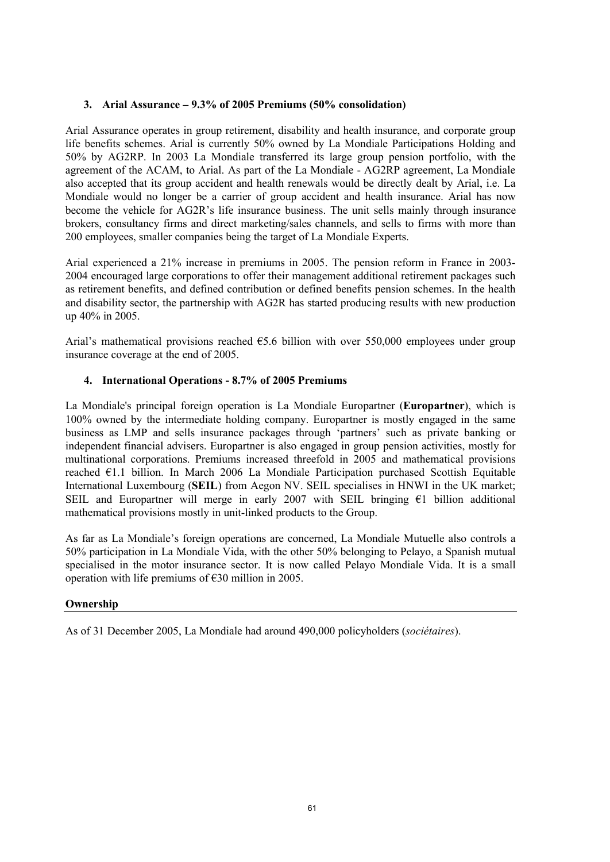### **3. Arial Assurance – 9.3% of 2005 Premiums (50% consolidation)**

Arial Assurance operates in group retirement, disability and health insurance, and corporate group life benefits schemes. Arial is currently 50% owned by La Mondiale Participations Holding and 50% by AG2RP. In 2003 La Mondiale transferred its large group pension portfolio, with the agreement of the ACAM, to Arial. As part of the La Mondiale - AG2RP agreement, La Mondiale also accepted that its group accident and health renewals would be directly dealt by Arial, i.e. La Mondiale would no longer be a carrier of group accident and health insurance. Arial has now become the vehicle for AG2R's life insurance business. The unit sells mainly through insurance brokers, consultancy firms and direct marketing/sales channels, and sells to firms with more than 200 employees, smaller companies being the target of La Mondiale Experts.

Arial experienced a 21% increase in premiums in 2005. The pension reform in France in 2003- 2004 encouraged large corporations to offer their management additional retirement packages such as retirement benefits, and defined contribution or defined benefits pension schemes. In the health and disability sector, the partnership with AG2R has started producing results with new production up 40% in 2005.

Arial's mathematical provisions reached  $65.6$  billion with over 550,000 employees under group insurance coverage at the end of 2005.

### **4. International Operations - 8.7% of 2005 Premiums**

La Mondiale's principal foreign operation is La Mondiale Europartner (**Europartner**), which is 100% owned by the intermediate holding company. Europartner is mostly engaged in the same business as LMP and sells insurance packages through 'partners' such as private banking or independent financial advisers. Europartner is also engaged in group pension activities, mostly for multinational corporations. Premiums increased threefold in 2005 and mathematical provisions reached €1.1 billion. In March 2006 La Mondiale Participation purchased Scottish Equitable International Luxembourg (**SEIL**) from Aegon NV. SEIL specialises in HNWI in the UK market; SEIL and Europartner will merge in early 2007 with SEIL bringing  $\epsilon$ 1 billion additional mathematical provisions mostly in unit-linked products to the Group.

As far as La Mondiale's foreign operations are concerned, La Mondiale Mutuelle also controls a 50% participation in La Mondiale Vida, with the other 50% belonging to Pelayo, a Spanish mutual specialised in the motor insurance sector. It is now called Pelayo Mondiale Vida. It is a small operation with life premiums of €30 million in 2005.

### **Ownership**

As of 31 December 2005, La Mondiale had around 490,000 policyholders (*sociétaires*).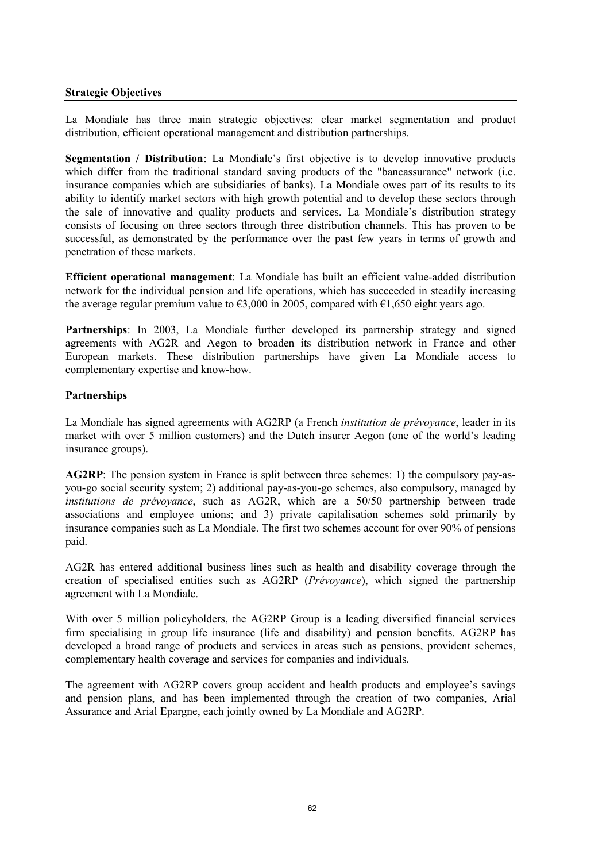### **Strategic Objectives**

La Mondiale has three main strategic objectives: clear market segmentation and product distribution, efficient operational management and distribution partnerships.

**Segmentation / Distribution**: La Mondiale's first objective is to develop innovative products which differ from the traditional standard saving products of the "bancassurance" network (i.e. insurance companies which are subsidiaries of banks). La Mondiale owes part of its results to its ability to identify market sectors with high growth potential and to develop these sectors through the sale of innovative and quality products and services. La Mondiale's distribution strategy consists of focusing on three sectors through three distribution channels. This has proven to be successful, as demonstrated by the performance over the past few years in terms of growth and penetration of these markets.

**Efficient operational management**: La Mondiale has built an efficient value-added distribution network for the individual pension and life operations, which has succeeded in steadily increasing the average regular premium value to  $\epsilon$ 3,000 in 2005, compared with  $\epsilon$ 1,650 eight years ago.

**Partnerships**: In 2003, La Mondiale further developed its partnership strategy and signed agreements with AG2R and Aegon to broaden its distribution network in France and other European markets. These distribution partnerships have given La Mondiale access to complementary expertise and know-how.

### **Partnerships**

La Mondiale has signed agreements with AG2RP (a French *institution de prévoyance*, leader in its market with over 5 million customers) and the Dutch insurer Aegon (one of the world's leading insurance groups).

**AG2RP**: The pension system in France is split between three schemes: 1) the compulsory pay-asyou-go social security system; 2) additional pay-as-you-go schemes, also compulsory, managed by *institutions de prévoyance*, such as AG2R, which are a 50/50 partnership between trade associations and employee unions; and 3) private capitalisation schemes sold primarily by insurance companies such as La Mondiale. The first two schemes account for over 90% of pensions paid.

AG2R has entered additional business lines such as health and disability coverage through the creation of specialised entities such as AG2RP (*Prévoyance*), which signed the partnership agreement with La Mondiale.

With over 5 million policyholders, the AG2RP Group is a leading diversified financial services firm specialising in group life insurance (life and disability) and pension benefits. AG2RP has developed a broad range of products and services in areas such as pensions, provident schemes, complementary health coverage and services for companies and individuals.

The agreement with AG2RP covers group accident and health products and employee's savings and pension plans, and has been implemented through the creation of two companies, Arial Assurance and Arial Epargne, each jointly owned by La Mondiale and AG2RP.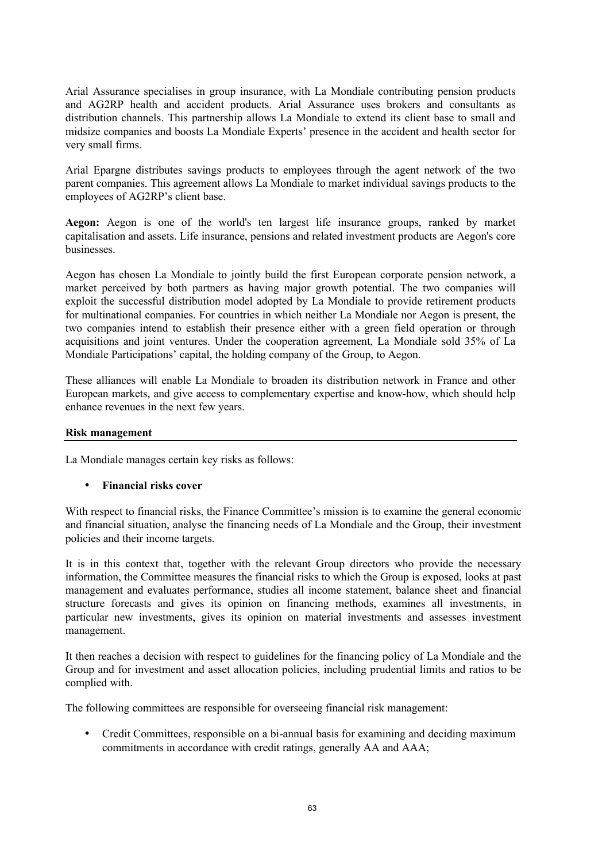Arial Assurance specialises in group insurance, with La Mondiale contributing pension products and AG2RP health and accident products. Arial Assurance uses brokers and consultants as distribution channels. This partnership allows La Mondiale to extend its client base to small and midsize companies and boosts La Mondiale Experts' presence in the accident and health sector for very small firms.

Arial Epargne distributes savings products to employees through the agent network of the two parent companies. This agreement allows La Mondiale to market individual savings products to the employees of AG2RP's client base.

**Aegon:** Aegon is one of the world's ten largest life insurance groups, ranked by market capitalisation and assets. Life insurance, pensions and related investment products are Aegon's core businesses.

Aegon has chosen La Mondiale to jointly build the first European corporate pension network, a market perceived by both partners as having major growth potential. The two companies will exploit the successful distribution model adopted by La Mondiale to provide retirement products for multinational companies. For countries in which neither La Mondiale nor Aegon is present, the two companies intend to establish their presence either with a green field operation or through acquisitions and joint ventures. Under the cooperation agreement, La Mondiale sold 35% of La Mondiale Participations' capital, the holding company of the Group, to Aegon.

These alliances will enable La Mondiale to broaden its distribution network in France and other European markets, and give access to complementary expertise and know-how, which should help enhance revenues in the next few years.

### **Risk management**

La Mondiale manages certain key risks as follows:

### • **Financial risks cover**

With respect to financial risks, the Finance Committee's mission is to examine the general economic and financial situation, analyse the financing needs of La Mondiale and the Group, their investment policies and their income targets.

It is in this context that, together with the relevant Group directors who provide the necessary information, the Committee measures the financial risks to which the Group is exposed, looks at past management and evaluates performance, studies all income statement, balance sheet and financial structure forecasts and gives its opinion on financing methods, examines all investments, in particular new investments, gives its opinion on material investments and assesses investment management.

It then reaches a decision with respect to guidelines for the financing policy of La Mondiale and the Group and for investment and asset allocation policies, including prudential limits and ratios to be complied with.

The following committees are responsible for overseeing financial risk management:

• Credit Committees, responsible on a bi-annual basis for examining and deciding maximum commitments in accordance with credit ratings, generally AA and AAA;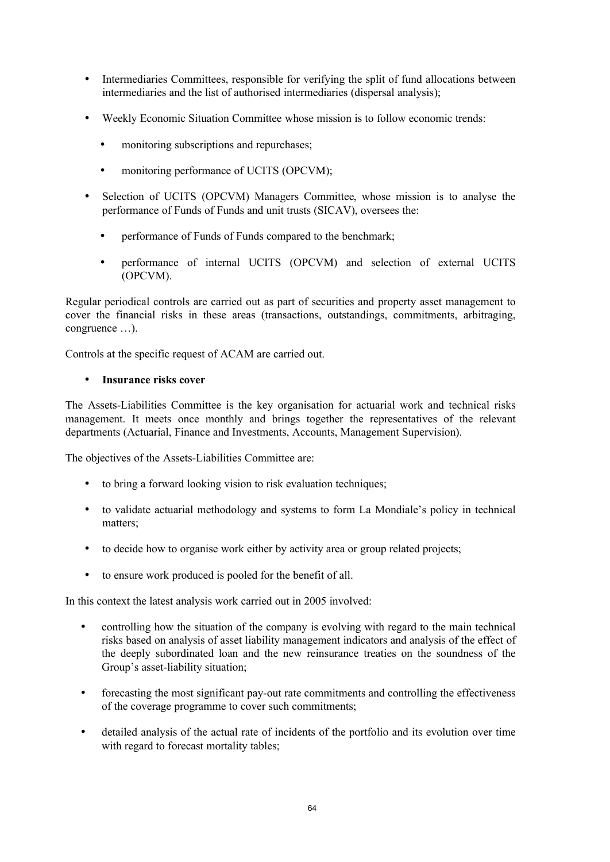- Intermediaries Committees, responsible for verifying the split of fund allocations between intermediaries and the list of authorised intermediaries (dispersal analysis);
- Weekly Economic Situation Committee whose mission is to follow economic trends:
	- monitoring subscriptions and repurchases;
	- monitoring performance of UCITS (OPCVM);
- Selection of UCITS (OPCVM) Managers Committee, whose mission is to analyse the performance of Funds of Funds and unit trusts (SICAV), oversees the:
	- performance of Funds of Funds compared to the benchmark;
	- performance of internal UCITS (OPCVM) and selection of external UCITS (OPCVM).

Regular periodical controls are carried out as part of securities and property asset management to cover the financial risks in these areas (transactions, outstandings, commitments, arbitraging, congruence …).

Controls at the specific request of ACAM are carried out.

### • **Insurance risks cover**

The Assets-Liabilities Committee is the key organisation for actuarial work and technical risks management. It meets once monthly and brings together the representatives of the relevant departments (Actuarial, Finance and Investments, Accounts, Management Supervision).

The objectives of the Assets-Liabilities Committee are:

- to bring a forward looking vision to risk evaluation techniques;
- to validate actuarial methodology and systems to form La Mondiale's policy in technical matters;
- to decide how to organise work either by activity area or group related projects;
- to ensure work produced is pooled for the benefit of all.

In this context the latest analysis work carried out in 2005 involved:

- controlling how the situation of the company is evolving with regard to the main technical risks based on analysis of asset liability management indicators and analysis of the effect of the deeply subordinated loan and the new reinsurance treaties on the soundness of the Group's asset-liability situation;
- forecasting the most significant pay-out rate commitments and controlling the effectiveness of the coverage programme to cover such commitments;
- detailed analysis of the actual rate of incidents of the portfolio and its evolution over time with regard to forecast mortality tables;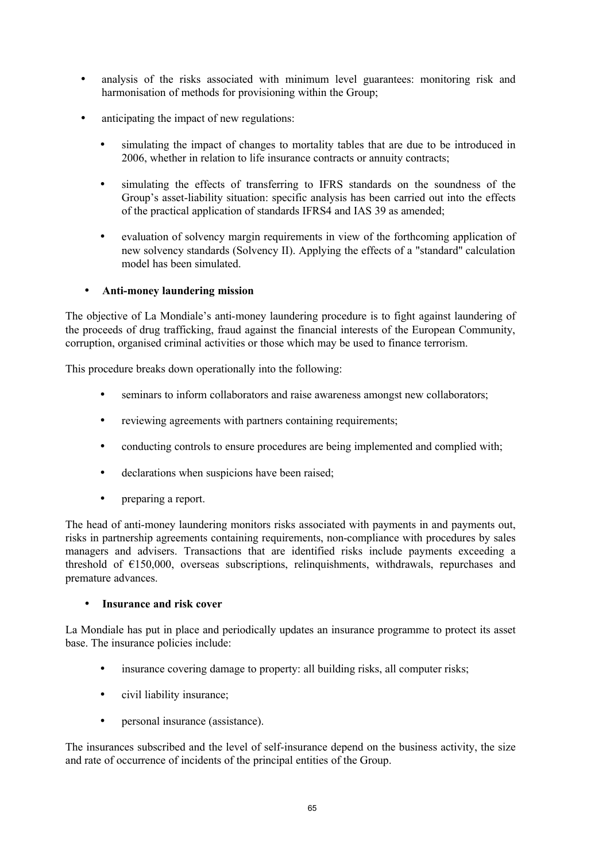- analysis of the risks associated with minimum level guarantees: monitoring risk and harmonisation of methods for provisioning within the Group;
- anticipating the impact of new regulations:
	- simulating the impact of changes to mortality tables that are due to be introduced in 2006, whether in relation to life insurance contracts or annuity contracts;
	- simulating the effects of transferring to IFRS standards on the soundness of the Group's asset-liability situation: specific analysis has been carried out into the effects of the practical application of standards IFRS4 and IAS 39 as amended;
	- evaluation of solvency margin requirements in view of the forthcoming application of new solvency standards (Solvency II). Applying the effects of a "standard" calculation model has been simulated.

# • **Anti-money laundering mission**

The objective of La Mondiale's anti-money laundering procedure is to fight against laundering of the proceeds of drug trafficking, fraud against the financial interests of the European Community, corruption, organised criminal activities or those which may be used to finance terrorism.

This procedure breaks down operationally into the following:

- seminars to inform collaborators and raise awareness amongst new collaborators;
- reviewing agreements with partners containing requirements;
- conducting controls to ensure procedures are being implemented and complied with;
- declarations when suspicions have been raised;
- preparing a report.

The head of anti-money laundering monitors risks associated with payments in and payments out, risks in partnership agreements containing requirements, non-compliance with procedures by sales managers and advisers. Transactions that are identified risks include payments exceeding a threshold of  $E150,000$ , overseas subscriptions, relinquishments, withdrawals, repurchases and premature advances.

# • **Insurance and risk cover**

La Mondiale has put in place and periodically updates an insurance programme to protect its asset base. The insurance policies include:

- insurance covering damage to property: all building risks, all computer risks;
- civil liability insurance;
- personal insurance (assistance).

The insurances subscribed and the level of self-insurance depend on the business activity, the size and rate of occurrence of incidents of the principal entities of the Group.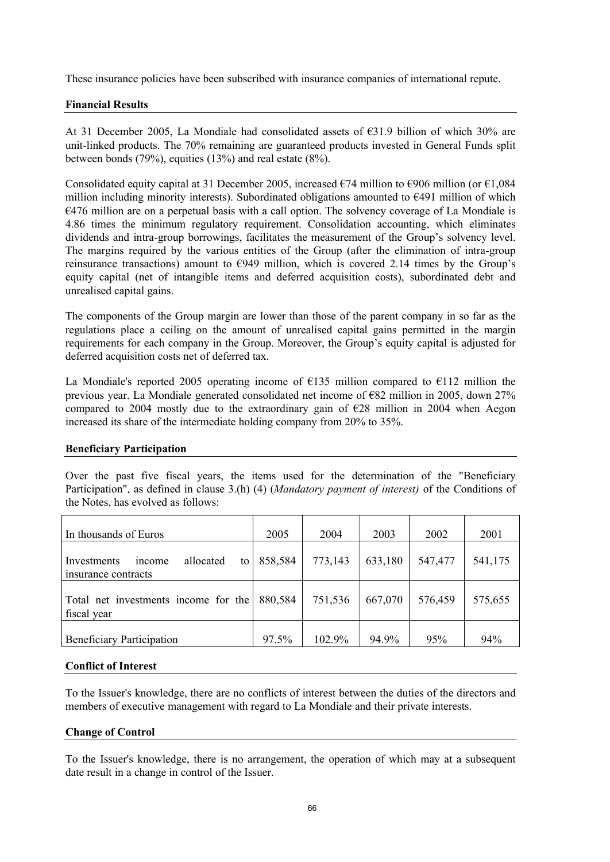These insurance policies have been subscribed with insurance companies of international repute.

### **Financial Results**

At 31 December 2005, La Mondiale had consolidated assets of €31.9 billion of which 30% are unit-linked products. The 70% remaining are guaranteed products invested in General Funds split between bonds (79%), equities (13%) and real estate (8%).

Consolidated equity capital at 31 December 2005, increased  $\epsilon$ 74 million to  $\epsilon$ 906 million (or  $\epsilon$ 1,084 million including minority interests). Subordinated obligations amounted to  $\epsilon$ 491 million of which €476 million are on a perpetual basis with a call option. The solvency coverage of La Mondiale is 4.86 times the minimum regulatory requirement. Consolidation accounting, which eliminates dividends and intra-group borrowings, facilitates the measurement of the Group's solvency level. The margins required by the various entities of the Group (after the elimination of intra-group reinsurance transactions) amount to  $\epsilon$ 949 million, which is covered 2.14 times by the Group's equity capital (net of intangible items and deferred acquisition costs), subordinated debt and unrealised capital gains.

The components of the Group margin are lower than those of the parent company in so far as the regulations place a ceiling on the amount of unrealised capital gains permitted in the margin requirements for each company in the Group. Moreover, the Group's equity capital is adjusted for deferred acquisition costs net of deferred tax.

La Mondiale's reported 2005 operating income of  $E135$  million compared to  $E112$  million the previous year. La Mondiale generated consolidated net income of €82 million in 2005, down 27% compared to 2004 mostly due to the extraordinary gain of  $E28$  million in 2004 when Aegon increased its share of the intermediate holding company from 20% to 35%.

### **Beneficiary Participation**

Over the past five fiscal years, the items used for the determination of the "Beneficiary Participation", as defined in clause 3.(h) (4) (*Mandatory payment of interest)* of the Conditions of the Notes, has evolved as follows:

| In thousands of Euros                                           | 2005    | 2004    | 2003    | 2002    | 2001    |
|-----------------------------------------------------------------|---------|---------|---------|---------|---------|
| allocated<br>Investments<br>income<br>to<br>insurance contracts | 858,584 | 773,143 | 633,180 | 547,477 | 541,175 |
| Total net investments income for the<br>fiscal year             | 880,584 | 751,536 | 667,070 | 576,459 | 575,655 |
| <b>Beneficiary Participation</b>                                | 97.5%   | 102.9%  | 94.9%   | 95%     | 94%     |

### **Conflict of Interest**

To the Issuer's knowledge, there are no conflicts of interest between the duties of the directors and members of executive management with regard to La Mondiale and their private interests.

### **Change of Control**

To the Issuer's knowledge, there is no arrangement, the operation of which may at a subsequent date result in a change in control of the Issuer.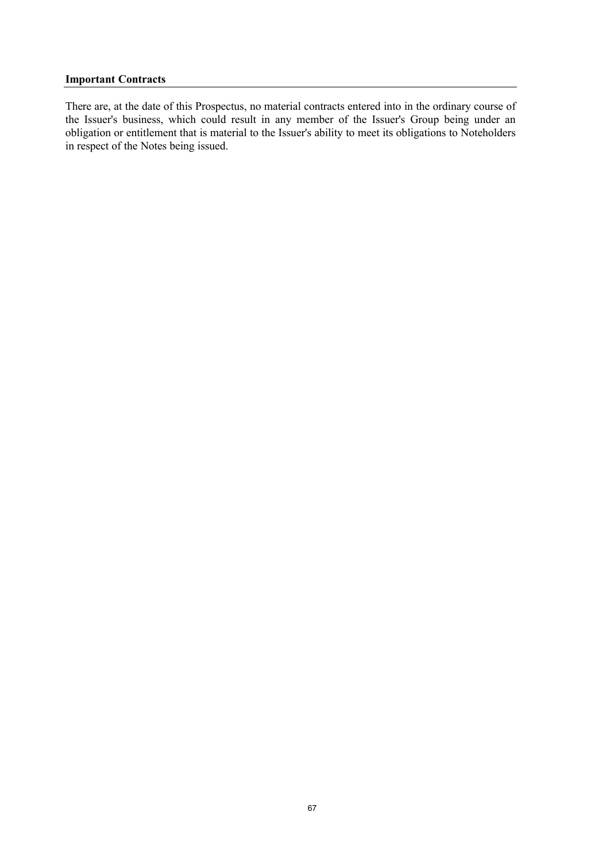#### **Important Contracts**

There are, at the date of this Prospectus, no material contracts entered into in the ordinary course of the Issuer's business, which could result in any member of the Issuer's Group being under an obligation or entitlement that is material to the Issuer's ability to meet its obligations to Noteholders in respect of the Notes being issued.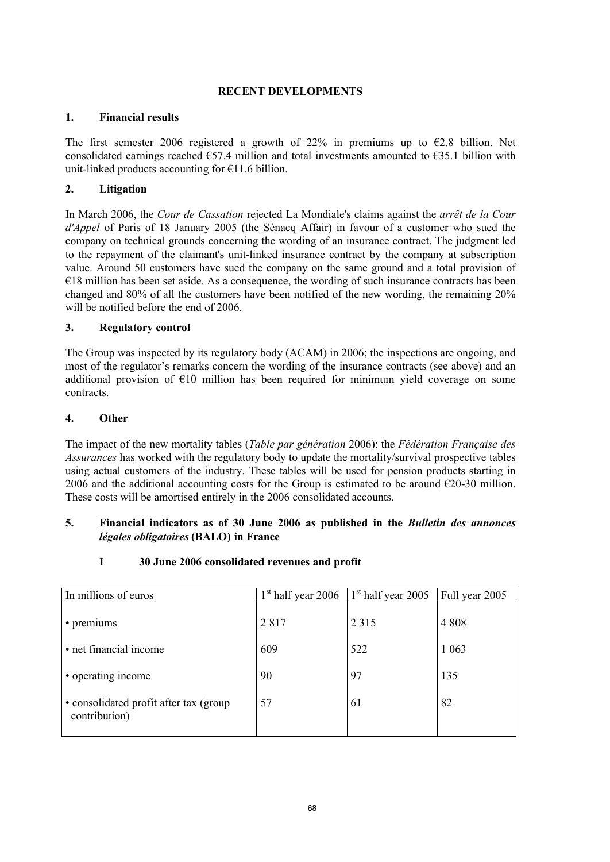### **RECENT DEVELOPMENTS**

### **1. Financial results**

The first semester 2006 registered a growth of 22% in premiums up to  $\epsilon$ 2.8 billion. Net consolidated earnings reached  $\epsilon$ 57.4 million and total investments amounted to  $\epsilon$ 35.1 billion with unit-linked products accounting for  $E11.6$  billion.

# **2. Litigation**

In March 2006, the *Cour de Cassation* rejected La Mondiale's claims against the *arrêt de la Cour d'Appel* of Paris of 18 January 2005 (the Sénacq Affair) in favour of a customer who sued the company on technical grounds concerning the wording of an insurance contract. The judgment led to the repayment of the claimant's unit-linked insurance contract by the company at subscription value. Around 50 customers have sued the company on the same ground and a total provision of  $€18$  million has been set aside. As a consequence, the wording of such insurance contracts has been changed and 80% of all the customers have been notified of the new wording, the remaining 20% will be notified before the end of 2006.

# **3. Regulatory control**

The Group was inspected by its regulatory body (ACAM) in 2006; the inspections are ongoing, and most of the regulator's remarks concern the wording of the insurance contracts (see above) and an additional provision of  $E10$  million has been required for minimum yield coverage on some contracts.

### **4. Other**

The impact of the new mortality tables (*Table par génération* 2006): the *Fédération Française des Assurances* has worked with the regulatory body to update the mortality/survival prospective tables using actual customers of the industry. These tables will be used for pension products starting in 2006 and the additional accounting costs for the Group is estimated to be around  $\epsilon$ 20-30 million. These costs will be amortised entirely in the 2006 consolidated accounts.

### **5. Financial indicators as of 30 June 2006 as published in the** *Bulletin des annonces légales obligatoires* **(BALO) in France**

# **I 30 June 2006 consolidated revenues and profit**

| In millions of euros                                    | $1st$ half year 2006 | $1st$ half year 2005 | Full year 2005 |
|---------------------------------------------------------|----------------------|----------------------|----------------|
| • premiums                                              | 2817                 | 2 3 1 5              | 4 8 0 8        |
| • net financial income                                  | 609                  | 522                  | 1 0 6 3        |
| • operating income                                      | 90                   | 97                   | 135            |
| • consolidated profit after tax (group<br>contribution) | 57                   | 61                   | 82             |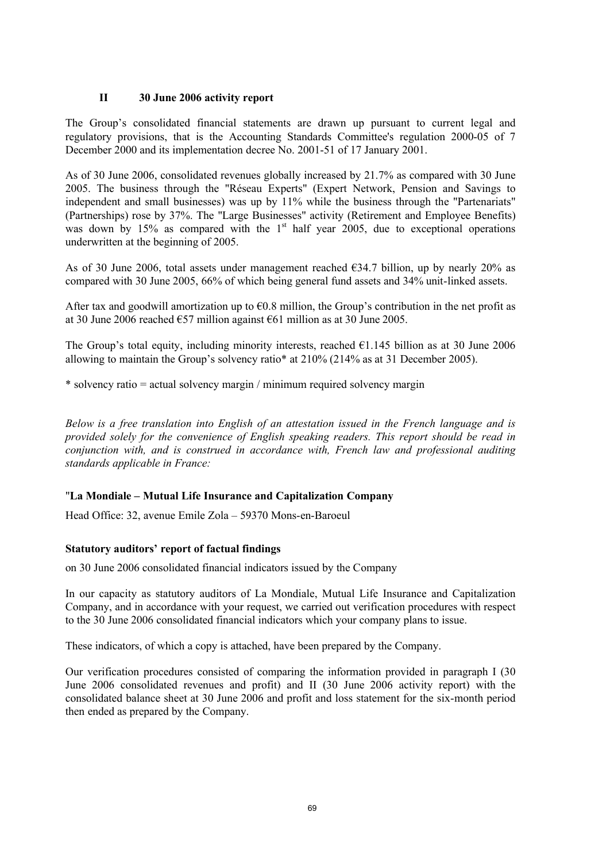### **II 30 June 2006 activity report**

The Group's consolidated financial statements are drawn up pursuant to current legal and regulatory provisions, that is the Accounting Standards Committee's regulation 2000-05 of 7 December 2000 and its implementation decree No. 2001-51 of 17 January 2001.

As of 30 June 2006, consolidated revenues globally increased by 21.7% as compared with 30 June 2005. The business through the "Réseau Experts" (Expert Network, Pension and Savings to independent and small businesses) was up by 11% while the business through the "Partenariats" (Partnerships) rose by 37%. The "Large Businesses" activity (Retirement and Employee Benefits) was down by  $15\%$  as compared with the  $1<sup>st</sup>$  half year 2005, due to exceptional operations underwritten at the beginning of 2005.

As of 30 June 2006, total assets under management reached  $634.7$  billion, up by nearly 20% as compared with 30 June 2005, 66% of which being general fund assets and 34% unit-linked assets.

After tax and goodwill amortization up to  $60.8$  million, the Group's contribution in the net profit as at 30 June 2006 reached €57 million against €61 million as at 30 June 2005.

The Group's total equity, including minority interests, reached  $E1.145$  billion as at 30 June 2006 allowing to maintain the Group's solvency ratio\* at 210% (214% as at 31 December 2005).

\* solvency ratio = actual solvency margin / minimum required solvency margin

*Below is a free translation into English of an attestation issued in the French language and is provided solely for the convenience of English speaking readers. This report should be read in conjunction with, and is construed in accordance with, French law and professional auditing standards applicable in France:*

### "**La Mondiale – Mutual Life Insurance and Capitalization Company**

Head Office: 32, avenue Emile Zola – 59370 Mons-en-Baroeul

### **Statutory auditors' report of factual findings**

on 30 June 2006 consolidated financial indicators issued by the Company

In our capacity as statutory auditors of La Mondiale, Mutual Life Insurance and Capitalization Company, and in accordance with your request, we carried out verification procedures with respect to the 30 June 2006 consolidated financial indicators which your company plans to issue.

These indicators, of which a copy is attached, have been prepared by the Company.

Our verification procedures consisted of comparing the information provided in paragraph I (30 June 2006 consolidated revenues and profit) and II (30 June 2006 activity report) with the consolidated balance sheet at 30 June 2006 and profit and loss statement for the six-month period then ended as prepared by the Company.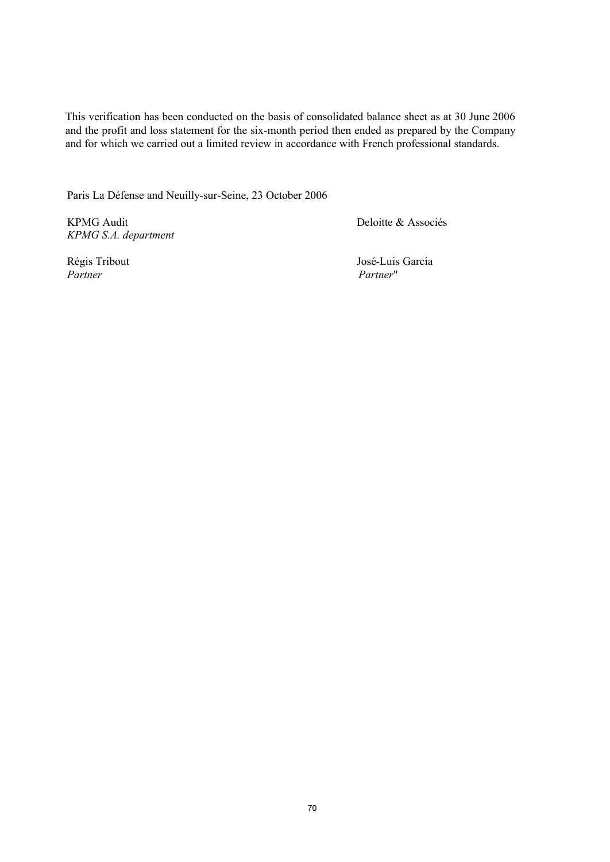This verification has been conducted on the basis of consolidated balance sheet as at 30 June 2006 and the profit and loss statement for the six-month period then ended as prepared by the Company and for which we carried out a limited review in accordance with French professional standards.

Paris La Défense and Neuilly-sur-Seine, 23 October 2006

KPMG Audit *KPMG S.A. department* Deloitte & Associés

*Partner Partner*"

Régis Tribout José-Luis Garcia<br>
Partner Partner Partner Partner (1999)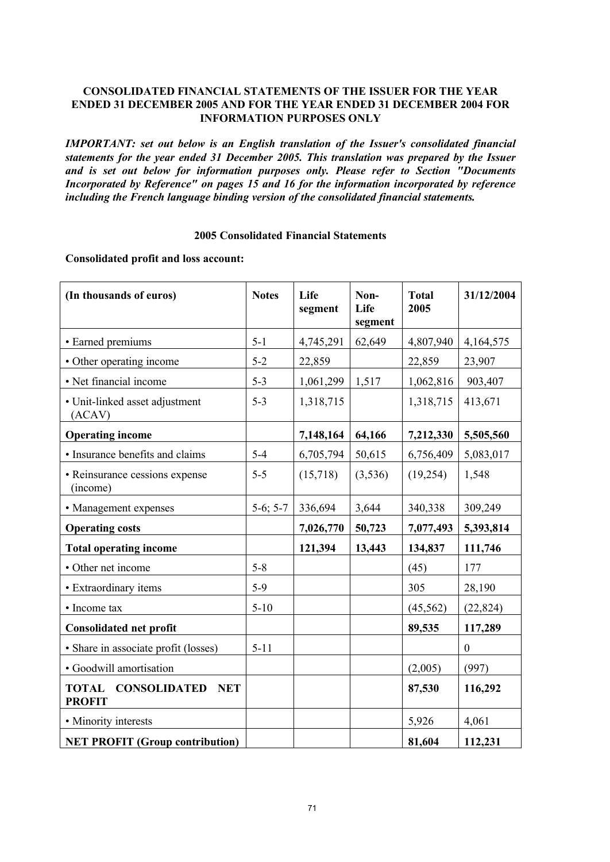### **CONSOLIDATED FINANCIAL STATEMENTS OF THE ISSUER FOR THE YEAR ENDED 31 DECEMBER 2005 AND FOR THE YEAR ENDED 31 DECEMBER 2004 FOR INFORMATION PURPOSES ONLY**

*IMPORTANT: set out below is an English translation of the Issuer's consolidated financial statements for the year ended 31 December 2005. This translation was prepared by the Issuer and is set out below for information purposes only. Please refer to Section "Documents Incorporated by Reference" on pages 15 and 16 for the information incorporated by reference including the French language binding version of the consolidated financial statements.*

### **2005 Consolidated Financial Statements**

**Consolidated profit and loss account:**

| (In thousands of euros)                                            | <b>Notes</b> | Life<br>segment | Non-<br>Life<br>segment | <b>Total</b><br>2005 | 31/12/2004       |
|--------------------------------------------------------------------|--------------|-----------------|-------------------------|----------------------|------------------|
| • Earned premiums                                                  | $5 - 1$      | 4,745,291       | 62,649                  | 4,807,940            | 4,164,575        |
| • Other operating income                                           | $5 - 2$      | 22,859          |                         | 22,859               | 23,907           |
| • Net financial income                                             | $5 - 3$      | 1,061,299       | 1,517                   | 1,062,816            | 903,407          |
| • Unit-linked asset adjustment<br>(ACAV)                           | $5 - 3$      | 1,318,715       |                         | 1,318,715            | 413,671          |
| <b>Operating income</b>                                            |              | 7,148,164       | 64,166                  | 7,212,330            | 5,505,560        |
| · Insurance benefits and claims                                    | $5 - 4$      | 6,705,794       | 50,615                  | 6,756,409            | 5,083,017        |
| • Reinsurance cessions expense<br>(income)                         | $5 - 5$      | (15,718)        | (3,536)                 | (19,254)             | 1,548            |
| • Management expenses                                              | $5-6; 5-7$   | 336,694         | 3,644                   | 340,338              | 309,249          |
| <b>Operating costs</b>                                             |              | 7,026,770       | 50,723                  | 7,077,493            | 5,393,814        |
| <b>Total operating income</b>                                      |              | 121,394         | 13,443                  | 134,837              | 111,746          |
| • Other net income                                                 | $5 - 8$      |                 |                         | (45)                 | 177              |
| • Extraordinary items                                              | $5-9$        |                 |                         | 305                  | 28,190           |
| • Income tax                                                       | $5-10$       |                 |                         | (45, 562)            | (22, 824)        |
| <b>Consolidated net profit</b>                                     |              |                 |                         | 89,535               | 117,289          |
| · Share in associate profit (losses)                               | $5 - 11$     |                 |                         |                      | $\boldsymbol{0}$ |
| · Goodwill amortisation                                            |              |                 |                         | (2,005)              | (997)            |
| <b>TOTAL</b><br><b>CONSOLIDATED</b><br><b>NET</b><br><b>PROFIT</b> |              |                 |                         | 87,530               | 116,292          |
| • Minority interests                                               |              |                 |                         | 5,926                | 4,061            |
| <b>NET PROFIT (Group contribution)</b>                             |              |                 |                         | 81,604               | 112,231          |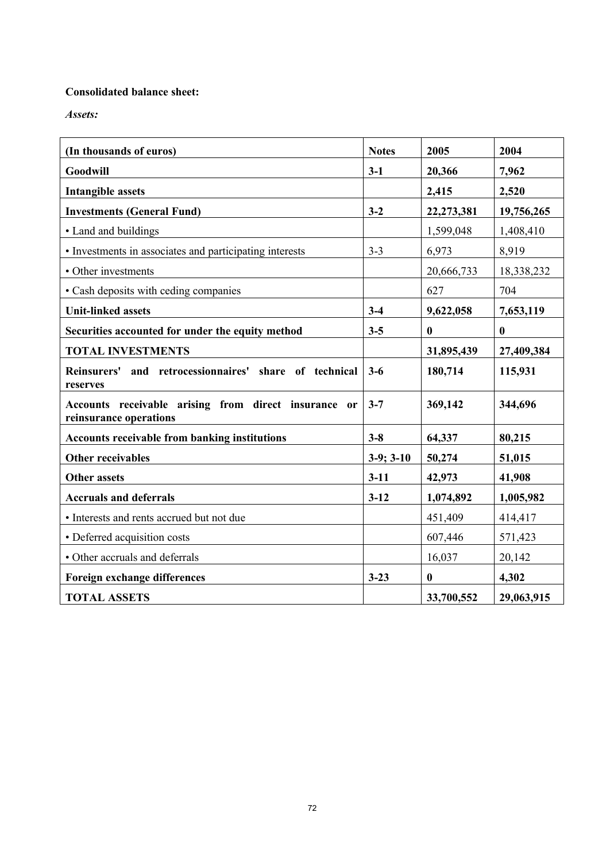# **Consolidated balance sheet:**

*Assets:*

| (In thousands of euros)                                                        | <b>Notes</b> | 2005             | 2004       |
|--------------------------------------------------------------------------------|--------------|------------------|------------|
| Goodwill                                                                       | $3-1$        | 20,366           | 7,962      |
| <b>Intangible assets</b>                                                       |              | 2,415            | 2,520      |
| <b>Investments (General Fund)</b>                                              | $3-2$        | 22,273,381       | 19,756,265 |
| • Land and buildings                                                           |              | 1,599,048        | 1,408,410  |
| • Investments in associates and participating interests                        | $3 - 3$      | 6,973            | 8,919      |
| • Other investments                                                            |              | 20,666,733       | 18,338,232 |
| • Cash deposits with ceding companies                                          |              | 627              | 704        |
| <b>Unit-linked assets</b>                                                      | $3-4$        | 9,622,058        | 7,653,119  |
| Securities accounted for under the equity method                               | $3 - 5$      | $\boldsymbol{0}$ | $\bf{0}$   |
| <b>TOTAL INVESTMENTS</b>                                                       |              | 31,895,439       | 27,409,384 |
| and retrocessionnaires' share of technical<br>Reinsurers'<br>reserves          | $3 - 6$      | 180,714          | 115,931    |
| Accounts receivable arising from direct insurance or<br>reinsurance operations | $3 - 7$      | 369,142          | 344,696    |
| <b>Accounts receivable from banking institutions</b>                           | $3 - 8$      | 64,337           | 80,215     |
| <b>Other receivables</b>                                                       | $3-9; 3-10$  | 50,274           | 51,015     |
| <b>Other assets</b>                                                            | $3 - 11$     | 42,973           | 41,908     |
| <b>Accruals and deferrals</b>                                                  | $3 - 12$     | 1,074,892        | 1,005,982  |
| • Interests and rents accrued but not due                                      |              | 451,409          | 414,417    |
| • Deferred acquisition costs                                                   |              | 607,446          | 571,423    |
| • Other accruals and deferrals                                                 |              | 16,037           | 20,142     |
| Foreign exchange differences                                                   | $3 - 23$     | $\boldsymbol{0}$ | 4,302      |
| <b>TOTAL ASSETS</b>                                                            |              | 33,700,552       | 29,063,915 |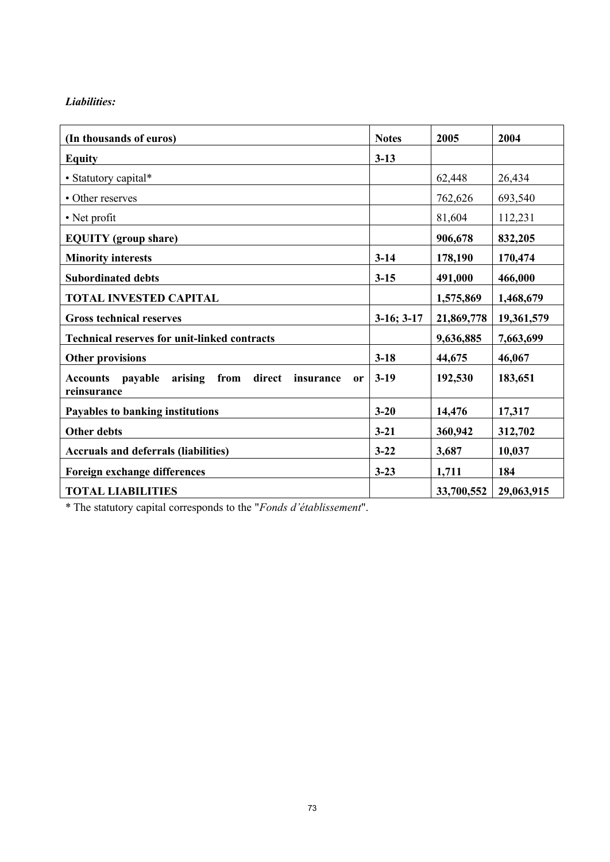## *Liabilities:*

| (In thousands of euros)                                                                              | <b>Notes</b> | 2005       | 2004       |
|------------------------------------------------------------------------------------------------------|--------------|------------|------------|
| <b>Equity</b>                                                                                        | $3 - 13$     |            |            |
| • Statutory capital*                                                                                 |              | 62,448     | 26,434     |
| • Other reserves                                                                                     |              | 762,626    | 693,540    |
| • Net profit                                                                                         |              | 81,604     | 112,231    |
| <b>EQUITY</b> (group share)                                                                          |              | 906,678    | 832,205    |
| <b>Minority interests</b>                                                                            | $3 - 14$     | 178,190    | 170,474    |
| <b>Subordinated debts</b>                                                                            | $3 - 15$     | 491,000    | 466,000    |
| <b>TOTAL INVESTED CAPITAL</b>                                                                        |              | 1,575,869  | 1,468,679  |
| <b>Gross technical reserves</b>                                                                      | $3-16; 3-17$ | 21,869,778 | 19,361,579 |
| <b>Technical reserves for unit-linked contracts</b>                                                  |              | 9,636,885  | 7,663,699  |
| <b>Other provisions</b>                                                                              | $3 - 18$     | 44,675     | 46,067     |
| direct<br>arising<br>from<br>payable<br>insurance<br><b>Accounts</b><br><sub>or</sub><br>reinsurance | $3-19$       | 192,530    | 183,651    |
| Payables to banking institutions                                                                     | $3 - 20$     | 14,476     | 17,317     |
| <b>Other debts</b>                                                                                   | $3 - 21$     | 360,942    | 312,702    |
| <b>Accruals and deferrals (liabilities)</b>                                                          | $3 - 22$     | 3,687      | 10,037     |
| Foreign exchange differences                                                                         | $3 - 23$     | 1,711      | 184        |
| <b>TOTAL LIABILITIES</b>                                                                             |              | 33,700,552 | 29,063,915 |

\* The statutory capital corresponds to the "*Fonds d'établissement*".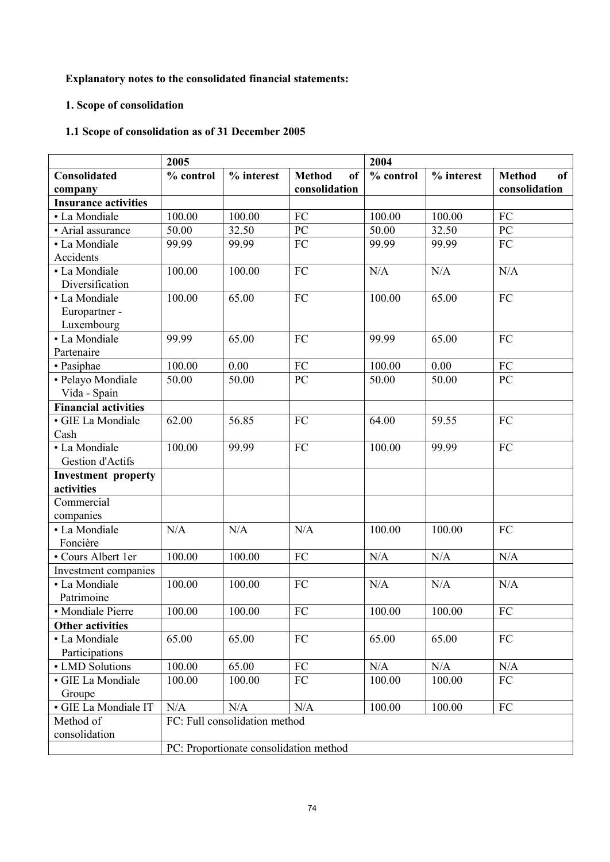# **Explanatory notes to the consolidated financial statements:**

## **1. Scope of consolidation**

# **1.1 Scope of consolidation as of 31 December 2005**

|                             | 2005      |                                        |                                | 2004      |            |                     |
|-----------------------------|-----------|----------------------------------------|--------------------------------|-----------|------------|---------------------|
| Consolidated                | % control | $%$ interest                           | <b>Method</b><br><sub>of</sub> | % control | % interest | <b>Method</b><br>of |
| company                     |           |                                        | consolidation                  |           |            | consolidation       |
| <b>Insurance activities</b> |           |                                        |                                |           |            |                     |
| • La Mondiale               | 100.00    | 100.00                                 | FC                             | 100.00    | 100.00     | FC                  |
| • Arial assurance           | 50.00     | 32.50                                  | PC                             | 50.00     | 32.50      | PC                  |
| • La Mondiale               | 99.99     | 99.99                                  | FC                             | 99.99     | 99.99      | FC                  |
| Accidents                   |           |                                        |                                |           |            |                     |
| • La Mondiale               | 100.00    | 100.00                                 | FC                             | N/A       | N/A        | N/A                 |
| Diversification             |           |                                        |                                |           |            |                     |
| • La Mondiale               | 100.00    | 65.00                                  | FC                             | 100.00    | 65.00      | FC                  |
| Europartner -               |           |                                        |                                |           |            |                     |
| Luxembourg                  |           |                                        |                                |           |            |                     |
| • La Mondiale               | 99.99     | 65.00                                  | FC                             | 99.99     | 65.00      | FC                  |
| Partenaire                  |           |                                        |                                |           |            |                     |
| • Pasiphae                  | 100.00    | 0.00                                   | FC                             | 100.00    | 0.00       | FC                  |
| · Pelayo Mondiale           | 50.00     | 50.00                                  | PC                             | 50.00     | 50.00      | PC                  |
| Vida - Spain                |           |                                        |                                |           |            |                     |
| <b>Financial activities</b> |           |                                        |                                |           |            |                     |
| · GIE La Mondiale           | 62.00     | 56.85                                  | FC                             | 64.00     | 59.55      | FC                  |
| Cash                        |           |                                        |                                |           |            |                     |
| • La Mondiale               | 100.00    | 99.99                                  | FC                             | 100.00    | 99.99      | FC                  |
| Gestion d'Actifs            |           |                                        |                                |           |            |                     |
| <b>Investment property</b>  |           |                                        |                                |           |            |                     |
| activities                  |           |                                        |                                |           |            |                     |
| Commercial                  |           |                                        |                                |           |            |                     |
| companies                   |           |                                        |                                |           |            |                     |
| • La Mondiale               | N/A       | N/A                                    | N/A                            | 100.00    | 100.00     | FC                  |
| Foncière                    |           |                                        |                                |           |            |                     |
| • Cours Albert 1er          | 100.00    | 100.00                                 | FC                             | N/A       | N/A        | N/A                 |
| Investment companies        |           |                                        |                                |           |            |                     |
| • La Mondiale               | 100.00    | 100.00                                 | FC                             | N/A       | N/A        | N/A                 |
| Patrimoine                  |           |                                        |                                |           |            |                     |
| • Mondiale Pierre           | 100.00    | 100.00                                 | FC                             | 100.00    | $100.00\,$ | FC                  |
| <b>Other activities</b>     |           |                                        |                                |           |            |                     |
| • La Mondiale               | 65.00     | 65.00                                  | FC                             | 65.00     | 65.00      | ${\rm FC}$          |
| Participations              |           |                                        |                                |           |            |                     |
| • LMD Solutions             | 100.00    | 65.00                                  | FC                             | N/A       | N/A        | N/A                 |
| · GIE La Mondiale           | 100.00    | 100.00                                 | FC                             | 100.00    | 100.00     | FC                  |
| Groupe                      |           |                                        |                                |           |            |                     |
| · GIE La Mondiale IT        | N/A       | N/A                                    | N/A                            | 100.00    | 100.00     | FC                  |
| Method of                   |           | FC: Full consolidation method          |                                |           |            |                     |
| consolidation               |           |                                        |                                |           |            |                     |
|                             |           | PC: Proportionate consolidation method |                                |           |            |                     |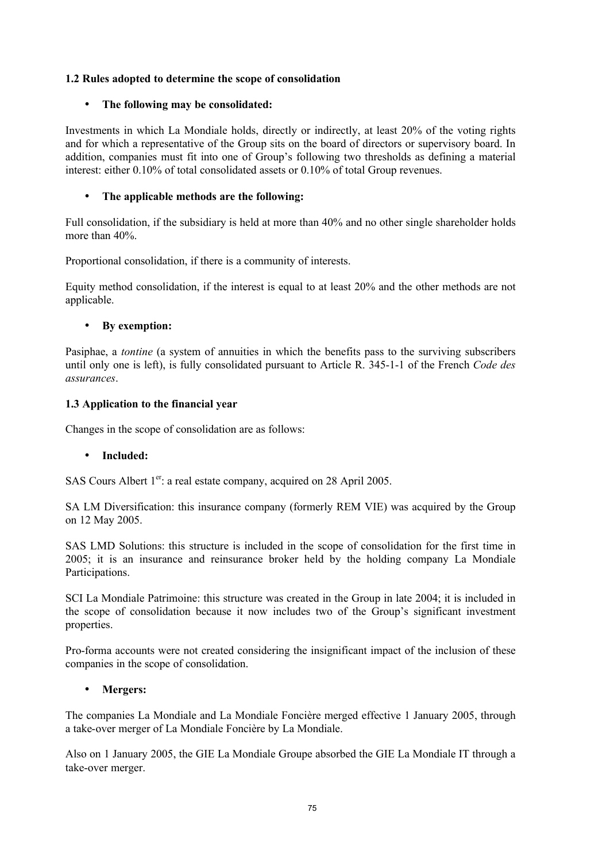#### **1.2 Rules adopted to determine the scope of consolidation**

#### • **The following may be consolidated:**

Investments in which La Mondiale holds, directly or indirectly, at least 20% of the voting rights and for which a representative of the Group sits on the board of directors or supervisory board. In addition, companies must fit into one of Group's following two thresholds as defining a material interest: either 0.10% of total consolidated assets or 0.10% of total Group revenues.

#### • **The applicable methods are the following:**

Full consolidation, if the subsidiary is held at more than 40% and no other single shareholder holds more than 40%.

Proportional consolidation, if there is a community of interests.

Equity method consolidation, if the interest is equal to at least 20% and the other methods are not applicable.

#### • **By exemption:**

Pasiphae, a *tontine* (a system of annuities in which the benefits pass to the surviving subscribers until only one is left), is fully consolidated pursuant to Article R. 345-1-1 of the French *Code des assurances*.

#### **1.3 Application to the financial year**

Changes in the scope of consolidation are as follows:

### • **Included:**

SAS Cours Albert 1<sup>er</sup>: a real estate company, acquired on 28 April 2005.

SA LM Diversification: this insurance company (formerly REM VIE) was acquired by the Group on 12 May 2005.

SAS LMD Solutions: this structure is included in the scope of consolidation for the first time in 2005; it is an insurance and reinsurance broker held by the holding company La Mondiale Participations.

SCI La Mondiale Patrimoine: this structure was created in the Group in late 2004; it is included in the scope of consolidation because it now includes two of the Group's significant investment properties.

Pro-forma accounts were not created considering the insignificant impact of the inclusion of these companies in the scope of consolidation.

#### • **Mergers:**

The companies La Mondiale and La Mondiale Foncière merged effective 1 January 2005, through a take-over merger of La Mondiale Foncière by La Mondiale.

Also on 1 January 2005, the GIE La Mondiale Groupe absorbed the GIE La Mondiale IT through a take-over merger.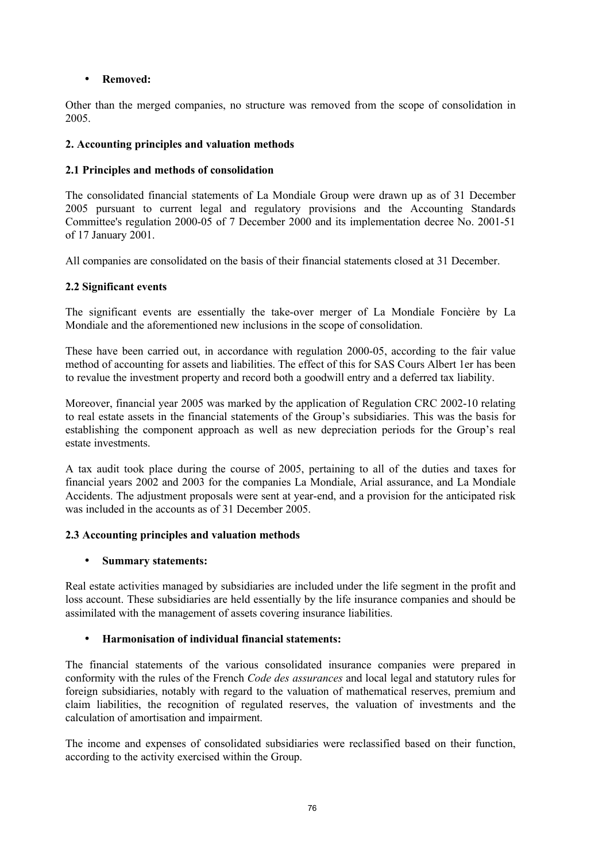## • **Removed:**

Other than the merged companies, no structure was removed from the scope of consolidation in 2005.

## **2. Accounting principles and valuation methods**

# **2.1 Principles and methods of consolidation**

The consolidated financial statements of La Mondiale Group were drawn up as of 31 December 2005 pursuant to current legal and regulatory provisions and the Accounting Standards Committee's regulation 2000-05 of 7 December 2000 and its implementation decree No. 2001-51 of 17 January 2001.

All companies are consolidated on the basis of their financial statements closed at 31 December.

## **2.2 Significant events**

The significant events are essentially the take-over merger of La Mondiale Foncière by La Mondiale and the aforementioned new inclusions in the scope of consolidation.

These have been carried out, in accordance with regulation 2000-05, according to the fair value method of accounting for assets and liabilities. The effect of this for SAS Cours Albert 1er has been to revalue the investment property and record both a goodwill entry and a deferred tax liability.

Moreover, financial year 2005 was marked by the application of Regulation CRC 2002-10 relating to real estate assets in the financial statements of the Group's subsidiaries. This was the basis for establishing the component approach as well as new depreciation periods for the Group's real estate investments.

A tax audit took place during the course of 2005, pertaining to all of the duties and taxes for financial years 2002 and 2003 for the companies La Mondiale, Arial assurance, and La Mondiale Accidents. The adjustment proposals were sent at year-end, and a provision for the anticipated risk was included in the accounts as of 31 December 2005.

# **2.3 Accounting principles and valuation methods**

### • **Summary statements:**

Real estate activities managed by subsidiaries are included under the life segment in the profit and loss account. These subsidiaries are held essentially by the life insurance companies and should be assimilated with the management of assets covering insurance liabilities.

# • **Harmonisation of individual financial statements:**

The financial statements of the various consolidated insurance companies were prepared in conformity with the rules of the French *Code des assurances* and local legal and statutory rules for foreign subsidiaries, notably with regard to the valuation of mathematical reserves, premium and claim liabilities, the recognition of regulated reserves, the valuation of investments and the calculation of amortisation and impairment.

The income and expenses of consolidated subsidiaries were reclassified based on their function, according to the activity exercised within the Group.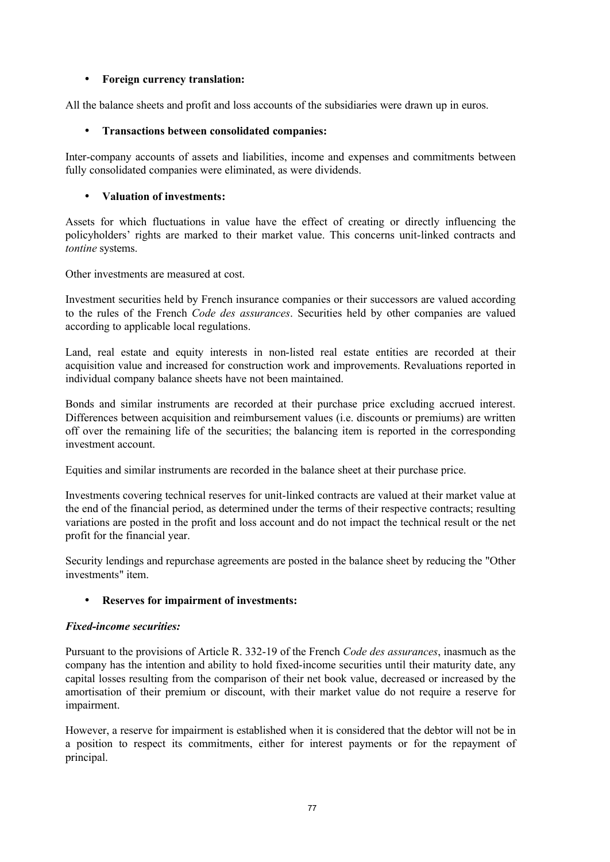#### • **Foreign currency translation:**

All the balance sheets and profit and loss accounts of the subsidiaries were drawn up in euros.

### • **Transactions between consolidated companies:**

Inter-company accounts of assets and liabilities, income and expenses and commitments between fully consolidated companies were eliminated, as were dividends.

### • **Valuation of investments:**

Assets for which fluctuations in value have the effect of creating or directly influencing the policyholders' rights are marked to their market value. This concerns unit-linked contracts and *tontine* systems.

Other investments are measured at cost.

Investment securities held by French insurance companies or their successors are valued according to the rules of the French *Code des assurances*. Securities held by other companies are valued according to applicable local regulations.

Land, real estate and equity interests in non-listed real estate entities are recorded at their acquisition value and increased for construction work and improvements. Revaluations reported in individual company balance sheets have not been maintained.

Bonds and similar instruments are recorded at their purchase price excluding accrued interest. Differences between acquisition and reimbursement values (i.e. discounts or premiums) are written off over the remaining life of the securities; the balancing item is reported in the corresponding investment account.

Equities and similar instruments are recorded in the balance sheet at their purchase price.

Investments covering technical reserves for unit-linked contracts are valued at their market value at the end of the financial period, as determined under the terms of their respective contracts; resulting variations are posted in the profit and loss account and do not impact the technical result or the net profit for the financial year.

Security lendings and repurchase agreements are posted in the balance sheet by reducing the "Other investments" item.

### • **Reserves for impairment of investments:**

#### *Fixed-income securities:*

Pursuant to the provisions of Article R. 332-19 of the French *Code des assurances*, inasmuch as the company has the intention and ability to hold fixed-income securities until their maturity date, any capital losses resulting from the comparison of their net book value, decreased or increased by the amortisation of their premium or discount, with their market value do not require a reserve for impairment.

However, a reserve for impairment is established when it is considered that the debtor will not be in a position to respect its commitments, either for interest payments or for the repayment of principal.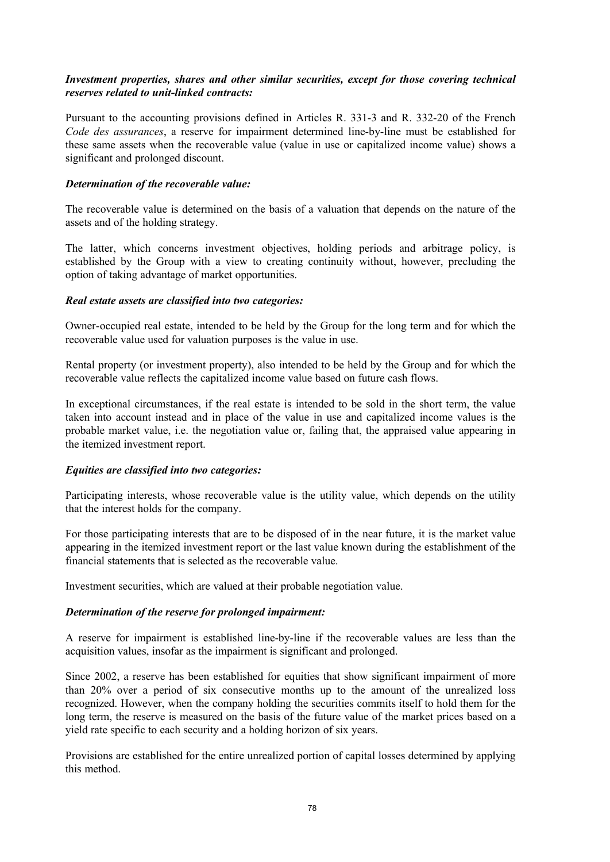#### *Investment properties, shares and other similar securities, except for those covering technical reserves related to unit-linked contracts:*

Pursuant to the accounting provisions defined in Articles R. 331-3 and R. 332-20 of the French *Code des assurances*, a reserve for impairment determined line-by-line must be established for these same assets when the recoverable value (value in use or capitalized income value) shows a significant and prolonged discount.

#### *Determination of the recoverable value:*

The recoverable value is determined on the basis of a valuation that depends on the nature of the assets and of the holding strategy.

The latter, which concerns investment objectives, holding periods and arbitrage policy, is established by the Group with a view to creating continuity without, however, precluding the option of taking advantage of market opportunities.

#### *Real estate assets are classified into two categories:*

Owner-occupied real estate, intended to be held by the Group for the long term and for which the recoverable value used for valuation purposes is the value in use.

Rental property (or investment property), also intended to be held by the Group and for which the recoverable value reflects the capitalized income value based on future cash flows.

In exceptional circumstances, if the real estate is intended to be sold in the short term, the value taken into account instead and in place of the value in use and capitalized income values is the probable market value, i.e. the negotiation value or, failing that, the appraised value appearing in the itemized investment report.

#### *Equities are classified into two categories:*

Participating interests, whose recoverable value is the utility value, which depends on the utility that the interest holds for the company.

For those participating interests that are to be disposed of in the near future, it is the market value appearing in the itemized investment report or the last value known during the establishment of the financial statements that is selected as the recoverable value.

Investment securities, which are valued at their probable negotiation value.

### *Determination of the reserve for prolonged impairment:*

A reserve for impairment is established line-by-line if the recoverable values are less than the acquisition values, insofar as the impairment is significant and prolonged.

Since 2002, a reserve has been established for equities that show significant impairment of more than 20% over a period of six consecutive months up to the amount of the unrealized loss recognized. However, when the company holding the securities commits itself to hold them for the long term, the reserve is measured on the basis of the future value of the market prices based on a yield rate specific to each security and a holding horizon of six years.

Provisions are established for the entire unrealized portion of capital losses determined by applying this method.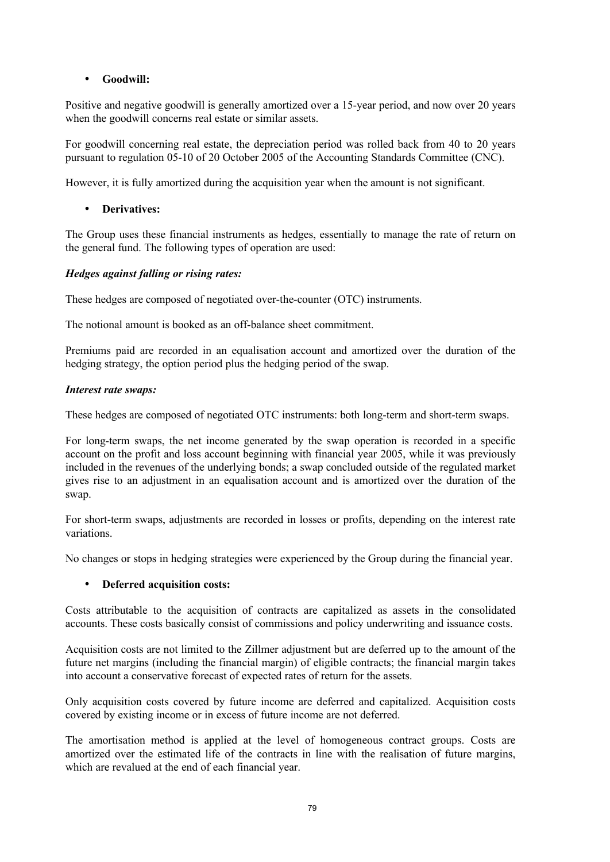## • **Goodwill:**

Positive and negative goodwill is generally amortized over a 15-year period, and now over 20 years when the goodwill concerns real estate or similar assets.

For goodwill concerning real estate, the depreciation period was rolled back from 40 to 20 years pursuant to regulation 05-10 of 20 October 2005 of the Accounting Standards Committee (CNC).

However, it is fully amortized during the acquisition year when the amount is not significant.

# • **Derivatives:**

The Group uses these financial instruments as hedges, essentially to manage the rate of return on the general fund. The following types of operation are used:

## *Hedges against falling or rising rates:*

These hedges are composed of negotiated over-the-counter (OTC) instruments.

The notional amount is booked as an off-balance sheet commitment.

Premiums paid are recorded in an equalisation account and amortized over the duration of the hedging strategy, the option period plus the hedging period of the swap.

## *Interest rate swaps:*

These hedges are composed of negotiated OTC instruments: both long-term and short-term swaps.

For long-term swaps, the net income generated by the swap operation is recorded in a specific account on the profit and loss account beginning with financial year 2005, while it was previously included in the revenues of the underlying bonds; a swap concluded outside of the regulated market gives rise to an adjustment in an equalisation account and is amortized over the duration of the swap.

For short-term swaps, adjustments are recorded in losses or profits, depending on the interest rate variations.

No changes or stops in hedging strategies were experienced by the Group during the financial year.

# • **Deferred acquisition costs:**

Costs attributable to the acquisition of contracts are capitalized as assets in the consolidated accounts. These costs basically consist of commissions and policy underwriting and issuance costs.

Acquisition costs are not limited to the Zillmer adjustment but are deferred up to the amount of the future net margins (including the financial margin) of eligible contracts; the financial margin takes into account a conservative forecast of expected rates of return for the assets.

Only acquisition costs covered by future income are deferred and capitalized. Acquisition costs covered by existing income or in excess of future income are not deferred.

The amortisation method is applied at the level of homogeneous contract groups. Costs are amortized over the estimated life of the contracts in line with the realisation of future margins, which are revalued at the end of each financial year.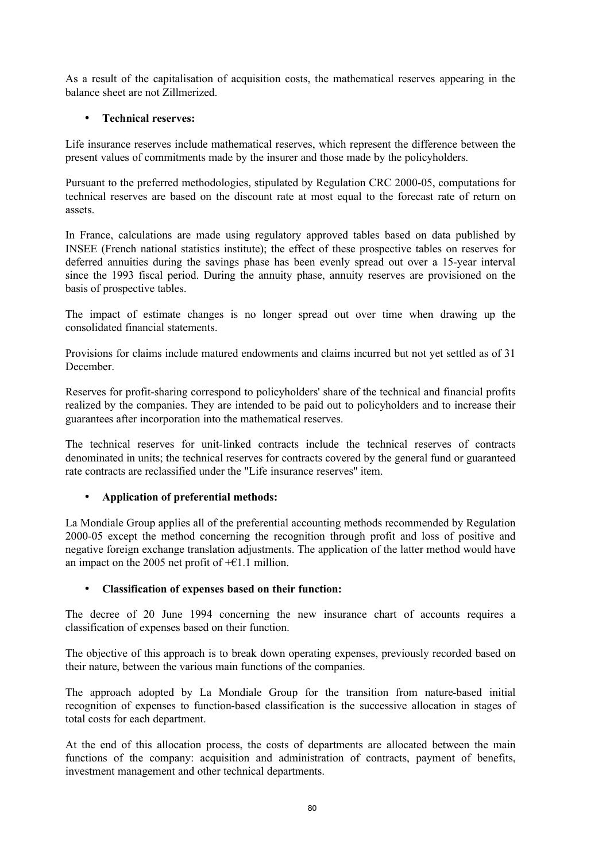As a result of the capitalisation of acquisition costs, the mathematical reserves appearing in the balance sheet are not Zillmerized.

## • **Technical reserves:**

Life insurance reserves include mathematical reserves, which represent the difference between the present values of commitments made by the insurer and those made by the policyholders.

Pursuant to the preferred methodologies, stipulated by Regulation CRC 2000-05, computations for technical reserves are based on the discount rate at most equal to the forecast rate of return on assets.

In France, calculations are made using regulatory approved tables based on data published by INSEE (French national statistics institute); the effect of these prospective tables on reserves for deferred annuities during the savings phase has been evenly spread out over a 15-year interval since the 1993 fiscal period. During the annuity phase, annuity reserves are provisioned on the basis of prospective tables.

The impact of estimate changes is no longer spread out over time when drawing up the consolidated financial statements.

Provisions for claims include matured endowments and claims incurred but not yet settled as of 31 December.

Reserves for profit-sharing correspond to policyholders' share of the technical and financial profits realized by the companies. They are intended to be paid out to policyholders and to increase their guarantees after incorporation into the mathematical reserves.

The technical reserves for unit-linked contracts include the technical reserves of contracts denominated in units; the technical reserves for contracts covered by the general fund or guaranteed rate contracts are reclassified under the "Life insurance reserves" item.

### • **Application of preferential methods:**

La Mondiale Group applies all of the preferential accounting methods recommended by Regulation 2000-05 except the method concerning the recognition through profit and loss of positive and negative foreign exchange translation adjustments. The application of the latter method would have an impact on the 2005 net profit of  $+ \epsilon$ 1.1 million.

### • **Classification of expenses based on their function:**

The decree of 20 June 1994 concerning the new insurance chart of accounts requires a classification of expenses based on their function.

The objective of this approach is to break down operating expenses, previously recorded based on their nature, between the various main functions of the companies.

The approach adopted by La Mondiale Group for the transition from nature-based initial recognition of expenses to function-based classification is the successive allocation in stages of total costs for each department.

At the end of this allocation process, the costs of departments are allocated between the main functions of the company: acquisition and administration of contracts, payment of benefits, investment management and other technical departments.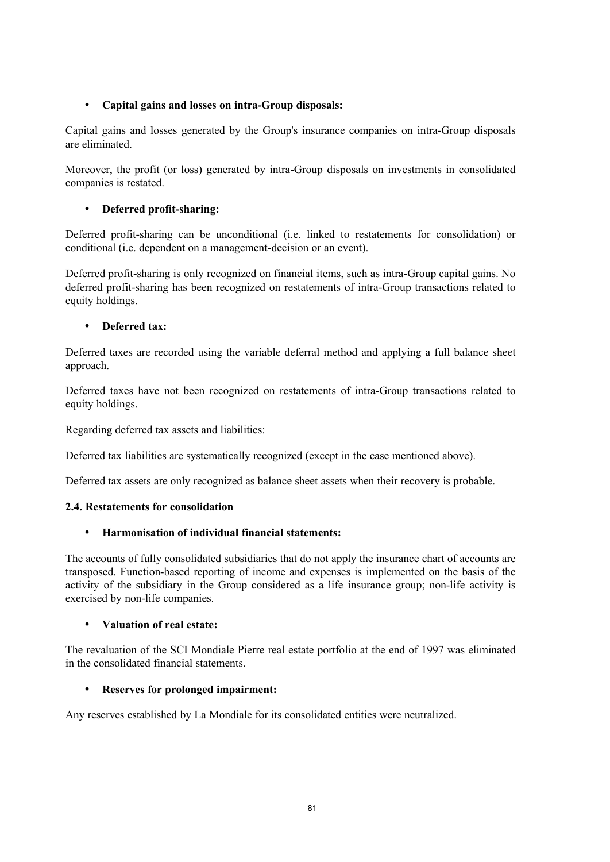## • **Capital gains and losses on intra-Group disposals:**

Capital gains and losses generated by the Group's insurance companies on intra-Group disposals are eliminated.

Moreover, the profit (or loss) generated by intra-Group disposals on investments in consolidated companies is restated.

## • **Deferred profit-sharing:**

Deferred profit-sharing can be unconditional (i.e. linked to restatements for consolidation) or conditional (i.e. dependent on a management-decision or an event).

Deferred profit-sharing is only recognized on financial items, such as intra-Group capital gains. No deferred profit-sharing has been recognized on restatements of intra-Group transactions related to equity holdings.

### • **Deferred tax:**

Deferred taxes are recorded using the variable deferral method and applying a full balance sheet approach.

Deferred taxes have not been recognized on restatements of intra-Group transactions related to equity holdings.

Regarding deferred tax assets and liabilities:

Deferred tax liabilities are systematically recognized (except in the case mentioned above).

Deferred tax assets are only recognized as balance sheet assets when their recovery is probable.

### **2.4. Restatements for consolidation**

### • **Harmonisation of individual financial statements:**

The accounts of fully consolidated subsidiaries that do not apply the insurance chart of accounts are transposed. Function-based reporting of income and expenses is implemented on the basis of the activity of the subsidiary in the Group considered as a life insurance group; non-life activity is exercised by non-life companies.

### • **Valuation of real estate:**

The revaluation of the SCI Mondiale Pierre real estate portfolio at the end of 1997 was eliminated in the consolidated financial statements.

### • **Reserves for prolonged impairment:**

Any reserves established by La Mondiale for its consolidated entities were neutralized.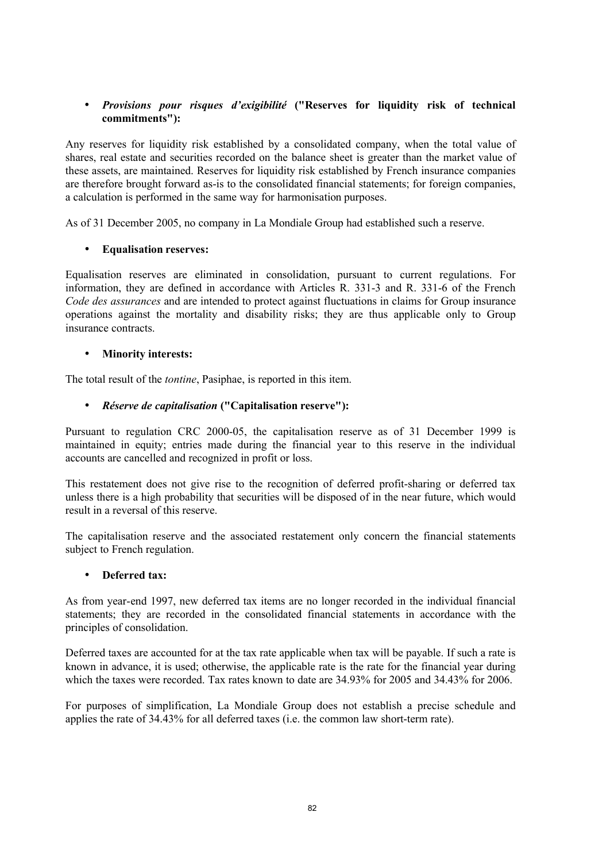## • *Provisions pour risques d'exigibilité* **("Reserves for liquidity risk of technical commitments"):**

Any reserves for liquidity risk established by a consolidated company, when the total value of shares, real estate and securities recorded on the balance sheet is greater than the market value of these assets, are maintained. Reserves for liquidity risk established by French insurance companies are therefore brought forward as-is to the consolidated financial statements; for foreign companies, a calculation is performed in the same way for harmonisation purposes.

As of 31 December 2005, no company in La Mondiale Group had established such a reserve.

### • **Equalisation reserves:**

Equalisation reserves are eliminated in consolidation, pursuant to current regulations. For information, they are defined in accordance with Articles R. 331-3 and R. 331-6 of the French *Code des assurances* and are intended to protect against fluctuations in claims for Group insurance operations against the mortality and disability risks; they are thus applicable only to Group insurance contracts.

#### • **Minority interests:**

The total result of the *tontine*, Pasiphae, is reported in this item.

### • *Réserve de capitalisation* **("Capitalisation reserve"):**

Pursuant to regulation CRC 2000-05, the capitalisation reserve as of 31 December 1999 is maintained in equity; entries made during the financial year to this reserve in the individual accounts are cancelled and recognized in profit or loss.

This restatement does not give rise to the recognition of deferred profit-sharing or deferred tax unless there is a high probability that securities will be disposed of in the near future, which would result in a reversal of this reserve.

The capitalisation reserve and the associated restatement only concern the financial statements subject to French regulation.

#### • **Deferred tax:**

As from year-end 1997, new deferred tax items are no longer recorded in the individual financial statements; they are recorded in the consolidated financial statements in accordance with the principles of consolidation.

Deferred taxes are accounted for at the tax rate applicable when tax will be payable. If such a rate is known in advance, it is used; otherwise, the applicable rate is the rate for the financial year during which the taxes were recorded. Tax rates known to date are 34.93% for 2005 and 34.43% for 2006.

For purposes of simplification, La Mondiale Group does not establish a precise schedule and applies the rate of 34.43% for all deferred taxes (i.e. the common law short-term rate).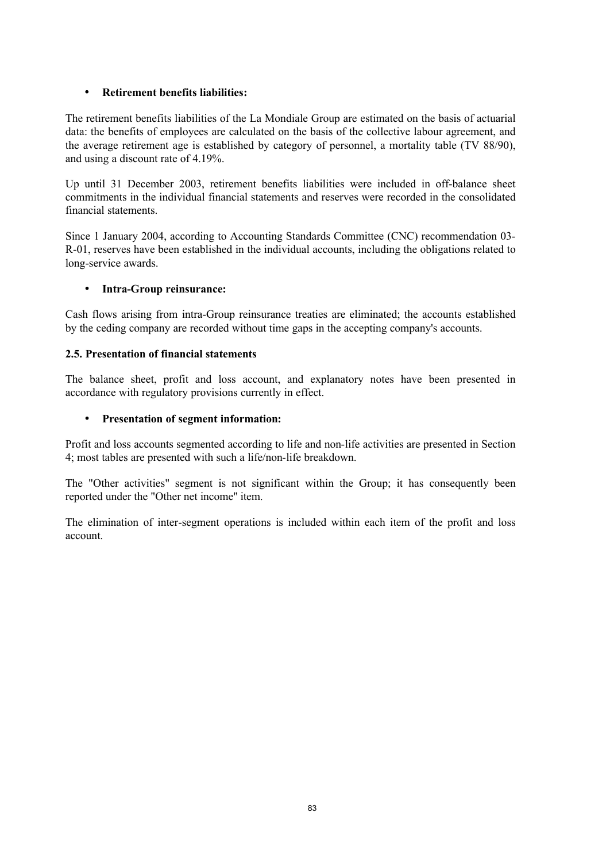## • **Retirement benefits liabilities:**

The retirement benefits liabilities of the La Mondiale Group are estimated on the basis of actuarial data: the benefits of employees are calculated on the basis of the collective labour agreement, and the average retirement age is established by category of personnel, a mortality table (TV 88/90), and using a discount rate of 4.19%.

Up until 31 December 2003, retirement benefits liabilities were included in off-balance sheet commitments in the individual financial statements and reserves were recorded in the consolidated financial statements.

Since 1 January 2004, according to Accounting Standards Committee (CNC) recommendation 03- R-01, reserves have been established in the individual accounts, including the obligations related to long-service awards.

### • **Intra-Group reinsurance:**

Cash flows arising from intra-Group reinsurance treaties are eliminated; the accounts established by the ceding company are recorded without time gaps in the accepting company's accounts.

### **2.5. Presentation of financial statements**

The balance sheet, profit and loss account, and explanatory notes have been presented in accordance with regulatory provisions currently in effect.

### • **Presentation of segment information:**

Profit and loss accounts segmented according to life and non-life activities are presented in Section 4; most tables are presented with such a life/non-life breakdown.

The "Other activities" segment is not significant within the Group; it has consequently been reported under the "Other net income" item.

The elimination of inter-segment operations is included within each item of the profit and loss account.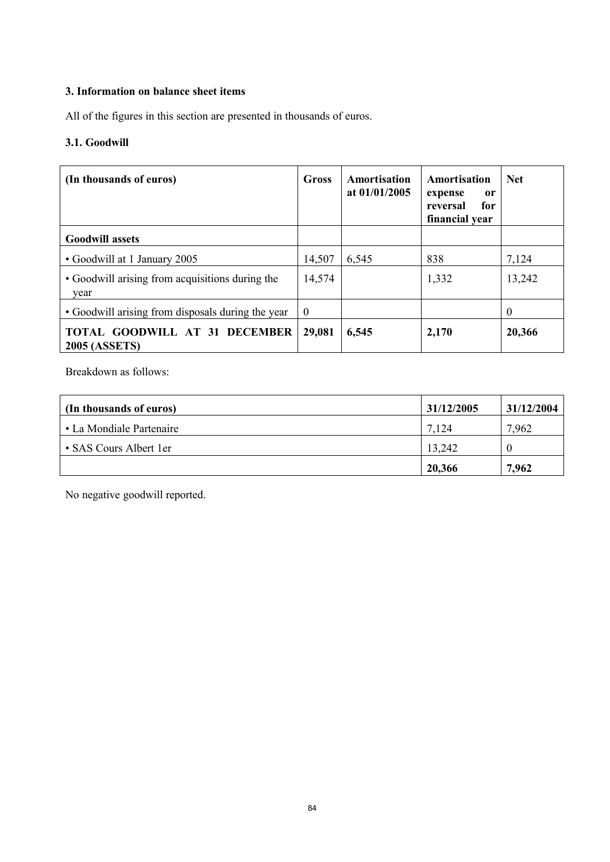# **3. Information on balance sheet items**

All of the figures in this section are presented in thousands of euros.

# **3.1. Goodwill**

| (In thousands of euros)                                 | Gross    | Amortisation<br>at $01/01/2005$ | Amortisation<br>expense<br>or<br>reversal<br>for<br>financial year | <b>Net</b> |
|---------------------------------------------------------|----------|---------------------------------|--------------------------------------------------------------------|------------|
| <b>Goodwill assets</b>                                  |          |                                 |                                                                    |            |
| • Goodwill at 1 January 2005                            | 14,507   | 6,545                           | 838                                                                | 7,124      |
| • Goodwill arising from acquisitions during the<br>year | 14,574   |                                 | 1,332                                                              | 13,242     |
| • Goodwill arising from disposals during the year       | $\theta$ |                                 |                                                                    | $\theta$   |
| TOTAL GOODWILL AT 31 DECEMBER<br><b>2005 (ASSETS)</b>   | 29,081   | 6,545                           | 2,170                                                              | 20,366     |

Breakdown as follows:

| (In thousands of euros)  | 31/12/2005 | 31/12/2004 |
|--------------------------|------------|------------|
| • La Mondiale Partenaire | 7.124      | 7,962      |
| • SAS Cours Albert 1er   | 13,242     |            |
|                          | 20,366     | 7,962      |

No negative goodwill reported.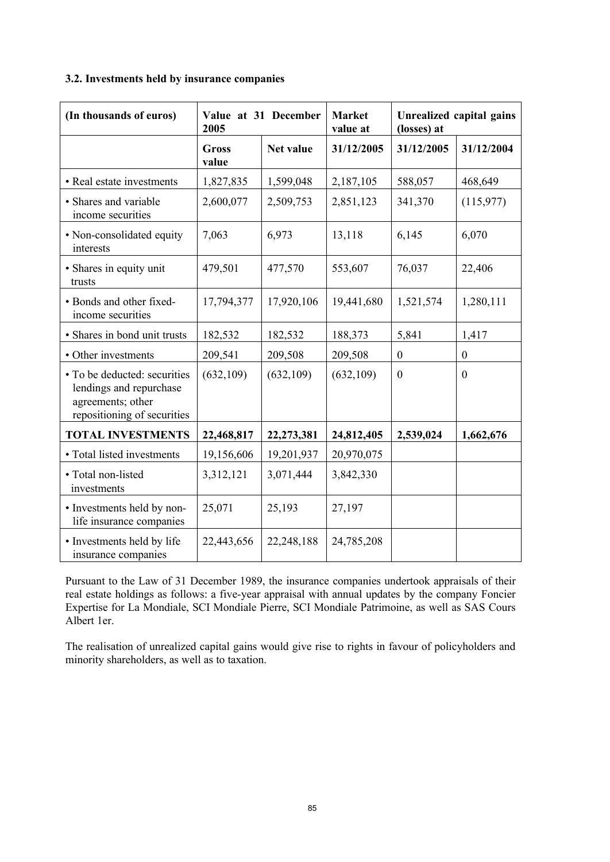#### **3.2. Investments held by insurance companies**

| (In thousands of euros)                                                                                     | Value at 31 December<br>2005 |            | <b>Market</b><br>value at |                  | <b>Unrealized capital gains</b><br>(losses) at |  |
|-------------------------------------------------------------------------------------------------------------|------------------------------|------------|---------------------------|------------------|------------------------------------------------|--|
|                                                                                                             | <b>Gross</b><br>value        | Net value  | 31/12/2005                | 31/12/2005       | 31/12/2004                                     |  |
| • Real estate investments                                                                                   | 1,827,835                    | 1,599,048  | 2,187,105                 | 588,057          | 468,649                                        |  |
| • Shares and variable<br>income securities                                                                  | 2,600,077                    | 2,509,753  | 2,851,123                 | 341,370          | (115,977)                                      |  |
| • Non-consolidated equity<br>interests                                                                      | 7,063                        | 6,973      | 13,118                    | 6,145            | 6,070                                          |  |
| • Shares in equity unit<br>trusts                                                                           | 479,501                      | 477,570    | 553,607                   | 76,037           | 22,406                                         |  |
| • Bonds and other fixed-<br>income securities                                                               | 17,794,377                   | 17,920,106 | 19,441,680                | 1,521,574        | 1,280,111                                      |  |
| · Shares in bond unit trusts                                                                                | 182,532                      | 182,532    | 188,373                   | 5,841            | 1,417                                          |  |
| • Other investments                                                                                         | 209,541                      | 209,508    | 209,508                   | $\boldsymbol{0}$ | $\boldsymbol{0}$                               |  |
| • To be deducted: securities<br>lendings and repurchase<br>agreements; other<br>repositioning of securities | (632, 109)                   | (632, 109) | (632, 109)                | $\boldsymbol{0}$ | $\mathbf{0}$                                   |  |
| <b>TOTAL INVESTMENTS</b>                                                                                    | 22,468,817                   | 22,273,381 | 24,812,405                | 2,539,024        | 1,662,676                                      |  |
| • Total listed investments                                                                                  | 19,156,606                   | 19,201,937 | 20,970,075                |                  |                                                |  |
| · Total non-listed<br>investments                                                                           | 3,312,121                    | 3,071,444  | 3,842,330                 |                  |                                                |  |
| · Investments held by non-<br>life insurance companies                                                      | 25,071                       | 25,193     | 27,197                    |                  |                                                |  |
| • Investments held by life<br>insurance companies                                                           | 22,443,656                   | 22,248,188 | 24,785,208                |                  |                                                |  |

Pursuant to the Law of 31 December 1989, the insurance companies undertook appraisals of their real estate holdings as follows: a five-year appraisal with annual updates by the company Foncier Expertise for La Mondiale, SCI Mondiale Pierre, SCI Mondiale Patrimoine, as well as SAS Cours Albert 1er.

The realisation of unrealized capital gains would give rise to rights in favour of policyholders and minority shareholders, as well as to taxation.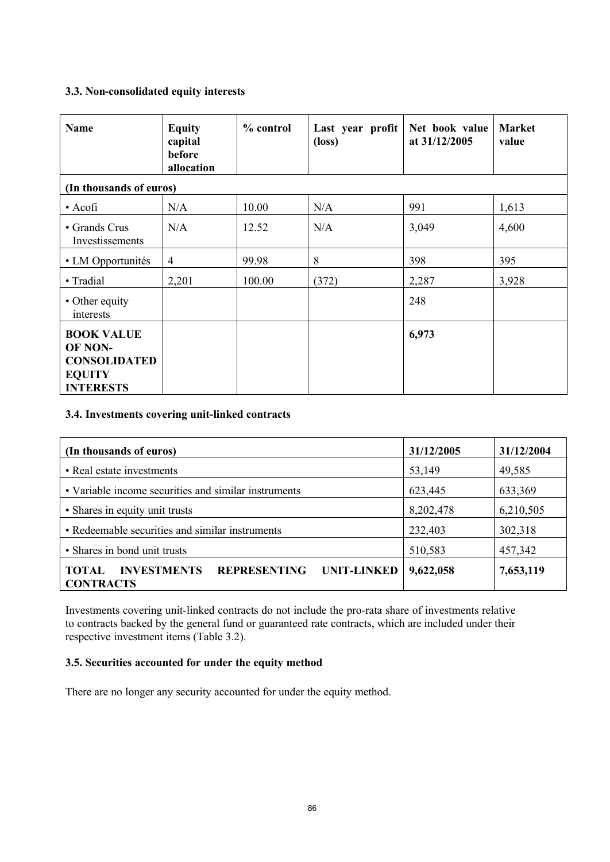### **3.3. Non-consolidated equity interests**

| <b>Name</b>                                                                              | <b>Equity</b><br>capital<br>before<br>allocation | $%$ control | Last year profit<br>$(\text{loss})$ | Net book value<br>at 31/12/2005 | <b>Market</b><br>value |
|------------------------------------------------------------------------------------------|--------------------------------------------------|-------------|-------------------------------------|---------------------------------|------------------------|
| (In thousands of euros)                                                                  |                                                  |             |                                     |                                 |                        |
| $\bullet$ Acofi                                                                          | N/A                                              | 10.00       | N/A                                 | 991                             | 1,613                  |
| • Grands Crus<br>Investissements                                                         | N/A                                              | 12.52       | N/A                                 | 3,049                           | 4,600                  |
| • LM Opportunités                                                                        | $\overline{4}$                                   | 99.98       | 8                                   | 398                             | 395                    |
| • Tradial                                                                                | 2,201                                            | 100.00      | (372)                               | 2,287                           | 3,928                  |
| • Other equity<br>interests                                                              |                                                  |             |                                     | 248                             |                        |
| <b>BOOK VALUE</b><br>OF NON-<br><b>CONSOLIDATED</b><br><b>EQUITY</b><br><b>INTERESTS</b> |                                                  |             |                                     | 6,973                           |                        |

### **3.4. Investments covering unit-linked contracts**

| (In thousands of euros)                                                                             | 31/12/2005 | 31/12/2004 |
|-----------------------------------------------------------------------------------------------------|------------|------------|
| • Real estate investments                                                                           | 53,149     | 49,585     |
| • Variable income securities and similar instruments                                                | 623,445    | 633,369    |
| • Shares in equity unit trusts                                                                      | 8,202,478  | 6,210,505  |
| • Redeemable securities and similar instruments                                                     | 232,403    | 302,318    |
| • Shares in bond unit trusts                                                                        | 510,583    | 457,342    |
| <b>REPRESENTING</b><br><b>INVESTMENTS</b><br><b>UNIT-LINKED</b><br><b>TOTAL</b><br><b>CONTRACTS</b> | 9,622,058  | 7,653,119  |

Investments covering unit-linked contracts do not include the pro-rata share of investments relative to contracts backed by the general fund or guaranteed rate contracts, which are included under their respective investment items (Table 3.2).

## **3.5. Securities accounted for under the equity method**

There are no longer any security accounted for under the equity method.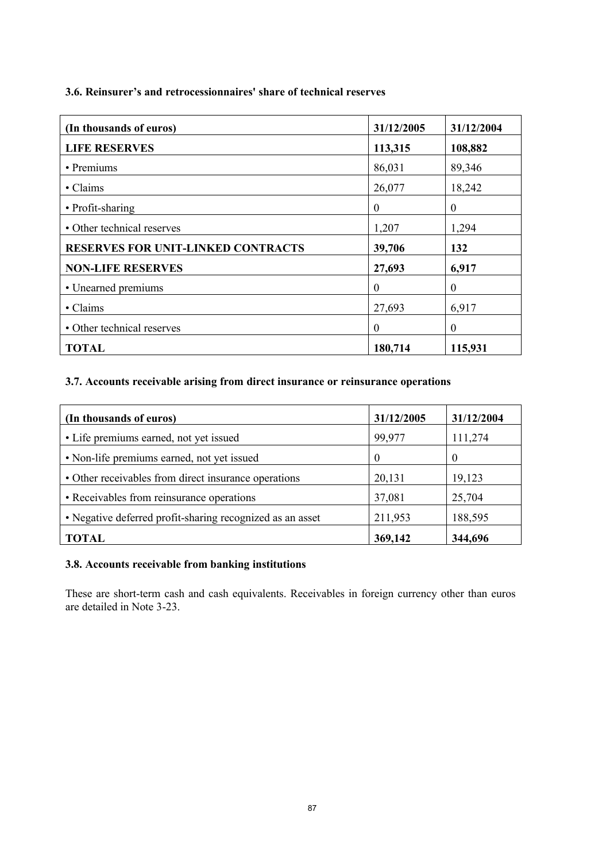#### **3.6. Reinsurer's and retrocessionnaires' share of technical reserves**

| (In thousands of euros)                   | 31/12/2005 | 31/12/2004       |
|-------------------------------------------|------------|------------------|
| <b>LIFE RESERVES</b>                      | 113,315    | 108,882          |
| • Premiums                                | 86,031     | 89,346           |
| • Claims                                  | 26,077     | 18,242           |
| • Profit-sharing                          | $\theta$   | $\boldsymbol{0}$ |
| • Other technical reserves                | 1,207      | 1,294            |
| <b>RESERVES FOR UNIT-LINKED CONTRACTS</b> | 39,706     | 132              |
| <b>NON-LIFE RESERVES</b>                  | 27,693     | 6,917            |
| • Unearned premiums                       | $\theta$   | $\theta$         |
| • Claims                                  | 27,693     | 6,917            |
| • Other technical reserves                | $\Omega$   | $\boldsymbol{0}$ |
| <b>TOTAL</b>                              | 180,714    | 115,931          |

# **3.7. Accounts receivable arising from direct insurance or reinsurance operations**

| (In thousands of euros)                                   | 31/12/2005 | 31/12/2004 |
|-----------------------------------------------------------|------------|------------|
| • Life premiums earned, not yet issued                    | 99,977     | 111,274    |
| • Non-life premiums earned, not yet issued                |            | $\theta$   |
| • Other receivables from direct insurance operations      | 20,131     | 19,123     |
| • Receivables from reinsurance operations                 | 37,081     | 25,704     |
| • Negative deferred profit-sharing recognized as an asset | 211,953    | 188,595    |
| <b>TOTAL</b>                                              | 369,142    | 344,696    |

### **3.8. Accounts receivable from banking institutions**

These are short-term cash and cash equivalents. Receivables in foreign currency other than euros are detailed in Note 3-23.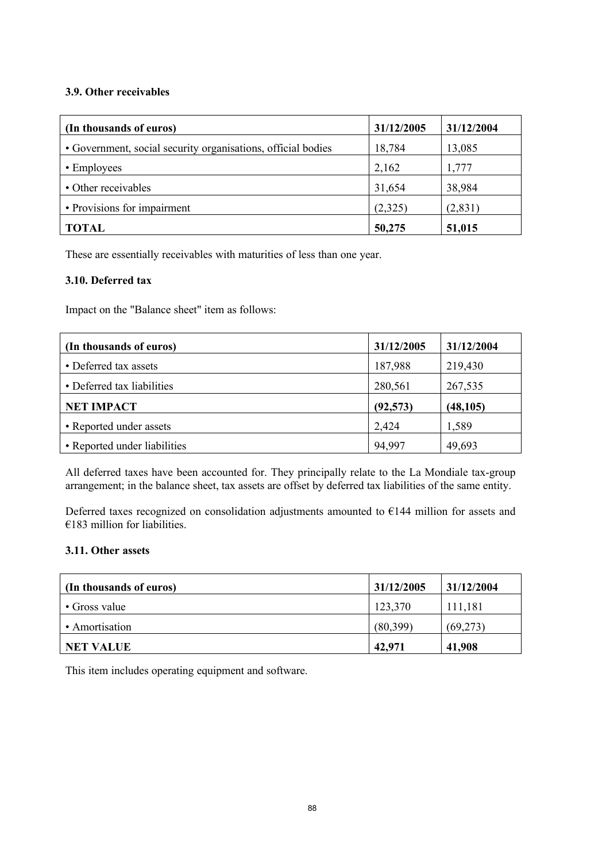### **3.9. Other receivables**

| (In thousands of euros)                                      | 31/12/2005 | 31/12/2004 |
|--------------------------------------------------------------|------------|------------|
| • Government, social security organisations, official bodies | 18,784     | 13,085     |
| • Employees                                                  | 2,162      | 1,777      |
| • Other receivables                                          | 31,654     | 38,984     |
| • Provisions for impairment                                  | (2,325)    | (2,831)    |
| <b>TOTAL</b>                                                 | 50,275     | 51,015     |

These are essentially receivables with maturities of less than one year.

### **3.10. Deferred tax**

Impact on the "Balance sheet" item as follows:

| (In thousands of euros)      | 31/12/2005 | 31/12/2004 |
|------------------------------|------------|------------|
| • Deferred tax assets        | 187,988    | 219,430    |
| • Deferred tax liabilities   | 280,561    | 267,535    |
| <b>NET IMPACT</b>            | (92, 573)  | (48, 105)  |
| • Reported under assets      | 2,424      | 1,589      |
| • Reported under liabilities | 94,997     | 49,693     |

All deferred taxes have been accounted for. They principally relate to the La Mondiale tax-group arrangement; in the balance sheet, tax assets are offset by deferred tax liabilities of the same entity.

Deferred taxes recognized on consolidation adjustments amounted to €144 million for assets and  $€183$  million for liabilities.

## **3.11. Other assets**

| (In thousands of euros) | 31/12/2005 | 31/12/2004 |
|-------------------------|------------|------------|
| • Gross value           | 123,370    | 111,181    |
| • Amortisation          | (80,399)   | (69,273)   |
| <b>NET VALUE</b>        | 42,971     | 41,908     |

This item includes operating equipment and software.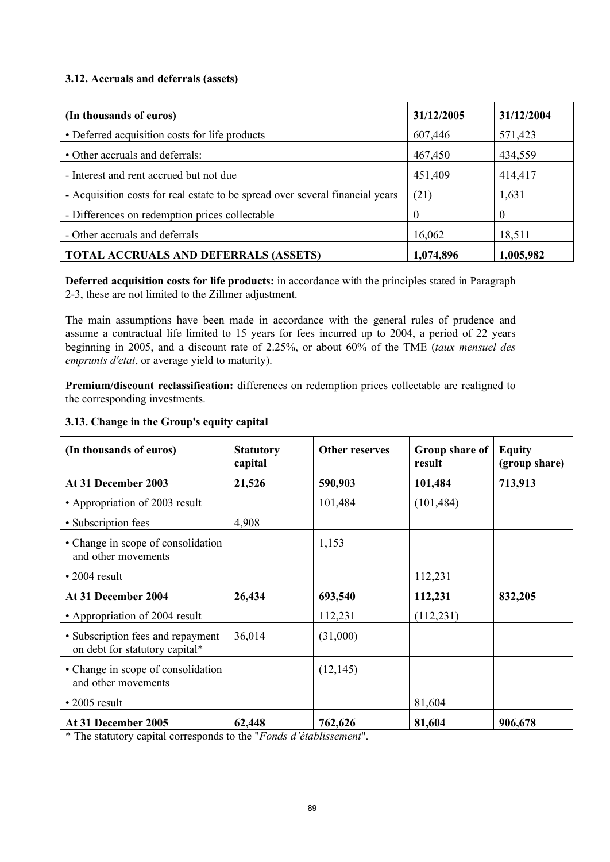### **3.12. Accruals and deferrals (assets)**

| (In thousands of euros)                                                       | 31/12/2005 | 31/12/2004 |
|-------------------------------------------------------------------------------|------------|------------|
| • Deferred acquisition costs for life products                                | 607,446    | 571,423    |
| • Other accruals and deferrals:                                               | 467,450    | 434,559    |
| - Interest and rent accrued but not due                                       | 451,409    | 414,417    |
| - Acquisition costs for real estate to be spread over several financial years | (21)       | 1,631      |
| - Differences on redemption prices collectable                                | $\Omega$   | $\theta$   |
| - Other accruals and deferrals                                                | 16,062     | 18,511     |
| <b>TOTAL ACCRUALS AND DEFERRALS (ASSETS)</b>                                  | 1,074,896  | 1,005,982  |

**Deferred acquisition costs for life products:** in accordance with the principles stated in Paragraph 2-3, these are not limited to the Zillmer adjustment.

The main assumptions have been made in accordance with the general rules of prudence and assume a contractual life limited to 15 years for fees incurred up to 2004, a period of 22 years beginning in 2005, and a discount rate of 2.25%, or about 60% of the TME (*taux mensuel des emprunts d'etat*, or average yield to maturity).

**Premium/discount reclassification:** differences on redemption prices collectable are realigned to the corresponding investments.

#### **3.13. Change in the Group's equity capital**

| (In thousands of euros)                                             | <b>Statutory</b><br>capital | <b>Other reserves</b> | Group share of<br>result | <b>Equity</b><br>(group share) |  |
|---------------------------------------------------------------------|-----------------------------|-----------------------|--------------------------|--------------------------------|--|
| At 31 December 2003                                                 | 21,526                      | 590,903               | 101,484                  | 713,913                        |  |
| • Appropriation of 2003 result                                      |                             | 101,484               | (101, 484)               |                                |  |
| • Subscription fees                                                 | 4,908                       |                       |                          |                                |  |
| • Change in scope of consolidation<br>and other movements           |                             | 1,153                 |                          |                                |  |
| $\cdot$ 2004 result                                                 |                             |                       | 112,231                  |                                |  |
| At 31 December 2004                                                 | 26,434                      | 693,540               | 112,231                  | 832,205                        |  |
| • Appropriation of 2004 result                                      |                             | 112,231               | (112, 231)               |                                |  |
| • Subscription fees and repayment<br>on debt for statutory capital* | 36,014                      | (31,000)              |                          |                                |  |
| • Change in scope of consolidation<br>and other movements           |                             | (12, 145)             |                          |                                |  |
| $\cdot$ 2005 result                                                 |                             |                       | 81,604                   |                                |  |
| At 31 December 2005                                                 | 62,448                      | 762,626               | 81,604                   | 906,678                        |  |

\* The statutory capital corresponds to the "*Fonds d'établissement*".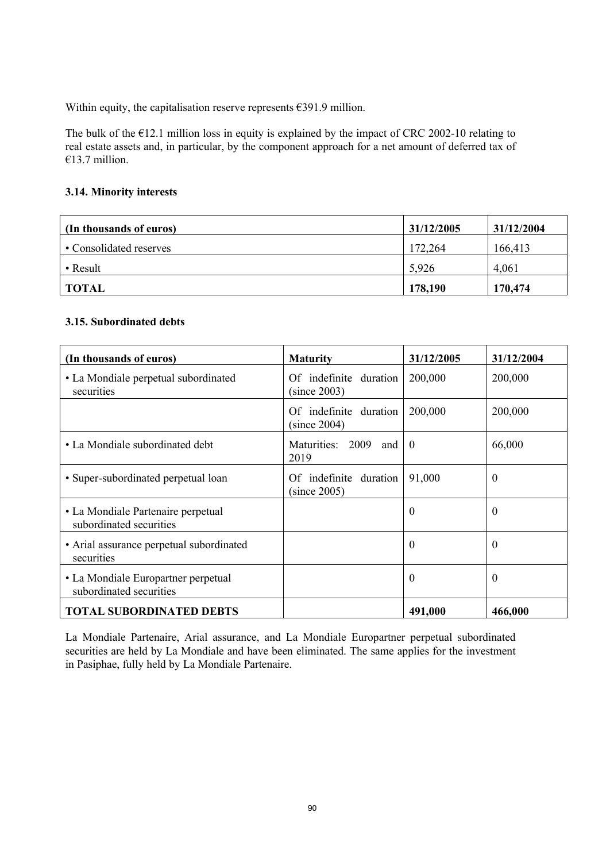Within equity, the capitalisation reserve represents  $\epsilon$ 391.9 million.

The bulk of the  $E12.1$  million loss in equity is explained by the impact of CRC 2002-10 relating to real estate assets and, in particular, by the component approach for a net amount of deferred tax of €13.7 million.

### **3.14. Minority interests**

| (In thousands of euros) | 31/12/2005 | 31/12/2004 |
|-------------------------|------------|------------|
| • Consolidated reserves | 172,264    | 166,413    |
| • Result                | 5,926      | 4,061      |
| TOTAL                   | 178,190    | 170,474    |

### **3.15. Subordinated debts**

| (In thousands of euros)                                        | <b>Maturity</b>                        | 31/12/2005 | 31/12/2004       |
|----------------------------------------------------------------|----------------------------------------|------------|------------------|
| • La Mondiale perpetual subordinated<br>securities             | Of indefinite duration<br>(since 2003) | 200,000    | 200,000          |
|                                                                | Of indefinite duration<br>(since 2004) | 200,000    | 200,000          |
| • La Mondiale subordinated debt                                | Maturities: 2009<br>and<br>2019        | $\theta$   | 66,000           |
| • Super-subordinated perpetual loan                            | Of indefinite duration<br>(since 2005) | 91,000     | $\boldsymbol{0}$ |
| • La Mondiale Partenaire perpetual<br>subordinated securities  |                                        | $\theta$   | $\theta$         |
| • Arial assurance perpetual subordinated<br>securities         |                                        | $\theta$   | $\theta$         |
| • La Mondiale Europartner perpetual<br>subordinated securities |                                        | $\Omega$   | $\theta$         |
| <b>TOTAL SUBORDINATED DEBTS</b>                                |                                        | 491,000    | 466,000          |

La Mondiale Partenaire, Arial assurance, and La Mondiale Europartner perpetual subordinated securities are held by La Mondiale and have been eliminated. The same applies for the investment in Pasiphae, fully held by La Mondiale Partenaire.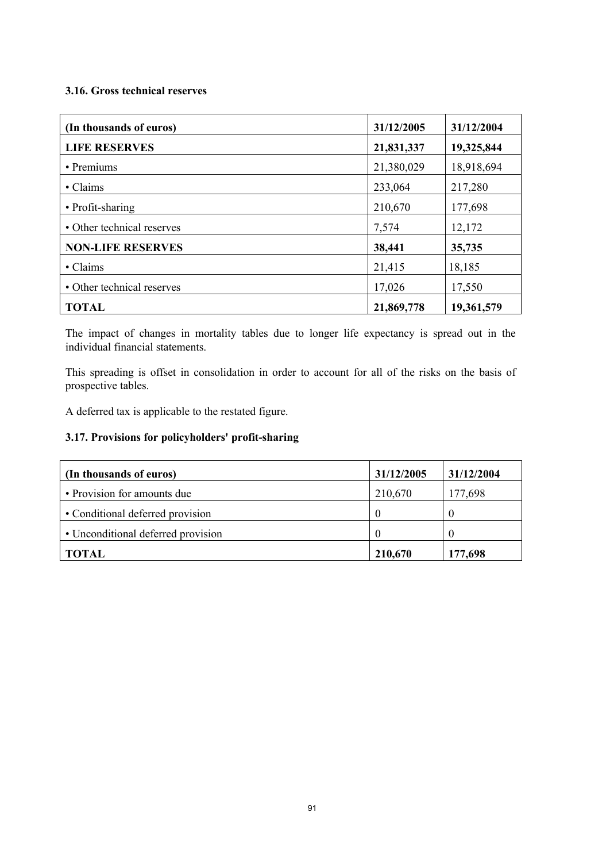### **3.16. Gross technical reserves**

| (In thousands of euros)    | 31/12/2005 | 31/12/2004 |  |
|----------------------------|------------|------------|--|
| <b>LIFE RESERVES</b>       | 21,831,337 | 19,325,844 |  |
| • Premiums                 | 21,380,029 | 18,918,694 |  |
| • Claims                   | 233,064    | 217,280    |  |
| • Profit-sharing           | 210,670    | 177,698    |  |
| • Other technical reserves | 7,574      | 12,172     |  |
| <b>NON-LIFE RESERVES</b>   | 38,441     | 35,735     |  |
| • Claims                   | 21,415     | 18,185     |  |
| • Other technical reserves | 17,026     | 17,550     |  |
| <b>TOTAL</b>               | 21,869,778 | 19,361,579 |  |

The impact of changes in mortality tables due to longer life expectancy is spread out in the individual financial statements.

This spreading is offset in consolidation in order to account for all of the risks on the basis of prospective tables.

A deferred tax is applicable to the restated figure.

## **3.17. Provisions for policyholders' profit-sharing**

| (In thousands of euros)            | 31/12/2005 | 31/12/2004 |
|------------------------------------|------------|------------|
| • Provision for amounts due        | 210,670    | 177,698    |
| • Conditional deferred provision   | $\theta$   |            |
| • Unconditional deferred provision |            |            |
| <b>TOTAL</b>                       | 210,670    | 177,698    |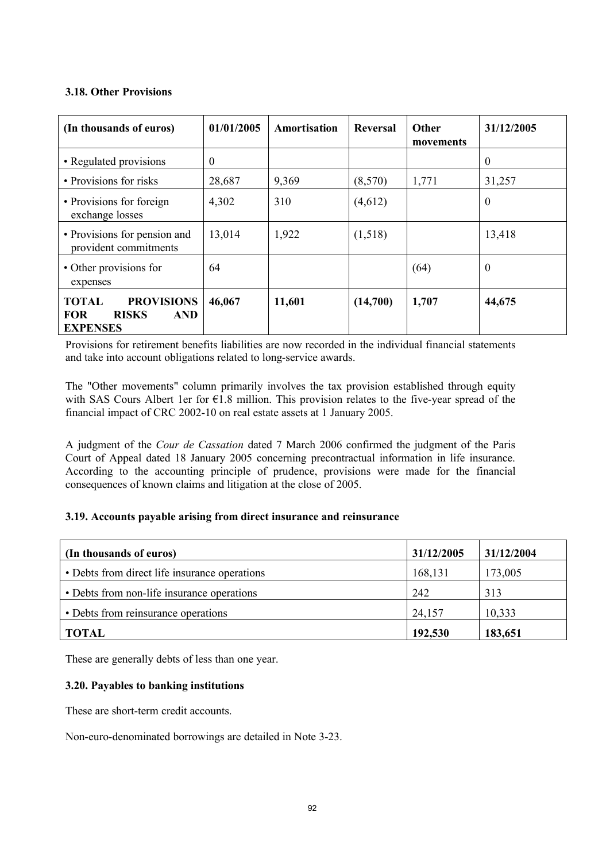### **3.18. Other Provisions**

| (In thousands of euros)                                                                          | 01/01/2005 | Amortisation | Reversal | <b>Other</b><br>movements | 31/12/2005 |
|--------------------------------------------------------------------------------------------------|------------|--------------|----------|---------------------------|------------|
| • Regulated provisions                                                                           | $\theta$   |              |          |                           | $\theta$   |
| • Provisions for risks                                                                           | 28,687     | 9,369        | (8,570)  | 1,771                     | 31,257     |
| • Provisions for foreign<br>exchange losses                                                      | 4,302      | 310          | (4,612)  |                           | $\theta$   |
| • Provisions for pension and<br>provident commitments                                            | 13,014     | 1,922        | (1,518)  |                           | 13,418     |
| • Other provisions for<br>expenses                                                               | 64         |              |          | (64)                      | $\Omega$   |
| <b>TOTAL</b><br><b>PROVISIONS</b><br><b>RISKS</b><br><b>AND</b><br><b>FOR</b><br><b>EXPENSES</b> | 46,067     | 11,601       | (14,700) | 1,707                     | 44,675     |

Provisions for retirement benefits liabilities are now recorded in the individual financial statements and take into account obligations related to long-service awards.

The "Other movements" column primarily involves the tax provision established through equity with SAS Cours Albert 1er for €1.8 million. This provision relates to the five-year spread of the financial impact of CRC 2002-10 on real estate assets at 1 January 2005.

A judgment of the *Cour de Cassation* dated 7 March 2006 confirmed the judgment of the Paris Court of Appeal dated 18 January 2005 concerning precontractual information in life insurance. According to the accounting principle of prudence, provisions were made for the financial consequences of known claims and litigation at the close of 2005.

#### **3.19. Accounts payable arising from direct insurance and reinsurance**

| (In thousands of euros)                       | 31/12/2005 | 31/12/2004 |
|-----------------------------------------------|------------|------------|
| • Debts from direct life insurance operations | 168,131    | 173,005    |
| • Debts from non-life insurance operations    | 242        | 313        |
| • Debts from reinsurance operations           | 24,157     | 10,333     |
| <b>TOTAL</b>                                  | 192,530    | 183,651    |

These are generally debts of less than one year.

#### **3.20. Payables to banking institutions**

These are short-term credit accounts.

Non-euro-denominated borrowings are detailed in Note 3-23.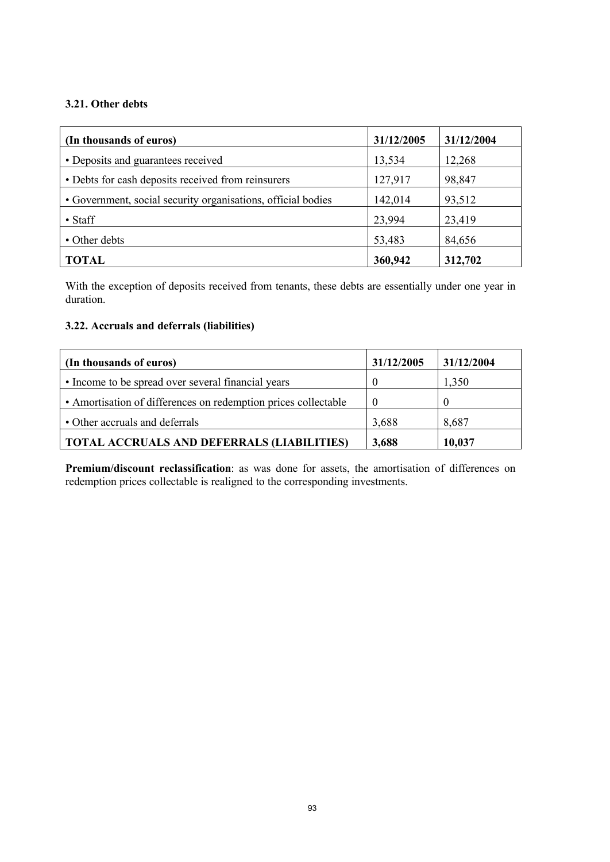### **3.21. Other debts**

| (In thousands of euros)                                      | 31/12/2005 | 31/12/2004 |
|--------------------------------------------------------------|------------|------------|
| • Deposits and guarantees received                           | 13,534     | 12,268     |
| • Debts for cash deposits received from reinsurers           | 127,917    | 98,847     |
| • Government, social security organisations, official bodies | 142,014    | 93,512     |
| $\bullet$ Staff                                              | 23,994     | 23,419     |
| • Other debts                                                | 53,483     | 84,656     |
| <b>TOTAL</b>                                                 | 360,942    | 312,702    |

With the exception of deposits received from tenants, these debts are essentially under one year in duration.

### **3.22. Accruals and deferrals (liabilities)**

| (In thousands of euros)                                        | 31/12/2005 | 31/12/2004 |
|----------------------------------------------------------------|------------|------------|
| • Income to be spread over several financial years             |            | 1,350      |
| • Amortisation of differences on redemption prices collectable |            |            |
| • Other accruals and deferrals                                 | 3,688      | 8,687      |
| <b>TOTAL ACCRUALS AND DEFERRALS (LIABILITIES)</b>              | 3,688      | 10,037     |

**Premium/discount reclassification**: as was done for assets, the amortisation of differences on redemption prices collectable is realigned to the corresponding investments.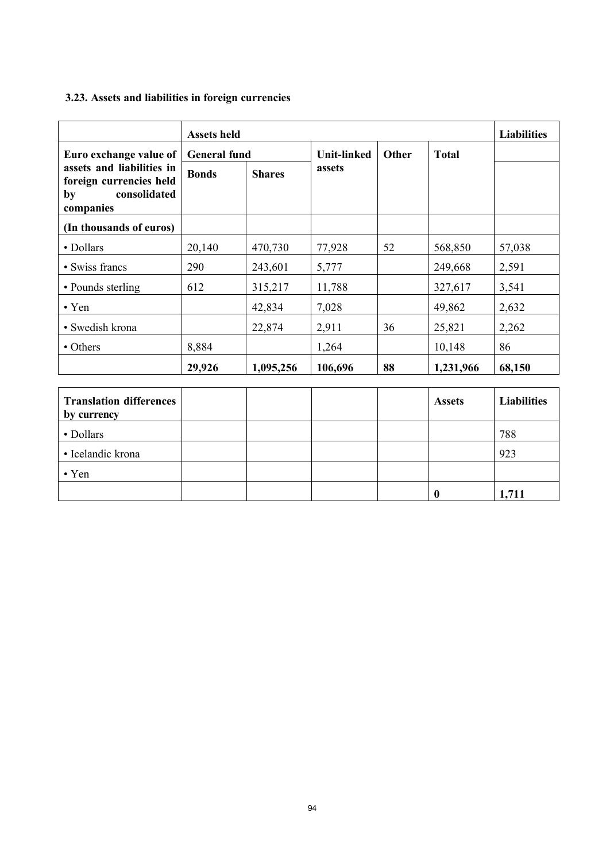# **3.23. Assets and liabilities in foreign currencies**

| <b>Assets held</b>                                                                      |                     |               |                    |       | <b>Liabilities</b> |                    |
|-----------------------------------------------------------------------------------------|---------------------|---------------|--------------------|-------|--------------------|--------------------|
| Euro exchange value of                                                                  | <b>General fund</b> |               | <b>Unit-linked</b> | Other | <b>Total</b>       |                    |
| assets and liabilities in<br>foreign currencies held<br>consolidated<br>by<br>companies | <b>Bonds</b>        | <b>Shares</b> | assets             |       |                    |                    |
| (In thousands of euros)                                                                 |                     |               |                    |       |                    |                    |
| • Dollars                                                                               | 20,140              | 470,730       | 77,928             | 52    | 568,850            | 57,038             |
| • Swiss francs                                                                          | 290                 | 243,601       | 5,777              |       | 249,668            | 2,591              |
| • Pounds sterling                                                                       | 612                 | 315,217       | 11,788             |       | 327,617            | 3,541              |
| $\cdot$ Yen                                                                             |                     | 42,834        | 7,028              |       | 49,862             | 2,632              |
| • Swedish krona                                                                         |                     | 22,874        | 2,911              | 36    | 25,821             | 2,262              |
| • Others                                                                                | 8,884               |               | 1,264              |       | 10,148             | 86                 |
|                                                                                         | 29,926              | 1,095,256     | 106,696            | 88    | 1,231,966          | 68,150             |
| <b>Translation differences</b>                                                          |                     |               |                    |       | <b>Assets</b>      | <b>Liabilities</b> |

| <b>Translation differences</b> |  |  | <b>Assets</b> | <b>Liabilities</b> |
|--------------------------------|--|--|---------------|--------------------|
| by currency                    |  |  |               |                    |
| • Dollars                      |  |  |               | 788                |
| • Icelandic krona              |  |  |               | 923                |
| $\cdot$ Yen                    |  |  |               |                    |
|                                |  |  |               | 1,711              |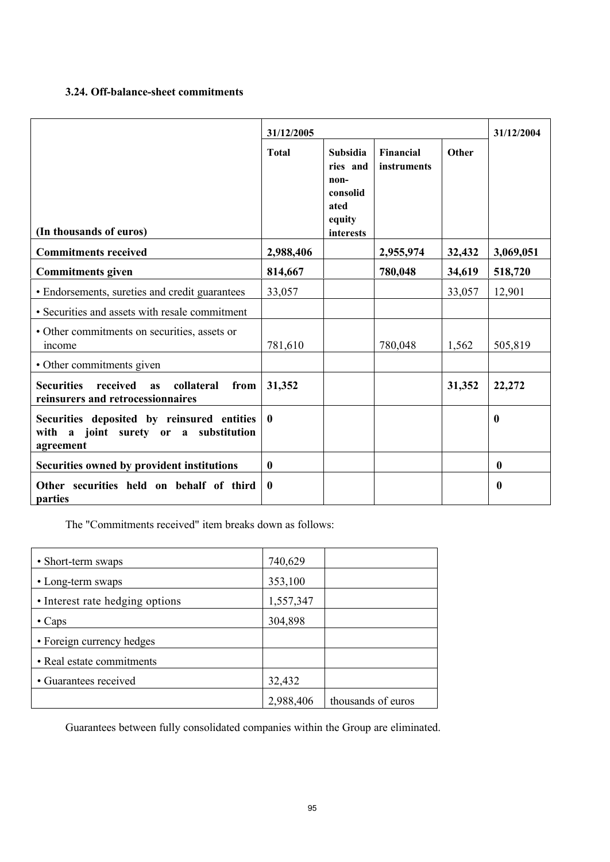## **3.24. Off-balance-sheet commitments**

|                                                                                                  | 31/12/2005       |                                                                         |                          |        | 31/12/2004       |
|--------------------------------------------------------------------------------------------------|------------------|-------------------------------------------------------------------------|--------------------------|--------|------------------|
| (In thousands of euros)                                                                          | <b>Total</b>     | Subsidia<br>ries and<br>non-<br>consolid<br>ated<br>equity<br>interests | Financial<br>instruments | Other  |                  |
| <b>Commitments received</b>                                                                      | 2,988,406        |                                                                         | 2,955,974                | 32,432 | 3,069,051        |
| <b>Commitments given</b>                                                                         | 814,667          |                                                                         | 780,048                  | 34,619 | 518,720          |
| • Endorsements, sureties and credit guarantees                                                   | 33,057           |                                                                         |                          | 33,057 | 12,901           |
| • Securities and assets with resale commitment                                                   |                  |                                                                         |                          |        |                  |
| • Other commitments on securities, assets or<br><i>n</i> come                                    | 781,610          |                                                                         | 780,048                  | 1,562  | 505,819          |
| • Other commitments given                                                                        |                  |                                                                         |                          |        |                  |
| <b>Securities</b><br>received<br>collateral<br>from<br>as<br>reinsurers and retrocessionnaires   | 31,352           |                                                                         |                          | 31,352 | 22,272           |
| Securities deposited by reinsured entities<br>with a joint surety or a substitution<br>agreement | $\boldsymbol{0}$ |                                                                         |                          |        | $\boldsymbol{0}$ |
| Securities owned by provident institutions                                                       | $\bf{0}$         |                                                                         |                          |        | $\bf{0}$         |
| Other securities held on behalf of third<br>parties                                              | $\boldsymbol{0}$ |                                                                         |                          |        | $\bf{0}$         |

The "Commitments received" item breaks down as follows:

| • Short-term swaps              | 740,629   |                    |
|---------------------------------|-----------|--------------------|
| • Long-term swaps               | 353,100   |                    |
| • Interest rate hedging options | 1,557,347 |                    |
| $\cdot$ Caps                    | 304,898   |                    |
| • Foreign currency hedges       |           |                    |
| • Real estate commitments       |           |                    |
| • Guarantees received           | 32,432    |                    |
|                                 | 2,988,406 | thousands of euros |

Guarantees between fully consolidated companies within the Group are eliminated.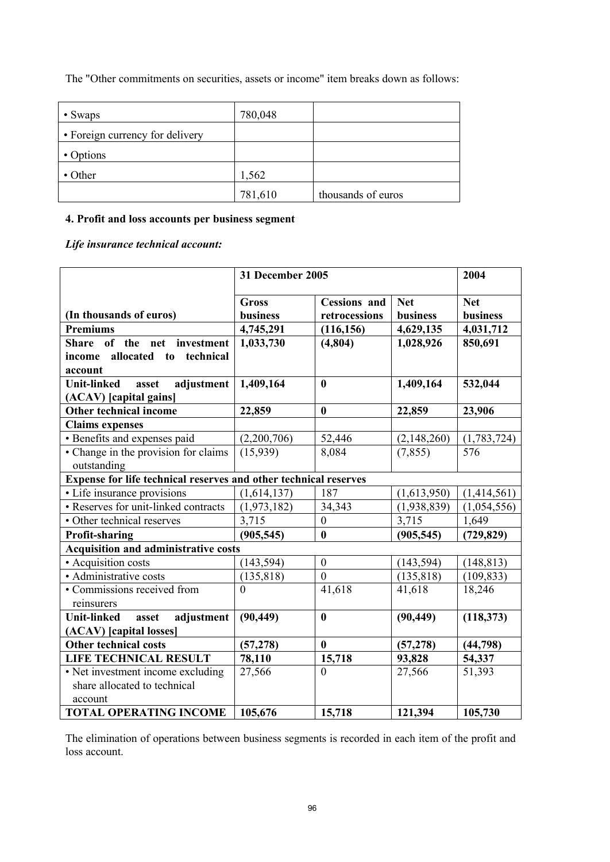The "Other commitments on securities, assets or income" item breaks down as follows:

| $\cdot$ Swaps                   | 780,048 |                    |
|---------------------------------|---------|--------------------|
| • Foreign currency for delivery |         |                    |
| • Options                       |         |                    |
| • Other                         | 1,562   |                    |
|                                 | 781,610 | thousands of euros |

### **4. Profit and loss accounts per business segment**

# *Life insurance technical account:*

|                                                                  |                          | 31 December 2005                     |                        |                               |  |
|------------------------------------------------------------------|--------------------------|--------------------------------------|------------------------|-------------------------------|--|
| (In thousands of euros)                                          | <b>Gross</b><br>business | <b>Cessions</b> and<br>retrocessions | <b>Net</b><br>business | <b>Net</b><br><b>business</b> |  |
| <b>Premiums</b>                                                  | 4,745,291                | (116, 156)                           | 4,629,135              | 4,031,712                     |  |
| of the net<br><b>Share</b><br>investment                         | 1,033,730                | (4,804)                              | 1,028,926              | 850,691                       |  |
| allocated<br>technical<br>income<br>to                           |                          |                                      |                        |                               |  |
| account                                                          |                          |                                      |                        |                               |  |
| adjustment<br><b>Unit-linked</b><br>asset                        | 1,409,164                | $\bf{0}$                             | 1,409,164              | 532,044                       |  |
| (ACAV) [capital gains]                                           |                          |                                      |                        |                               |  |
| Other technical income                                           | 22,859                   | $\bf{0}$                             | 22,859                 | 23,906                        |  |
| <b>Claims</b> expenses                                           |                          |                                      |                        |                               |  |
| · Benefits and expenses paid                                     | (2,200,706)              | 52,446                               | (2,148,260)            | (1,783,724)                   |  |
| • Change in the provision for claims                             | (15, 939)                | 8,084                                | (7, 855)               | 576                           |  |
| outstanding                                                      |                          |                                      |                        |                               |  |
| Expense for life technical reserves and other technical reserves |                          |                                      |                        |                               |  |
| • Life insurance provisions                                      | (1,614,137)              | 187                                  | (1,613,950)            | (1,414,561)                   |  |
| • Reserves for unit-linked contracts                             | (1,973,182)              | 34,343                               | (1,938,839)            | (1,054,556)                   |  |
| • Other technical reserves                                       | 3,715                    | $\boldsymbol{0}$                     | 3,715                  | 1,649                         |  |
| <b>Profit-sharing</b>                                            | (905, 545)               | $\bf{0}$                             | (905, 545)             | (729, 829)                    |  |
| <b>Acquisition and administrative costs</b>                      |                          |                                      |                        |                               |  |
| • Acquisition costs                                              | (143, 594)               | $\mathbf{0}$                         | (143, 594)             | (148, 813)                    |  |
| • Administrative costs                                           | (135, 818)               | $\mathbf{0}$                         | (135, 818)             | (109, 833)                    |  |
| • Commissions received from                                      | $\theta$                 | 41,618                               | 41,618                 | 18,246                        |  |
| reinsurers                                                       |                          |                                      |                        |                               |  |
| <b>Unit-linked</b><br>adjustment<br>asset                        | (90, 449)                | $\bf{0}$                             | (90, 449)              | (118, 373)                    |  |
| (ACAV) [capital losses]                                          |                          |                                      |                        |                               |  |
| <b>Other technical costs</b>                                     | (57, 278)                | $\mathbf{0}$                         | (57, 278)              | (44, 798)                     |  |
| LIFE TECHNICAL RESULT                                            | 78,110                   | 15,718                               | 93,828                 | 54,337                        |  |
| • Net investment income excluding                                | 27,566                   | $\Omega$                             | 27,566                 | 51,393                        |  |
| share allocated to technical                                     |                          |                                      |                        |                               |  |
| account                                                          |                          |                                      |                        |                               |  |
| <b>TOTAL OPERATING INCOME</b>                                    | 105,676                  | 15,718                               | 121,394                | 105,730                       |  |

The elimination of operations between business segments is recorded in each item of the profit and loss account.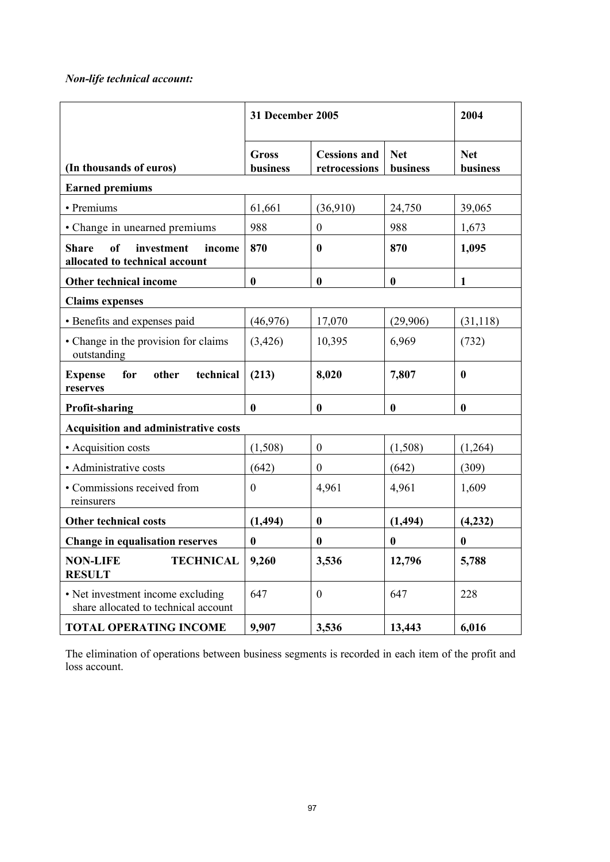# *Non-life technical account:*

|                                                                              |                          | <b>31 December 2005</b>              |                        |                        |  |
|------------------------------------------------------------------------------|--------------------------|--------------------------------------|------------------------|------------------------|--|
| (In thousands of euros)                                                      | <b>Gross</b><br>business | <b>Cessions and</b><br>retrocessions | <b>Net</b><br>business | <b>Net</b><br>business |  |
| <b>Earned premiums</b>                                                       |                          |                                      |                        |                        |  |
| • Premiums                                                                   | 61,661                   | (36,910)                             | 24,750                 | 39,065                 |  |
| • Change in unearned premiums                                                | 988                      | $\boldsymbol{0}$                     | 988                    | 1,673                  |  |
| of<br><b>Share</b><br>investment<br>income<br>allocated to technical account | 870                      | $\bf{0}$                             | 870                    | 1,095                  |  |
| <b>Other technical income</b>                                                | $\bf{0}$                 | $\bf{0}$                             | $\bf{0}$               | $\mathbf{1}$           |  |
| <b>Claims expenses</b>                                                       |                          |                                      |                        |                        |  |
| • Benefits and expenses paid                                                 | (46,976)                 | 17,070                               | (29,906)               | (31, 118)              |  |
| • Change in the provision for claims<br>outstanding                          | (3, 426)                 | 10,395                               | 6,969                  | (732)                  |  |
| for<br>other<br>technical<br><b>Expense</b><br>reserves                      | (213)                    | 8,020                                | 7,807                  | $\mathbf{0}$           |  |
| <b>Profit-sharing</b>                                                        | $\bf{0}$                 | $\bf{0}$                             | $\bf{0}$               | $\bf{0}$               |  |
| <b>Acquisition and administrative costs</b>                                  |                          |                                      |                        |                        |  |
| • Acquisition costs                                                          | (1,508)                  | $\boldsymbol{0}$                     | (1,508)                | (1,264)                |  |
| • Administrative costs                                                       | (642)                    | $\boldsymbol{0}$                     | (642)                  | (309)                  |  |
| • Commissions received from<br>reinsurers                                    | $\overline{0}$           | 4,961                                | 4,961                  | 1,609                  |  |
| Other technical costs                                                        | (1, 494)                 | $\boldsymbol{0}$                     | (1, 494)               | (4,232)                |  |
| <b>Change in equalisation reserves</b>                                       | $\bf{0}$                 | $\bf{0}$                             | $\bf{0}$               | $\bf{0}$               |  |
| <b>NON-LIFE</b><br><b>TECHNICAL</b><br><b>RESULT</b>                         | 9,260                    | 3,536                                | 12,796                 | 5,788                  |  |
| • Net investment income excluding<br>share allocated to technical account    | 647                      | $\boldsymbol{0}$                     | 647                    | 228                    |  |
| <b>TOTAL OPERATING INCOME</b>                                                | 9,907                    | 3,536                                | 13,443                 | 6,016                  |  |

The elimination of operations between business segments is recorded in each item of the profit and loss account.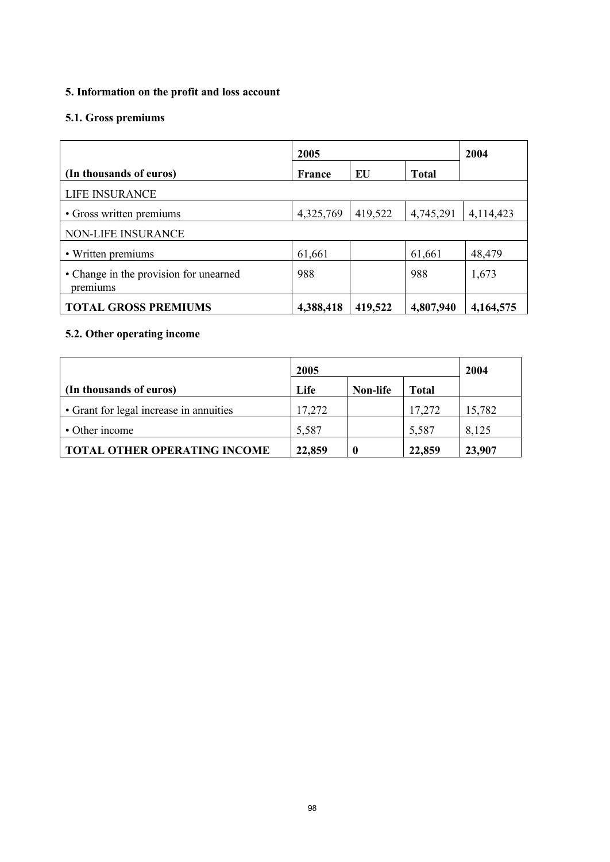# **5. Information on the profit and loss account**

# **5.1. Gross premiums**

|                                                    | 2005      |         |              | 2004      |
|----------------------------------------------------|-----------|---------|--------------|-----------|
| (In thousands of euros)                            | France    | EU      | <b>Total</b> |           |
| LIFE INSURANCE                                     |           |         |              |           |
| • Gross written premiums                           | 4,325,769 | 419,522 | 4,745,291    | 4,114,423 |
| NON-LIFE INSURANCE                                 |           |         |              |           |
| • Written premiums                                 | 61,661    |         | 61,661       | 48,479    |
| • Change in the provision for unearned<br>premiums | 988       |         | 988          | 1,673     |
| <b>TOTAL GROSS PREMIUMS</b>                        | 4,388,418 | 419,522 | 4,807,940    | 4,164,575 |

# **5.2. Other operating income**

|                                         | 2005   |                 |              | 2004   |
|-----------------------------------------|--------|-----------------|--------------|--------|
| (In thousands of euros)                 | Life   | <b>Non-life</b> | <b>Total</b> |        |
| • Grant for legal increase in annuities | 17,272 |                 | 17,272       | 15,782 |
| • Other income                          | 5,587  |                 | 5,587        | 8,125  |
| <b>TOTAL OTHER OPERATING INCOME</b>     | 22,859 |                 | 22,859       | 23,907 |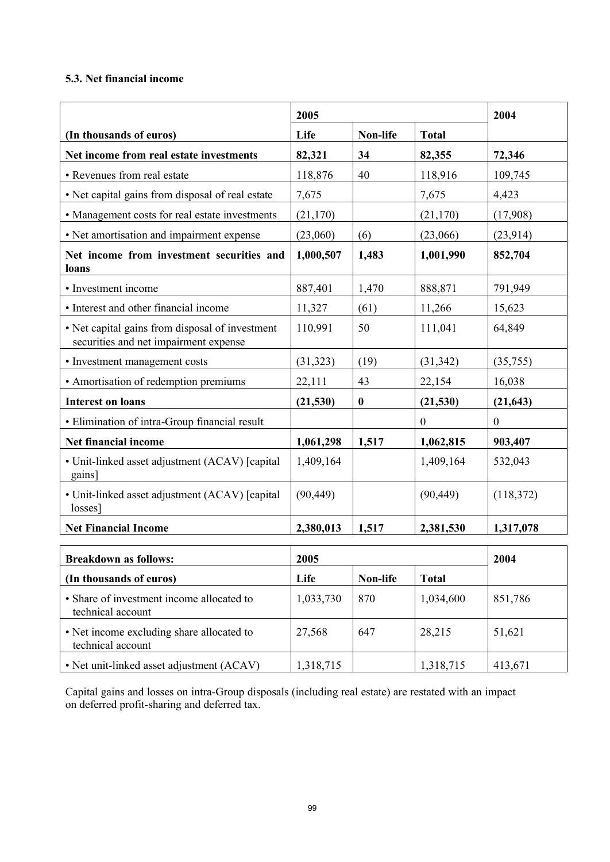### **5.3. Net financial income**

|                                                                                          | 2005      |                  | 2004             |                  |
|------------------------------------------------------------------------------------------|-----------|------------------|------------------|------------------|
| (In thousands of euros)                                                                  | Life      | Non-life         | <b>Total</b>     |                  |
| Net income from real estate investments                                                  | 82,321    | 34               | 82,355           | 72,346           |
| • Revenues from real estate                                                              | 118,876   | 40               | 118,916          | 109,745          |
| • Net capital gains from disposal of real estate                                         | 7,675     |                  | 7,675            | 4,423            |
| • Management costs for real estate investments                                           | (21, 170) |                  | (21, 170)        | (17,908)         |
| • Net amortisation and impairment expense                                                | (23,060)  | (6)              | (23,066)         | (23, 914)        |
| Net income from investment securities and<br>loans                                       | 1,000,507 | 1,483            | 1,001,990        | 852,704          |
| • Investment income                                                                      | 887,401   | 1,470            | 888,871          | 791,949          |
| • Interest and other financial income                                                    | 11,327    | (61)             | 11,266           | 15,623           |
| • Net capital gains from disposal of investment<br>securities and net impairment expense | 110,991   | 50               | 111,041          | 64,849           |
| • Investment management costs                                                            | (31, 323) | (19)             | (31, 342)        | (35,755)         |
| • Amortisation of redemption premiums                                                    | 22,111    | 43               | 22,154           | 16,038           |
| <b>Interest on loans</b>                                                                 | (21, 530) | $\boldsymbol{0}$ | (21, 530)        | (21, 643)        |
| • Elimination of intra-Group financial result                                            |           |                  | $\boldsymbol{0}$ | $\boldsymbol{0}$ |
| Net financial income                                                                     | 1,061,298 | 1,517            | 1,062,815        | 903,407          |
| • Unit-linked asset adjustment (ACAV) [capital]<br>gains]                                | 1,409,164 |                  | 1,409,164        | 532,043          |
| • Unit-linked asset adjustment (ACAV) [capital<br>losses]                                | (90, 449) |                  | (90, 449)        | (118,372)        |
| <b>Net Financial Income</b>                                                              | 2,380,013 | 1,517            | 2,381,530        | 1,317,078        |
| <b>Breakdown as follows:</b>                                                             | 2005      |                  |                  | 2004             |
| (In thousands of euros)                                                                  | Life      | Non-life         | <b>Total</b>     |                  |
| • Share of investment income allocated to<br>technical account                           | 1,033,730 | 870              | 1,034,600        | 851,786          |
| • Net income excluding share allocated to<br>technical account                           | 27,568    | 647              | 28,215           | 51,621           |
| • Net unit-linked asset adjustment (ACAV)                                                | 1,318,715 |                  | 1,318,715        | 413,671          |

Capital gains and losses on intra-Group disposals (including real estate) are restated with an impact on deferred profit-sharing and deferred tax.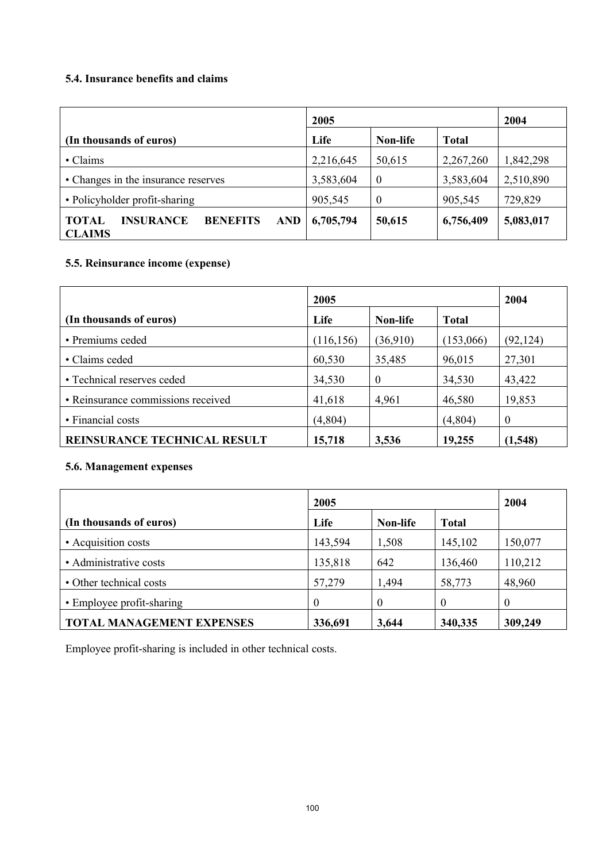## **5.4. Insurance benefits and claims**

|                                                                             | 2005      |                  |              | 2004      |
|-----------------------------------------------------------------------------|-----------|------------------|--------------|-----------|
| (In thousands of euros)                                                     | Life      | Non-life         | <b>Total</b> |           |
| • Claims                                                                    | 2,216,645 | 50,615           | 2,267,260    | 1,842,298 |
| • Changes in the insurance reserves                                         | 3,583,604 | $\boldsymbol{0}$ | 3,583,604    | 2,510,890 |
| • Policyholder profit-sharing                                               | 905,545   | $\theta$         | 905,545      | 729,829   |
| <b>BENEFITS</b><br>AND<br><b>INSURANCE</b><br><b>TOTAL</b><br><b>CLAIMS</b> | 6,705,794 | 50,615           | 6,756,409    | 5,083,017 |

# **5.5. Reinsurance income (expense)**

|                                    | 2005       |          |              |           |
|------------------------------------|------------|----------|--------------|-----------|
| (In thousands of euros)            | Life       | Non-life | <b>Total</b> |           |
| • Premiums ceded                   | (116, 156) | (36,910) | (153,066)    | (92, 124) |
| • Claims ceded                     | 60,530     | 35,485   | 96,015       | 27,301    |
| • Technical reserves ceded         | 34,530     | $\theta$ | 34,530       | 43,422    |
| · Reinsurance commissions received | 41,618     | 4,961    | 46,580       | 19,853    |
| • Financial costs                  | (4,804)    |          | (4,804)      | $\theta$  |
| REINSURANCE TECHNICAL RESULT       | 15,718     | 3,536    | 19,255       | (1,548)   |

# **5.6. Management expenses**

|                                  | 2005     | 2004     |              |          |
|----------------------------------|----------|----------|--------------|----------|
| (In thousands of euros)          | Life     | Non-life | <b>Total</b> |          |
| • Acquisition costs              | 143,594  | 1,508    | 145,102      | 150,077  |
| • Administrative costs           | 135,818  | 642      | 136,460      | 110,212  |
| • Other technical costs          | 57,279   | 1,494    | 58,773       | 48,960   |
| • Employee profit-sharing        | $\Omega$ | $\theta$ | $\theta$     | $\theta$ |
| <b>TOTAL MANAGEMENT EXPENSES</b> | 336,691  | 3,644    | 340,335      | 309,249  |

Employee profit-sharing is included in other technical costs.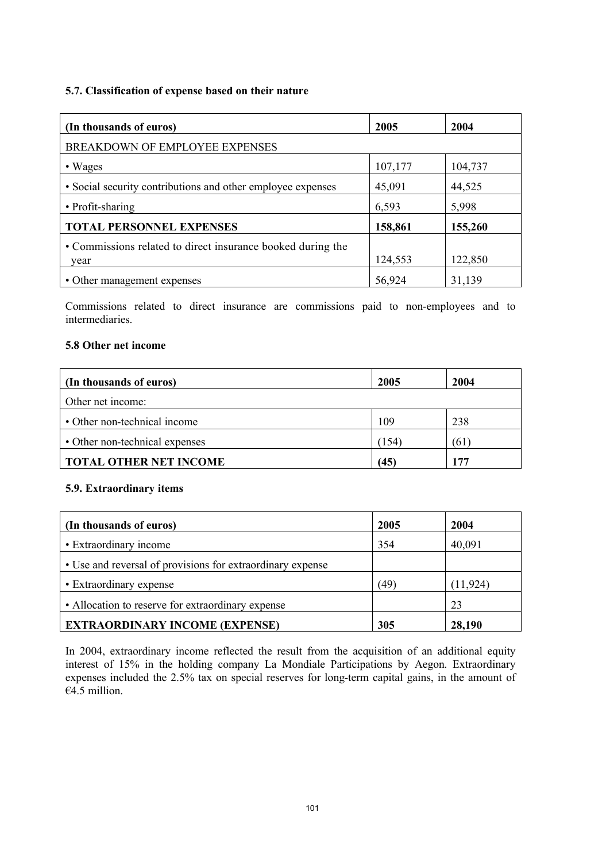#### **5.7. Classification of expense based on their nature**

| (In thousands of euros)                                     | 2005    | 2004    |
|-------------------------------------------------------------|---------|---------|
| BREAKDOWN OF EMPLOYEE EXPENSES                              |         |         |
| • Wages                                                     | 107,177 | 104,737 |
| • Social security contributions and other employee expenses | 45,091  | 44,525  |
| • Profit-sharing                                            | 6,593   | 5,998   |
| <b>TOTAL PERSONNEL EXPENSES</b>                             | 158,861 | 155,260 |
| • Commissions related to direct insurance booked during the |         |         |
| year                                                        | 124,553 | 122,850 |
| • Other management expenses                                 | 56,924  | 31,139  |

Commissions related to direct insurance are commissions paid to non-employees and to intermediaries.

#### **5.8 Other net income**

| (In thousands of euros)        | 2005  | 2004 |
|--------------------------------|-------|------|
| Other net income:              |       |      |
| • Other non-technical income   | 109   | 238  |
| • Other non-technical expenses | (154) | 61   |
| <b>TOTAL OTHER NET INCOME</b>  | (45)  | 177  |

#### **5.9. Extraordinary items**

| (In thousands of euros)                                    | 2005 | 2004      |
|------------------------------------------------------------|------|-----------|
| • Extraordinary income                                     | 354  | 40,091    |
| • Use and reversal of provisions for extraordinary expense |      |           |
| • Extraordinary expense                                    | (49, | (11, 924) |
| • Allocation to reserve for extraordinary expense          |      | 23        |
| <b>EXTRAORDINARY INCOME (EXPENSE)</b>                      | 305  | 28,190    |

In 2004, extraordinary income reflected the result from the acquisition of an additional equity interest of 15% in the holding company La Mondiale Participations by Aegon. Extraordinary expenses included the 2.5% tax on special reserves for long-term capital gains, in the amount of  $\overline{64.5}$  million.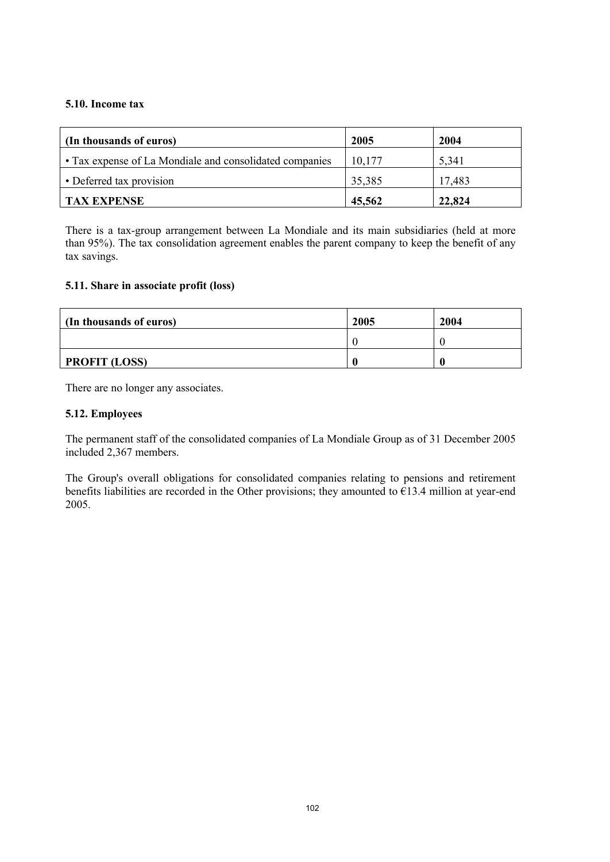#### **5.10. Income tax**

| (In thousands of euros)                                 | 2005   | 2004   |
|---------------------------------------------------------|--------|--------|
| • Tax expense of La Mondiale and consolidated companies | 10,177 | 5,341  |
| • Deferred tax provision                                | 35,385 | 17,483 |
| <b>TAX EXPENSE</b>                                      | 45,562 | 22,824 |

There is a tax-group arrangement between La Mondiale and its main subsidiaries (held at more than 95%). The tax consolidation agreement enables the parent company to keep the benefit of any tax savings.

#### **5.11. Share in associate profit (loss)**

| (In thousands of euros) | 2005 | 2004 |
|-------------------------|------|------|
|                         |      |      |
| <b>PROFIT (LOSS)</b>    |      |      |

There are no longer any associates.

#### **5.12. Employees**

The permanent staff of the consolidated companies of La Mondiale Group as of 31 December 2005 included 2,367 members.

The Group's overall obligations for consolidated companies relating to pensions and retirement benefits liabilities are recorded in the Other provisions; they amounted to  $\epsilon$ 13.4 million at year-end 2005.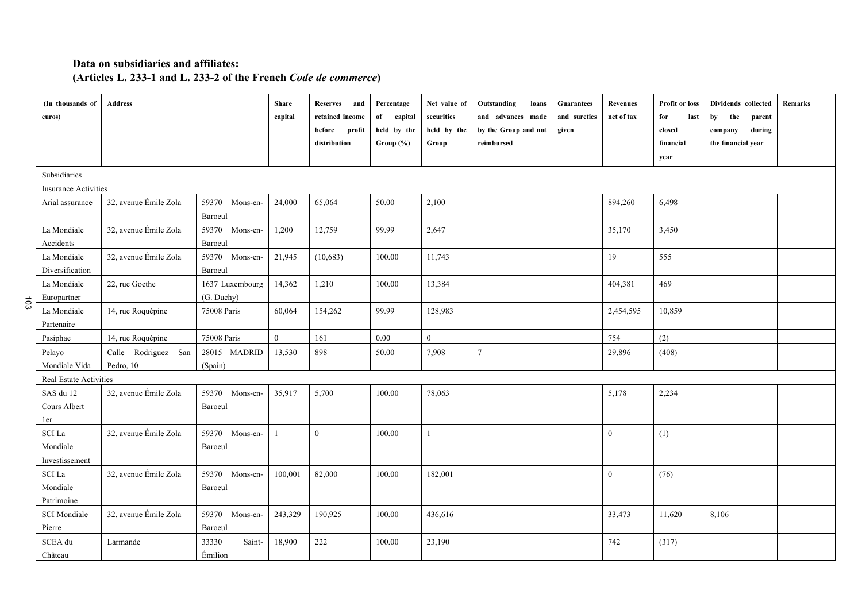# **Data on subsidiaries and affiliates: (Articles L. 233-1 and L. 233-2 of the French** *Code de commerce***)**

|     | (In thousands of<br>euros)              | <b>Address</b>                   |                               | <b>Share</b><br>capital | <b>Reserves</b><br>and<br>retained income<br>before<br>profit<br>distribution | Percentage<br>of<br>capital<br>held by the<br>Group (%) | Net value of<br>securities<br>held by the<br>Group | Outstanding<br>loans<br>and advances made<br>by the Group and not<br>reimbursed | <b>Guarantees</b><br>and sureties<br>given | <b>Revenues</b><br>net of tax | Profit or loss<br>for<br>last<br>closed<br>financial<br>year | Dividends collected<br>the<br>by<br>parent<br>during<br>company<br>the financial year | Remarks |  |
|-----|-----------------------------------------|----------------------------------|-------------------------------|-------------------------|-------------------------------------------------------------------------------|---------------------------------------------------------|----------------------------------------------------|---------------------------------------------------------------------------------|--------------------------------------------|-------------------------------|--------------------------------------------------------------|---------------------------------------------------------------------------------------|---------|--|
|     | Subsidiaries                            |                                  |                               |                         |                                                                               |                                                         |                                                    |                                                                                 |                                            |                               |                                                              |                                                                                       |         |  |
|     | Insurance Activities                    |                                  |                               |                         |                                                                               |                                                         |                                                    |                                                                                 |                                            |                               |                                                              |                                                                                       |         |  |
|     | Arial assurance                         | 32, avenue Émile Zola            | 59370 Mons-en-<br>Baroeul     | 24,000                  | 65,064                                                                        | 50.00                                                   | 2,100                                              |                                                                                 |                                            | 894,260                       | 6,498                                                        |                                                                                       |         |  |
|     | La Mondiale<br>Accidents                | 32, avenue Émile Zola            | 59370 Mons-en-<br>Baroeul     | 1,200                   | 12,759                                                                        | 99.99                                                   | 2,647                                              |                                                                                 |                                            | 35,170                        | 3,450                                                        |                                                                                       |         |  |
|     | La Mondiale<br>Diversification          | 32, avenue Émile Zola            | 59370 Mons-en-<br>Baroeul     | 21,945                  | (10,683)                                                                      | 100.00                                                  | 11,743                                             |                                                                                 |                                            | 19                            | 555                                                          |                                                                                       |         |  |
| 103 | La Mondiale<br>Europartner              | 22, rue Goethe                   | 1637 Luxembourg<br>(G. Duchy) | 14,362                  | 1,210                                                                         | 100.00                                                  | 13,384                                             |                                                                                 |                                            | 404,381                       | 469                                                          |                                                                                       |         |  |
|     | La Mondiale<br>Partenaire               | 14, rue Roquépine                | 75008 Paris                   | 60,064                  | 154,262                                                                       | 99.99                                                   | 128,983                                            |                                                                                 |                                            | 2,454,595                     | 10,859                                                       |                                                                                       |         |  |
|     | Pasiphae                                | 14, rue Roquépine                | 75008 Paris                   | $\mathbf{0}$            | 161                                                                           | $0.00\,$                                                | $\mathbf{0}$                                       |                                                                                 |                                            | 754                           | (2)                                                          |                                                                                       |         |  |
|     | Pelayo<br>Mondiale Vida                 | Calle Rodriguez San<br>Pedro, 10 | 28015 MADRID<br>(Spain)       | 13,530                  | 898                                                                           | 50.00                                                   | 7,908                                              | $\overline{7}$                                                                  |                                            | 29,896                        | (408)                                                        |                                                                                       |         |  |
|     | Real Estate Activities                  |                                  |                               |                         |                                                                               |                                                         |                                                    |                                                                                 |                                            |                               |                                                              |                                                                                       |         |  |
|     | SAS du 12<br>Cours Albert<br>1er        | 32, avenue Émile Zola            | 59370 Mons-en-<br>Baroeul     | 35,917                  | 5,700                                                                         | 100.00                                                  | 78,063                                             |                                                                                 |                                            | 5,178                         | 2,234                                                        |                                                                                       |         |  |
|     | SCI La<br>Mondiale<br>Investissement    | 32, avenue Émile Zola            | 59370 Mons-en-<br>Baroeul     | $\mathbf{1}$            | $\overline{0}$                                                                | 100.00                                                  | $\mathbf{1}$                                       |                                                                                 |                                            | $\mathbf{0}$                  | (1)                                                          |                                                                                       |         |  |
|     | <b>SCI</b> La<br>Mondiale<br>Patrimoine | 32, avenue Émile Zola            | 59370 Mons-en-<br>Baroeul     | 100,001                 | 82,000                                                                        | 100.00                                                  | 182,001                                            |                                                                                 |                                            | $\overline{0}$                | (76)                                                         |                                                                                       |         |  |
|     | <b>SCI</b> Mondiale<br>Pierre           | 32, avenue Émile Zola            | 59370 Mons-en-<br>Baroeul     | 243,329                 | 190,925                                                                       | 100.00                                                  | 436,616                                            |                                                                                 |                                            | 33,473                        | 11,620                                                       | 8,106                                                                                 |         |  |
|     | SCEA du<br>Château                      | Larmande                         | 33330<br>Saint-<br>Émilion    | 18,900                  | 222                                                                           | 100.00                                                  | 23,190                                             |                                                                                 |                                            | 742                           | (317)                                                        |                                                                                       |         |  |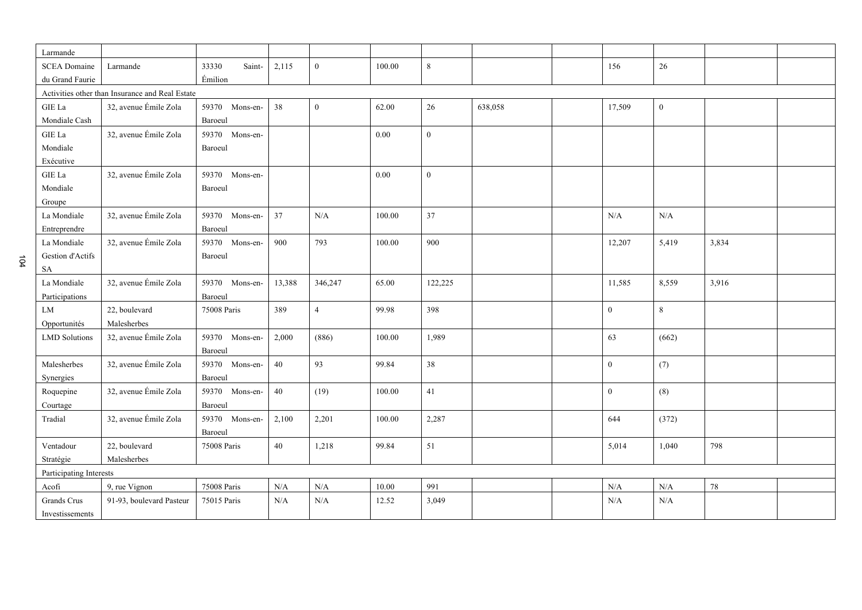| Larmande                                        |                          |                 |        |                  |        |                |         |  |              |              |       |  |
|-------------------------------------------------|--------------------------|-----------------|--------|------------------|--------|----------------|---------|--|--------------|--------------|-------|--|
| <b>SCEA Domaine</b>                             | Larmande                 | 33330<br>Saint- | 2,115  | $\boldsymbol{0}$ | 100.00 | 8              |         |  | 156          | 26           |       |  |
| du Grand Faurie                                 |                          | Émilion         |        |                  |        |                |         |  |              |              |       |  |
| Activities other than Insurance and Real Estate |                          |                 |        |                  |        |                |         |  |              |              |       |  |
|                                                 | 32, avenue Émile Zola    |                 |        |                  |        |                |         |  |              |              |       |  |
| GIE La                                          |                          | 59370 Mons-en-  | 38     | $\boldsymbol{0}$ | 62.00  | 26             | 638,058 |  | 17,509       | $\mathbf{0}$ |       |  |
| Mondiale Cash                                   |                          | Baroeul         |        |                  |        |                |         |  |              |              |       |  |
| ${\rm GIE}$ La                                  | 32, avenue Émile Zola    | 59370 Mons-en-  |        |                  | 0.00   | $\overline{0}$ |         |  |              |              |       |  |
| Mondiale                                        |                          | Baroeul         |        |                  |        |                |         |  |              |              |       |  |
| Exécutive                                       |                          |                 |        |                  |        |                |         |  |              |              |       |  |
| GIE La                                          | 32, avenue Émile Zola    | 59370 Mons-en-  |        |                  | 0.00   | $\overline{0}$ |         |  |              |              |       |  |
| Mondiale                                        |                          | Baroeul         |        |                  |        |                |         |  |              |              |       |  |
| Groupe                                          |                          |                 |        |                  |        |                |         |  |              |              |       |  |
| La Mondiale                                     | 32, avenue Émile Zola    | 59370 Mons-en-  | 37     | N/A              | 100.00 | 37             |         |  | N/A          | N/A          |       |  |
| Entreprendre                                    |                          | Baroeul         |        |                  |        |                |         |  |              |              |       |  |
| La Mondiale                                     | 32, avenue Émile Zola    | 59370 Mons-en-  | 900    | 793              | 100.00 | 900            |         |  | 12,207       | 5,419        | 3,834 |  |
| Gestion d'Actifs                                |                          | Baroeul         |        |                  |        |                |         |  |              |              |       |  |
| SA                                              |                          |                 |        |                  |        |                |         |  |              |              |       |  |
| La Mondiale                                     | 32, avenue Émile Zola    | 59370 Mons-en-  | 13,388 | 346,247          | 65.00  | 122,225        |         |  | 11,585       | 8,559        | 3,916 |  |
| Participations                                  |                          | Baroeul         |        |                  |        |                |         |  |              |              |       |  |
| LM                                              | 22, boulevard            | 75008 Paris     | 389    | $\overline{4}$   | 99.98  | 398            |         |  | $\mathbf{0}$ | $\,8\,$      |       |  |
| Opportunités                                    | Malesherbes              |                 |        |                  |        |                |         |  |              |              |       |  |
| <b>LMD</b> Solutions                            | 32, avenue Émile Zola    | 59370 Mons-en-  | 2,000  | (886)            | 100.00 | 1,989          |         |  | 63           | (662)        |       |  |
|                                                 |                          | Baroeul         |        |                  |        |                |         |  |              |              |       |  |
|                                                 | 32, avenue Émile Zola    | 59370 Mons-en-  | 40     | 93               | 99.84  | 38             |         |  | $\mathbf{0}$ |              |       |  |
| Malesherbes                                     |                          |                 |        |                  |        |                |         |  |              | (7)          |       |  |
| Synergies                                       |                          | Baroeul         |        |                  |        |                |         |  |              |              |       |  |
| Roquepine                                       | 32, avenue Émile Zola    | 59370 Mons-en-  | $40\,$ | (19)             | 100.00 | 41             |         |  | $\mathbf{0}$ | (8)          |       |  |
| Courtage                                        |                          | Baroeul         |        |                  |        |                |         |  |              |              |       |  |
| Tradial                                         | 32, avenue Émile Zola    | 59370 Mons-en-  | 2,100  | 2,201            | 100.00 | 2,287          |         |  | 644          | (372)        |       |  |
|                                                 |                          | Baroeul         |        |                  |        |                |         |  |              |              |       |  |
| Ventadour                                       | 22, boulevard            | 75008 Paris     | 40     | 1,218            | 99.84  | 51             |         |  | 5,014        | 1,040        | 798   |  |
| Stratégie                                       | Malesherbes              |                 |        |                  |        |                |         |  |              |              |       |  |
| Participating Interests                         |                          |                 |        |                  |        |                |         |  |              |              |       |  |
| Acofi                                           | 9, rue Vignon            | 75008 Paris     | N/A    | N/A              | 10.00  | 991            |         |  | N/A          | N/A          | 78    |  |
| Grands Crus                                     | 91-93, boulevard Pasteur | 75015 Paris     | N/A    | $\rm N/A$        | 12.52  | 3,049          |         |  | N/A          | N/A          |       |  |
| Investissements                                 |                          |                 |        |                  |        |                |         |  |              |              |       |  |

104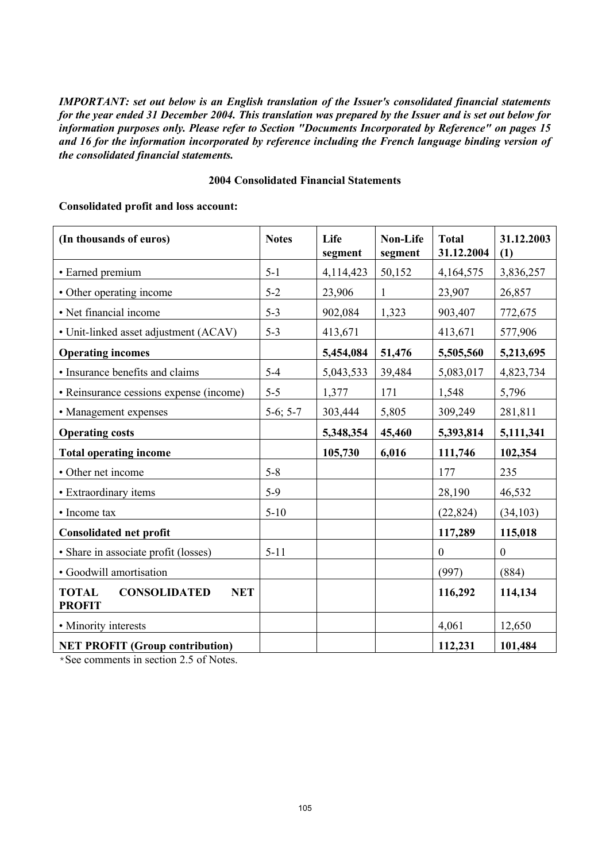*IMPORTANT: set out below is an English translation of the Issuer's consolidated financial statements for the year ended 31 December 2004. This translation was prepared by the Issuer and is set out below for information purposes only. Please refer to Section "Documents Incorporated by Reference" on pages 15 and 16 for the information incorporated by reference including the French language binding version of the consolidated financial statements.*

#### **2004 Consolidated Financial Statements**

#### **Consolidated profit and loss account:**

| (In thousands of euros)                                            | <b>Notes</b> | Life<br>segment | <b>Non-Life</b><br>segment | <b>Total</b><br>31.12.2004 | 31.12.2003<br>(1) |
|--------------------------------------------------------------------|--------------|-----------------|----------------------------|----------------------------|-------------------|
| • Earned premium                                                   | $5 - 1$      | 4,114,423       | 50,152                     | 4,164,575                  | 3,836,257         |
| • Other operating income                                           | $5 - 2$      | 23,906          | $\mathbf{1}$               | 23,907                     | 26,857            |
| • Net financial income                                             | $5 - 3$      | 902,084         | 1,323                      | 903,407                    | 772,675           |
| • Unit-linked asset adjustment (ACAV)                              | $5 - 3$      | 413,671         |                            | 413,671                    | 577,906           |
| <b>Operating incomes</b>                                           |              | 5,454,084       | 51,476                     | 5,505,560                  | 5,213,695         |
| · Insurance benefits and claims                                    | $5 - 4$      | 5,043,533       | 39,484                     | 5,083,017                  | 4,823,734         |
| • Reinsurance cessions expense (income)                            | $5 - 5$      | 1,377           | 171                        | 1,548                      | 5,796             |
| • Management expenses                                              | $5-6; 5-7$   | 303,444         | 5,805                      | 309,249                    | 281,811           |
| <b>Operating costs</b>                                             |              | 5,348,354       | 45,460                     | 5,393,814                  | 5,111,341         |
| <b>Total operating income</b>                                      |              | 105,730         | 6,016                      | 111,746                    | 102,354           |
| • Other net income                                                 | $5 - 8$      |                 |                            | 177                        | 235               |
| • Extraordinary items                                              | $5-9$        |                 |                            | 28,190                     | 46,532            |
| • Income tax                                                       | $5 - 10$     |                 |                            | (22, 824)                  | (34, 103)         |
| <b>Consolidated net profit</b>                                     |              |                 |                            | 117,289                    | 115,018           |
| • Share in associate profit (losses)                               | $5 - 11$     |                 |                            | $\mathbf{0}$               | $\boldsymbol{0}$  |
| · Goodwill amortisation                                            |              |                 |                            | (997)                      | (884)             |
| <b>TOTAL</b><br><b>CONSOLIDATED</b><br><b>NET</b><br><b>PROFIT</b> |              |                 |                            | 116,292                    | 114,134           |
| • Minority interests                                               |              |                 |                            | 4,061                      | 12,650            |
| <b>NET PROFIT (Group contribution)</b>                             |              |                 |                            | 112,231                    | 101,484           |

\*See comments in section 2.5 of Notes.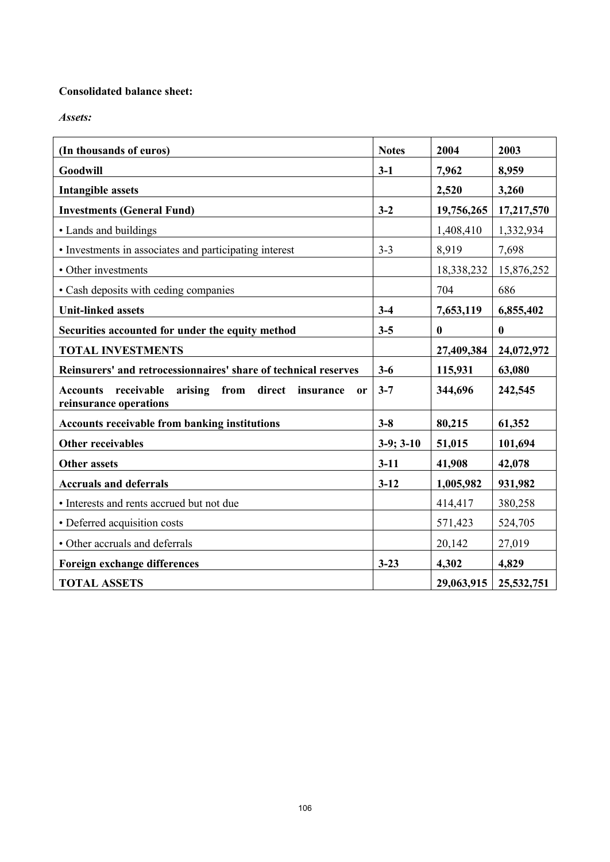# **Consolidated balance sheet:**

*Assets:*

| (In thousands of euros)                                                                                      | <b>Notes</b> | 2004       | 2003       |
|--------------------------------------------------------------------------------------------------------------|--------------|------------|------------|
| Goodwill                                                                                                     | $3-1$        | 7,962      | 8,959      |
| <b>Intangible assets</b>                                                                                     |              | 2,520      | 3,260      |
| <b>Investments (General Fund)</b>                                                                            | $3 - 2$      | 19,756,265 | 17,217,570 |
| • Lands and buildings                                                                                        |              | 1,408,410  | 1,332,934  |
| • Investments in associates and participating interest                                                       | $3 - 3$      | 8,919      | 7,698      |
| • Other investments                                                                                          |              | 18,338,232 | 15,876,252 |
| • Cash deposits with ceding companies                                                                        |              | 704        | 686        |
| <b>Unit-linked assets</b>                                                                                    | $3 - 4$      | 7,653,119  | 6,855,402  |
| Securities accounted for under the equity method                                                             | $3 - 5$      | $\bf{0}$   | $\bf{0}$   |
| <b>TOTAL INVESTMENTS</b>                                                                                     |              | 27,409,384 | 24,072,972 |
| Reinsurers' and retrocessionnaires' share of technical reserves                                              | $3 - 6$      | 115,931    | 63,080     |
| arising from direct<br>receivable<br><b>Accounts</b><br>insurance<br><sub>or</sub><br>reinsurance operations | $3 - 7$      | 344,696    | 242,545    |
| <b>Accounts receivable from banking institutions</b>                                                         | $3 - 8$      | 80,215     | 61,352     |
| <b>Other receivables</b>                                                                                     | $3-9; 3-10$  | 51,015     | 101,694    |
| <b>Other assets</b>                                                                                          | $3-11$       | 41,908     | 42,078     |
| <b>Accruals and deferrals</b>                                                                                | $3 - 12$     | 1,005,982  | 931,982    |
| • Interests and rents accrued but not due                                                                    |              | 414,417    | 380,258    |
| • Deferred acquisition costs                                                                                 |              | 571,423    | 524,705    |
| • Other accruals and deferrals                                                                               |              | 20,142     | 27,019     |
| <b>Foreign exchange differences</b>                                                                          | $3 - 23$     | 4,302      | 4,829      |
| <b>TOTAL ASSETS</b>                                                                                          |              | 29,063,915 | 25,532,751 |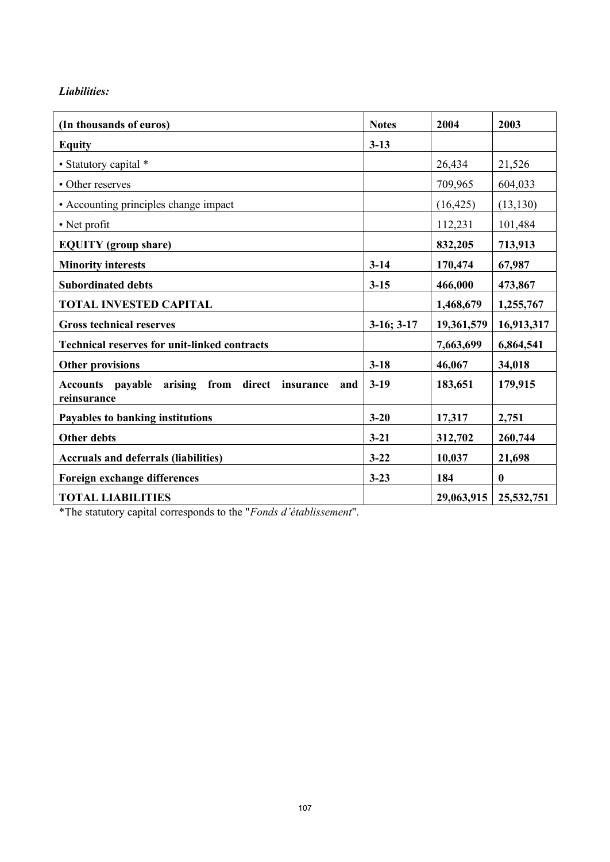# *Liabilities:*

| (In thousands of euros)                                                           | <b>Notes</b>    | 2004       | 2003             |
|-----------------------------------------------------------------------------------|-----------------|------------|------------------|
| <b>Equity</b>                                                                     | $3 - 13$        |            |                  |
| • Statutory capital *                                                             |                 | 26,434     | 21,526           |
| • Other reserves                                                                  |                 | 709,965    | 604,033          |
| • Accounting principles change impact                                             |                 | (16, 425)  | (13, 130)        |
| • Net profit                                                                      |                 | 112,231    | 101,484          |
| <b>EQUITY</b> (group share)                                                       |                 | 832,205    | 713,913          |
| <b>Minority interests</b>                                                         | $3 - 14$        | 170,474    | 67,987           |
| <b>Subordinated debts</b>                                                         | $3 - 15$        | 466,000    | 473,867          |
| <b>TOTAL INVESTED CAPITAL</b>                                                     |                 | 1,468,679  | 1,255,767        |
| <b>Gross technical reserves</b>                                                   | $3-16$ ; $3-17$ | 19,361,579 | 16,913,317       |
| <b>Technical reserves for unit-linked contracts</b>                               |                 | 7,663,699  | 6,864,541        |
| <b>Other provisions</b>                                                           | $3 - 18$        | 46,067     | 34,018           |
| payable<br>arising from direct insurance<br><b>Accounts</b><br>and<br>reinsurance | $3-19$          | 183,651    | 179,915          |
| Payables to banking institutions                                                  | $3 - 20$        | 17,317     | 2,751            |
| <b>Other debts</b>                                                                | $3-21$          | 312,702    | 260,744          |
| <b>Accruals and deferrals (liabilities)</b>                                       | $3 - 22$        | 10,037     | 21,698           |
| <b>Foreign exchange differences</b>                                               | $3 - 23$        | 184        | $\boldsymbol{0}$ |
| <b>TOTAL LIABILITIES</b>                                                          |                 | 29,063,915 | 25,532,751       |

\*The statutory capital corresponds to the "*Fonds d'établissement*".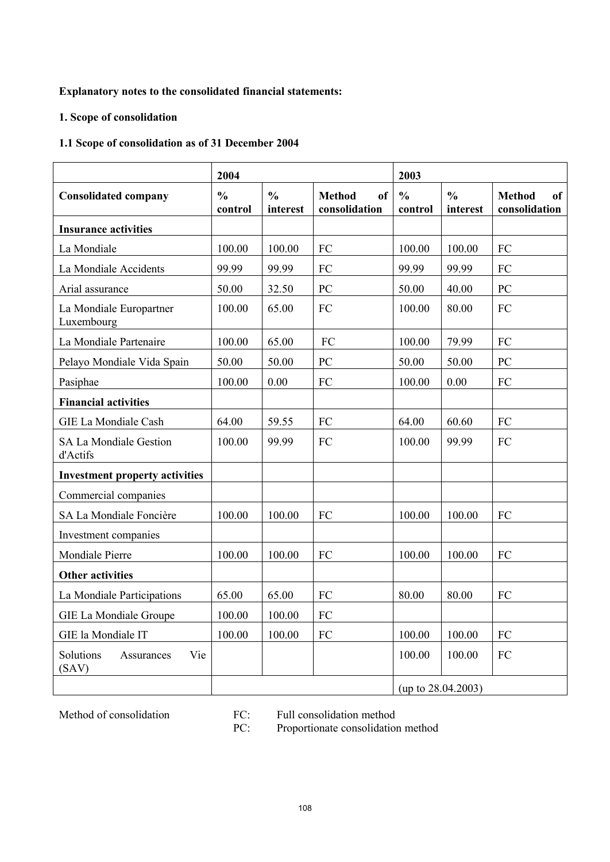# **Explanatory notes to the consolidated financial statements:**

# **1. Scope of consolidation**

# **1.1 Scope of consolidation as of 31 December 2004**

|                                           | 2004                     |                           |                                                 | 2003                     |                           |                                             |  |
|-------------------------------------------|--------------------------|---------------------------|-------------------------------------------------|--------------------------|---------------------------|---------------------------------------------|--|
| <b>Consolidated company</b>               | $\frac{0}{0}$<br>control | $\frac{0}{0}$<br>interest | <b>Method</b><br><sub>of</sub><br>consolidation | $\frac{0}{0}$<br>control | $\frac{0}{0}$<br>interest | <b>Method</b><br><b>of</b><br>consolidation |  |
| <b>Insurance activities</b>               |                          |                           |                                                 |                          |                           |                                             |  |
| La Mondiale                               | 100.00                   | 100.00                    | FC                                              | 100.00                   | 100.00                    | FC                                          |  |
| La Mondiale Accidents                     | 99.99                    | 99.99                     | FC                                              | 99.99                    | 99.99                     | FC                                          |  |
| Arial assurance                           | 50.00                    | 32.50                     | PC                                              | 50.00                    | 40.00                     | PC                                          |  |
| La Mondiale Europartner<br>Luxembourg     | 100.00                   | 65.00                     | FC                                              | 100.00                   | 80.00                     | FC                                          |  |
| La Mondiale Partenaire                    | 100.00                   | 65.00                     | FC                                              | 100.00                   | 79.99                     | FC                                          |  |
| Pelayo Mondiale Vida Spain                | 50.00                    | 50.00                     | PC                                              | 50.00                    | 50.00                     | PC                                          |  |
| Pasiphae                                  | 100.00                   | 0.00                      | FC                                              | 100.00                   | 0.00                      | FC                                          |  |
| <b>Financial activities</b>               |                          |                           |                                                 |                          |                           |                                             |  |
| GIE La Mondiale Cash                      | 64.00                    | 59.55                     | FC                                              | 64.00                    | 60.60                     | FC                                          |  |
| <b>SA La Mondiale Gestion</b><br>d'Actifs | 100.00                   | 99.99                     | FC                                              | 100.00                   | 99.99                     | FC                                          |  |
| <b>Investment property activities</b>     |                          |                           |                                                 |                          |                           |                                             |  |
| Commercial companies                      |                          |                           |                                                 |                          |                           |                                             |  |
| SA La Mondiale Foncière                   | 100.00                   | 100.00                    | FC                                              | 100.00                   | 100.00                    | FC                                          |  |
| Investment companies                      |                          |                           |                                                 |                          |                           |                                             |  |
| Mondiale Pierre                           | 100.00                   | 100.00                    | FC                                              | 100.00                   | 100.00                    | FC                                          |  |
| <b>Other activities</b>                   |                          |                           |                                                 |                          |                           |                                             |  |
| La Mondiale Participations                | 65.00                    | 65.00                     | FC                                              | 80.00                    | 80.00                     | FC                                          |  |
| GIE La Mondiale Groupe                    | 100.00                   | 100.00                    | FC                                              |                          |                           |                                             |  |
| GIE la Mondiale IT                        | 100.00                   | 100.00                    | FC                                              | 100.00                   | 100.00                    | FC                                          |  |
| Solutions<br>Vie<br>Assurances<br>(SAV)   |                          |                           |                                                 | 100.00                   | 100.00                    | FC                                          |  |
|                                           |                          |                           |                                                 |                          | (up to $28.04.2003$ )     |                                             |  |

Method of consolidation FC: Full consolidation method<br>PC: Proportionate consolidation Proportionate consolidation method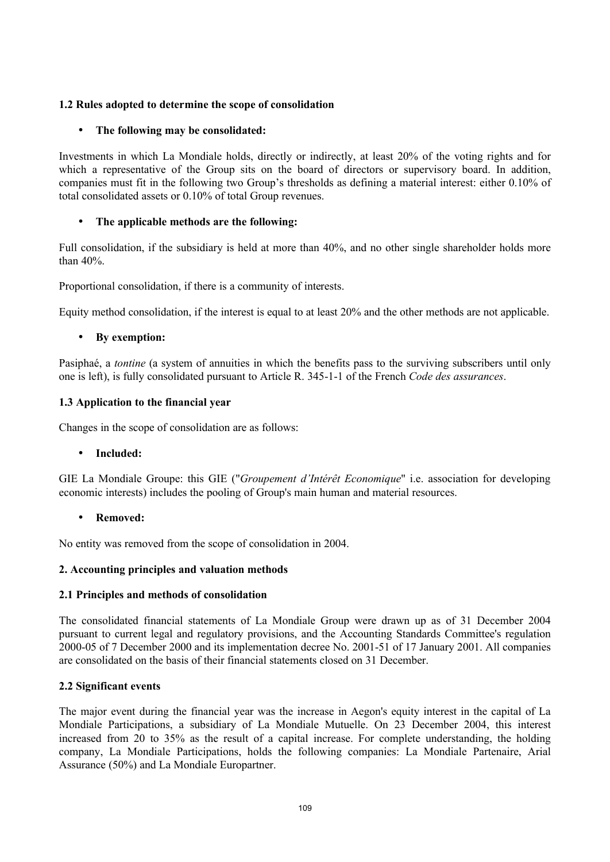## **1.2 Rules adopted to determine the scope of consolidation**

## • **The following may be consolidated:**

Investments in which La Mondiale holds, directly or indirectly, at least 20% of the voting rights and for which a representative of the Group sits on the board of directors or supervisory board. In addition, companies must fit in the following two Group's thresholds as defining a material interest: either 0.10% of total consolidated assets or 0.10% of total Group revenues.

## • **The applicable methods are the following:**

Full consolidation, if the subsidiary is held at more than 40%, and no other single shareholder holds more than 40%.

Proportional consolidation, if there is a community of interests.

Equity method consolidation, if the interest is equal to at least 20% and the other methods are not applicable.

## • **By exemption:**

Pasiphaé, a *tontine* (a system of annuities in which the benefits pass to the surviving subscribers until only one is left), is fully consolidated pursuant to Article R. 345-1-1 of the French *Code des assurances*.

## **1.3 Application to the financial year**

Changes in the scope of consolidation are as follows:

## • **Included:**

GIE La Mondiale Groupe: this GIE ("*Groupement d'Intérêt Economique*" i.e. association for developing economic interests) includes the pooling of Group's main human and material resources.

• **Removed:**

No entity was removed from the scope of consolidation in 2004.

## **2. Accounting principles and valuation methods**

## **2.1 Principles and methods of consolidation**

The consolidated financial statements of La Mondiale Group were drawn up as of 31 December 2004 pursuant to current legal and regulatory provisions, and the Accounting Standards Committee's regulation 2000-05 of 7 December 2000 and its implementation decree No. 2001-51 of 17 January 2001. All companies are consolidated on the basis of their financial statements closed on 31 December.

## **2.2 Significant events**

The major event during the financial year was the increase in Aegon's equity interest in the capital of La Mondiale Participations, a subsidiary of La Mondiale Mutuelle. On 23 December 2004, this interest increased from 20 to 35% as the result of a capital increase. For complete understanding, the holding company, La Mondiale Participations, holds the following companies: La Mondiale Partenaire, Arial Assurance (50%) and La Mondiale Europartner.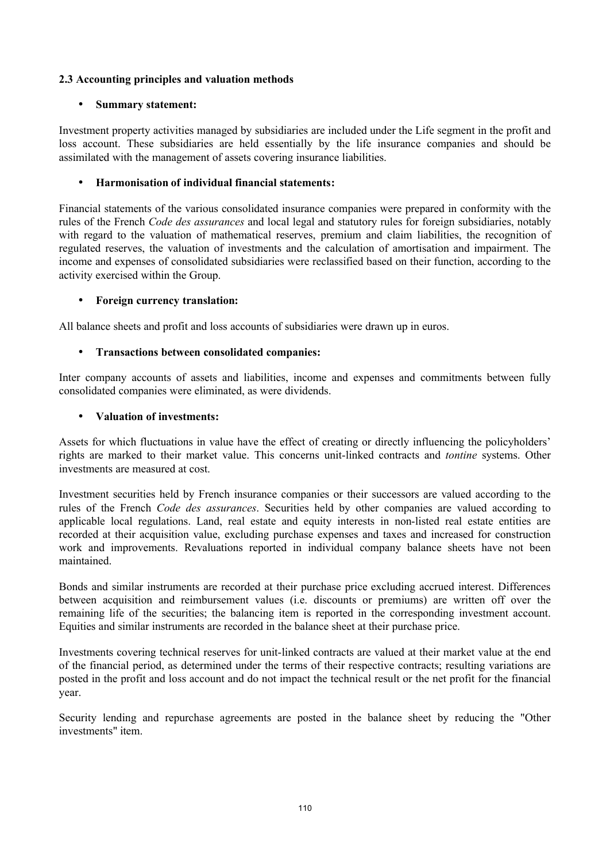## **2.3 Accounting principles and valuation methods**

## • **Summary statement:**

Investment property activities managed by subsidiaries are included under the Life segment in the profit and loss account. These subsidiaries are held essentially by the life insurance companies and should be assimilated with the management of assets covering insurance liabilities.

#### • **Harmonisation of individual financial statements:**

Financial statements of the various consolidated insurance companies were prepared in conformity with the rules of the French *Code des assurances* and local legal and statutory rules for foreign subsidiaries, notably with regard to the valuation of mathematical reserves, premium and claim liabilities, the recognition of regulated reserves, the valuation of investments and the calculation of amortisation and impairment. The income and expenses of consolidated subsidiaries were reclassified based on their function, according to the activity exercised within the Group.

#### • **Foreign currency translation:**

All balance sheets and profit and loss accounts of subsidiaries were drawn up in euros.

#### • **Transactions between consolidated companies:**

Inter company accounts of assets and liabilities, income and expenses and commitments between fully consolidated companies were eliminated, as were dividends.

#### • **Valuation of investments:**

Assets for which fluctuations in value have the effect of creating or directly influencing the policyholders' rights are marked to their market value. This concerns unit-linked contracts and *tontine* systems. Other investments are measured at cost.

Investment securities held by French insurance companies or their successors are valued according to the rules of the French *Code des assurances*. Securities held by other companies are valued according to applicable local regulations. Land, real estate and equity interests in non-listed real estate entities are recorded at their acquisition value, excluding purchase expenses and taxes and increased for construction work and improvements. Revaluations reported in individual company balance sheets have not been maintained.

Bonds and similar instruments are recorded at their purchase price excluding accrued interest. Differences between acquisition and reimbursement values (i.e. discounts or premiums) are written off over the remaining life of the securities; the balancing item is reported in the corresponding investment account. Equities and similar instruments are recorded in the balance sheet at their purchase price.

Investments covering technical reserves for unit-linked contracts are valued at their market value at the end of the financial period, as determined under the terms of their respective contracts; resulting variations are posted in the profit and loss account and do not impact the technical result or the net profit for the financial year.

Security lending and repurchase agreements are posted in the balance sheet by reducing the "Other investments" item.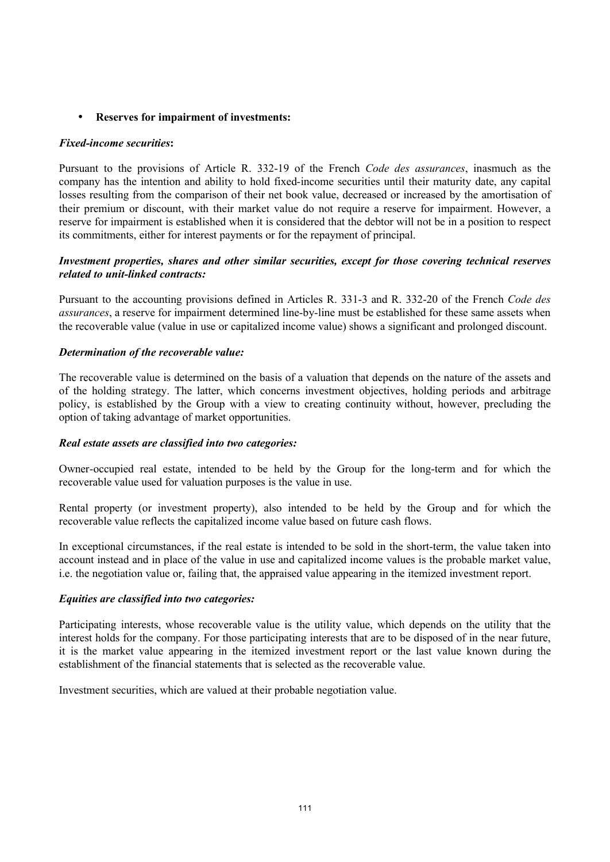#### • **Reserves for impairment of investments:**

#### *Fixed-income securities***:**

Pursuant to the provisions of Article R. 332-19 of the French *Code des assurances*, inasmuch as the company has the intention and ability to hold fixed-income securities until their maturity date, any capital losses resulting from the comparison of their net book value, decreased or increased by the amortisation of their premium or discount, with their market value do not require a reserve for impairment. However, a reserve for impairment is established when it is considered that the debtor will not be in a position to respect its commitments, either for interest payments or for the repayment of principal.

#### *Investment properties, shares and other similar securities, except for those covering technical reserves related to unit-linked contracts:*

Pursuant to the accounting provisions defined in Articles R. 331-3 and R. 332-20 of the French *Code des assurances*, a reserve for impairment determined line-by-line must be established for these same assets when the recoverable value (value in use or capitalized income value) shows a significant and prolonged discount.

#### *Determination of the recoverable value:*

The recoverable value is determined on the basis of a valuation that depends on the nature of the assets and of the holding strategy. The latter, which concerns investment objectives, holding periods and arbitrage policy, is established by the Group with a view to creating continuity without, however, precluding the option of taking advantage of market opportunities.

#### *Real estate assets are classified into two categories:*

Owner-occupied real estate, intended to be held by the Group for the long-term and for which the recoverable value used for valuation purposes is the value in use.

Rental property (or investment property), also intended to be held by the Group and for which the recoverable value reflects the capitalized income value based on future cash flows.

In exceptional circumstances, if the real estate is intended to be sold in the short-term, the value taken into account instead and in place of the value in use and capitalized income values is the probable market value, i.e. the negotiation value or, failing that, the appraised value appearing in the itemized investment report.

#### *Equities are classified into two categories:*

Participating interests, whose recoverable value is the utility value, which depends on the utility that the interest holds for the company. For those participating interests that are to be disposed of in the near future, it is the market value appearing in the itemized investment report or the last value known during the establishment of the financial statements that is selected as the recoverable value.

Investment securities, which are valued at their probable negotiation value.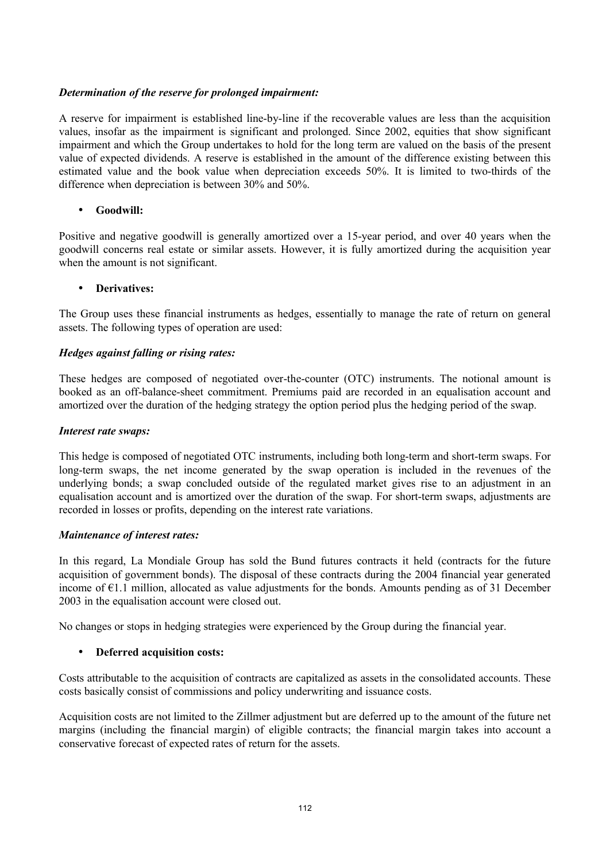#### *Determination of the reserve for prolonged impairment:*

A reserve for impairment is established line-by-line if the recoverable values are less than the acquisition values, insofar as the impairment is significant and prolonged. Since 2002, equities that show significant impairment and which the Group undertakes to hold for the long term are valued on the basis of the present value of expected dividends. A reserve is established in the amount of the difference existing between this estimated value and the book value when depreciation exceeds 50%. It is limited to two-thirds of the difference when depreciation is between 30% and 50%.

#### • **Goodwill:**

Positive and negative goodwill is generally amortized over a 15-year period, and over 40 years when the goodwill concerns real estate or similar assets. However, it is fully amortized during the acquisition year when the amount is not significant.

#### • **Derivatives:**

The Group uses these financial instruments as hedges, essentially to manage the rate of return on general assets. The following types of operation are used:

#### *Hedges against falling or rising rates:*

These hedges are composed of negotiated over-the-counter (OTC) instruments. The notional amount is booked as an off-balance-sheet commitment. Premiums paid are recorded in an equalisation account and amortized over the duration of the hedging strategy the option period plus the hedging period of the swap.

#### *Interest rate swaps:*

This hedge is composed of negotiated OTC instruments, including both long-term and short-term swaps. For long-term swaps, the net income generated by the swap operation is included in the revenues of the underlying bonds; a swap concluded outside of the regulated market gives rise to an adjustment in an equalisation account and is amortized over the duration of the swap. For short-term swaps, adjustments are recorded in losses or profits, depending on the interest rate variations.

#### *Maintenance of interest rates:*

In this regard, La Mondiale Group has sold the Bund futures contracts it held (contracts for the future acquisition of government bonds). The disposal of these contracts during the 2004 financial year generated income of €1.1 million, allocated as value adjustments for the bonds. Amounts pending as of 31 December 2003 in the equalisation account were closed out.

No changes or stops in hedging strategies were experienced by the Group during the financial year.

#### • **Deferred acquisition costs:**

Costs attributable to the acquisition of contracts are capitalized as assets in the consolidated accounts. These costs basically consist of commissions and policy underwriting and issuance costs.

Acquisition costs are not limited to the Zillmer adjustment but are deferred up to the amount of the future net margins (including the financial margin) of eligible contracts; the financial margin takes into account a conservative forecast of expected rates of return for the assets.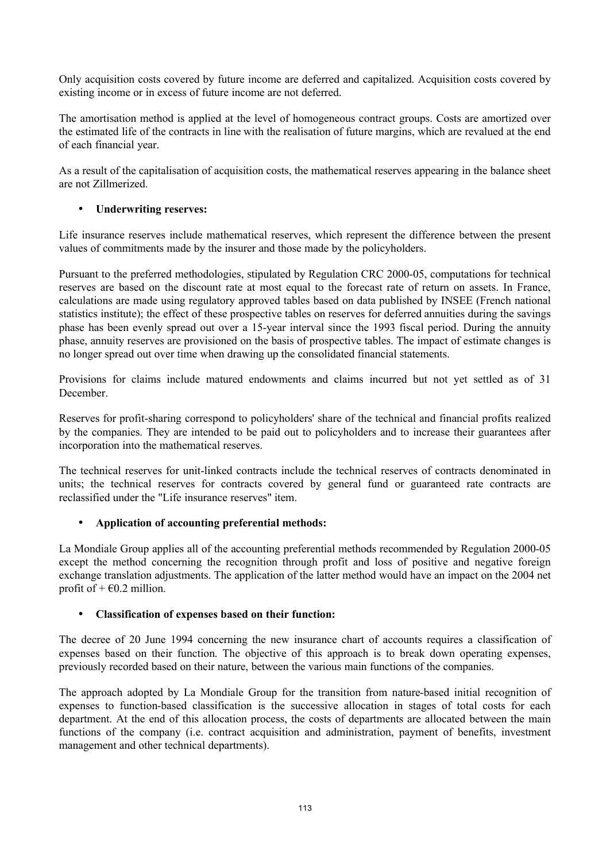Only acquisition costs covered by future income are deferred and capitalized. Acquisition costs covered by existing income or in excess of future income are not deferred.

The amortisation method is applied at the level of homogeneous contract groups. Costs are amortized over the estimated life of the contracts in line with the realisation of future margins, which are revalued at the end of each financial year.

As a result of the capitalisation of acquisition costs, the mathematical reserves appearing in the balance sheet are not Zillmerized.

## • **Underwriting reserves:**

Life insurance reserves include mathematical reserves, which represent the difference between the present values of commitments made by the insurer and those made by the policyholders.

Pursuant to the preferred methodologies, stipulated by Regulation CRC 2000-05, computations for technical reserves are based on the discount rate at most equal to the forecast rate of return on assets. In France, calculations are made using regulatory approved tables based on data published by INSEE (French national statistics institute); the effect of these prospective tables on reserves for deferred annuities during the savings phase has been evenly spread out over a 15-year interval since the 1993 fiscal period. During the annuity phase, annuity reserves are provisioned on the basis of prospective tables. The impact of estimate changes is no longer spread out over time when drawing up the consolidated financial statements.

Provisions for claims include matured endowments and claims incurred but not yet settled as of 31 December.

Reserves for profit-sharing correspond to policyholders' share of the technical and financial profits realized by the companies. They are intended to be paid out to policyholders and to increase their guarantees after incorporation into the mathematical reserves.

The technical reserves for unit-linked contracts include the technical reserves of contracts denominated in units; the technical reserves for contracts covered by general fund or guaranteed rate contracts are reclassified under the "Life insurance reserves" item.

## • **Application of accounting preferential methods:**

La Mondiale Group applies all of the accounting preferential methods recommended by Regulation 2000-05 except the method concerning the recognition through profit and loss of positive and negative foreign exchange translation adjustments. The application of the latter method would have an impact on the 2004 net profit of  $+$   $\epsilon$ 0.2 million.

## • **Classification of expenses based on their function:**

The decree of 20 June 1994 concerning the new insurance chart of accounts requires a classification of expenses based on their function. The objective of this approach is to break down operating expenses, previously recorded based on their nature, between the various main functions of the companies.

The approach adopted by La Mondiale Group for the transition from nature-based initial recognition of expenses to function-based classification is the successive allocation in stages of total costs for each department. At the end of this allocation process, the costs of departments are allocated between the main functions of the company (i.e. contract acquisition and administration, payment of benefits, investment management and other technical departments).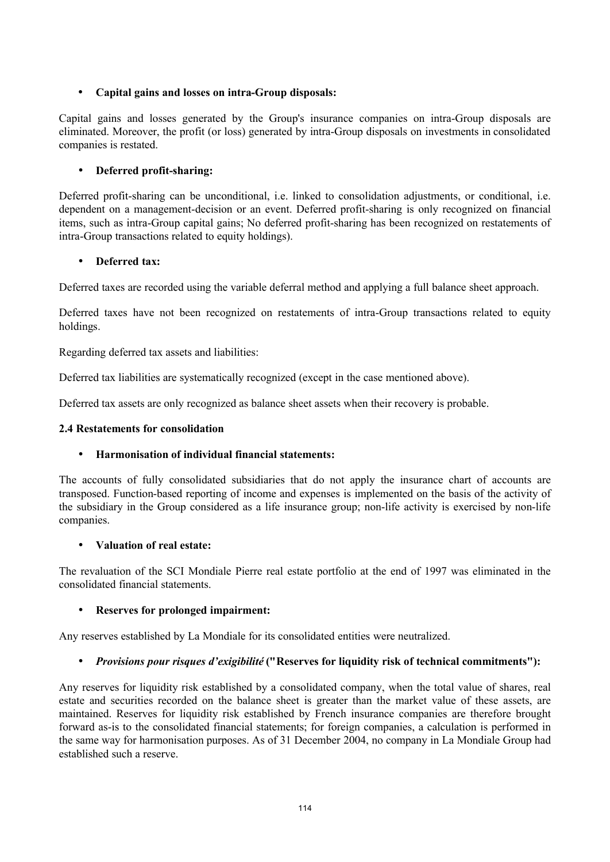## • **Capital gains and losses on intra-Group disposals:**

Capital gains and losses generated by the Group's insurance companies on intra-Group disposals are eliminated. Moreover, the profit (or loss) generated by intra-Group disposals on investments in consolidated companies is restated.

## • **Deferred profit-sharing:**

Deferred profit-sharing can be unconditional, i.e. linked to consolidation adjustments, or conditional, i.e. dependent on a management-decision or an event. Deferred profit-sharing is only recognized on financial items, such as intra-Group capital gains; No deferred profit-sharing has been recognized on restatements of intra-Group transactions related to equity holdings).

## • **Deferred tax:**

Deferred taxes are recorded using the variable deferral method and applying a full balance sheet approach.

Deferred taxes have not been recognized on restatements of intra-Group transactions related to equity holdings.

Regarding deferred tax assets and liabilities:

Deferred tax liabilities are systematically recognized (except in the case mentioned above).

Deferred tax assets are only recognized as balance sheet assets when their recovery is probable.

#### **2.4 Restatements for consolidation**

## • **Harmonisation of individual financial statements:**

The accounts of fully consolidated subsidiaries that do not apply the insurance chart of accounts are transposed. Function-based reporting of income and expenses is implemented on the basis of the activity of the subsidiary in the Group considered as a life insurance group; non-life activity is exercised by non-life companies.

#### • **Valuation of real estate:**

The revaluation of the SCI Mondiale Pierre real estate portfolio at the end of 1997 was eliminated in the consolidated financial statements.

## • **Reserves for prolonged impairment:**

Any reserves established by La Mondiale for its consolidated entities were neutralized.

## • *Provisions pour risques d'exigibilité* **("Reserves for liquidity risk of technical commitments"):**

Any reserves for liquidity risk established by a consolidated company, when the total value of shares, real estate and securities recorded on the balance sheet is greater than the market value of these assets, are maintained. Reserves for liquidity risk established by French insurance companies are therefore brought forward as-is to the consolidated financial statements; for foreign companies, a calculation is performed in the same way for harmonisation purposes. As of 31 December 2004, no company in La Mondiale Group had established such a reserve.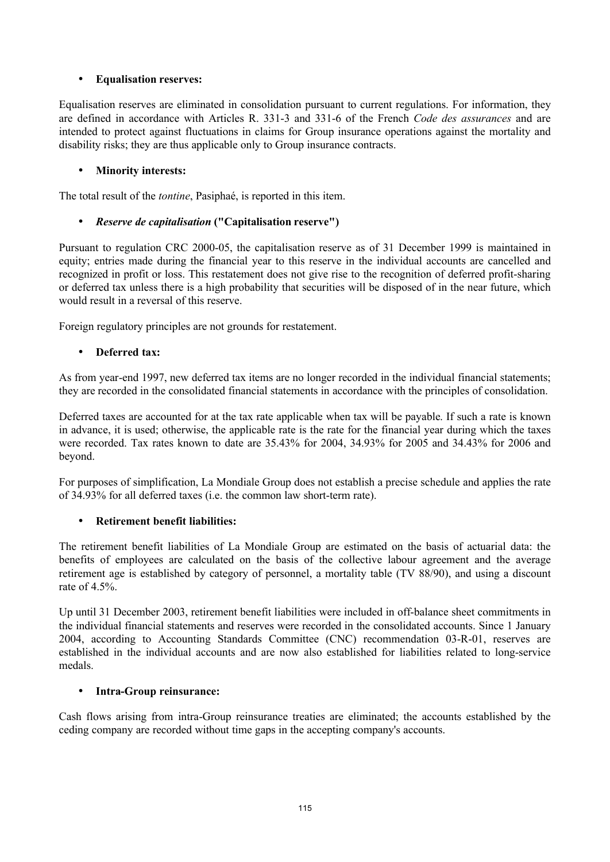## • **Equalisation reserves:**

Equalisation reserves are eliminated in consolidation pursuant to current regulations. For information, they are defined in accordance with Articles R. 331-3 and 331-6 of the French *Code des assurances* and are intended to protect against fluctuations in claims for Group insurance operations against the mortality and disability risks; they are thus applicable only to Group insurance contracts.

## • **Minority interests:**

The total result of the *tontine*, Pasiphaé, is reported in this item.

## • *Reserve de capitalisation* **("Capitalisation reserve")**

Pursuant to regulation CRC 2000-05, the capitalisation reserve as of 31 December 1999 is maintained in equity; entries made during the financial year to this reserve in the individual accounts are cancelled and recognized in profit or loss. This restatement does not give rise to the recognition of deferred profit-sharing or deferred tax unless there is a high probability that securities will be disposed of in the near future, which would result in a reversal of this reserve.

Foreign regulatory principles are not grounds for restatement.

## • **Deferred tax:**

As from year-end 1997, new deferred tax items are no longer recorded in the individual financial statements; they are recorded in the consolidated financial statements in accordance with the principles of consolidation.

Deferred taxes are accounted for at the tax rate applicable when tax will be payable. If such a rate is known in advance, it is used; otherwise, the applicable rate is the rate for the financial year during which the taxes were recorded. Tax rates known to date are 35.43% for 2004, 34.93% for 2005 and 34.43% for 2006 and beyond.

For purposes of simplification, La Mondiale Group does not establish a precise schedule and applies the rate of 34.93% for all deferred taxes (i.e. the common law short-term rate).

## • **Retirement benefit liabilities:**

The retirement benefit liabilities of La Mondiale Group are estimated on the basis of actuarial data: the benefits of employees are calculated on the basis of the collective labour agreement and the average retirement age is established by category of personnel, a mortality table (TV 88/90), and using a discount rate of 4.5%.

Up until 31 December 2003, retirement benefit liabilities were included in off-balance sheet commitments in the individual financial statements and reserves were recorded in the consolidated accounts. Since 1 January 2004, according to Accounting Standards Committee (CNC) recommendation 03-R-01, reserves are established in the individual accounts and are now also established for liabilities related to long-service medals.

## • **Intra-Group reinsurance:**

Cash flows arising from intra-Group reinsurance treaties are eliminated; the accounts established by the ceding company are recorded without time gaps in the accepting company's accounts.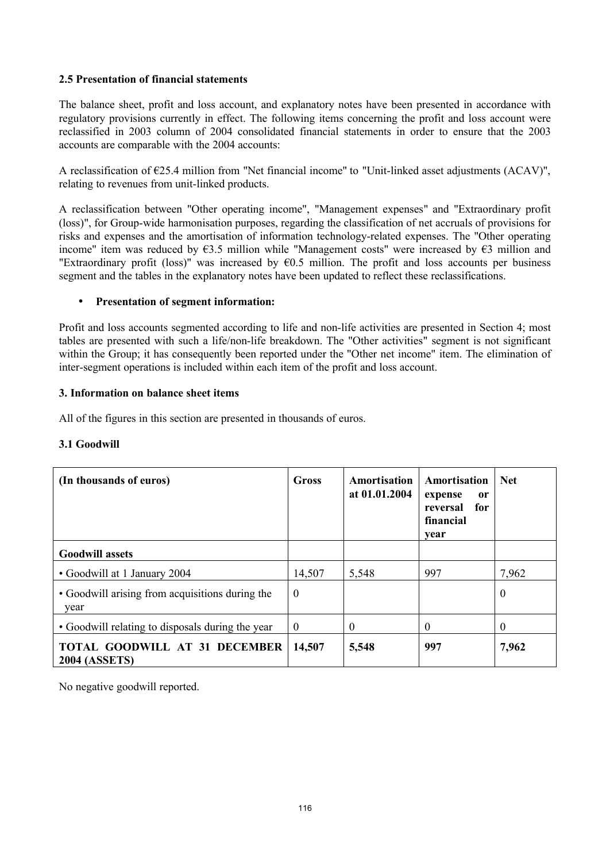#### **2.5 Presentation of financial statements**

The balance sheet, profit and loss account, and explanatory notes have been presented in accordance with regulatory provisions currently in effect. The following items concerning the profit and loss account were reclassified in 2003 column of 2004 consolidated financial statements in order to ensure that the 2003 accounts are comparable with the 2004 accounts:

A reclassification of €25.4 million from "Net financial income" to "Unit-linked asset adjustments (ACAV)", relating to revenues from unit-linked products.

A reclassification between "Other operating income", "Management expenses" and "Extraordinary profit (loss)", for Group-wide harmonisation purposes, regarding the classification of net accruals of provisions for risks and expenses and the amortisation of information technology-related expenses. The "Other operating income" item was reduced by  $\epsilon$ 3.5 million while "Management costs" were increased by  $\epsilon$ 3 million and "Extraordinary profit (loss)" was increased by  $\epsilon$ 0.5 million. The profit and loss accounts per business segment and the tables in the explanatory notes have been updated to reflect these reclassifications.

#### • **Presentation of segment information:**

Profit and loss accounts segmented according to life and non-life activities are presented in Section 4; most tables are presented with such a life/non-life breakdown. The "Other activities" segment is not significant within the Group; it has consequently been reported under the "Other net income" item. The elimination of inter-segment operations is included within each item of the profit and loss account.

#### **3. Information on balance sheet items**

All of the figures in this section are presented in thousands of euros.

## **3.1 Goodwill**

| (In thousands of euros)                                      | Gross          | Amortisation<br>at 01.01.2004 | Amortisation<br>expense<br>or<br>for<br>reversal<br>financial<br>year | <b>Net</b> |
|--------------------------------------------------------------|----------------|-------------------------------|-----------------------------------------------------------------------|------------|
| <b>Goodwill assets</b>                                       |                |                               |                                                                       |            |
| • Goodwill at 1 January 2004                                 | 14,507         | 5,548                         | 997                                                                   | 7,962      |
| • Goodwill arising from acquisitions during the<br>year      | $\overline{0}$ |                               |                                                                       | $\theta$   |
| • Goodwill relating to disposals during the year             | $\overline{0}$ | $\theta$                      | 0                                                                     | $\theta$   |
| <b>TOTAL GOODWILL AT 31 DECEMBER</b><br><b>2004 (ASSETS)</b> | 14,507         | 5,548                         | 997                                                                   | 7,962      |

No negative goodwill reported.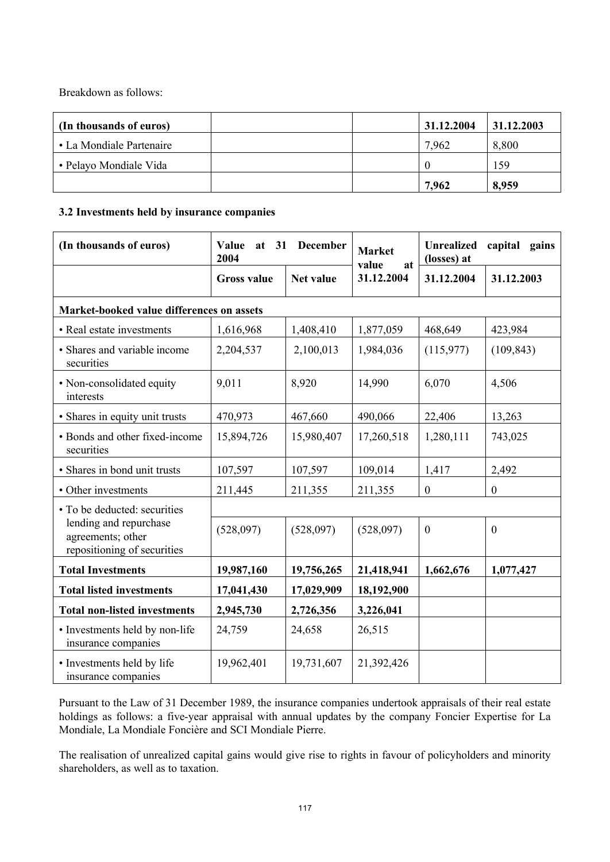Breakdown as follows:

| (In thousands of euros)  | 31.12.2004 | 31.12.2003 |
|--------------------------|------------|------------|
| • La Mondiale Partenaire | 7.962      | 8,800      |
| • Pelayo Mondiale Vida   |            | 159        |
|                          | 7,962      | 8,959      |

## **3.2 Investments held by insurance companies**

| (In thousands of euros)                                                    | December<br>Value<br>at 31<br>2004 |                  | <b>Market</b><br>value<br>at | <b>Unrealized</b><br>capital gains<br>(losses) at |              |
|----------------------------------------------------------------------------|------------------------------------|------------------|------------------------------|---------------------------------------------------|--------------|
|                                                                            | <b>Gross value</b>                 | <b>Net value</b> | 31.12.2004                   | 31.12.2004                                        | 31.12.2003   |
| Market-booked value differences on assets                                  |                                    |                  |                              |                                                   |              |
| • Real estate investments                                                  | 1,616,968                          | 1,408,410        | 1,877,059                    | 468,649                                           | 423,984      |
| • Shares and variable income<br>securities                                 | 2,204,537                          | 2,100,013        | 1,984,036                    | (115,977)                                         | (109, 843)   |
| • Non-consolidated equity<br>interests                                     | 9,011                              | 8,920            | 14,990                       | 6,070                                             | 4,506        |
| • Shares in equity unit trusts                                             | 470,973                            | 467,660          | 490,066                      | 22,406                                            | 13,263       |
| • Bonds and other fixed-income<br>securities                               | 15,894,726                         | 15,980,407       | 17,260,518                   | 1,280,111                                         | 743,025      |
| · Shares in bond unit trusts                                               | 107,597                            | 107,597          | 109,014                      | 1,417                                             | 2,492        |
| • Other investments                                                        | 211,445                            | 211,355          | 211,355                      | $\overline{0}$                                    | $\mathbf{0}$ |
| • To be deducted: securities                                               |                                    |                  |                              |                                                   |              |
| lending and repurchase<br>agreements; other<br>repositioning of securities | (528,097)                          | (528,097)        | (528,097)                    | $\mathbf{0}$                                      | $\mathbf{0}$ |
| <b>Total Investments</b>                                                   | 19,987,160                         | 19,756,265       | 21,418,941                   | 1,662,676                                         | 1,077,427    |
| <b>Total listed investments</b>                                            | 17,041,430                         | 17,029,909       | 18,192,900                   |                                                   |              |
| <b>Total non-listed investments</b>                                        | 2,945,730                          | 2,726,356        | 3,226,041                    |                                                   |              |
| • Investments held by non-life<br>insurance companies                      | 24,759                             | 24,658           | 26,515                       |                                                   |              |
| • Investments held by life<br>insurance companies                          | 19,962,401                         | 19,731,607       | 21,392,426                   |                                                   |              |

Pursuant to the Law of 31 December 1989, the insurance companies undertook appraisals of their real estate holdings as follows: a five-year appraisal with annual updates by the company Foncier Expertise for La Mondiale, La Mondiale Foncière and SCI Mondiale Pierre.

The realisation of unrealized capital gains would give rise to rights in favour of policyholders and minority shareholders, as well as to taxation.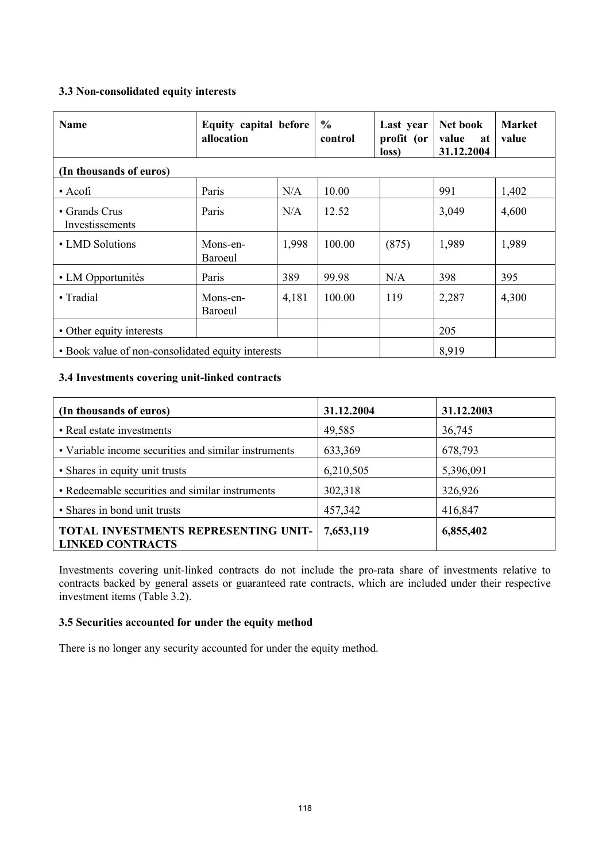## **3.3 Non-consolidated equity interests**

| <b>Name</b>                                       | Equity capital before<br>allocation |       | $\frac{6}{6}$<br>control | Last year<br>profit (or<br>loss) | Net book<br>value<br>at<br>31.12.2004 | <b>Market</b><br>value |
|---------------------------------------------------|-------------------------------------|-------|--------------------------|----------------------------------|---------------------------------------|------------------------|
| (In thousands of euros)                           |                                     |       |                          |                                  |                                       |                        |
| $\bullet$ Acofi                                   | Paris                               | N/A   | 10.00                    |                                  | 991                                   | 1,402                  |
| • Grands Crus<br>Investissements                  | Paris                               | N/A   | 12.52                    |                                  | 3,049                                 | 4,600                  |
| • LMD Solutions                                   | Mons-en-<br>Baroeul                 | 1,998 | 100.00                   | (875)                            | 1,989                                 | 1,989                  |
| • LM Opportunités                                 | Paris                               | 389   | 99.98                    | N/A                              | 398                                   | 395                    |
| • Tradial                                         | Mons-en-<br>Baroeul                 | 4,181 | 100.00                   | 119                              | 2,287                                 | 4,300                  |
| • Other equity interests                          |                                     |       |                          |                                  | 205                                   |                        |
| • Book value of non-consolidated equity interests |                                     |       |                          |                                  | 8,919                                 |                        |

## **3.4 Investments covering unit-linked contracts**

| (In thousands of euros)                                         | 31.12.2004 | 31.12.2003 |
|-----------------------------------------------------------------|------------|------------|
| • Real estate investments                                       | 49,585     | 36,745     |
| • Variable income securities and similar instruments            | 633,369    | 678,793    |
| • Shares in equity unit trusts                                  | 6,210,505  | 5,396,091  |
| • Redeemable securities and similar instruments                 | 302,318    | 326,926    |
| • Shares in bond unit trusts                                    | 457,342    | 416,847    |
| TOTAL INVESTMENTS REPRESENTING UNIT-<br><b>LINKED CONTRACTS</b> | 7,653,119  | 6,855,402  |

Investments covering unit-linked contracts do not include the pro-rata share of investments relative to contracts backed by general assets or guaranteed rate contracts, which are included under their respective investment items (Table 3.2).

## **3.5 Securities accounted for under the equity method**

There is no longer any security accounted for under the equity method.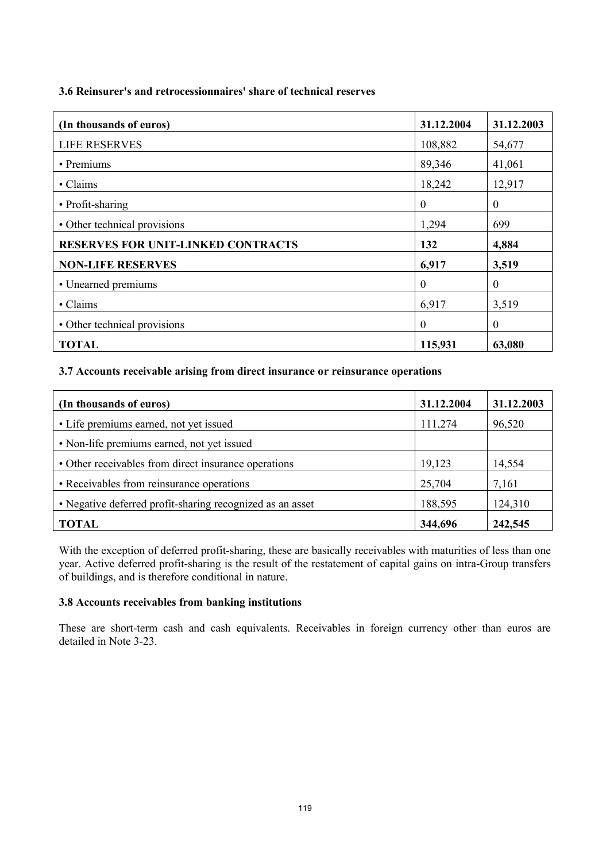## **3.6 Reinsurer's and retrocessionnaires' share of technical reserves**

| (In thousands of euros)                   | 31.12.2004 | 31.12.2003   |
|-------------------------------------------|------------|--------------|
| <b>LIFE RESERVES</b>                      | 108,882    | 54,677       |
| • Premiums                                | 89,346     | 41,061       |
| • Claims                                  | 18,242     | 12,917       |
| • Profit-sharing                          | $\theta$   | $\mathbf{0}$ |
| • Other technical provisions              | 1,294      | 699          |
| <b>RESERVES FOR UNIT-LINKED CONTRACTS</b> | 132        | 4,884        |
| <b>NON-LIFE RESERVES</b>                  | 6,917      | 3,519        |
| • Unearned premiums                       | $\theta$   | $\theta$     |
| • Claims                                  | 6,917      | 3,519        |
| • Other technical provisions              | $\theta$   | $\mathbf{0}$ |
| <b>TOTAL</b>                              | 115,931    | 63,080       |

## **3.7 Accounts receivable arising from direct insurance or reinsurance operations**

| (In thousands of euros)                                   | 31.12.2004 | 31.12.2003 |
|-----------------------------------------------------------|------------|------------|
| • Life premiums earned, not yet issued                    | 111,274    | 96,520     |
| • Non-life premiums earned, not yet issued                |            |            |
| • Other receivables from direct insurance operations      | 19,123     | 14,554     |
| • Receivables from reinsurance operations                 | 25,704     | 7,161      |
| • Negative deferred profit-sharing recognized as an asset | 188,595    | 124,310    |
| TOTAL                                                     | 344,696    | 242,545    |

With the exception of deferred profit-sharing, these are basically receivables with maturities of less than one year. Active deferred profit-sharing is the result of the restatement of capital gains on intra-Group transfers of buildings, and is therefore conditional in nature.

#### **3.8 Accounts receivables from banking institutions**

These are short-term cash and cash equivalents. Receivables in foreign currency other than euros are detailed in Note 3-23.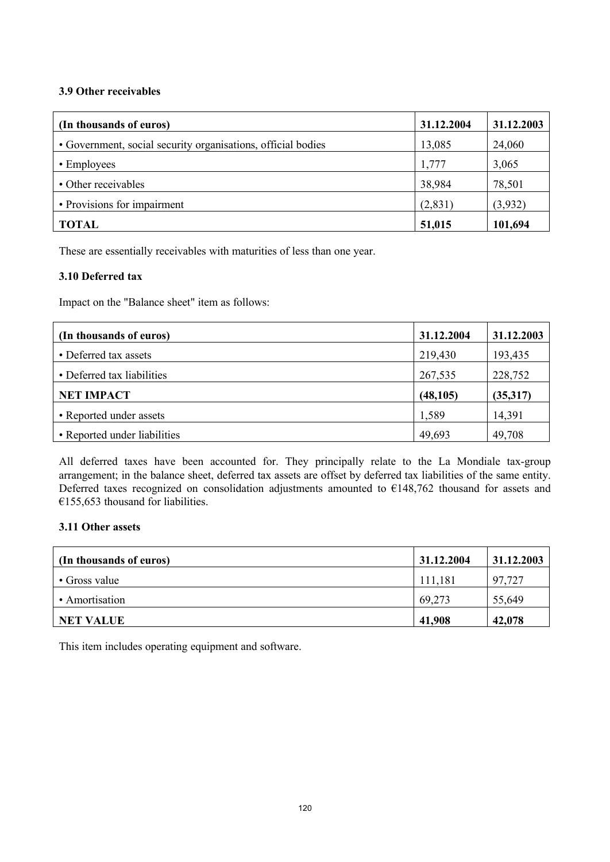#### **3.9 Other receivables**

| (In thousands of euros)                                      | 31.12.2004 | 31.12.2003 |
|--------------------------------------------------------------|------------|------------|
| • Government, social security organisations, official bodies | 13,085     | 24,060     |
| • Employees                                                  | 1,777      | 3,065      |
| • Other receivables                                          | 38,984     | 78,501     |
| • Provisions for impairment                                  | (2,831)    | (3,932)    |
| <b>TOTAL</b>                                                 | 51,015     | 101,694    |

These are essentially receivables with maturities of less than one year.

## **3.10 Deferred tax**

Impact on the "Balance sheet" item as follows:

| (In thousands of euros)      | 31.12.2004 | 31.12.2003 |
|------------------------------|------------|------------|
| • Deferred tax assets        | 219,430    | 193,435    |
| • Deferred tax liabilities   | 267,535    | 228,752    |
| <b>NET IMPACT</b>            | (48, 105)  | (35,317)   |
| • Reported under assets      | 1,589      | 14,391     |
| • Reported under liabilities | 49,693     | 49,708     |

All deferred taxes have been accounted for. They principally relate to the La Mondiale tax-group arrangement; in the balance sheet, deferred tax assets are offset by deferred tax liabilities of the same entity. Deferred taxes recognized on consolidation adjustments amounted to €148,762 thousand for assets and  $€155,653$  thousand for liabilities.

#### **3.11 Other assets**

| (In thousands of euros) | 31.12.2004 | 31.12.2003 |
|-------------------------|------------|------------|
| • Gross value           | 111,181    | 97,727     |
| • Amortisation          | 69,273     | 55,649     |
| <b>NET VALUE</b>        | 41,908     | 42,078     |

This item includes operating equipment and software.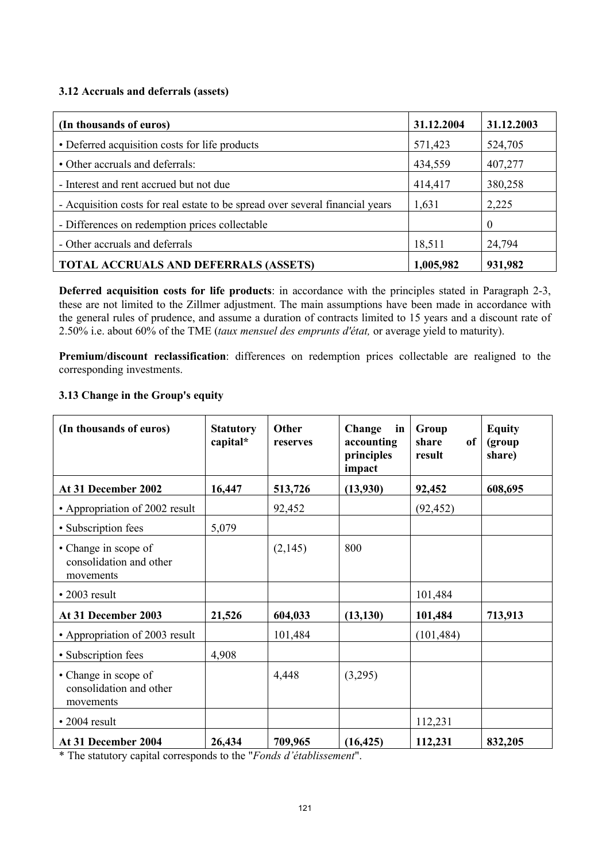## **3.12 Accruals and deferrals (assets)**

| (In thousands of euros)                                                       | 31.12.2004 | 31.12.2003 |
|-------------------------------------------------------------------------------|------------|------------|
| • Deferred acquisition costs for life products                                | 571,423    | 524,705    |
| • Other accruals and deferrals:                                               | 434,559    | 407,277    |
| - Interest and rent accrued but not due                                       | 414,417    | 380,258    |
| - Acquisition costs for real estate to be spread over several financial years | 1,631      | 2,225      |
| - Differences on redemption prices collectable                                |            | $\theta$   |
| - Other accruals and deferrals                                                | 18,511     | 24,794     |
| <b>TOTAL ACCRUALS AND DEFERRALS (ASSETS)</b>                                  | 1,005,982  | 931,982    |

**Deferred acquisition costs for life products**: in accordance with the principles stated in Paragraph 2-3, these are not limited to the Zillmer adjustment. The main assumptions have been made in accordance with the general rules of prudence, and assume a duration of contracts limited to 15 years and a discount rate of 2.50% i.e. about 60% of the TME (*taux mensuel des emprunts d'état,* or average yield to maturity).

**Premium/discount reclassification**: differences on redemption prices collectable are realigned to the corresponding investments.

#### **3.13 Change in the Group's equity**

| (In thousands of euros)                                      | <b>Statutory</b><br>capital* | <b>Other</b><br>reserves | Change<br>in<br>accounting<br>principles<br>impact | Group<br><sub>of</sub><br>share<br>result | <b>Equity</b><br>(group<br>share) |
|--------------------------------------------------------------|------------------------------|--------------------------|----------------------------------------------------|-------------------------------------------|-----------------------------------|
| At 31 December 2002                                          | 16,447                       | 513,726                  | (13,930)                                           | 92,452                                    | 608,695                           |
| • Appropriation of 2002 result                               |                              | 92,452                   |                                                    | (92, 452)                                 |                                   |
| • Subscription fees                                          | 5,079                        |                          |                                                    |                                           |                                   |
| • Change in scope of<br>consolidation and other<br>movements |                              | (2,145)                  | 800                                                |                                           |                                   |
| $\cdot$ 2003 result                                          |                              |                          |                                                    | 101,484                                   |                                   |
| At 31 December 2003                                          | 21,526                       | 604,033                  | (13, 130)                                          | 101,484                                   | 713,913                           |
| • Appropriation of 2003 result                               |                              | 101,484                  |                                                    | (101, 484)                                |                                   |
| • Subscription fees                                          | 4,908                        |                          |                                                    |                                           |                                   |
| • Change in scope of<br>consolidation and other<br>movements |                              | 4,448                    | (3,295)                                            |                                           |                                   |
| $\cdot$ 2004 result                                          |                              |                          |                                                    | 112,231                                   |                                   |
| At 31 December 2004                                          | 26,434                       | 709,965                  | (16, 425)                                          | 112,231                                   | 832,205                           |

\* The statutory capital corresponds to the "*Fonds d'établissement*".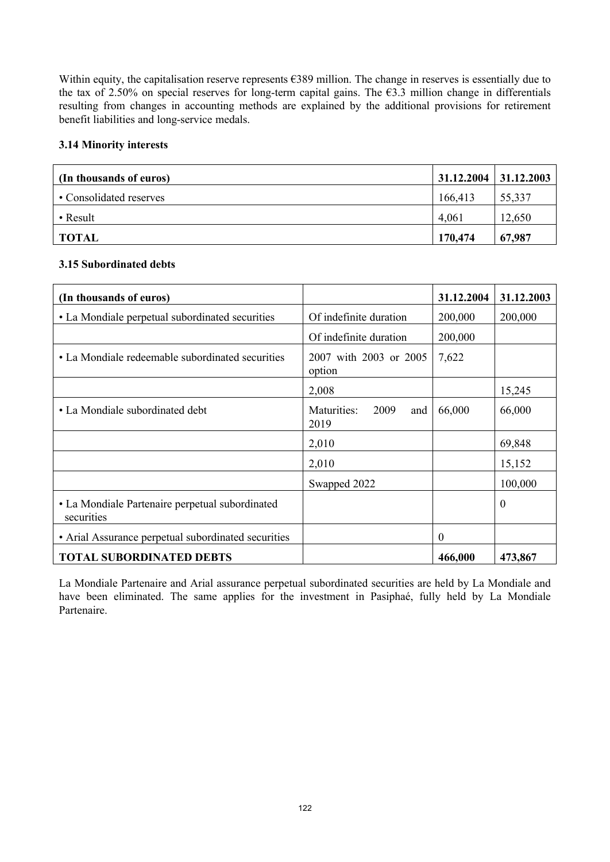Within equity, the capitalisation reserve represents €389 million. The change in reserves is essentially due to the tax of 2.50% on special reserves for long-term capital gains. The  $\epsilon$ 3.3 million change in differentials resulting from changes in accounting methods are explained by the additional provisions for retirement benefit liabilities and long-service medals.

#### **3.14 Minority interests**

| (In thousands of euros) | $31.12.2004$   $31.12.2003$ |        |
|-------------------------|-----------------------------|--------|
| • Consolidated reserves | 166,413                     | 55,337 |
| • Result                | 4,061                       | 12,650 |
| <b>TOTAL</b>            | 170,474                     | 67,987 |

## **3.15 Subordinated debts**

| (In thousands of euros)                                       |                                    | 31.12.2004 | 31.12.2003 |
|---------------------------------------------------------------|------------------------------------|------------|------------|
| • La Mondiale perpetual subordinated securities               | Of indefinite duration             | 200,000    | 200,000    |
|                                                               | Of indefinite duration             | 200,000    |            |
| • La Mondiale redeemable subordinated securities              | 2007 with 2003 or 2005<br>option   | 7,622      |            |
|                                                               | 2,008                              |            | 15,245     |
| • La Mondiale subordinated debt                               | Maturities:<br>2009<br>and<br>2019 | 66,000     | 66,000     |
|                                                               | 2,010                              |            | 69,848     |
|                                                               | 2,010                              |            | 15,152     |
|                                                               | Swapped 2022                       |            | 100,000    |
| • La Mondiale Partenaire perpetual subordinated<br>securities |                                    |            | $\Omega$   |
| • Arial Assurance perpetual subordinated securities           |                                    | $\theta$   |            |
| <b>TOTAL SUBORDINATED DEBTS</b>                               |                                    | 466,000    | 473,867    |

La Mondiale Partenaire and Arial assurance perpetual subordinated securities are held by La Mondiale and have been eliminated. The same applies for the investment in Pasiphaé, fully held by La Mondiale Partenaire.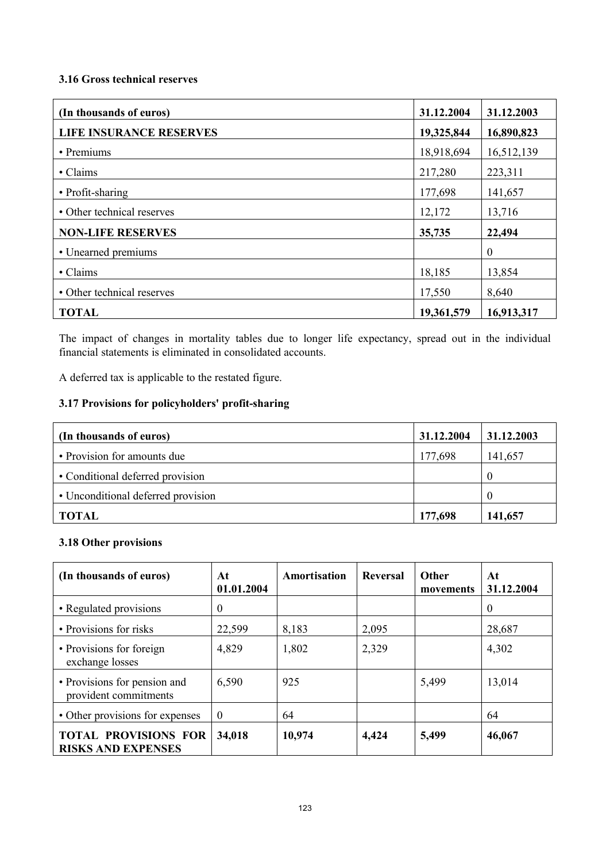#### **3.16 Gross technical reserves**

| (In thousands of euros)        | 31.12.2004 | 31.12.2003 |
|--------------------------------|------------|------------|
| <b>LIFE INSURANCE RESERVES</b> | 19,325,844 | 16,890,823 |
| • Premiums                     | 18,918,694 | 16,512,139 |
| • Claims                       | 217,280    | 223,311    |
| • Profit-sharing               | 177,698    | 141,657    |
| • Other technical reserves     | 12,172     | 13,716     |
| <b>NON-LIFE RESERVES</b>       | 35,735     | 22,494     |
| • Unearned premiums            |            | $\theta$   |
| • Claims                       | 18,185     | 13,854     |
| • Other technical reserves     | 17,550     | 8,640      |
| <b>TOTAL</b>                   | 19,361,579 | 16,913,317 |

The impact of changes in mortality tables due to longer life expectancy, spread out in the individual financial statements is eliminated in consolidated accounts.

A deferred tax is applicable to the restated figure.

# **3.17 Provisions for policyholders' profit-sharing**

| (In thousands of euros)            | 31.12.2004 | 31.12.2003 |
|------------------------------------|------------|------------|
| • Provision for amounts due        | 177,698    | 141,657    |
| • Conditional deferred provision   |            |            |
| • Unconditional deferred provision |            |            |
| TOTAL                              | 177,698    | 141,657    |

# **3.18 Other provisions**

| (In thousands of euros)                                  | At<br>01.01.2004 | Amortisation | Reversal | Other<br>movements | At<br>31.12.2004 |
|----------------------------------------------------------|------------------|--------------|----------|--------------------|------------------|
| • Regulated provisions                                   | $\theta$         |              |          |                    | $\theta$         |
| • Provisions for risks                                   | 22,599           | 8,183        | 2,095    |                    | 28,687           |
| • Provisions for foreign<br>exchange losses              | 4,829            | 1,802        | 2,329    |                    | 4,302            |
| • Provisions for pension and<br>provident commitments    | 6,590            | 925          |          | 5,499              | 13,014           |
| • Other provisions for expenses                          | $\theta$         | 64           |          |                    | 64               |
| <b>TOTAL PROVISIONS FOR</b><br><b>RISKS AND EXPENSES</b> | 34,018           | 10,974       | 4,424    | 5,499              | 46,067           |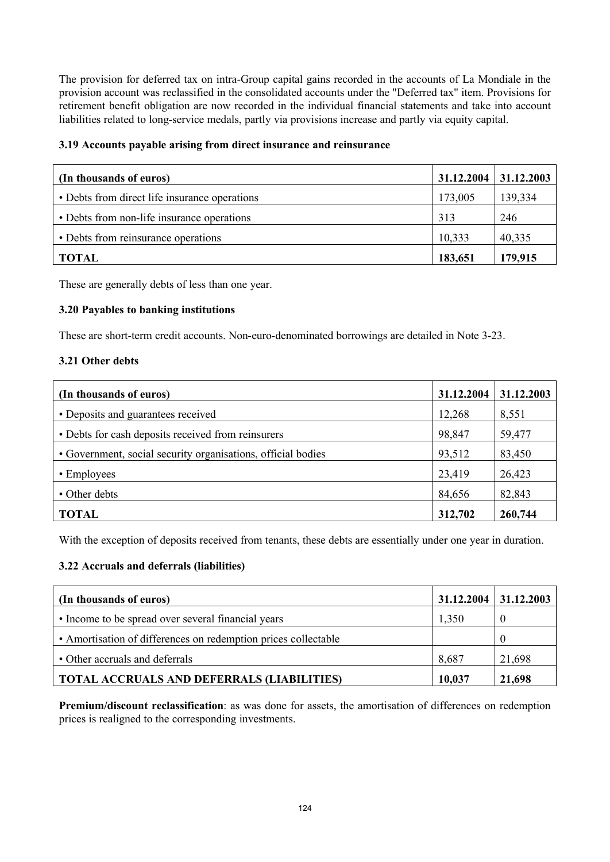The provision for deferred tax on intra-Group capital gains recorded in the accounts of La Mondiale in the provision account was reclassified in the consolidated accounts under the "Deferred tax" item. Provisions for retirement benefit obligation are now recorded in the individual financial statements and take into account liabilities related to long-service medals, partly via provisions increase and partly via equity capital.

## **3.19 Accounts payable arising from direct insurance and reinsurance**

| (In thousands of euros)                       | 31.12.2004 | 31.12.2003 |
|-----------------------------------------------|------------|------------|
| • Debts from direct life insurance operations | 173,005    | 139,334    |
| • Debts from non-life insurance operations    | 313        | 246        |
| • Debts from reinsurance operations           | 10,333     | 40,335     |
| <b>TOTAL</b>                                  | 183,651    | 179,915    |

These are generally debts of less than one year.

## **3.20 Payables to banking institutions**

These are short-term credit accounts. Non-euro-denominated borrowings are detailed in Note 3-23.

#### **3.21 Other debts**

| (In thousands of euros)                                      | 31.12.2004 | 31.12.2003 |
|--------------------------------------------------------------|------------|------------|
| • Deposits and guarantees received                           | 12,268     | 8,551      |
| • Debts for cash deposits received from reinsurers           | 98,847     | 59,477     |
| • Government, social security organisations, official bodies | 93,512     | 83,450     |
| • Employees                                                  | 23,419     | 26,423     |
| • Other debts                                                | 84,656     | 82,843     |
| <b>TOTAL</b>                                                 | 312,702    | 260,744    |

With the exception of deposits received from tenants, these debts are essentially under one year in duration.

## **3.22 Accruals and deferrals (liabilities)**

| (In thousands of euros)                                        | 31.12.2004 | $\mid$ 31.12.2003 |
|----------------------------------------------------------------|------------|-------------------|
| • Income to be spread over several financial years             | 1,350      |                   |
| • Amortisation of differences on redemption prices collectable |            | -0                |
| • Other accruals and deferrals                                 | 8,687      | 21,698            |
| <b>TOTAL ACCRUALS AND DEFERRALS (LIABILITIES)</b>              | 10,037     | 21,698            |

**Premium/discount reclassification**: as was done for assets, the amortisation of differences on redemption prices is realigned to the corresponding investments.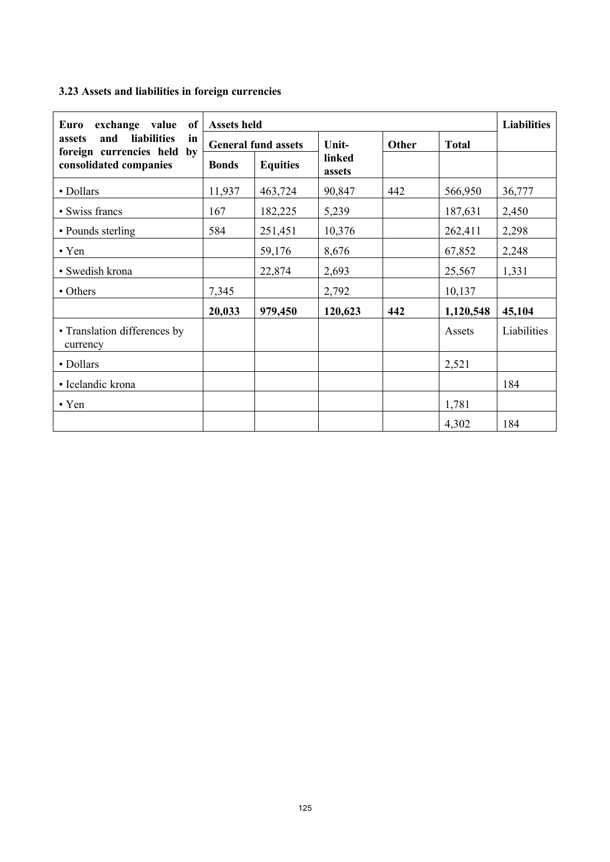# **3.23 Assets and liabilities in foreign currencies**

| exchange value<br>Euro<br>of                                            | Assets held  |                            |                  |       |              | <b>Liabilities</b> |
|-------------------------------------------------------------------------|--------------|----------------------------|------------------|-------|--------------|--------------------|
| <b>liabilities</b><br>and<br>assets<br>in<br>foreign currencies held by |              | <b>General fund assets</b> | Unit-            | Other | <b>Total</b> |                    |
| consolidated companies                                                  | <b>Bonds</b> | <b>Equities</b>            | linked<br>assets |       |              |                    |
| • Dollars                                                               | 11,937       | 463,724                    | 90,847           | 442   | 566,950      | 36,777             |
| • Swiss francs                                                          | 167          | 182,225                    | 5,239            |       | 187,631      | 2,450              |
| • Pounds sterling                                                       | 584          | 251,451                    | 10,376           |       | 262,411      | 2,298              |
| $\cdot$ Yen                                                             |              | 59,176                     | 8,676            |       | 67,852       | 2,248              |
| • Swedish krona                                                         |              | 22,874                     | 2,693            |       | 25,567       | 1,331              |
| • Others                                                                | 7,345        |                            | 2,792            |       | 10,137       |                    |
|                                                                         | 20,033       | 979,450                    | 120,623          | 442   | 1,120,548    | 45,104             |
| • Translation differences by<br>currency                                |              |                            |                  |       | Assets       | Liabilities        |
| • Dollars                                                               |              |                            |                  |       | 2,521        |                    |
| • Icelandic krona                                                       |              |                            |                  |       |              | 184                |
| $\cdot$ Yen                                                             |              |                            |                  |       | 1,781        |                    |
|                                                                         |              |                            |                  |       | 4,302        | 184                |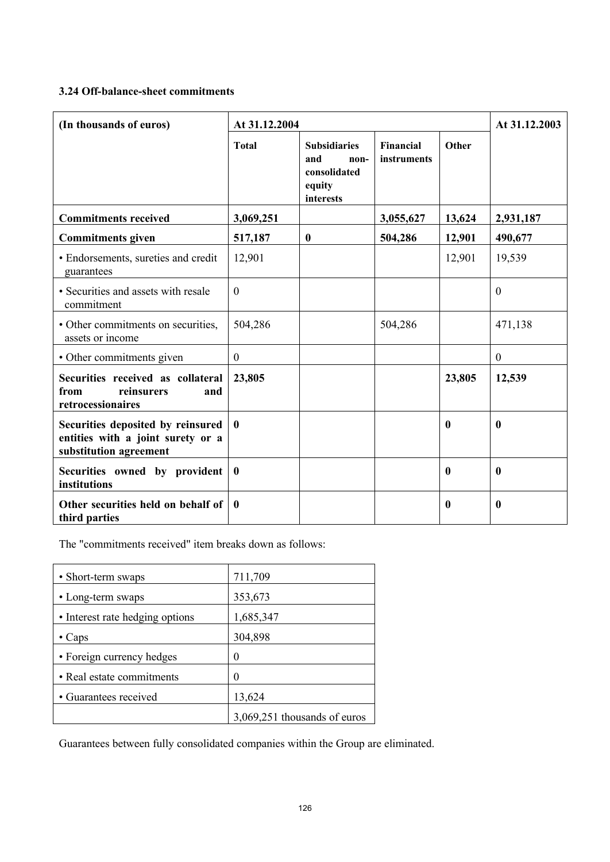## **3.24 Off-balance-sheet commitments**

| (In thousands of euros)                                                                          | At 31.12.2004    |                                                                           |                          | At 31.12.2003 |                  |
|--------------------------------------------------------------------------------------------------|------------------|---------------------------------------------------------------------------|--------------------------|---------------|------------------|
|                                                                                                  | <b>Total</b>     | <b>Subsidiaries</b><br>and<br>non-<br>consolidated<br>equity<br>interests | Financial<br>instruments | Other         |                  |
| <b>Commitments received</b>                                                                      | 3,069,251        |                                                                           | 3,055,627                | 13,624        | 2,931,187        |
| <b>Commitments given</b>                                                                         | 517,187          | $\bf{0}$                                                                  | 504,286                  | 12,901        | 490,677          |
| • Endorsements, sureties and credit<br>guarantees                                                | 12,901           |                                                                           |                          | 12,901        | 19,539           |
| • Securities and assets with resale<br>commitment                                                | $\theta$         |                                                                           |                          |               | $\theta$         |
| • Other commitments on securities,<br>assets or income                                           | 504,286          |                                                                           | 504,286                  |               | 471,138          |
| • Other commitments given                                                                        | $\theta$         |                                                                           |                          |               | $\boldsymbol{0}$ |
| Securities received as collateral<br>from<br>reinsurers<br>and<br>retrocessionaires              | 23,805           |                                                                           |                          | 23,805        | 12,539           |
| Securities deposited by reinsured<br>entities with a joint surety or a<br>substitution agreement | $\mathbf{0}$     |                                                                           |                          | $\mathbf{0}$  | $\mathbf{0}$     |
| Securities owned by provident<br>institutions                                                    | $\boldsymbol{0}$ |                                                                           |                          | $\mathbf{0}$  | $\mathbf{0}$     |
| Other securities held on behalf of<br>third parties                                              | $\mathbf{0}$     |                                                                           |                          | $\mathbf{0}$  | $\mathbf{0}$     |

The "commitments received" item breaks down as follows:

| • Short-term swaps              | 711,709                      |
|---------------------------------|------------------------------|
| • Long-term swaps               | 353,673                      |
| • Interest rate hedging options | 1,685,347                    |
| $\cdot$ Caps                    | 304,898                      |
| • Foreign currency hedges       | 0                            |
| • Real estate commitments       | 0                            |
| • Guarantees received           | 13,624                       |
|                                 | 3,069,251 thousands of euros |

Guarantees between fully consolidated companies within the Group are eliminated.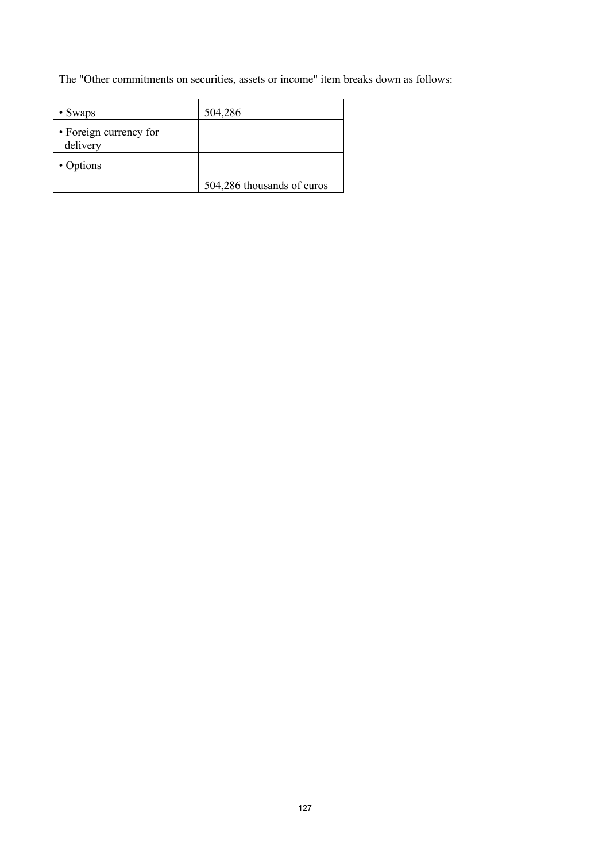The "Other commitments on securities, assets or income" item breaks down as follows:

| • Swaps                            | 504,286                    |
|------------------------------------|----------------------------|
| • Foreign currency for<br>delivery |                            |
| • Options                          |                            |
|                                    | 504,286 thousands of euros |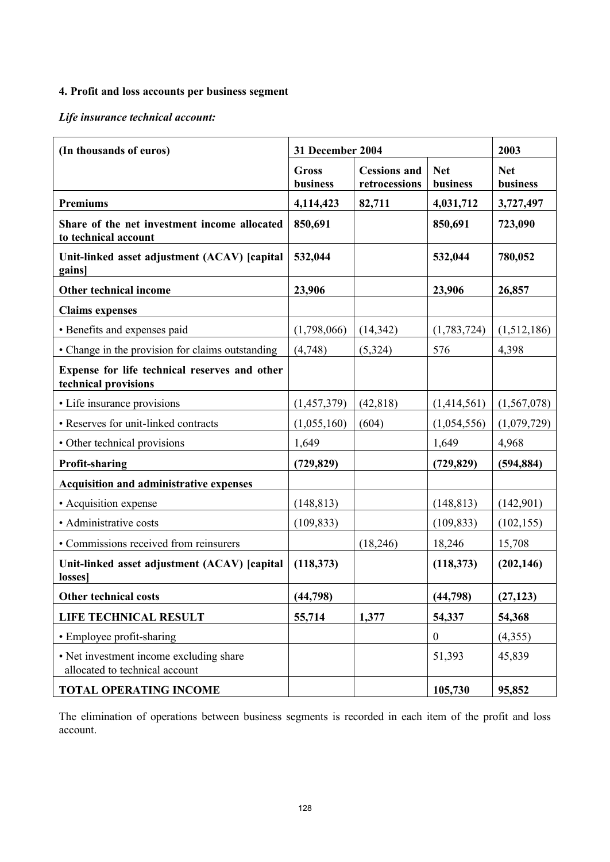# **4. Profit and loss accounts per business segment**

*Life insurance technical account:*

| (In thousands of euros)                                                   | 31 December 2004  |                                      |                        | 2003                   |
|---------------------------------------------------------------------------|-------------------|--------------------------------------|------------------------|------------------------|
|                                                                           | Gross<br>business | <b>Cessions and</b><br>retrocessions | <b>Net</b><br>business | <b>Net</b><br>business |
| <b>Premiums</b>                                                           | 4,114,423         | 82,711                               | 4,031,712              | 3,727,497              |
| Share of the net investment income allocated<br>to technical account      | 850,691           |                                      | 850,691                | 723,090                |
| Unit-linked asset adjustment (ACAV) [capital<br>gains]                    | 532,044           |                                      | 532,044                | 780,052                |
| Other technical income                                                    | 23,906            |                                      | 23,906                 | 26,857                 |
| <b>Claims expenses</b>                                                    |                   |                                      |                        |                        |
| • Benefits and expenses paid                                              | (1,798,066)       | (14, 342)                            | (1,783,724)            | (1,512,186)            |
| • Change in the provision for claims outstanding                          | (4,748)           | (5, 324)                             | 576                    | 4,398                  |
| Expense for life technical reserves and other<br>technical provisions     |                   |                                      |                        |                        |
| • Life insurance provisions                                               | (1,457,379)       | (42, 818)                            | (1,414,561)            | (1, 567, 078)          |
| • Reserves for unit-linked contracts                                      | (1,055,160)       | (604)                                | (1,054,556)            | (1,079,729)            |
| • Other technical provisions                                              | 1,649             |                                      | 1,649                  | 4,968                  |
| <b>Profit-sharing</b>                                                     | (729, 829)        |                                      | (729, 829)             | (594, 884)             |
| Acquisition and administrative expenses                                   |                   |                                      |                        |                        |
| • Acquisition expense                                                     | (148, 813)        |                                      | (148, 813)             | (142,901)              |
| • Administrative costs                                                    | (109, 833)        |                                      | (109, 833)             | (102, 155)             |
| • Commissions received from reinsurers                                    |                   | (18,246)                             | 18,246                 | 15,708                 |
| Unit-linked asset adjustment (ACAV) [capital]<br>losses]                  | (118, 373)        |                                      | (118, 373)             | (202, 146)             |
| Other technical costs                                                     | (44, 798)         |                                      | (44, 798)              | (27, 123)              |
| LIFE TECHNICAL RESULT                                                     | 55,714            | 1,377                                | 54,337                 | 54,368                 |
| • Employee profit-sharing                                                 |                   |                                      | $\boldsymbol{0}$       | (4,355)                |
| • Net investment income excluding share<br>allocated to technical account |                   |                                      | 51,393                 | 45,839                 |
| <b>TOTAL OPERATING INCOME</b>                                             |                   |                                      | 105,730                | 95,852                 |

The elimination of operations between business segments is recorded in each item of the profit and loss account.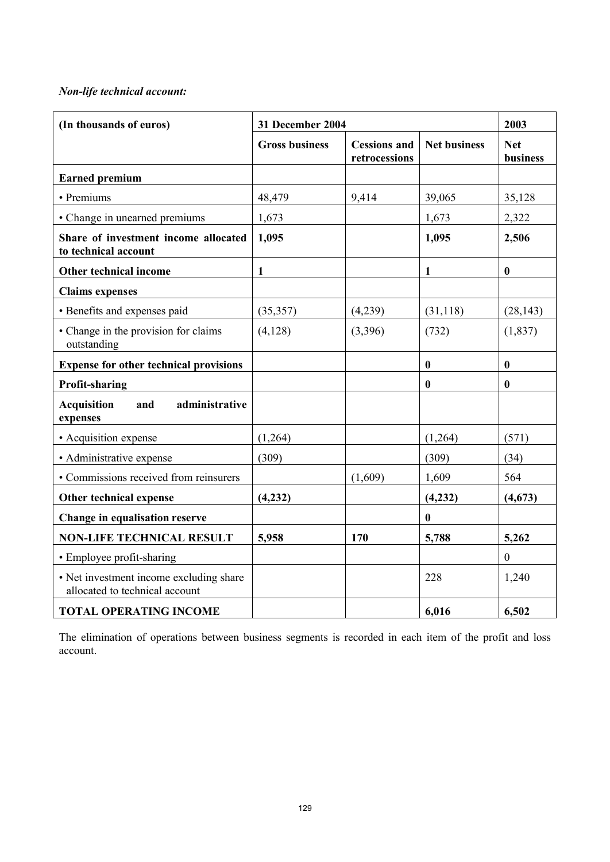# *Non-life technical account:*

| (In thousands of euros)                                                   | 31 December 2004      | 2003                                 |                     |                        |
|---------------------------------------------------------------------------|-----------------------|--------------------------------------|---------------------|------------------------|
|                                                                           | <b>Gross business</b> | <b>Cessions and</b><br>retrocessions | <b>Net business</b> | <b>Net</b><br>business |
| <b>Earned premium</b>                                                     |                       |                                      |                     |                        |
| • Premiums                                                                | 48,479                | 9,414                                | 39,065              | 35,128                 |
| • Change in unearned premiums                                             | 1,673                 |                                      | 1,673               | 2,322                  |
| Share of investment income allocated<br>to technical account              | 1,095                 |                                      | 1,095               | 2,506                  |
| Other technical income                                                    | $\mathbf{1}$          |                                      | $\mathbf{1}$        | $\bf{0}$               |
| <b>Claims expenses</b>                                                    |                       |                                      |                     |                        |
| • Benefits and expenses paid                                              | (35, 357)             | (4,239)                              | (31, 118)           | (28, 143)              |
| • Change in the provision for claims<br>outstanding                       | (4,128)               | (3,396)                              | (732)               | (1, 837)               |
| <b>Expense for other technical provisions</b>                             |                       |                                      | $\boldsymbol{0}$    | $\bf{0}$               |
| <b>Profit-sharing</b>                                                     |                       |                                      | $\boldsymbol{0}$    | $\bf{0}$               |
| <b>Acquisition</b><br>administrative<br>and<br>expenses                   |                       |                                      |                     |                        |
| • Acquisition expense                                                     | (1,264)               |                                      | (1,264)             | (571)                  |
| • Administrative expense                                                  | (309)                 |                                      | (309)               | (34)                   |
| • Commissions received from reinsurers                                    |                       | (1,609)                              | 1,609               | 564                    |
| Other technical expense                                                   | (4,232)               |                                      | (4,232)             | (4,673)                |
| Change in equalisation reserve                                            |                       |                                      | $\boldsymbol{0}$    |                        |
| <b>NON-LIFE TECHNICAL RESULT</b>                                          | 5,958                 | 170                                  | 5,788               | 5,262                  |
| • Employee profit-sharing                                                 |                       |                                      |                     | $\boldsymbol{0}$       |
| • Net investment income excluding share<br>allocated to technical account |                       |                                      | 228                 | 1,240                  |
| <b>TOTAL OPERATING INCOME</b>                                             |                       |                                      | 6,016               | 6,502                  |

The elimination of operations between business segments is recorded in each item of the profit and loss account.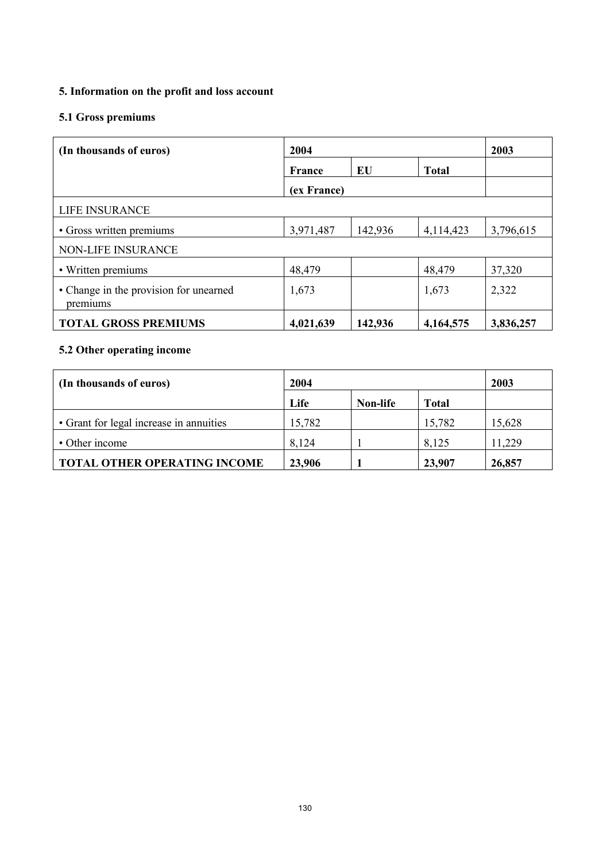# **5. Information on the profit and loss account**

# **5.1 Gross premiums**

| (In thousands of euros)                            | 2004        | 2003    |              |           |
|----------------------------------------------------|-------------|---------|--------------|-----------|
|                                                    | France      | EU      | <b>Total</b> |           |
|                                                    | (ex France) |         |              |           |
| LIFE INSURANCE                                     |             |         |              |           |
| • Gross written premiums                           | 3,971,487   | 142,936 | 4,114,423    | 3,796,615 |
| NON-LIFE INSURANCE                                 |             |         |              |           |
| • Written premiums                                 | 48,479      |         | 48,479       | 37,320    |
| • Change in the provision for unearned<br>premiums | 1,673       |         | 1,673        | 2,322     |
| <b>TOTAL GROSS PREMIUMS</b>                        | 4,021,639   | 142,936 | 4,164,575    | 3,836,257 |

# **5.2 Other operating income**

| (In thousands of euros)                 | 2004   |          |              | 2003   |
|-----------------------------------------|--------|----------|--------------|--------|
|                                         | Life   | Non-life | <b>Total</b> |        |
| • Grant for legal increase in annuities | 15,782 |          | 15,782       | 15,628 |
| • Other income                          | 8,124  |          | 8,125        | 11,229 |
| <b>TOTAL OTHER OPERATING INCOME</b>     | 23,906 |          | 23,907       | 26,857 |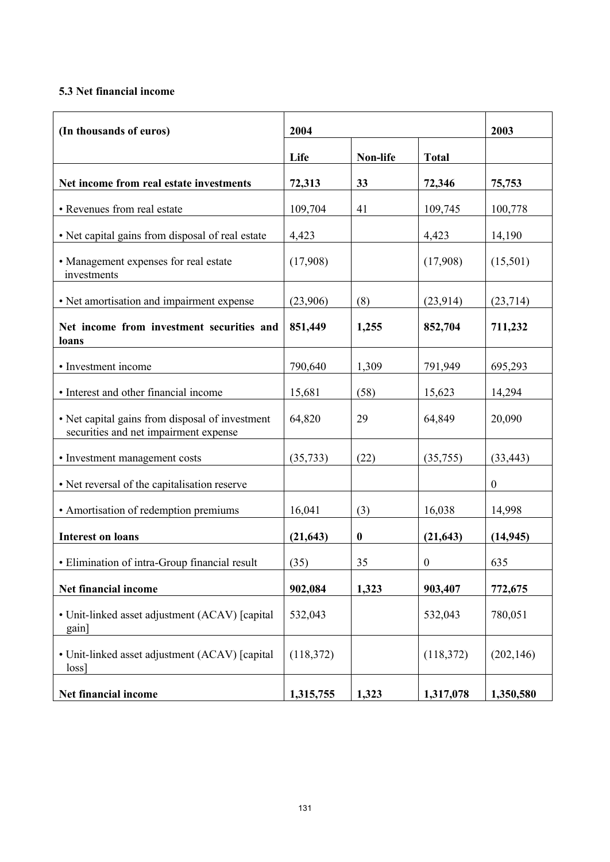# **5.3 Net financial income**

| (In thousands of euros)                                                                  | 2004      | 2003             |                  |                  |
|------------------------------------------------------------------------------------------|-----------|------------------|------------------|------------------|
|                                                                                          | Life      | Non-life         | <b>Total</b>     |                  |
| Net income from real estate investments                                                  | 72,313    | 33               | 72,346           | 75,753           |
| • Revenues from real estate                                                              | 109,704   | 41               | 109,745          | 100,778          |
| • Net capital gains from disposal of real estate                                         | 4,423     |                  | 4,423            | 14,190           |
| • Management expenses for real estate<br>investments                                     | (17,908)  |                  | (17,908)         | (15,501)         |
| • Net amortisation and impairment expense                                                | (23,906)  | (8)              | (23, 914)        | (23, 714)        |
| Net income from investment securities and<br>loans                                       | 851,449   | 1,255            | 852,704          | 711,232          |
| • Investment income                                                                      | 790,640   | 1,309            | 791,949          | 695,293          |
| • Interest and other financial income                                                    | 15,681    | (58)             | 15,623           | 14,294           |
| • Net capital gains from disposal of investment<br>securities and net impairment expense | 64,820    | 29               | 64,849           | 20,090           |
| • Investment management costs                                                            | (35, 733) | (22)             | (35,755)         | (33, 443)        |
| • Net reversal of the capitalisation reserve                                             |           |                  |                  | $\boldsymbol{0}$ |
| • Amortisation of redemption premiums                                                    | 16,041    | (3)              | 16,038           | 14,998           |
| <b>Interest on loans</b>                                                                 | (21, 643) | $\boldsymbol{0}$ | (21, 643)        | (14, 945)        |
| • Elimination of intra-Group financial result                                            | (35)      | 35               | $\boldsymbol{0}$ | 635              |
| Net financial income                                                                     | 902,084   | 1,323            | 903,407          | 772,675          |
| • Unit-linked asset adjustment (ACAV) [capital<br>gain]                                  | 532,043   |                  | 532,043          | 780,051          |
| • Unit-linked asset adjustment (ACAV) [capital<br>loss                                   | (118,372) |                  | (118,372)        | (202, 146)       |
| Net financial income                                                                     | 1,315,755 | 1,323            | 1,317,078        | 1,350,580        |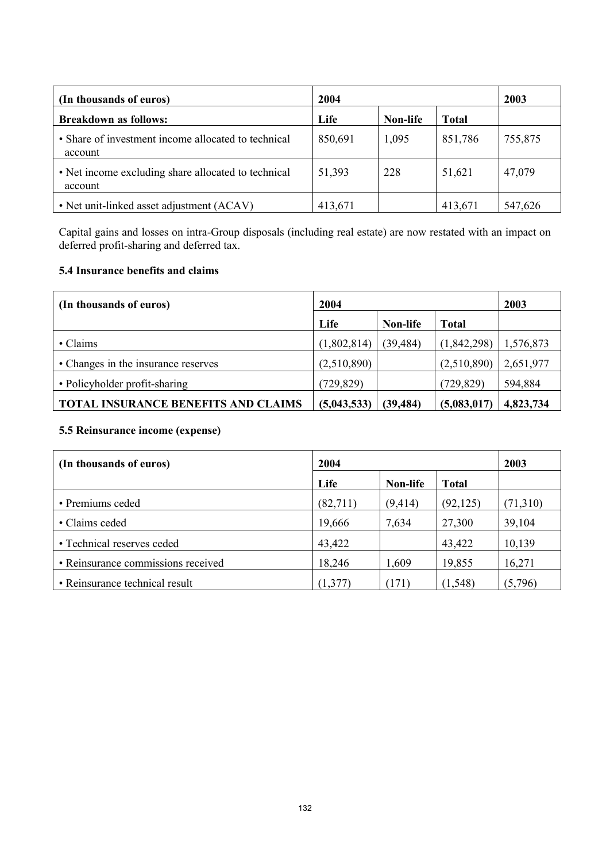| (In thousands of euros)                                        | 2004    |          |              | 2003    |
|----------------------------------------------------------------|---------|----------|--------------|---------|
| <b>Breakdown as follows:</b>                                   | Life    | Non-life | <b>Total</b> |         |
| • Share of investment income allocated to technical<br>account | 850,691 | 1,095    | 851,786      | 755,875 |
| • Net income excluding share allocated to technical<br>account | 51,393  | 228      | 51,621       | 47,079  |
| • Net unit-linked asset adjustment (ACAV)                      | 413,671 |          | 413,671      | 547,626 |

Capital gains and losses on intra-Group disposals (including real estate) are now restated with an impact on deferred profit-sharing and deferred tax.

## **5.4 Insurance benefits and claims**

| (In thousands of euros)                    | 2004        |           |              | 2003      |
|--------------------------------------------|-------------|-----------|--------------|-----------|
|                                            | Life        | Non-life  | <b>Total</b> |           |
| • Claims                                   | (1,802,814) | (39, 484) | (1,842,298)  | 1,576,873 |
| • Changes in the insurance reserves        | (2,510,890) |           | (2,510,890)  | 2,651,977 |
| • Policyholder profit-sharing              | (729, 829)  |           | (729, 829)   | 594,884   |
| <b>TOTAL INSURANCE BENEFITS AND CLAIMS</b> | (5,043,533) | (39, 484) | (5,083,017)  | 4,823,734 |

# **5.5 Reinsurance income (expense)**

| (In thousands of euros)            | 2004     |          |              | 2003     |
|------------------------------------|----------|----------|--------------|----------|
|                                    | Life     | Non-life | <b>Total</b> |          |
| • Premiums ceded                   | (82,711) | (9,414)  | (92, 125)    | (71,310) |
| • Claims ceded                     | 19,666   | 7,634    | 27,300       | 39,104   |
| • Technical reserves ceded         | 43,422   |          | 43,422       | 10,139   |
| • Reinsurance commissions received | 18,246   | 1,609    | 19,855       | 16,271   |
| • Reinsurance technical result     | (1, 377) | (171)    | (1, 548)     | (5,796)  |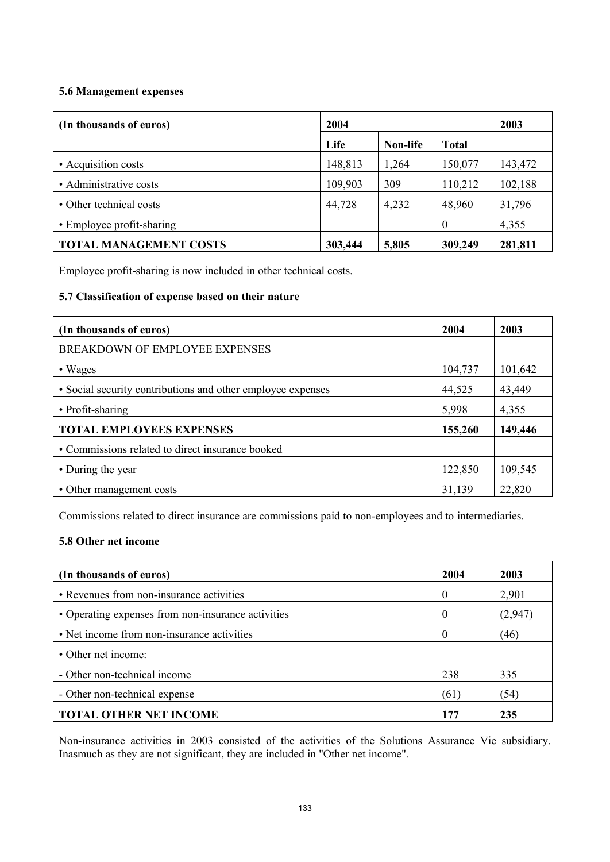## **5.6 Management expenses**

| (In thousands of euros)       | 2004    |          |              | 2003    |
|-------------------------------|---------|----------|--------------|---------|
|                               | Life    | Non-life | <b>Total</b> |         |
| • Acquisition costs           | 148,813 | 1,264    | 150,077      | 143,472 |
| • Administrative costs        | 109,903 | 309      | 110,212      | 102,188 |
| • Other technical costs       | 44,728  | 4,232    | 48,960       | 31,796  |
| • Employee profit-sharing     |         |          | $\theta$     | 4,355   |
| <b>TOTAL MANAGEMENT COSTS</b> | 303,444 | 5,805    | 309,249      | 281,811 |

Employee profit-sharing is now included in other technical costs.

## **5.7 Classification of expense based on their nature**

| (In thousands of euros)                                     | 2004    | 2003    |
|-------------------------------------------------------------|---------|---------|
| BREAKDOWN OF EMPLOYEE EXPENSES                              |         |         |
| • Wages                                                     | 104,737 | 101,642 |
| • Social security contributions and other employee expenses | 44,525  | 43,449  |
| • Profit-sharing                                            | 5,998   | 4,355   |
| <b>TOTAL EMPLOYEES EXPENSES</b>                             | 155,260 | 149,446 |
| • Commissions related to direct insurance booked            |         |         |
| • During the year                                           | 122,850 | 109,545 |
| • Other management costs                                    | 31,139  | 22,820  |

Commissions related to direct insurance are commissions paid to non-employees and to intermediaries.

## **5.8 Other net income**

| (In thousands of euros)                            | 2004     | 2003    |
|----------------------------------------------------|----------|---------|
| • Revenues from non-insurance activities           | $\theta$ | 2,901   |
| • Operating expenses from non-insurance activities | 0        | (2,947) |
| • Net income from non-insurance activities         | $\Omega$ | (46)    |
| • Other net income:                                |          |         |
| - Other non-technical income                       | 238      | 335     |
| - Other non-technical expense                      | (61)     | (54)    |
| <b>TOTAL OTHER NET INCOME</b>                      | 177      | 235     |

Non-insurance activities in 2003 consisted of the activities of the Solutions Assurance Vie subsidiary. Inasmuch as they are not significant, they are included in "Other net income".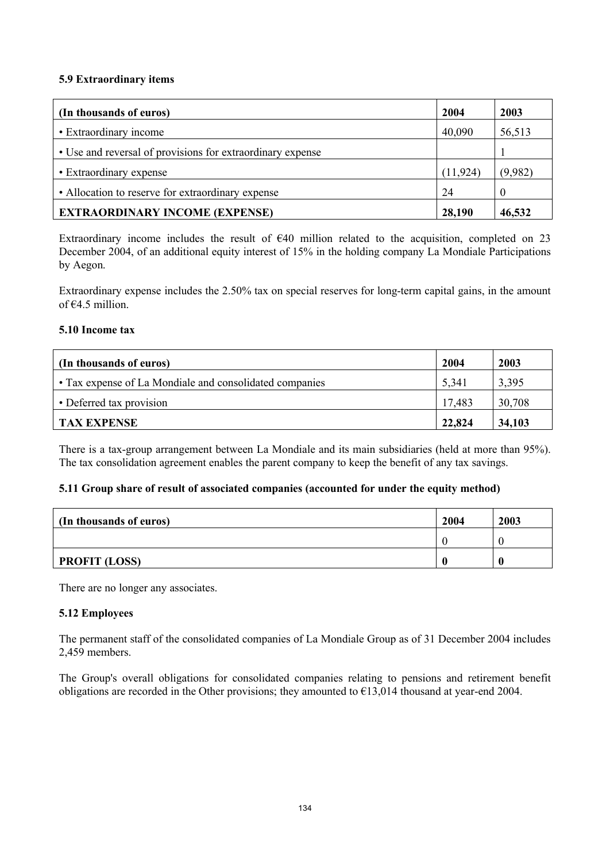#### **5.9 Extraordinary items**

| (In thousands of euros)                                    | 2004      | 2003     |
|------------------------------------------------------------|-----------|----------|
| • Extraordinary income                                     | 40,090    | 56,513   |
| • Use and reversal of provisions for extraordinary expense |           |          |
| • Extraordinary expense                                    | (11, 924) | (9,982)  |
| • Allocation to reserve for extraordinary expense          | 24        | $\theta$ |
| <b>EXTRAORDINARY INCOME (EXPENSE)</b>                      | 28,190    | 46,532   |

Extraordinary income includes the result of  $\epsilon$ 40 million related to the acquisition, completed on 23 December 2004, of an additional equity interest of 15% in the holding company La Mondiale Participations by Aegon.

Extraordinary expense includes the 2.50% tax on special reserves for long-term capital gains, in the amount of €4.5 million.

#### **5.10 Income tax**

| (In thousands of euros)                                 | 2004   | 2003   |
|---------------------------------------------------------|--------|--------|
| • Tax expense of La Mondiale and consolidated companies | 5,341  | 3.395  |
| • Deferred tax provision                                | 17,483 | 30,708 |
| <b>TAX EXPENSE</b>                                      | 22,824 | 34,103 |

There is a tax-group arrangement between La Mondiale and its main subsidiaries (held at more than 95%). The tax consolidation agreement enables the parent company to keep the benefit of any tax savings.

#### **5.11 Group share of result of associated companies (accounted for under the equity method)**

| (In thousands of euros) | 2004 | 2003 |
|-------------------------|------|------|
|                         |      |      |
| <b>PROFIT (LOSS)</b>    |      |      |

There are no longer any associates.

#### **5.12 Employees**

The permanent staff of the consolidated companies of La Mondiale Group as of 31 December 2004 includes 2,459 members.

The Group's overall obligations for consolidated companies relating to pensions and retirement benefit obligations are recorded in the Other provisions; they amounted to  $\epsilon$ 13,014 thousand at year-end 2004.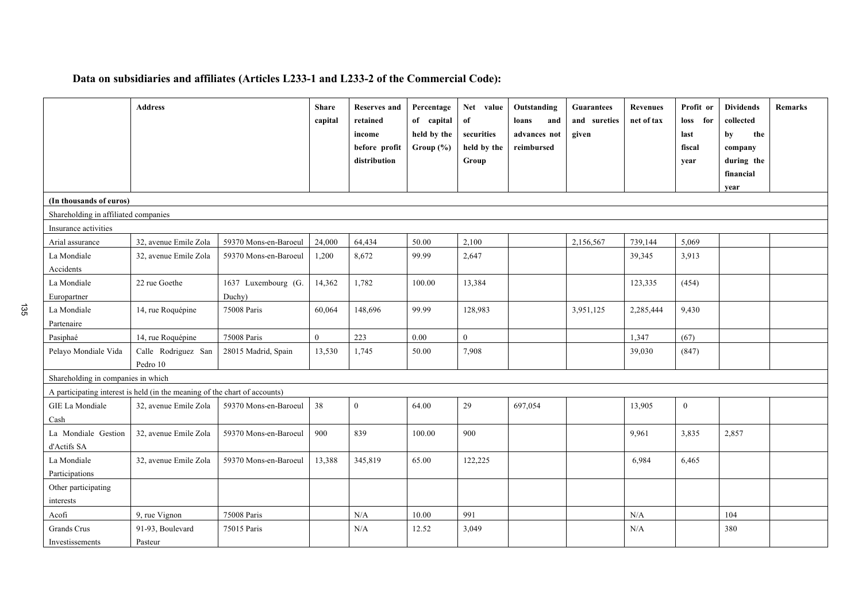# **Data on subsidiaries and affiliates (Articles L233-1 and L233-2 of the Commercial Code):**

|                                      | <b>Address</b>                                                             |                               | <b>Share</b><br>capital | <b>Reserves and</b><br>retained<br>income<br>before profit<br>distribution | Percentage<br>of capital<br>held by the<br>Group $(\% )$ | Net value<br>of<br>securities<br>held by the<br>Group | Outstanding<br>loans<br>and<br>advances not<br>reimbursed | <b>Guarantees</b><br>and sureties<br>given | <b>Revenues</b><br>net of tax | Profit or<br>for<br><b>loss</b><br>last<br>fiscal<br>year | <b>Dividends</b><br>collected<br>by<br>the<br>company<br>during the<br>financial<br>year | <b>Remarks</b> |
|--------------------------------------|----------------------------------------------------------------------------|-------------------------------|-------------------------|----------------------------------------------------------------------------|----------------------------------------------------------|-------------------------------------------------------|-----------------------------------------------------------|--------------------------------------------|-------------------------------|-----------------------------------------------------------|------------------------------------------------------------------------------------------|----------------|
| (In thousands of euros)              |                                                                            |                               |                         |                                                                            |                                                          |                                                       |                                                           |                                            |                               |                                                           |                                                                                          |                |
| Shareholding in affiliated companies |                                                                            |                               |                         |                                                                            |                                                          |                                                       |                                                           |                                            |                               |                                                           |                                                                                          |                |
| Insurance activities                 |                                                                            |                               |                         |                                                                            |                                                          |                                                       |                                                           |                                            |                               |                                                           |                                                                                          |                |
| Arial assurance                      | 32, avenue Emile Zola                                                      | 59370 Mons-en-Baroeul         | 24,000                  | 64,434                                                                     | 50.00                                                    | 2,100                                                 |                                                           | 2,156,567                                  | 739,144                       | 5,069                                                     |                                                                                          |                |
| La Mondiale<br>Accidents             | 32, avenue Emile Zola                                                      | 59370 Mons-en-Baroeul         | 1,200                   | 8,672                                                                      | 99.99                                                    | 2,647                                                 |                                                           |                                            | 39,345                        | 3,913                                                     |                                                                                          |                |
| La Mondiale<br>Europartner           | 22 rue Goethe                                                              | 1637 Luxembourg (G.<br>Duchy) | 14,362                  | 1,782                                                                      | 100.00                                                   | 13,384                                                |                                                           |                                            | 123,335                       | (454)                                                     |                                                                                          |                |
| La Mondiale<br>Partenaire            | 14, rue Roquépine                                                          | 75008 Paris                   | 60.064                  | 148,696                                                                    | 99.99                                                    | 128,983                                               |                                                           | 3,951,125                                  | 2,285,444                     | 9.430                                                     |                                                                                          |                |
| Pasiphaé                             | 14, rue Roquépine                                                          | 75008 Paris                   | $\overline{0}$          | 223                                                                        | 0.00                                                     | $\theta$                                              |                                                           |                                            | 1,347                         | (67)                                                      |                                                                                          |                |
| Pelayo Mondiale Vida                 | Calle Rodriguez San<br>Pedro 10                                            | 28015 Madrid, Spain           | 13,530                  | 1,745                                                                      | 50.00                                                    | 7,908                                                 |                                                           |                                            | 39,030                        | (847)                                                     |                                                                                          |                |
| Shareholding in companies in which   |                                                                            |                               |                         |                                                                            |                                                          |                                                       |                                                           |                                            |                               |                                                           |                                                                                          |                |
|                                      | A participating interest is held (in the meaning of the chart of accounts) |                               |                         |                                                                            |                                                          |                                                       |                                                           |                                            |                               |                                                           |                                                                                          |                |
| GIE La Mondiale<br>Cash              | 32, avenue Emile Zola                                                      | 59370 Mons-en-Baroeul         | 38                      | $\mathbf{0}$                                                               | 64.00                                                    | 29                                                    | 697,054                                                   |                                            | 13,905                        | $\mathbf{0}$                                              |                                                                                          |                |
| La Mondiale Gestion<br>d'Actifs SA   | 32, avenue Emile Zola                                                      | 59370 Mons-en-Baroeul         | 900                     | 839                                                                        | 100.00                                                   | 900                                                   |                                                           |                                            | 9,961                         | 3,835                                                     | 2,857                                                                                    |                |
| La Mondiale                          | 32, avenue Emile Zola                                                      | 59370 Mons-en-Baroeul         | 13,388                  | 345,819                                                                    | 65.00                                                    | 122,225                                               |                                                           |                                            | 6,984                         | 6,465                                                     |                                                                                          |                |
| Participations                       |                                                                            |                               |                         |                                                                            |                                                          |                                                       |                                                           |                                            |                               |                                                           |                                                                                          |                |
| Other participating<br>interests     |                                                                            |                               |                         |                                                                            |                                                          |                                                       |                                                           |                                            |                               |                                                           |                                                                                          |                |
| Acofi                                | 9, rue Vignon                                                              | 75008 Paris                   |                         | $\rm N/A$                                                                  | 10.00                                                    | 991                                                   |                                                           |                                            | $\rm N/A$                     |                                                           | 104                                                                                      |                |
| Grands Crus<br>Investissements       | 91-93, Boulevard<br>Pasteur                                                | 75015 Paris                   |                         | N/A                                                                        | 12.52                                                    | 3,049                                                 |                                                           |                                            | N/A                           |                                                           | 380                                                                                      |                |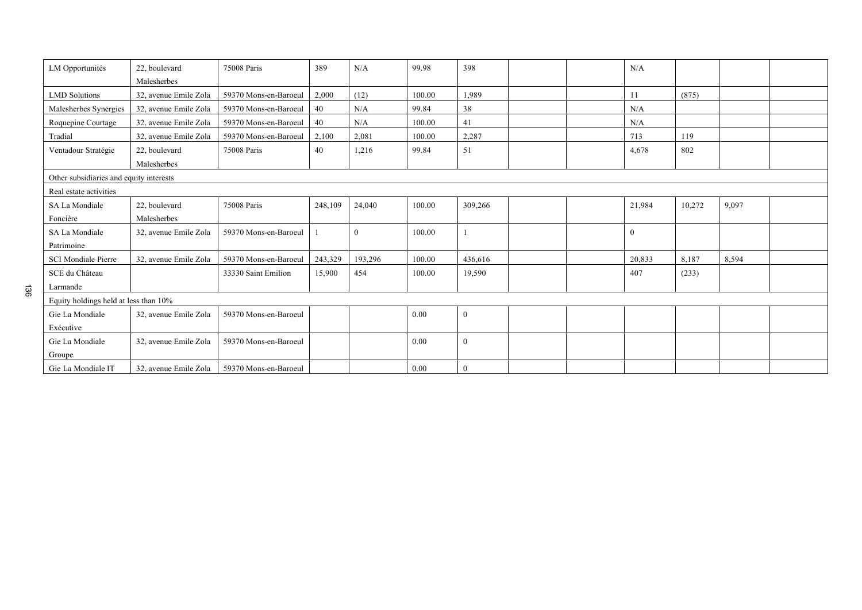| LM Opportunités                         | 22. boulevard         | 75008 Paris           | 389     | N/A      | 99.98  | 398          |  |  | N/A      |        |       |  |
|-----------------------------------------|-----------------------|-----------------------|---------|----------|--------|--------------|--|--|----------|--------|-------|--|
|                                         | Malesherbes           |                       |         |          |        |              |  |  |          |        |       |  |
| <b>LMD</b> Solutions                    | 32, avenue Emile Zola | 59370 Mons-en-Baroeul | 2,000   | (12)     | 100.00 | 1,989        |  |  | 11       | (875)  |       |  |
| Malesherbes Synergies                   | 32, avenue Emile Zola | 59370 Mons-en-Baroeul | 40      | N/A      | 99.84  | 38           |  |  | N/A      |        |       |  |
| Roquepine Courtage                      | 32, avenue Emile Zola | 59370 Mons-en-Baroeul | 40      | N/A      | 100.00 | 41           |  |  | N/A      |        |       |  |
| Tradial                                 | 32, avenue Emile Zola | 59370 Mons-en-Baroeul | 2,100   | 2,081    | 100.00 | 2,287        |  |  | 713      | 119    |       |  |
| Ventadour Stratégie                     | 22, boulevard         | 75008 Paris           | 40      | 1,216    | 99.84  | 51           |  |  | 4,678    | 802    |       |  |
|                                         | Malesherbes           |                       |         |          |        |              |  |  |          |        |       |  |
| Other subsidiaries and equity interests |                       |                       |         |          |        |              |  |  |          |        |       |  |
| Real estate activities                  |                       |                       |         |          |        |              |  |  |          |        |       |  |
| SA La Mondiale                          | 22, boulevard         | 75008 Paris           | 248,109 | 24,040   | 100.00 | 309,266      |  |  | 21,984   | 10,272 | 9,097 |  |
| Foncière                                | Malesherbes           |                       |         |          |        |              |  |  |          |        |       |  |
| SA La Mondiale                          | 32, avenue Emile Zola | 59370 Mons-en-Baroeul |         | $\bf{0}$ | 100.00 |              |  |  | $\bf{0}$ |        |       |  |
| Patrimoine                              |                       |                       |         |          |        |              |  |  |          |        |       |  |
| <b>SCI Mondiale Pierre</b>              | 32, avenue Emile Zola | 59370 Mons-en-Baroeul | 243,329 | 193,296  | 100.00 | 436,616      |  |  | 20,833   | 8,187  | 8,594 |  |
| SCE du Château                          |                       | 33330 Saint Emilion   | 15,900  | 454      | 100.00 | 19,590       |  |  | 407      | (233)  |       |  |
| Larmande                                |                       |                       |         |          |        |              |  |  |          |        |       |  |
| Equity holdings held at less than 10%   |                       |                       |         |          |        |              |  |  |          |        |       |  |
| Gie La Mondiale                         | 32, avenue Emile Zola | 59370 Mons-en-Baroeul |         |          | 0.00   | $\mathbf{0}$ |  |  |          |        |       |  |
| Exécutive                               |                       |                       |         |          |        |              |  |  |          |        |       |  |
| Gie La Mondiale                         | 32, avenue Emile Zola | 59370 Mons-en-Baroeul |         |          | 0.00   | $\mathbf{0}$ |  |  |          |        |       |  |
| Groupe                                  |                       |                       |         |          |        |              |  |  |          |        |       |  |
| Gie La Mondiale IT                      | 32, avenue Emile Zola | 59370 Mons-en-Baroeul |         |          | 0.00   | $\mathbf{0}$ |  |  |          |        |       |  |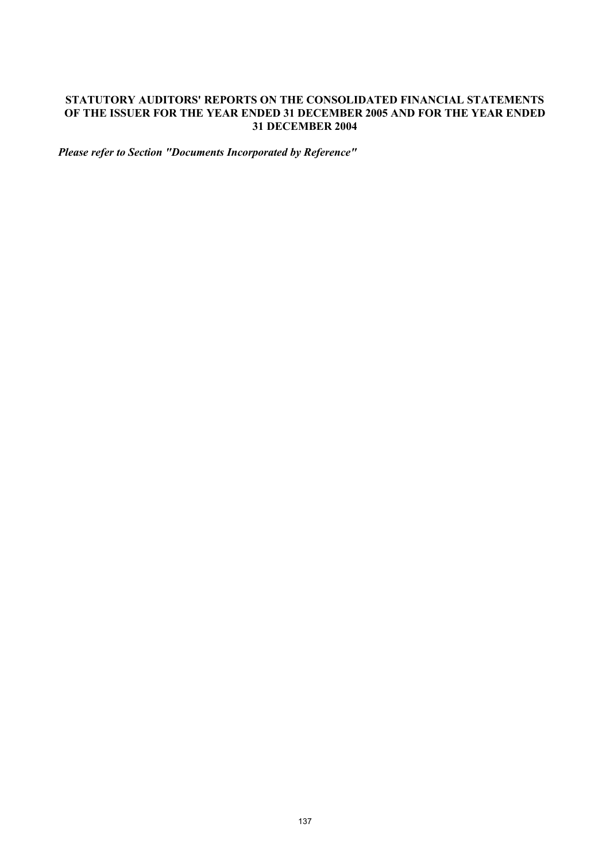## **STATUTORY AUDITORS' REPORTS ON THE CONSOLIDATED FINANCIAL STATEMENTS OF THE ISSUER FOR THE YEAR ENDED 31 DECEMBER 2005 AND FOR THE YEAR ENDED 31 DECEMBER 2004**

*Please refer to Section "Documents Incorporated by Reference"*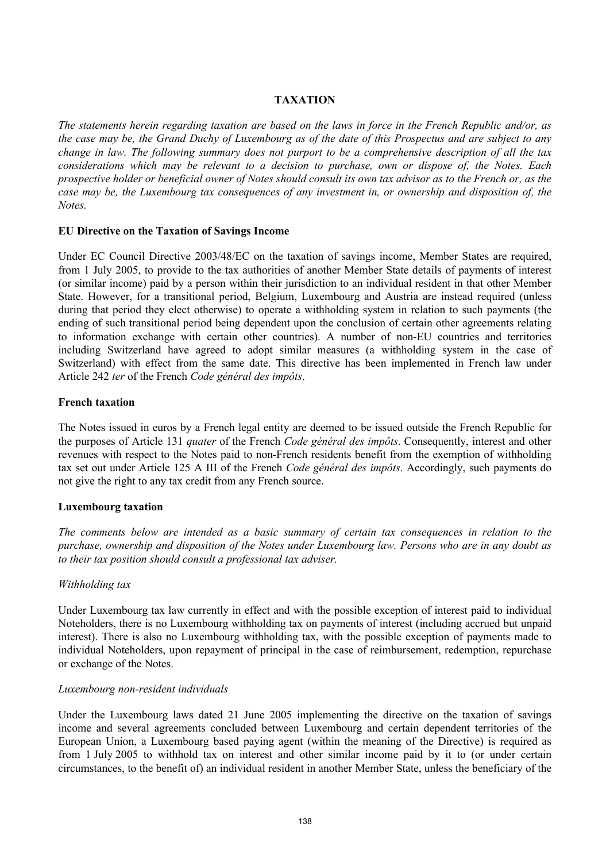#### **TAXATION**

*The statements herein regarding taxation are based on the laws in force in the French Republic and/or, as the case may be, the Grand Duchy of Luxembourg as of the date of this Prospectus and are subject to any change in law. The following summary does not purport to be a comprehensive description of all the tax considerations which may be relevant to a decision to purchase, own or dispose of, the Notes. Each prospective holder or beneficial owner of Notes should consult its own tax advisor as to the French or, as the case may be, the Luxembourg tax consequences of any investment in, or ownership and disposition of, the Notes.*

#### **EU Directive on the Taxation of Savings Income**

Under EC Council Directive 2003/48/EC on the taxation of savings income, Member States are required, from 1 July 2005, to provide to the tax authorities of another Member State details of payments of interest (or similar income) paid by a person within their jurisdiction to an individual resident in that other Member State. However, for a transitional period, Belgium, Luxembourg and Austria are instead required (unless during that period they elect otherwise) to operate a withholding system in relation to such payments (the ending of such transitional period being dependent upon the conclusion of certain other agreements relating to information exchange with certain other countries). A number of non-EU countries and territories including Switzerland have agreed to adopt similar measures (a withholding system in the case of Switzerland) with effect from the same date. This directive has been implemented in French law under Article 242 *ter* of the French *Code général des impôts*.

#### **French taxation**

The Notes issued in euros by a French legal entity are deemed to be issued outside the French Republic for the purposes of Article 131 *quater* of the French *Code général des impôts*. Consequently, interest and other revenues with respect to the Notes paid to non-French residents benefit from the exemption of withholding tax set out under Article 125 A III of the French *Code général des impôts*. Accordingly, such payments do not give the right to any tax credit from any French source.

## **Luxembourg taxation**

*The comments below are intended as a basic summary of certain tax consequences in relation to the purchase, ownership and disposition of the Notes under Luxembourg law. Persons who are in any doubt as to their tax position should consult a professional tax adviser.*

#### *Withholding tax*

Under Luxembourg tax law currently in effect and with the possible exception of interest paid to individual Noteholders, there is no Luxembourg withholding tax on payments of interest (including accrued but unpaid interest). There is also no Luxembourg withholding tax, with the possible exception of payments made to individual Noteholders, upon repayment of principal in the case of reimbursement, redemption, repurchase or exchange of the Notes.

#### *Luxembourg non-resident individuals*

Under the Luxembourg laws dated 21 June 2005 implementing the directive on the taxation of savings income and several agreements concluded between Luxembourg and certain dependent territories of the European Union, a Luxembourg based paying agent (within the meaning of the Directive) is required as from 1 July 2005 to withhold tax on interest and other similar income paid by it to (or under certain circumstances, to the benefit of) an individual resident in another Member State, unless the beneficiary of the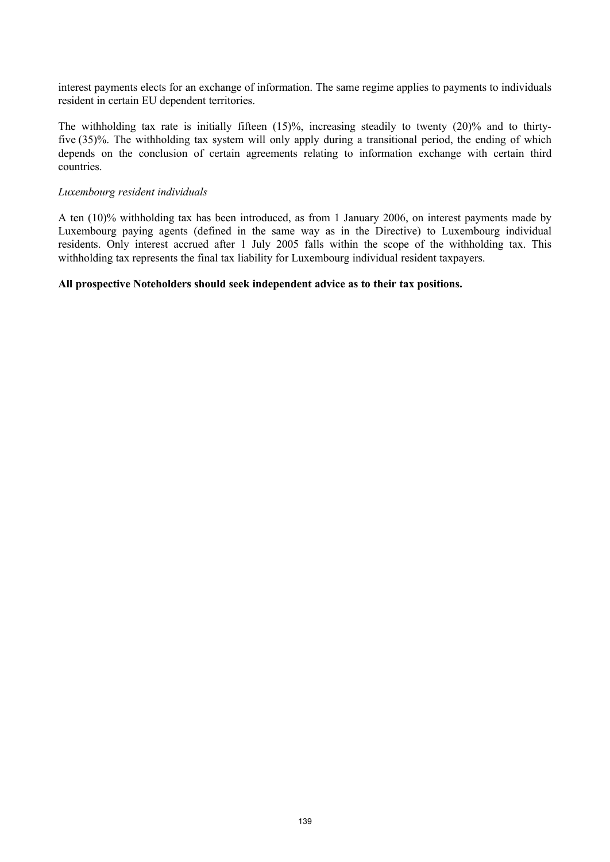interest payments elects for an exchange of information. The same regime applies to payments to individuals resident in certain EU dependent territories.

The withholding tax rate is initially fifteen (15)%, increasing steadily to twenty (20)% and to thirtyfive (35)%. The withholding tax system will only apply during a transitional period, the ending of which depends on the conclusion of certain agreements relating to information exchange with certain third countries.

#### *Luxembourg resident individuals*

A ten (10)% withholding tax has been introduced, as from 1 January 2006, on interest payments made by Luxembourg paying agents (defined in the same way as in the Directive) to Luxembourg individual residents. Only interest accrued after 1 July 2005 falls within the scope of the withholding tax. This withholding tax represents the final tax liability for Luxembourg individual resident taxpayers.

#### **All prospective Noteholders should seek independent advice as to their tax positions.**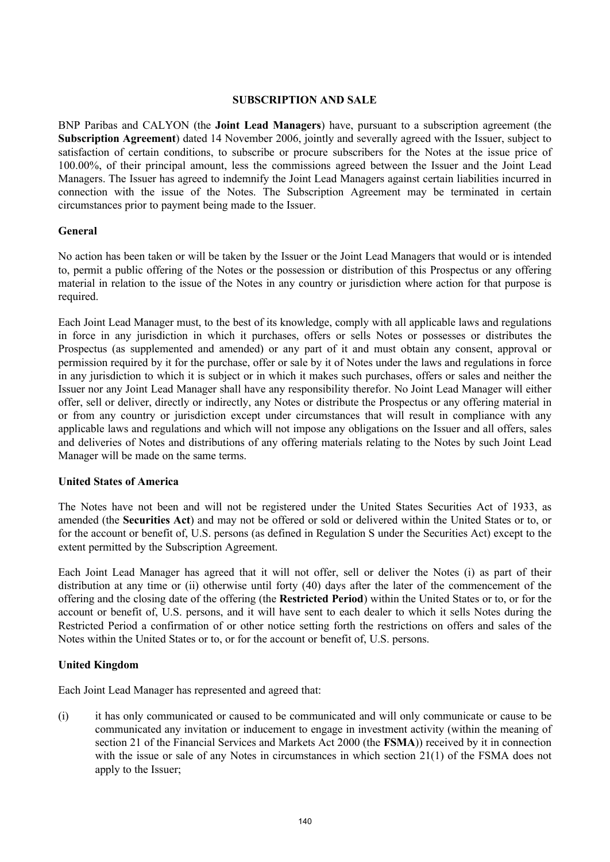#### **SUBSCRIPTION AND SALE**

BNP Paribas and CALYON (the **Joint Lead Managers**) have, pursuant to a subscription agreement (the **Subscription Agreement**) dated 14 November 2006, jointly and severally agreed with the Issuer, subject to satisfaction of certain conditions, to subscribe or procure subscribers for the Notes at the issue price of 100.00%, of their principal amount, less the commissions agreed between the Issuer and the Joint Lead Managers. The Issuer has agreed to indemnify the Joint Lead Managers against certain liabilities incurred in connection with the issue of the Notes. The Subscription Agreement may be terminated in certain circumstances prior to payment being made to the Issuer.

#### **General**

No action has been taken or will be taken by the Issuer or the Joint Lead Managers that would or is intended to, permit a public offering of the Notes or the possession or distribution of this Prospectus or any offering material in relation to the issue of the Notes in any country or jurisdiction where action for that purpose is required.

Each Joint Lead Manager must, to the best of its knowledge, comply with all applicable laws and regulations in force in any jurisdiction in which it purchases, offers or sells Notes or possesses or distributes the Prospectus (as supplemented and amended) or any part of it and must obtain any consent, approval or permission required by it for the purchase, offer or sale by it of Notes under the laws and regulations in force in any jurisdiction to which it is subject or in which it makes such purchases, offers or sales and neither the Issuer nor any Joint Lead Manager shall have any responsibility therefor. No Joint Lead Manager will either offer, sell or deliver, directly or indirectly, any Notes or distribute the Prospectus or any offering material in or from any country or jurisdiction except under circumstances that will result in compliance with any applicable laws and regulations and which will not impose any obligations on the Issuer and all offers, sales and deliveries of Notes and distributions of any offering materials relating to the Notes by such Joint Lead Manager will be made on the same terms.

#### **United States of America**

The Notes have not been and will not be registered under the United States Securities Act of 1933, as amended (the **Securities Act**) and may not be offered or sold or delivered within the United States or to, or for the account or benefit of, U.S. persons (as defined in Regulation S under the Securities Act) except to the extent permitted by the Subscription Agreement.

Each Joint Lead Manager has agreed that it will not offer, sell or deliver the Notes (i) as part of their distribution at any time or (ii) otherwise until forty (40) days after the later of the commencement of the offering and the closing date of the offering (the **Restricted Period**) within the United States or to, or for the account or benefit of, U.S. persons, and it will have sent to each dealer to which it sells Notes during the Restricted Period a confirmation of or other notice setting forth the restrictions on offers and sales of the Notes within the United States or to, or for the account or benefit of, U.S. persons.

## **United Kingdom**

Each Joint Lead Manager has represented and agreed that:

(i) it has only communicated or caused to be communicated and will only communicate or cause to be communicated any invitation or inducement to engage in investment activity (within the meaning of section 21 of the Financial Services and Markets Act 2000 (the **FSMA**)) received by it in connection with the issue or sale of any Notes in circumstances in which section 21(1) of the FSMA does not apply to the Issuer;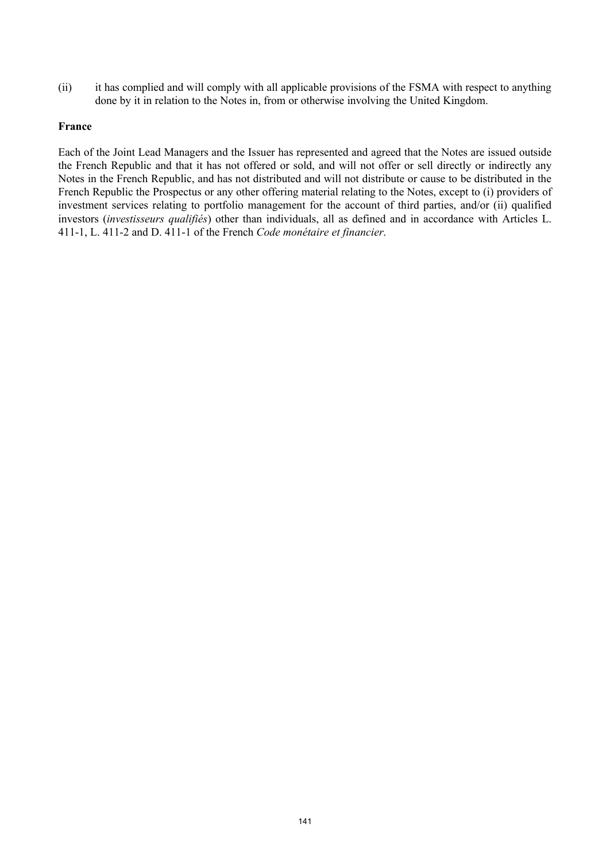(ii) it has complied and will comply with all applicable provisions of the FSMA with respect to anything done by it in relation to the Notes in, from or otherwise involving the United Kingdom.

#### **France**

Each of the Joint Lead Managers and the Issuer has represented and agreed that the Notes are issued outside the French Republic and that it has not offered or sold, and will not offer or sell directly or indirectly any Notes in the French Republic, and has not distributed and will not distribute or cause to be distributed in the French Republic the Prospectus or any other offering material relating to the Notes, except to (i) providers of investment services relating to portfolio management for the account of third parties, and/or (ii) qualified investors (*investisseurs qualifiés*) other than individuals, all as defined and in accordance with Articles L. 411-1, L. 411-2 and D. 411-1 of the French *Code monétaire et financier*.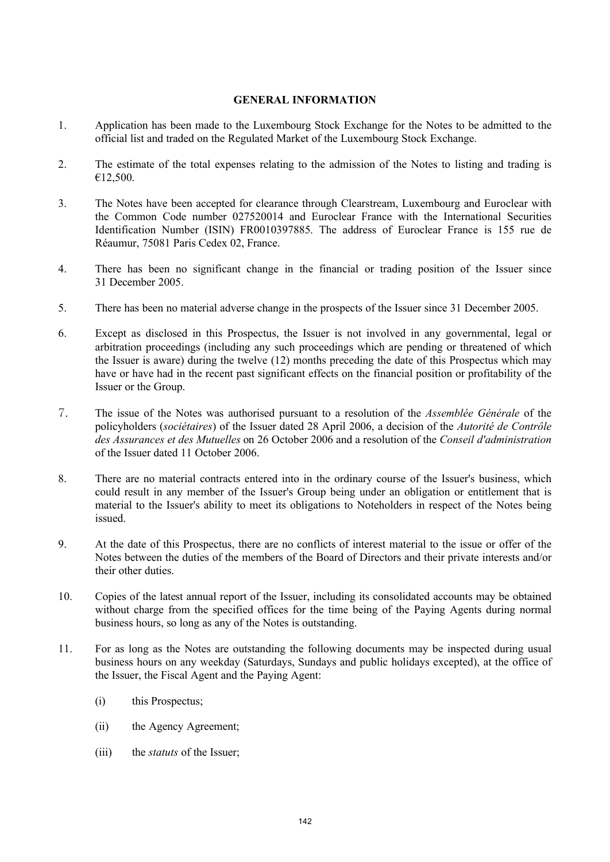#### **GENERAL INFORMATION**

- 1. Application has been made to the Luxembourg Stock Exchange for the Notes to be admitted to the official list and traded on the Regulated Market of the Luxembourg Stock Exchange.
- 2. The estimate of the total expenses relating to the admission of the Notes to listing and trading is €12,500.
- 3. The Notes have been accepted for clearance through Clearstream, Luxembourg and Euroclear with the Common Code number 027520014 and Euroclear France with the International Securities Identification Number (ISIN) FR0010397885. The address of Euroclear France is 155 rue de Réaumur, 75081 Paris Cedex 02, France.
- 4. There has been no significant change in the financial or trading position of the Issuer since 31 December 2005.
- 5. There has been no material adverse change in the prospects of the Issuer since 31 December 2005.
- 6. Except as disclosed in this Prospectus, the Issuer is not involved in any governmental, legal or arbitration proceedings (including any such proceedings which are pending or threatened of which the Issuer is aware) during the twelve (12) months preceding the date of this Prospectus which may have or have had in the recent past significant effects on the financial position or profitability of the Issuer or the Group.
- {r The issue of the Notes was authorised pursuant to a resolution of the *Assemblée Générale* of the policyholders (*sociétaires*) of the Issuer dated 28 April 2006, a decision of the *Autorité de Contrôle des Assurances et des Mutuelles* on 26 October 2006 and a resolution of the *Conseil d'administration*  of the Issuer dated 11 October 2006.
- 8. There are no material contracts entered into in the ordinary course of the Issuer's business, which could result in any member of the Issuer's Group being under an obligation or entitlement that is material to the Issuer's ability to meet its obligations to Noteholders in respect of the Notes being issued.
- 9. At the date of this Prospectus, there are no conflicts of interest material to the issue or offer of the Notes between the duties of the members of the Board of Directors and their private interests and/or their other duties.
- 10. Copies of the latest annual report of the Issuer, including its consolidated accounts may be obtained without charge from the specified offices for the time being of the Paying Agents during normal business hours, so long as any of the Notes is outstanding.
- 11. For as long as the Notes are outstanding the following documents may be inspected during usual business hours on any weekday (Saturdays, Sundays and public holidays excepted), at the office of the Issuer, the Fiscal Agent and the Paying Agent:
	- (i) this Prospectus;
	- (ii) the Agency Agreement;
	- (iii) the *statuts* of the Issuer;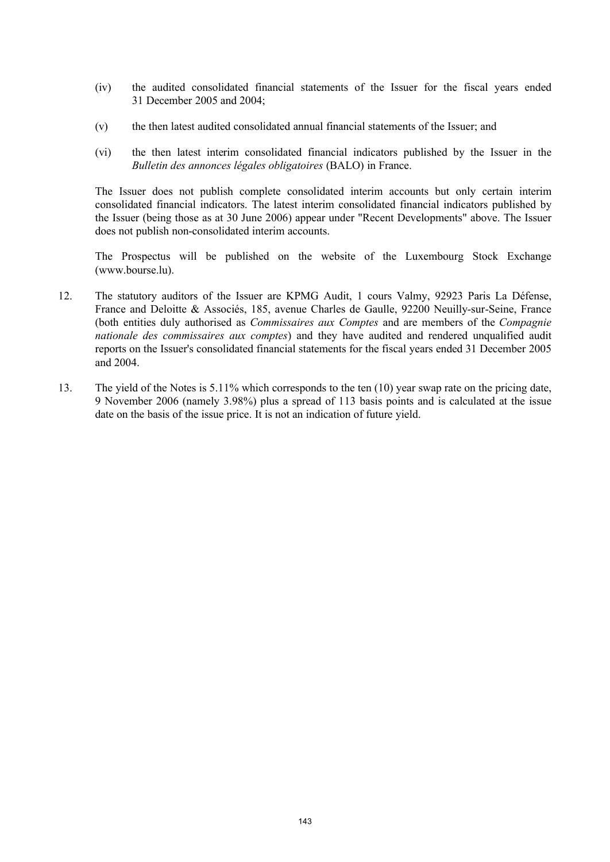- (iv) the audited consolidated financial statements of the Issuer for the fiscal years ended 31 December 2005 and 2004;
- (v) the then latest audited consolidated annual financial statements of the Issuer; and
- (vi) the then latest interim consolidated financial indicators published by the Issuer in the *Bulletin des annonces légales obligatoires* (BALO) in France.

The Issuer does not publish complete consolidated interim accounts but only certain interim consolidated financial indicators. The latest interim consolidated financial indicators published by the Issuer (being those as at 30 June 2006) appear under "Recent Developments" above. The Issuer does not publish non-consolidated interim accounts.

The Prospectus will be published on the website of the Luxembourg Stock Exchange (www.bourse.lu).

- 12. The statutory auditors of the Issuer are KPMG Audit, 1 cours Valmy, 92923 Paris La Défense, France and Deloitte & Associés, 185, avenue Charles de Gaulle, 92200 Neuilly-sur-Seine, France (both entities duly authorised as *Commissaires aux Comptes* and are members of the *Compagnie nationale des commissaires aux comptes*) and they have audited and rendered unqualified audit reports on the Issuer's consolidated financial statements for the fiscal years ended 31 December 2005 and 2004.
- 13. The yield of the Notes is 5.11% which corresponds to the ten (10) year swap rate on the pricing date, 9 November 2006 (namely 3.98%) plus a spread of 113 basis points and is calculated at the issue date on the basis of the issue price. It is not an indication of future yield.